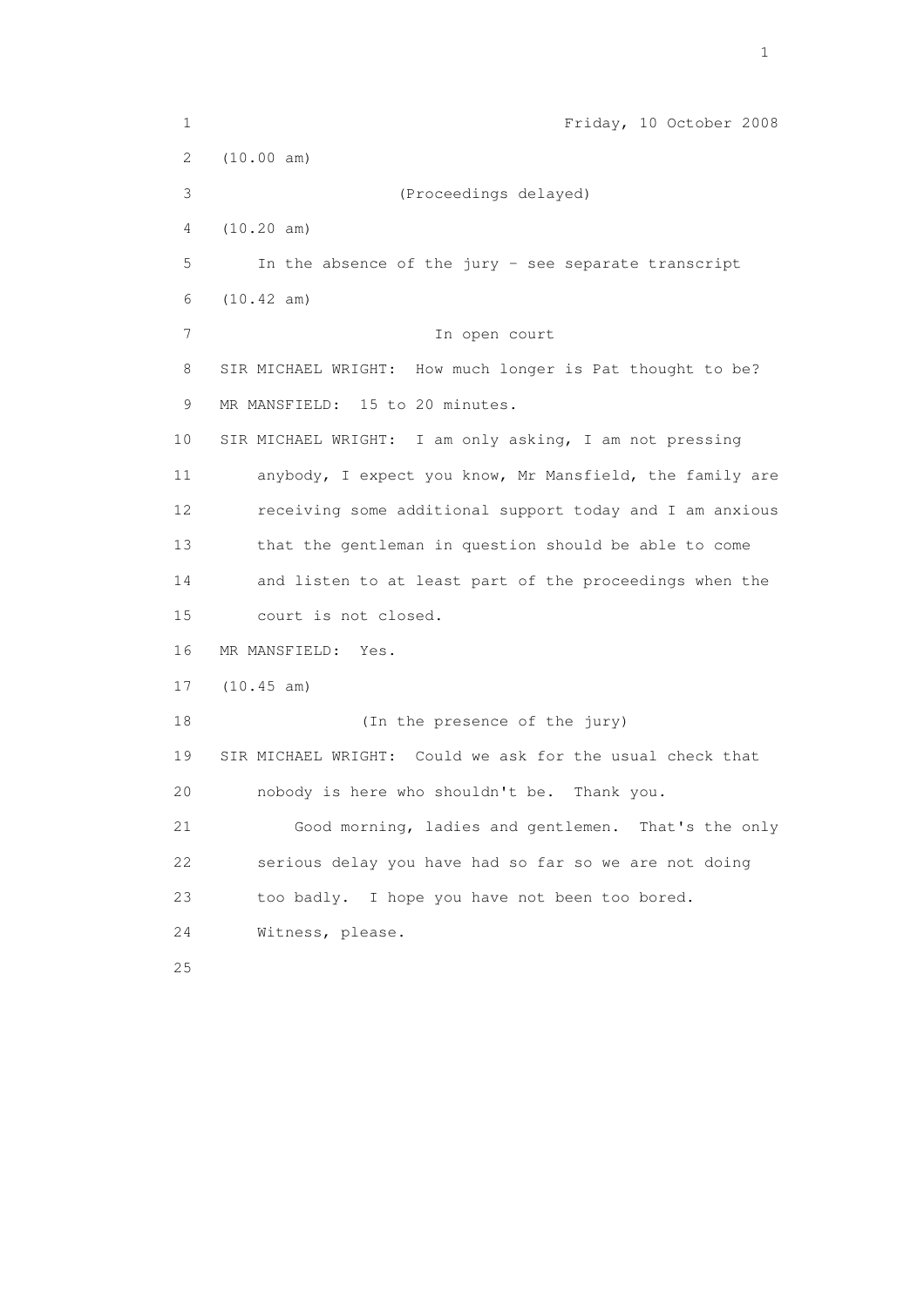1 Friday, 10 October 2008 2 (10.00 am) 3 (Proceedings delayed) 4 (10.20 am) 5 In the absence of the jury - see separate transcript 6 (10.42 am) 7 In open court 8 SIR MICHAEL WRIGHT: How much longer is Pat thought to be? 9 MR MANSFIELD: 15 to 20 minutes. 10 SIR MICHAEL WRIGHT: I am only asking, I am not pressing 11 anybody, I expect you know, Mr Mansfield, the family are 12 receiving some additional support today and I am anxious 13 that the gentleman in question should be able to come 14 and listen to at least part of the proceedings when the 15 court is not closed. 16 MR MANSFIELD: Yes. 17 (10.45 am) 18 (In the presence of the jury) 19 SIR MICHAEL WRIGHT: Could we ask for the usual check that 20 nobody is here who shouldn't be. Thank you. 21 Good morning, ladies and gentlemen. That's the only 22 serious delay you have had so far so we are not doing 23 too badly. I hope you have not been too bored. 24 Witness, please. 25

the contract of the contract of the contract of the contract of the contract of the contract of the contract of the contract of the contract of the contract of the contract of the contract of the contract of the contract o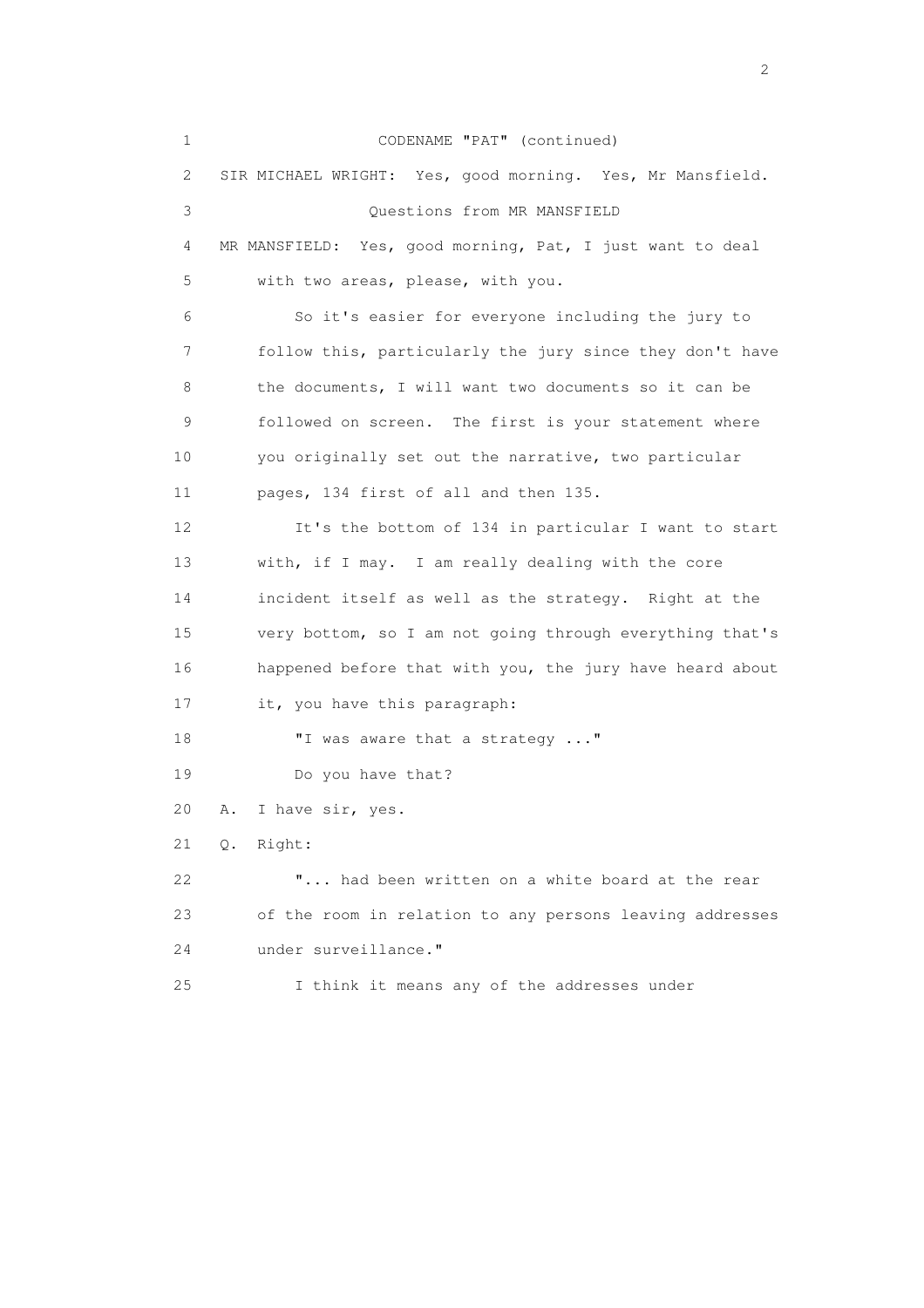1 CODENAME "PAT" (continued) 2 SIR MICHAEL WRIGHT: Yes, good morning. Yes, Mr Mansfield. 3 Questions from MR MANSFIELD 4 MR MANSFIELD: Yes, good morning, Pat, I just want to deal 5 with two areas, please, with you. 6 So it's easier for everyone including the jury to 7 follow this, particularly the jury since they don't have 8 the documents, I will want two documents so it can be 9 followed on screen. The first is your statement where 10 you originally set out the narrative, two particular 11 pages, 134 first of all and then 135. 12 It's the bottom of 134 in particular I want to start 13 with, if I may. I am really dealing with the core 14 incident itself as well as the strategy. Right at the 15 very bottom, so I am not going through everything that's 16 happened before that with you, the jury have heard about 17 it, you have this paragraph: 18 "I was aware that a strategy ..." 19 Do you have that? 20 A. I have sir, yes. 21 Q. Right: 22 "... had been written on a white board at the rear 23 of the room in relation to any persons leaving addresses 24 under surveillance." 25 I think it means any of the addresses under

 $\overline{2}$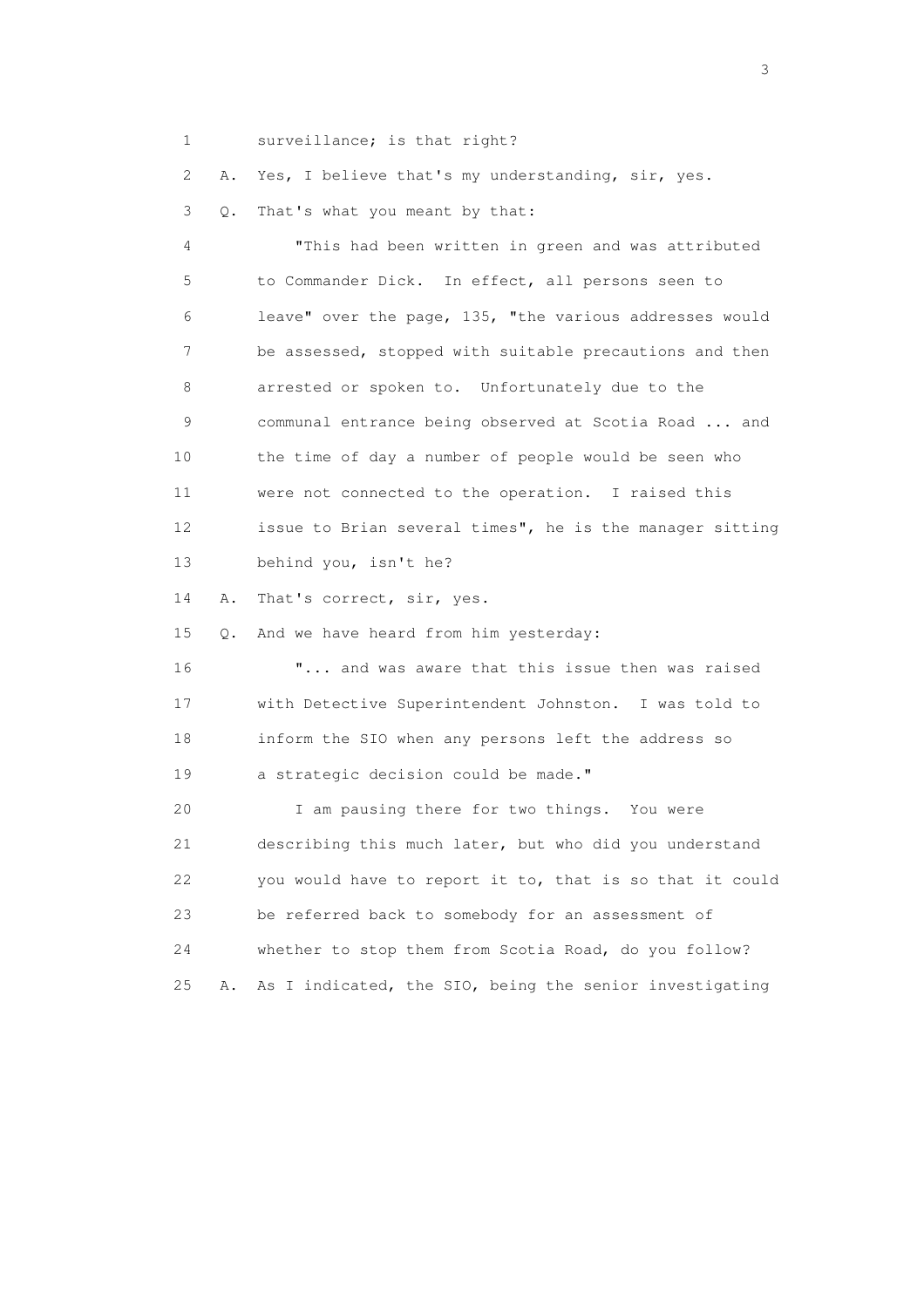1 surveillance; is that right?

2 A. Yes, I believe that's my understanding, sir, yes.

3 Q. That's what you meant by that:

 4 "This had been written in green and was attributed 5 to Commander Dick. In effect, all persons seen to 6 leave" over the page, 135, "the various addresses would 7 be assessed, stopped with suitable precautions and then 8 arrested or spoken to. Unfortunately due to the 9 communal entrance being observed at Scotia Road ... and 10 the time of day a number of people would be seen who 11 were not connected to the operation. I raised this 12 issue to Brian several times", he is the manager sitting 13 behind you, isn't he?

14 A. That's correct, sir, yes.

15 Q. And we have heard from him yesterday:

 16 "... and was aware that this issue then was raised 17 with Detective Superintendent Johnston. I was told to 18 inform the SIO when any persons left the address so 19 a strategic decision could be made."

 20 I am pausing there for two things. You were 21 describing this much later, but who did you understand 22 you would have to report it to, that is so that it could 23 be referred back to somebody for an assessment of 24 whether to stop them from Scotia Road, do you follow? 25 A. As I indicated, the SIO, being the senior investigating

 $\sim$  3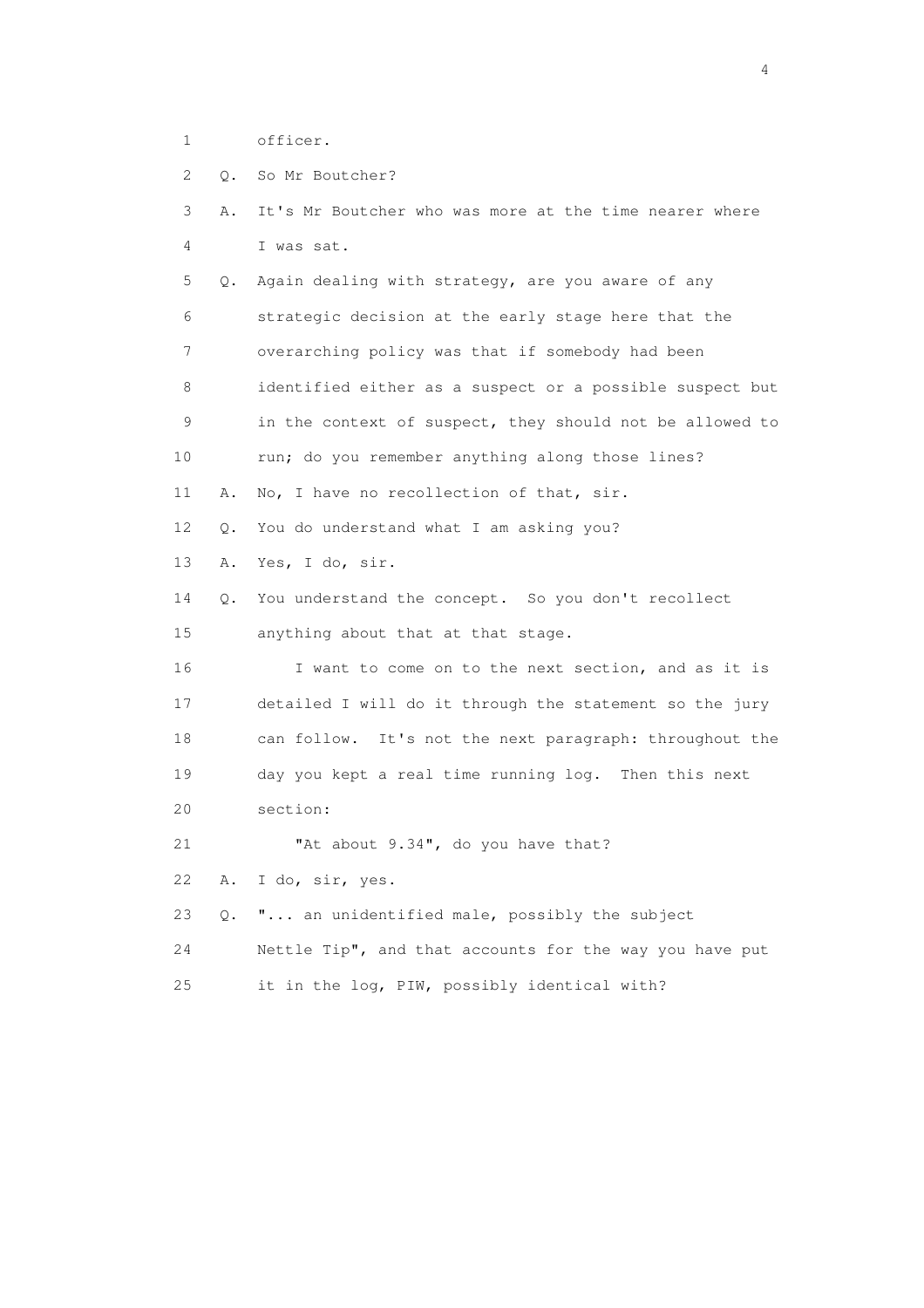1 officer.

|  |  |  |  | 0. So Mr Boutcher? |
|--|--|--|--|--------------------|
|--|--|--|--|--------------------|

| Α.        | It's Mr Boutcher who was more at the time nearer where   |
|-----------|----------------------------------------------------------|
|           | I was sat.                                               |
| Q.        | Again dealing with strategy, are you aware of any        |
|           | strategic decision at the early stage here that the      |
|           | overarching policy was that if somebody had been         |
|           | identified either as a suspect or a possible suspect but |
|           | in the context of suspect, they should not be allowed to |
|           | run; do you remember anything along those lines?         |
| Α.        | No, I have no recollection of that, sir.                 |
| $\circ$ . | You do understand what I am asking you?                  |
| Α.        | Yes, I do, sir.                                          |
| Q.        | You understand the concept. So you don't recollect       |
|           | anything about that at that stage.                       |
|           | I want to come on to the next section, and as it is      |
|           | detailed I will do it through the statement so the jury  |
|           | can follow. It's not the next paragraph: throughout the  |
|           | day you kept a real time running log. Then this next     |
|           | section:                                                 |
|           | "At about 9.34", do you have that?                       |
| Α.        | I do, sir, yes.                                          |
| Q.        | " an unidentified male, possibly the subject             |
|           | Nettle Tip", and that accounts for the way you have put  |
|           |                                                          |

25 it in the log, PIW, possibly identical with?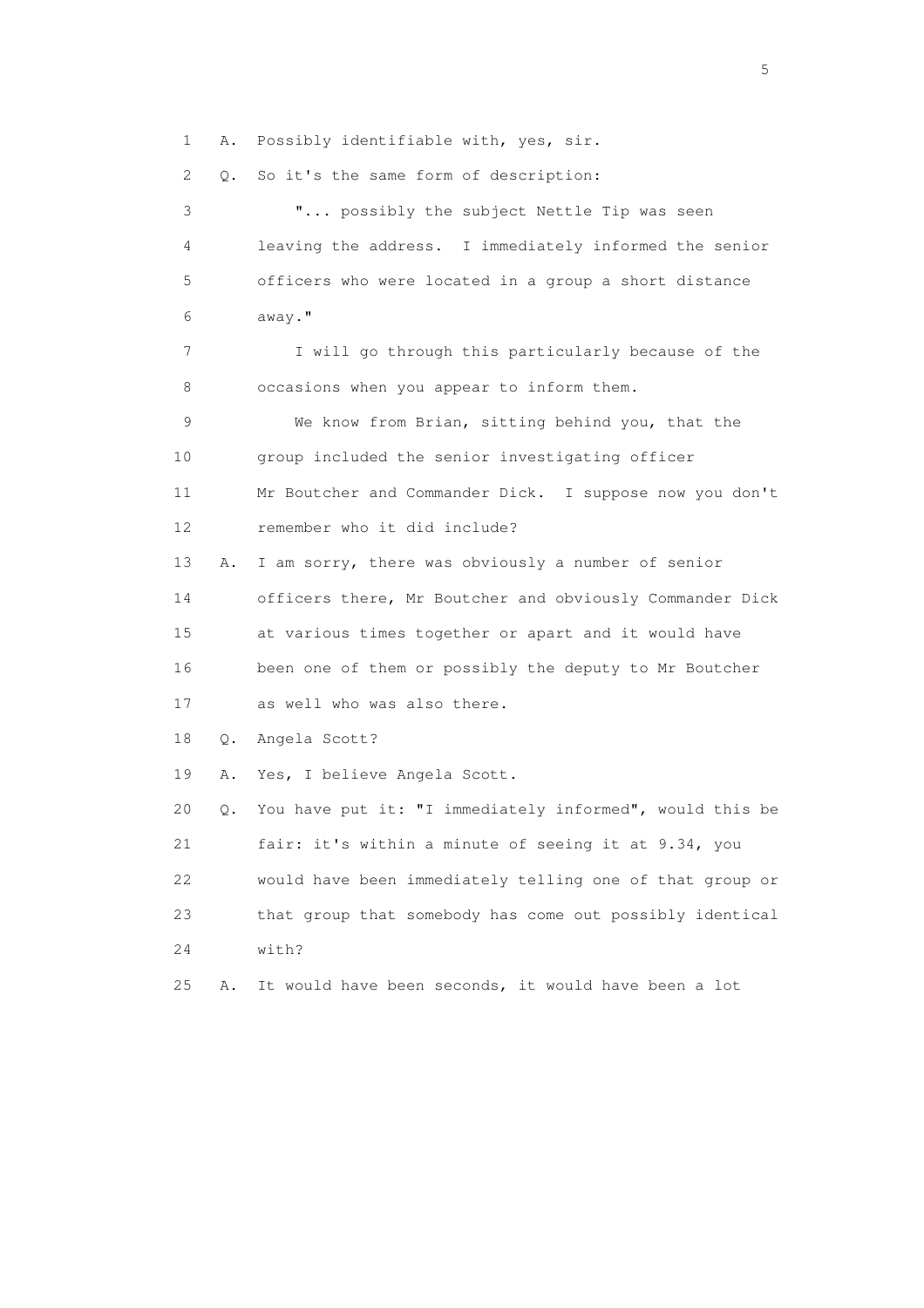1 A. Possibly identifiable with, yes, sir.

2 Q. So it's the same form of description:

 3 "... possibly the subject Nettle Tip was seen 4 leaving the address. I immediately informed the senior 5 officers who were located in a group a short distance 6 away." 7 I will go through this particularly because of the 8 occasions when you appear to inform them. 9 We know from Brian, sitting behind you, that the 10 group included the senior investigating officer 11 Mr Boutcher and Commander Dick. I suppose now you don't 12 remember who it did include? 13 A. I am sorry, there was obviously a number of senior 14 officers there, Mr Boutcher and obviously Commander Dick 15 at various times together or apart and it would have 16 been one of them or possibly the deputy to Mr Boutcher 17 as well who was also there. 18 Q. Angela Scott? 19 A. Yes, I believe Angela Scott. 20 Q. You have put it: "I immediately informed", would this be 21 fair: it's within a minute of seeing it at 9.34, you 22 would have been immediately telling one of that group or 23 that group that somebody has come out possibly identical 24 with? 25 A. It would have been seconds, it would have been a lot

 $\sim$  5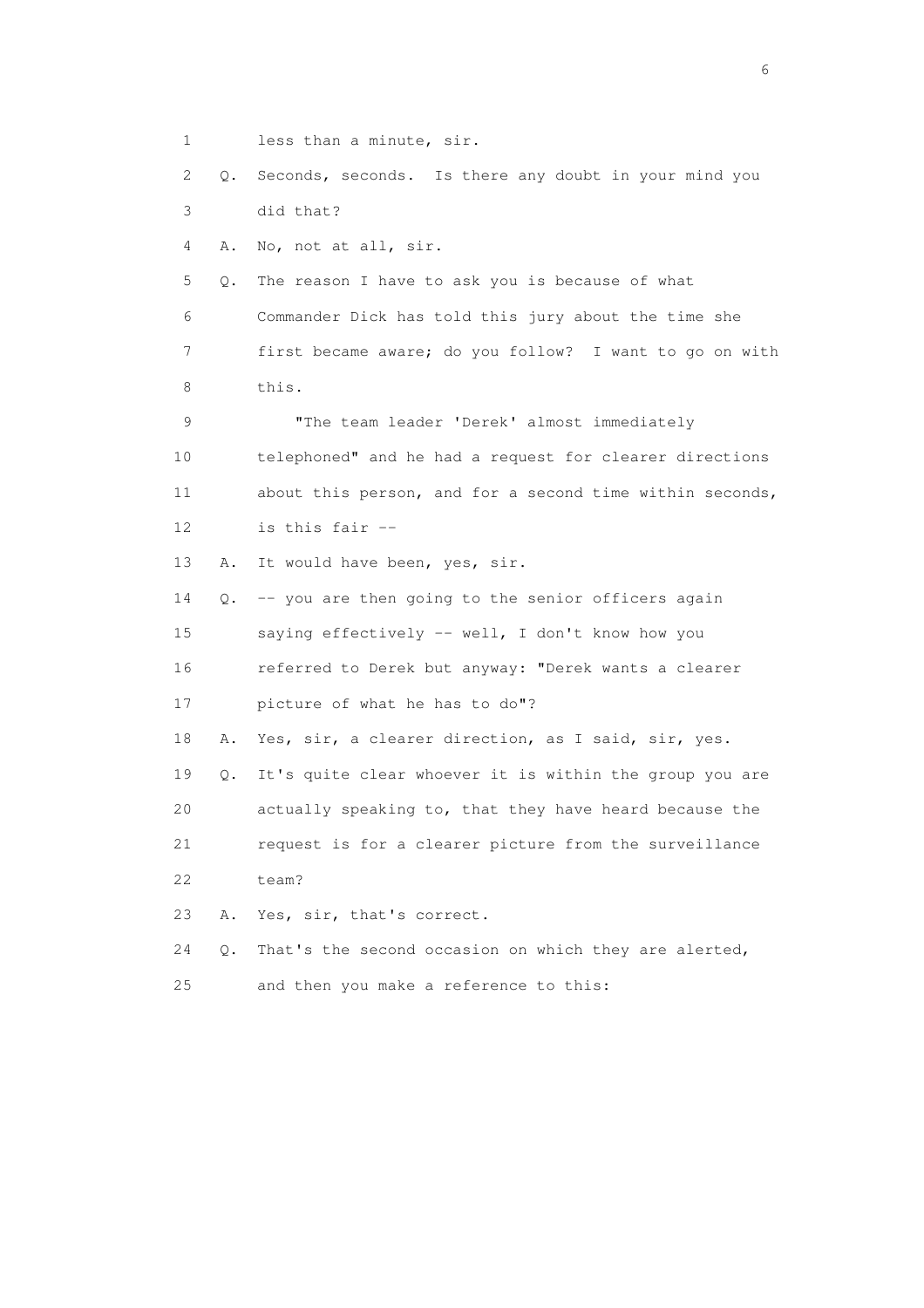1 less than a minute, sir.

 2 Q. Seconds, seconds. Is there any doubt in your mind you 3 did that?

4 A. No, not at all, sir.

 5 Q. The reason I have to ask you is because of what 6 Commander Dick has told this jury about the time she 7 first became aware; do you follow? I want to go on with 8 this.

 9 "The team leader 'Derek' almost immediately 10 telephoned" and he had a request for clearer directions 11 about this person, and for a second time within seconds, 12 is this fair --

13 A. It would have been, yes, sir.

 14 Q. -- you are then going to the senior officers again 15 saying effectively -- well, I don't know how you 16 referred to Derek but anyway: "Derek wants a clearer 17 picture of what he has to do"? 18 A. Yes, sir, a clearer direction, as I said, sir, yes. 19 Q. It's quite clear whoever it is within the group you are

 20 actually speaking to, that they have heard because the 21 request is for a clearer picture from the surveillance

22 team?

23 A. Yes, sir, that's correct.

24 Q. That's the second occasion on which they are alerted,

25 and then you make a reference to this: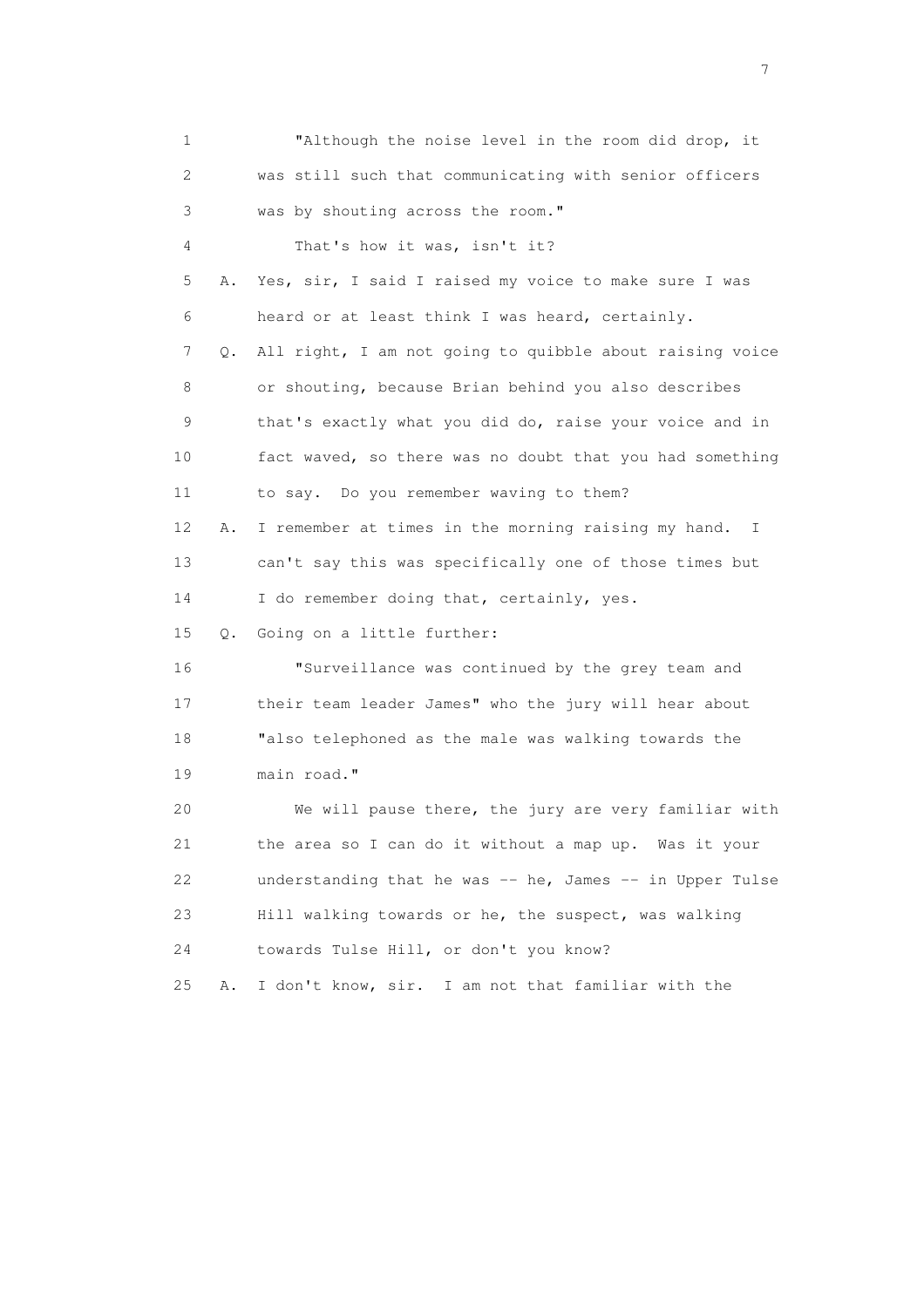| 1                         |    | "Although the noise level in the room did drop, it                  |
|---------------------------|----|---------------------------------------------------------------------|
| $\mathbf{2}^{\mathsf{I}}$ |    | was still such that communicating with senior officers              |
| 3                         |    | was by shouting across the room."                                   |
| 4                         |    | That's how it was, isn't it?                                        |
| 5                         | Α. | Yes, sir, I said I raised my voice to make sure I was               |
| 6                         |    | heard or at least think I was heard, certainly.                     |
| 7                         | Q. | All right, I am not going to quibble about raising voice            |
| 8                         |    | or shouting, because Brian behind you also describes                |
| 9                         |    | that's exactly what you did do, raise your voice and in             |
| 10                        |    | fact waved, so there was no doubt that you had something            |
| 11                        |    | to say. Do you remember waving to them?                             |
| 12                        | Α. | I remember at times in the morning raising my hand.<br>$\mathbb{I}$ |
| 13                        |    | can't say this was specifically one of those times but              |
| 14                        |    | I do remember doing that, certainly, yes.                           |
| 15                        | Q. | Going on a little further:                                          |
| 16                        |    | "Surveillance was continued by the grey team and                    |
| 17                        |    | their team leader James" who the jury will hear about               |
| 18                        |    | "also telephoned as the male was walking towards the                |
| 19                        |    | main road."                                                         |
| 20                        |    | We will pause there, the jury are very familiar with                |
| 21                        |    | the area so I can do it without a map up. Was it your               |
| 22                        |    | understanding that he was -- he, James -- in Upper Tulse            |
| 23                        |    | Hill walking towards or he, the suspect, was walking                |
| 24                        |    | towards Tulse Hill, or don't you know?                              |
| 25                        | Α. | I don't know, sir. I am not that familiar with the                  |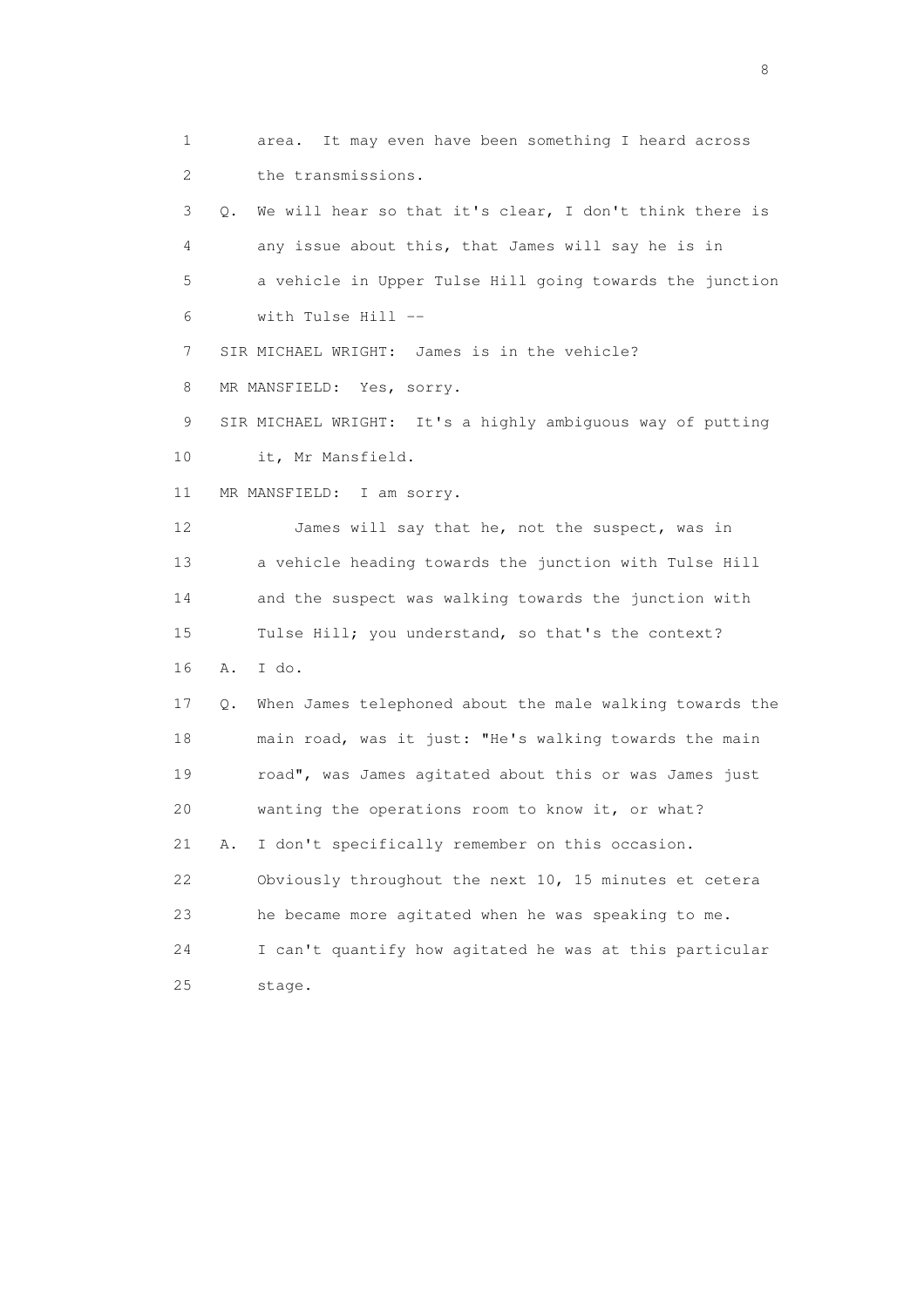1 area. It may even have been something I heard across 2 the transmissions.

 3 Q. We will hear so that it's clear, I don't think there is 4 any issue about this, that James will say he is in 5 a vehicle in Upper Tulse Hill going towards the junction 6 with Tulse Hill --

7 SIR MICHAEL WRIGHT: James is in the vehicle?

8 MR MANSFIELD: Yes, sorry.

 9 SIR MICHAEL WRIGHT: It's a highly ambiguous way of putting 10 it, Mr Mansfield.

11 MR MANSFIELD: I am sorry.

12 James will say that he, not the suspect, was in 13 a vehicle heading towards the junction with Tulse Hill 14 and the suspect was walking towards the junction with 15 Tulse Hill; you understand, so that's the context? 16 A. I do.

 17 Q. When James telephoned about the male walking towards the 18 main road, was it just: "He's walking towards the main 19 road", was James agitated about this or was James just 20 wanting the operations room to know it, or what? 21 A. I don't specifically remember on this occasion. 22 Obviously throughout the next 10, 15 minutes et cetera 23 he became more agitated when he was speaking to me. 24 I can't quantify how agitated he was at this particular 25 stage.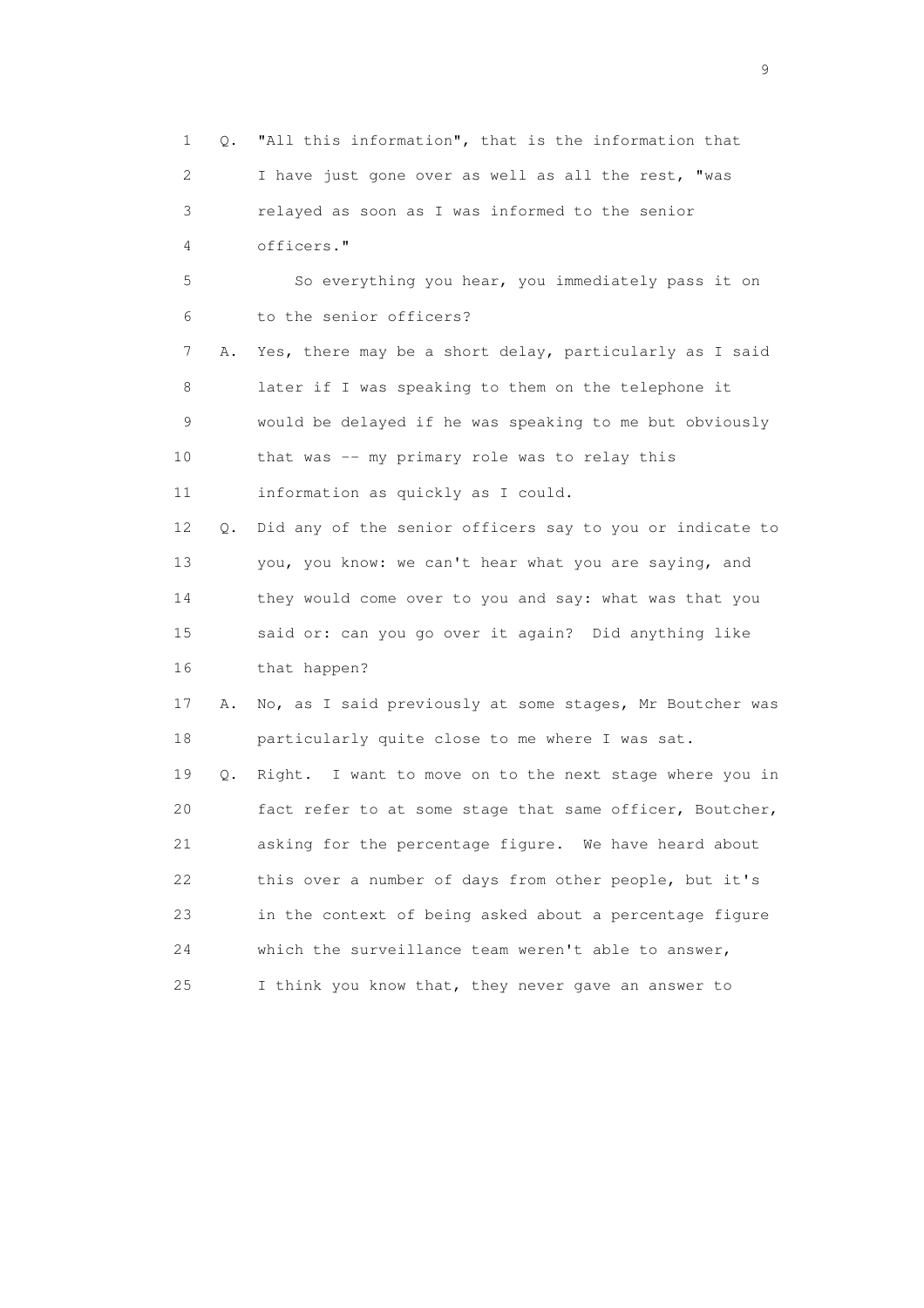1 Q. "All this information", that is the information that 2 I have just gone over as well as all the rest, "was 3 relayed as soon as I was informed to the senior 4 officers." 5 So everything you hear, you immediately pass it on 6 to the senior officers? 7 A. Yes, there may be a short delay, particularly as I said 8 later if I was speaking to them on the telephone it 9 would be delayed if he was speaking to me but obviously 10 that was -- my primary role was to relay this 11 information as quickly as I could. 12 Q. Did any of the senior officers say to you or indicate to 13 you, you know: we can't hear what you are saying, and 14 they would come over to you and say: what was that you 15 said or: can you go over it again? Did anything like 16 that happen? 17 A. No, as I said previously at some stages, Mr Boutcher was 18 particularly quite close to me where I was sat. 19 Q. Right. I want to move on to the next stage where you in 20 fact refer to at some stage that same officer, Boutcher, 21 asking for the percentage figure. We have heard about 22 this over a number of days from other people, but it's 23 in the context of being asked about a percentage figure 24 which the surveillance team weren't able to answer, 25 I think you know that, they never gave an answer to

en de la construction de la construction de la construction de la construction de la construction de la constr<br>1911 : la construction de la construction de la construction de la construction de la construction de la const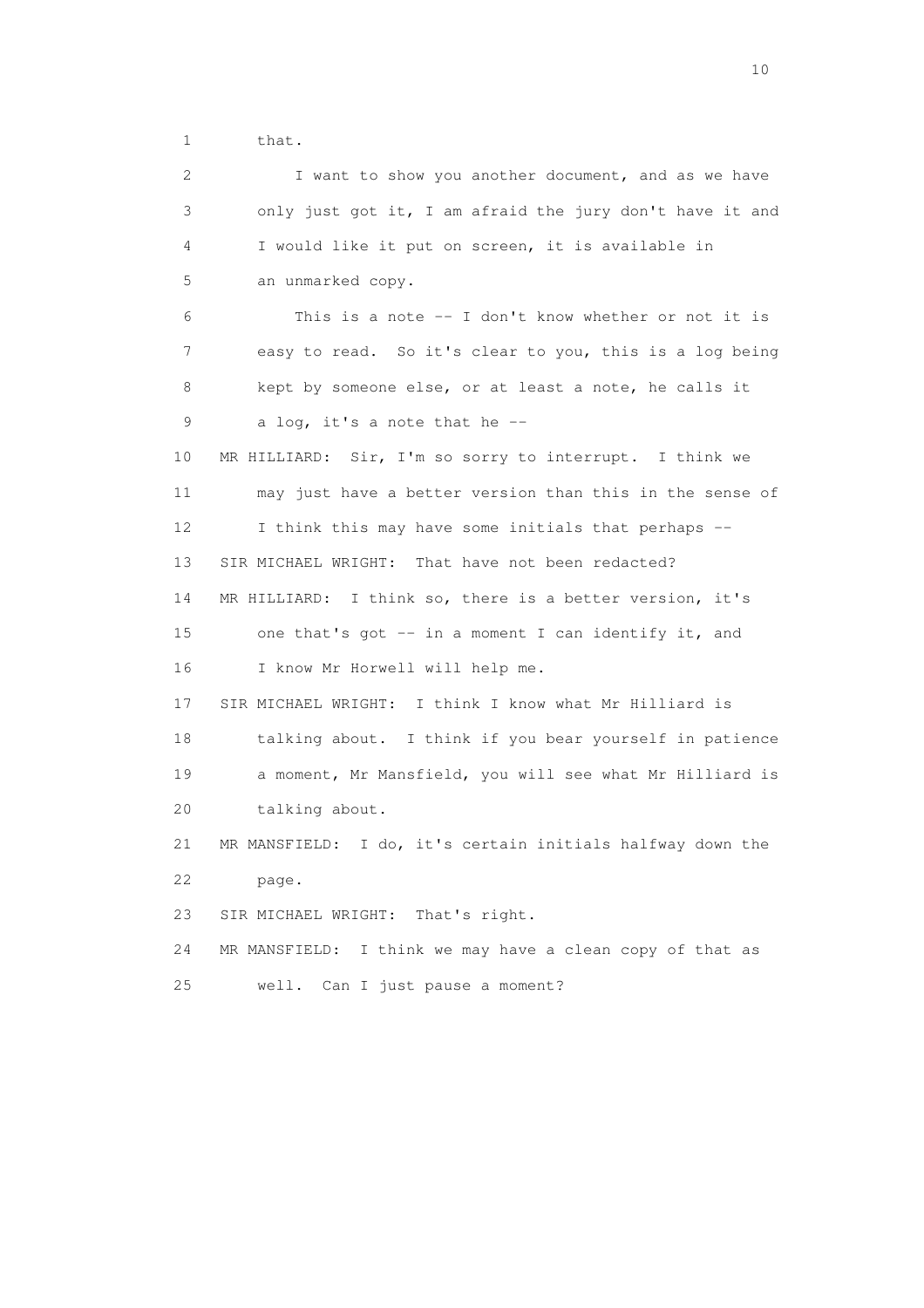1 that.

 2 I want to show you another document, and as we have 3 only just got it, I am afraid the jury don't have it and 4 I would like it put on screen, it is available in 5 an unmarked copy. 6 This is a note -- I don't know whether or not it is 7 easy to read. So it's clear to you, this is a log being 8 kept by someone else, or at least a note, he calls it 9 a log, it's a note that he -- 10 MR HILLIARD: Sir, I'm so sorry to interrupt. I think we 11 may just have a better version than this in the sense of 12 I think this may have some initials that perhaps -- 13 SIR MICHAEL WRIGHT: That have not been redacted? 14 MR HILLIARD: I think so, there is a better version, it's 15 one that's got -- in a moment I can identify it, and 16 I know Mr Horwell will help me. 17 SIR MICHAEL WRIGHT: I think I know what Mr Hilliard is 18 talking about. I think if you bear yourself in patience 19 a moment, Mr Mansfield, you will see what Mr Hilliard is 20 talking about. 21 MR MANSFIELD: I do, it's certain initials halfway down the 22 page. 23 SIR MICHAEL WRIGHT: That's right. 24 MR MANSFIELD: I think we may have a clean copy of that as 25 well. Can I just pause a moment?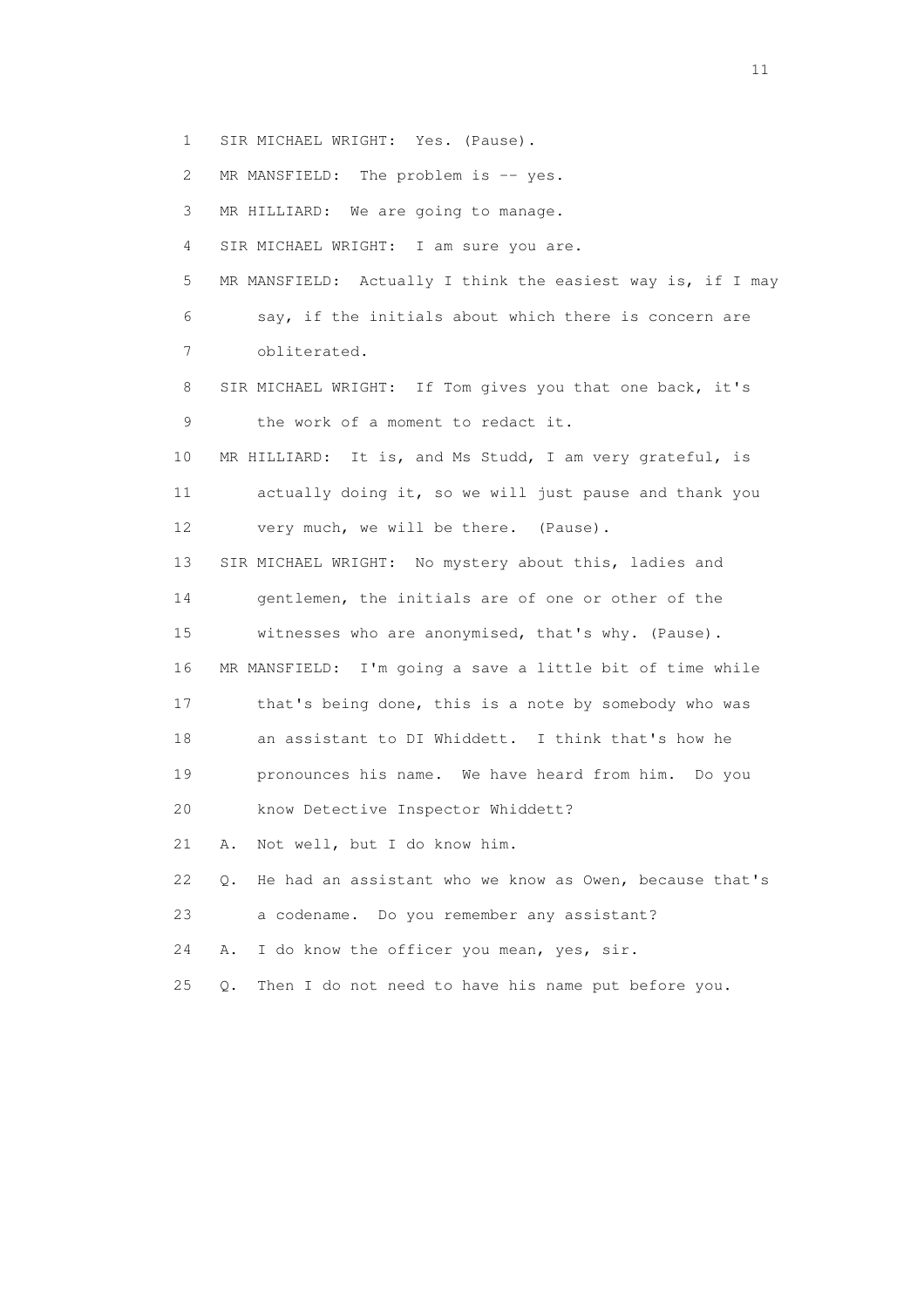1 SIR MICHAEL WRIGHT: Yes. (Pause).

2 MR MANSFIELD: The problem is -- yes.

3 MR HILLIARD: We are going to manage.

4 SIR MICHAEL WRIGHT: I am sure you are.

 5 MR MANSFIELD: Actually I think the easiest way is, if I may 6 say, if the initials about which there is concern are 7 obliterated.

 8 SIR MICHAEL WRIGHT: If Tom gives you that one back, it's 9 the work of a moment to redact it.

 10 MR HILLIARD: It is, and Ms Studd, I am very grateful, is 11 actually doing it, so we will just pause and thank you 12 very much, we will be there. (Pause).

 13 SIR MICHAEL WRIGHT: No mystery about this, ladies and 14 gentlemen, the initials are of one or other of the 15 witnesses who are anonymised, that's why. (Pause). 16 MR MANSFIELD: I'm going a save a little bit of time while 17 that's being done, this is a note by somebody who was 18 an assistant to DI Whiddett. I think that's how he

19 pronounces his name. We have heard from him. Do you

20 know Detective Inspector Whiddett?

21 A. Not well, but I do know him.

 22 Q. He had an assistant who we know as Owen, because that's 23 a codename. Do you remember any assistant?

24 A. I do know the officer you mean, yes, sir.

25 Q. Then I do not need to have his name put before you.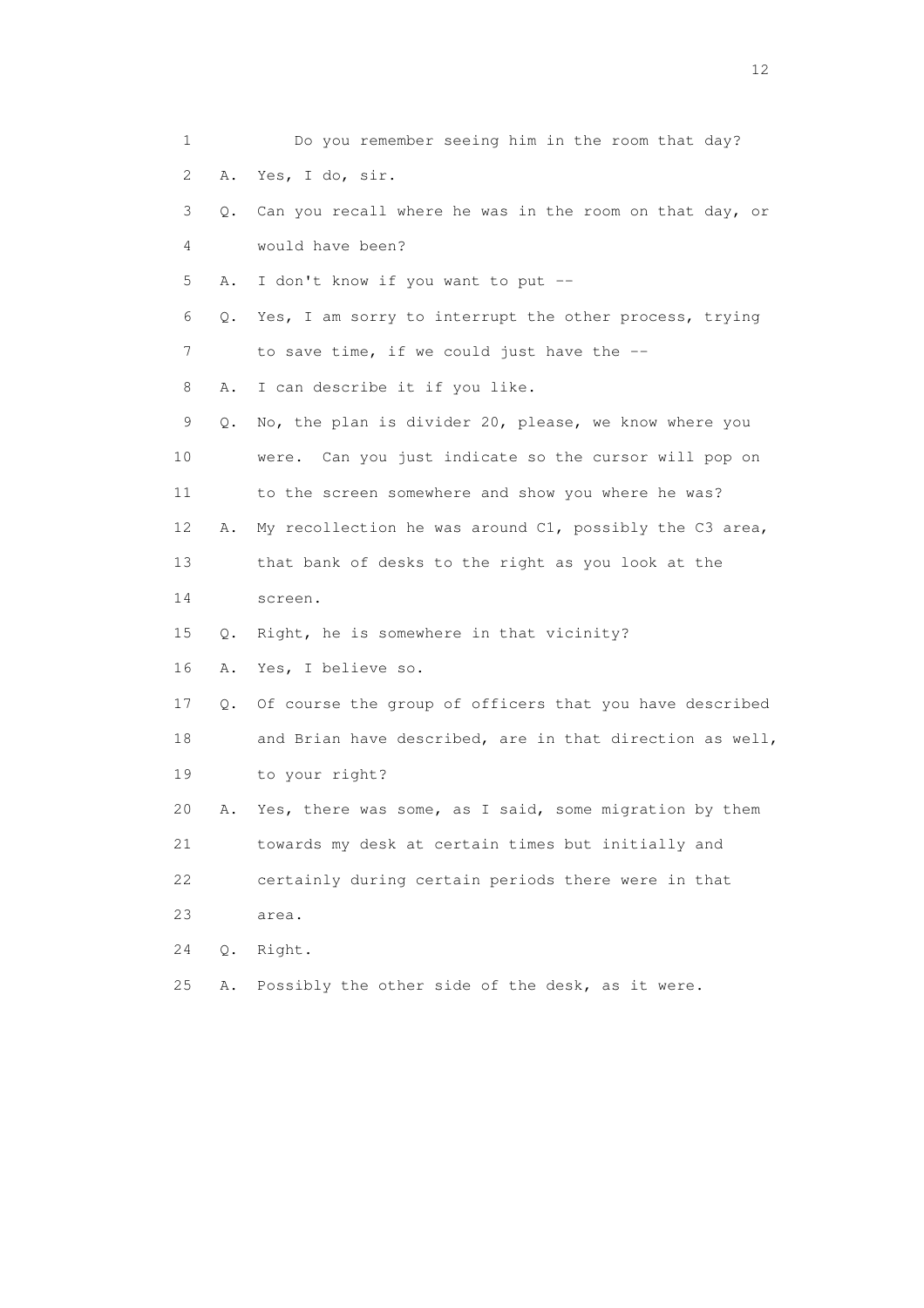| $\mathbf 1$ |       | Do you remember seeing him in the room that day?         |
|-------------|-------|----------------------------------------------------------|
| 2           | Α.    | Yes, I do, sir.                                          |
| 3           | Q.    | Can you recall where he was in the room on that day, or  |
| 4           |       | would have been?                                         |
| 5           | Α.    | I don't know if you want to put --                       |
| 6           | Q.    | Yes, I am sorry to interrupt the other process, trying   |
| 7           |       | to save time, if we could just have the --               |
| 8           | Α.    | I can describe it if you like.                           |
| 9           | Q.    | No, the plan is divider 20, please, we know where you    |
| 10          |       | were. Can you just indicate so the cursor will pop on    |
| 11          |       | to the screen somewhere and show you where he was?       |
| 12          | Α.    | My recollection he was around C1, possibly the C3 area,  |
| 13          |       | that bank of desks to the right as you look at the       |
| 14          |       | screen.                                                  |
| 15          | Q.    | Right, he is somewhere in that vicinity?                 |
| 16          | Α.    | Yes, I believe so.                                       |
| 17          | Q.    | Of course the group of officers that you have described  |
| 18          |       | and Brian have described, are in that direction as well, |
| 19          |       | to your right?                                           |
| 20          | Α.    | Yes, there was some, as I said, some migration by them   |
| 21          |       | towards my desk at certain times but initially and       |
| 22          |       | certainly during certain periods there were in that      |
| 23          |       | area.                                                    |
| 24          | $Q$ . | Right.                                                   |
| 25          | Α.    | Possibly the other side of the desk, as it were.         |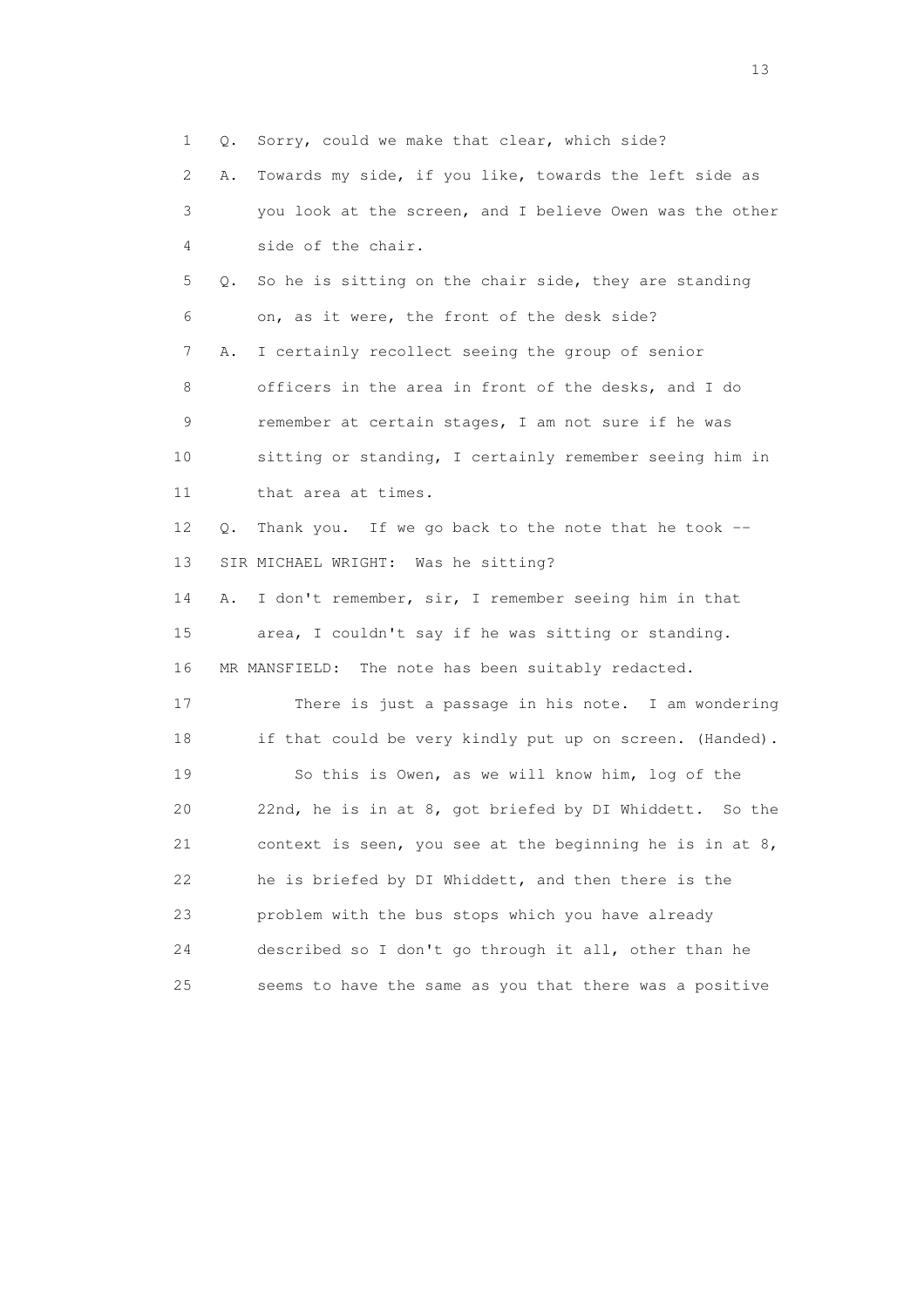1 Q. Sorry, could we make that clear, which side?

 2 A. Towards my side, if you like, towards the left side as 3 you look at the screen, and I believe Owen was the other 4 side of the chair. 5 Q. So he is sitting on the chair side, they are standing 6 on, as it were, the front of the desk side? 7 A. I certainly recollect seeing the group of senior 8 officers in the area in front of the desks, and I do 9 remember at certain stages, I am not sure if he was 10 sitting or standing, I certainly remember seeing him in 11 that area at times. 12 Q. Thank you. If we go back to the note that he took -- 13 SIR MICHAEL WRIGHT: Was he sitting? 14 A. I don't remember, sir, I remember seeing him in that 15 area, I couldn't say if he was sitting or standing. 16 MR MANSFIELD: The note has been suitably redacted. 17 There is just a passage in his note. I am wondering 18 if that could be very kindly put up on screen. (Handed). 19 So this is Owen, as we will know him, log of the 20 22nd, he is in at 8, got briefed by DI Whiddett. So the 21 context is seen, you see at the beginning he is in at 8,

22 he is briefed by DI Whiddett, and then there is the

 23 problem with the bus stops which you have already 24 described so I don't go through it all, other than he 25 seems to have the same as you that there was a positive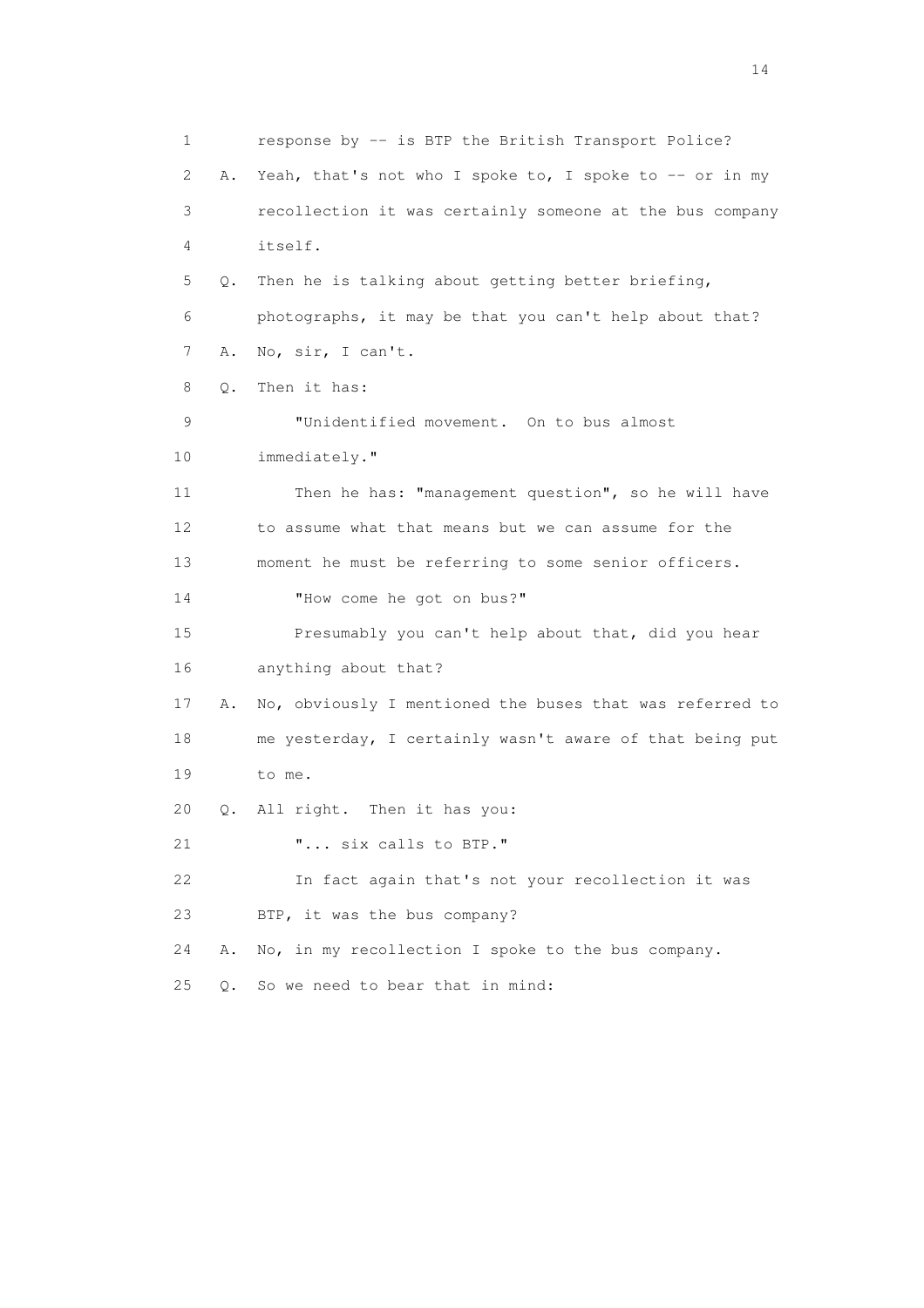1 response by -- is BTP the British Transport Police? 2 A. Yeah, that's not who I spoke to, I spoke to -- or in my 3 recollection it was certainly someone at the bus company 4 itself. 5 Q. Then he is talking about getting better briefing, 6 photographs, it may be that you can't help about that? 7 A. No, sir, I can't. 8 Q. Then it has: 9 "Unidentified movement. On to bus almost 10 immediately." 11 Then he has: "management question", so he will have 12 to assume what that means but we can assume for the 13 moment he must be referring to some senior officers. 14 "How come he got on bus?" 15 Presumably you can't help about that, did you hear 16 anything about that? 17 A. No, obviously I mentioned the buses that was referred to 18 me yesterday, I certainly wasn't aware of that being put 19 to me. 20 Q. All right. Then it has you: 21 **"...** six calls to BTP." 22 In fact again that's not your recollection it was 23 BTP, it was the bus company? 24 A. No, in my recollection I spoke to the bus company. 25 Q. So we need to bear that in mind: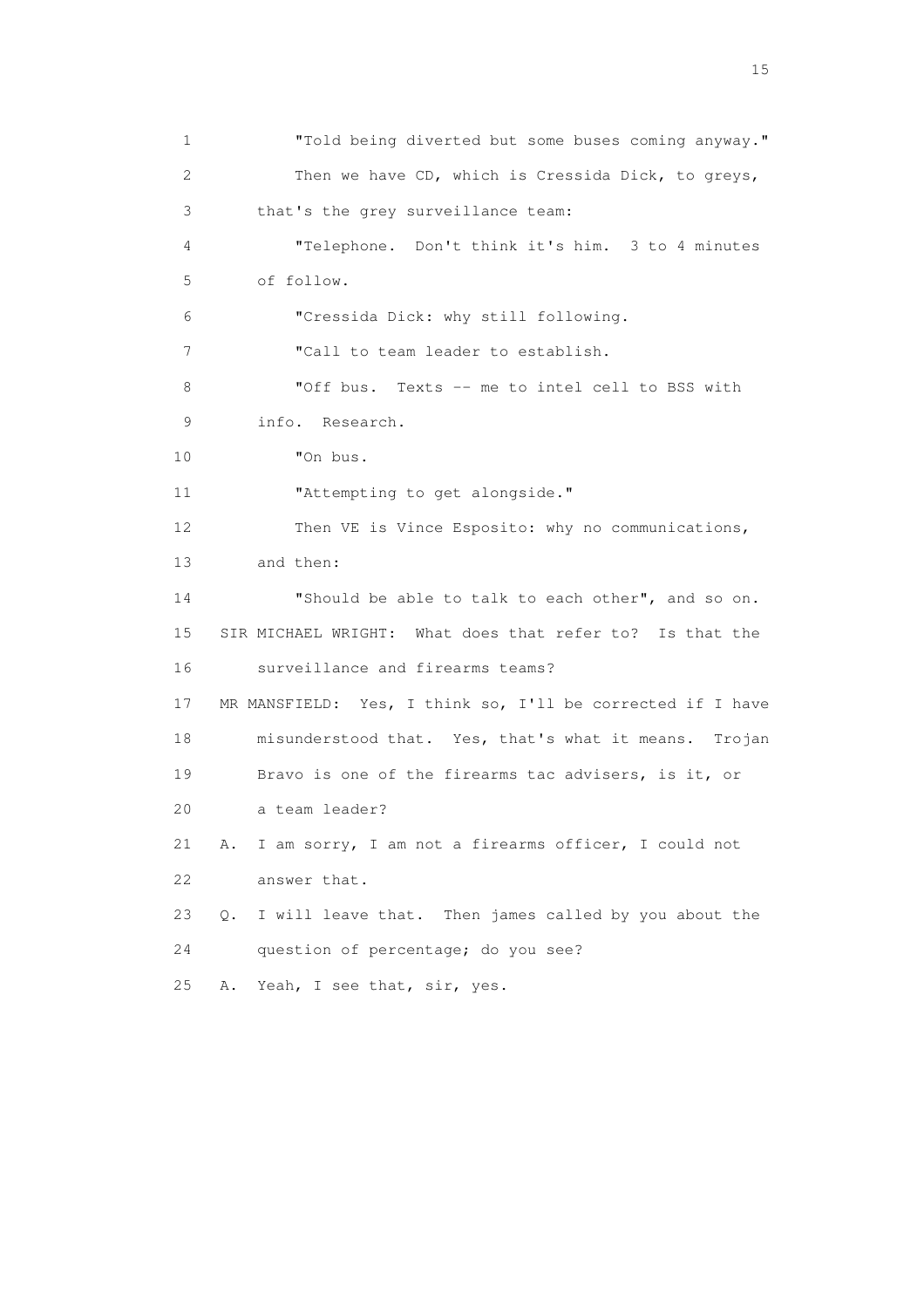1 "Told being diverted but some buses coming anyway." 2 Then we have CD, which is Cressida Dick, to greys, 3 that's the grey surveillance team: 4 "Telephone. Don't think it's him. 3 to 4 minutes 5 of follow. 6 "Cressida Dick: why still following. 7 "Call to team leader to establish. 8 "Off bus. Texts -- me to intel cell to BSS with 9 info. Research. 10 "On bus. 11 "Attempting to get alongside." 12 Then VE is Vince Esposito: why no communications, 13 and then: 14 "Should be able to talk to each other", and so on. 15 SIR MICHAEL WRIGHT: What does that refer to? Is that the 16 surveillance and firearms teams? 17 MR MANSFIELD: Yes, I think so, I'll be corrected if I have 18 misunderstood that. Yes, that's what it means. Trojan 19 Bravo is one of the firearms tac advisers, is it, or 20 a team leader? 21 A. I am sorry, I am not a firearms officer, I could not 22 answer that. 23 Q. I will leave that. Then james called by you about the 24 question of percentage; do you see? 25 A. Yeah, I see that, sir, yes.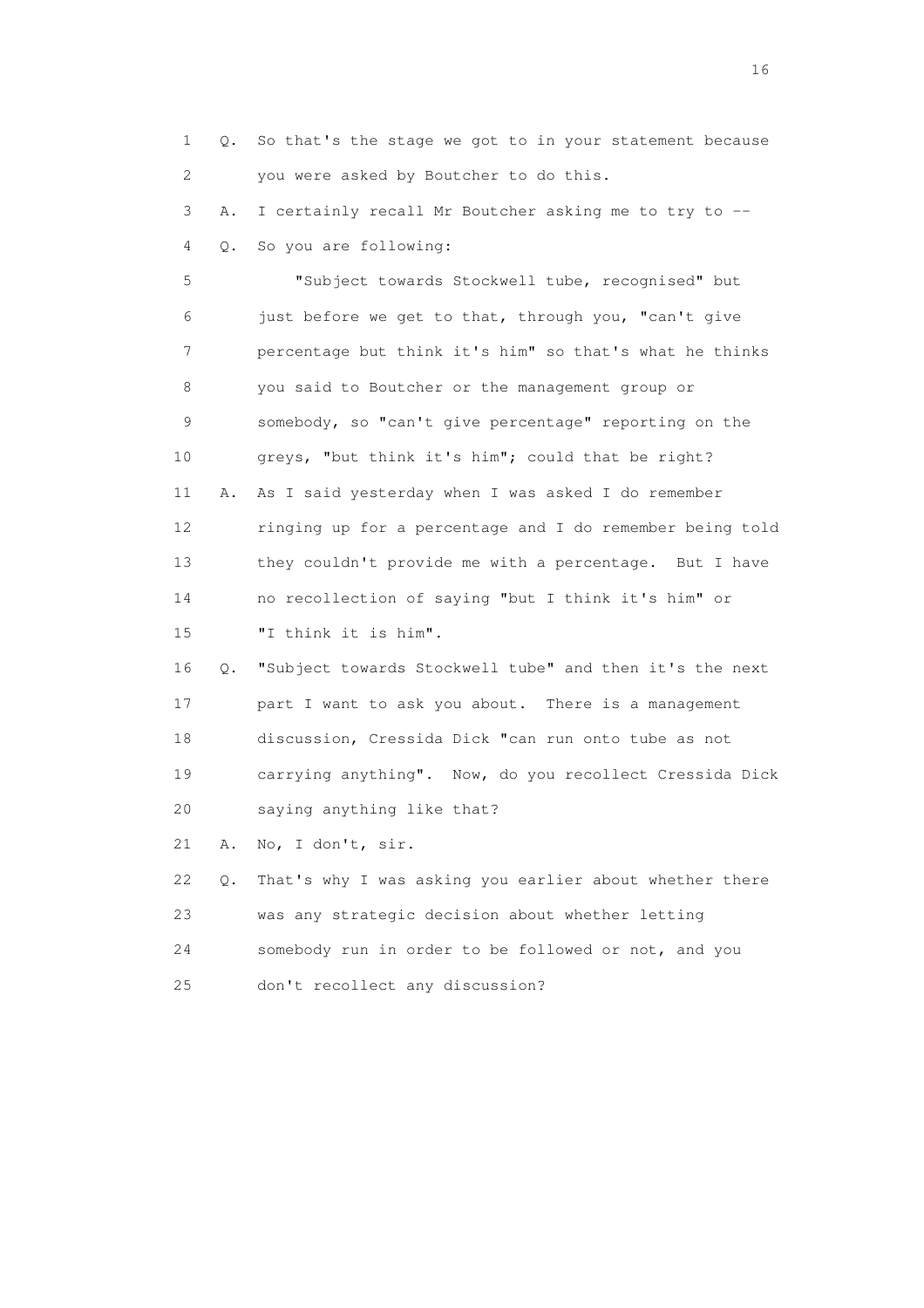1 Q. So that's the stage we got to in your statement because 2 you were asked by Boutcher to do this. 3 A. I certainly recall Mr Boutcher asking me to try to -- 4 Q. So you are following: 5 "Subject towards Stockwell tube, recognised" but 6 just before we get to that, through you, "can't give 7 percentage but think it's him" so that's what he thinks 8 you said to Boutcher or the management group or 9 somebody, so "can't give percentage" reporting on the 10 greys, "but think it's him"; could that be right? 11 A. As I said yesterday when I was asked I do remember 12 ringing up for a percentage and I do remember being told 13 they couldn't provide me with a percentage. But I have 14 no recollection of saying "but I think it's him" or 15 "I think it is him". 16 Q. "Subject towards Stockwell tube" and then it's the next 17 part I want to ask you about. There is a management 18 discussion, Cressida Dick "can run onto tube as not 19 carrying anything". Now, do you recollect Cressida Dick 20 saying anything like that? 21 A. No, I don't, sir. 22 Q. That's why I was asking you earlier about whether there 23 was any strategic decision about whether letting 24 somebody run in order to be followed or not, and you 25 don't recollect any discussion?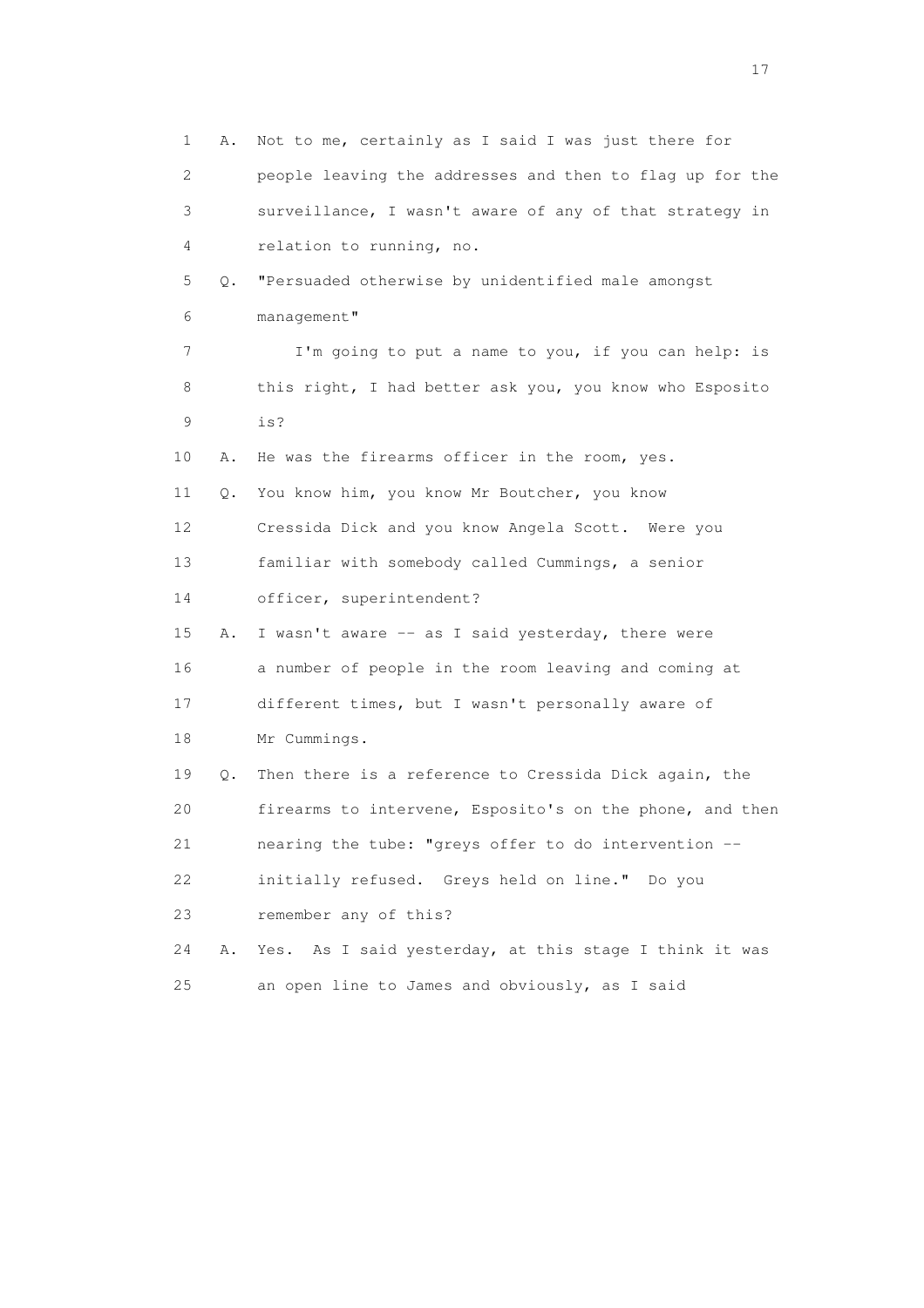1 A. Not to me, certainly as I said I was just there for 2 people leaving the addresses and then to flag up for the 3 surveillance, I wasn't aware of any of that strategy in 4 relation to running, no. 5 Q. "Persuaded otherwise by unidentified male amongst 6 management" 7 I'm going to put a name to you, if you can help: is 8 this right, I had better ask you, you know who Esposito 9 is? 10 A. He was the firearms officer in the room, yes. 11 Q. You know him, you know Mr Boutcher, you know 12 Cressida Dick and you know Angela Scott. Were you 13 familiar with somebody called Cummings, a senior 14 officer, superintendent? 15 A. I wasn't aware -- as I said yesterday, there were 16 a number of people in the room leaving and coming at 17 different times, but I wasn't personally aware of 18 Mr Cummings. 19 Q. Then there is a reference to Cressida Dick again, the 20 firearms to intervene, Esposito's on the phone, and then 21 nearing the tube: "greys offer to do intervention -- 22 initially refused. Greys held on line." Do you 23 remember any of this? 24 A. Yes. As I said yesterday, at this stage I think it was 25 an open line to James and obviously, as I said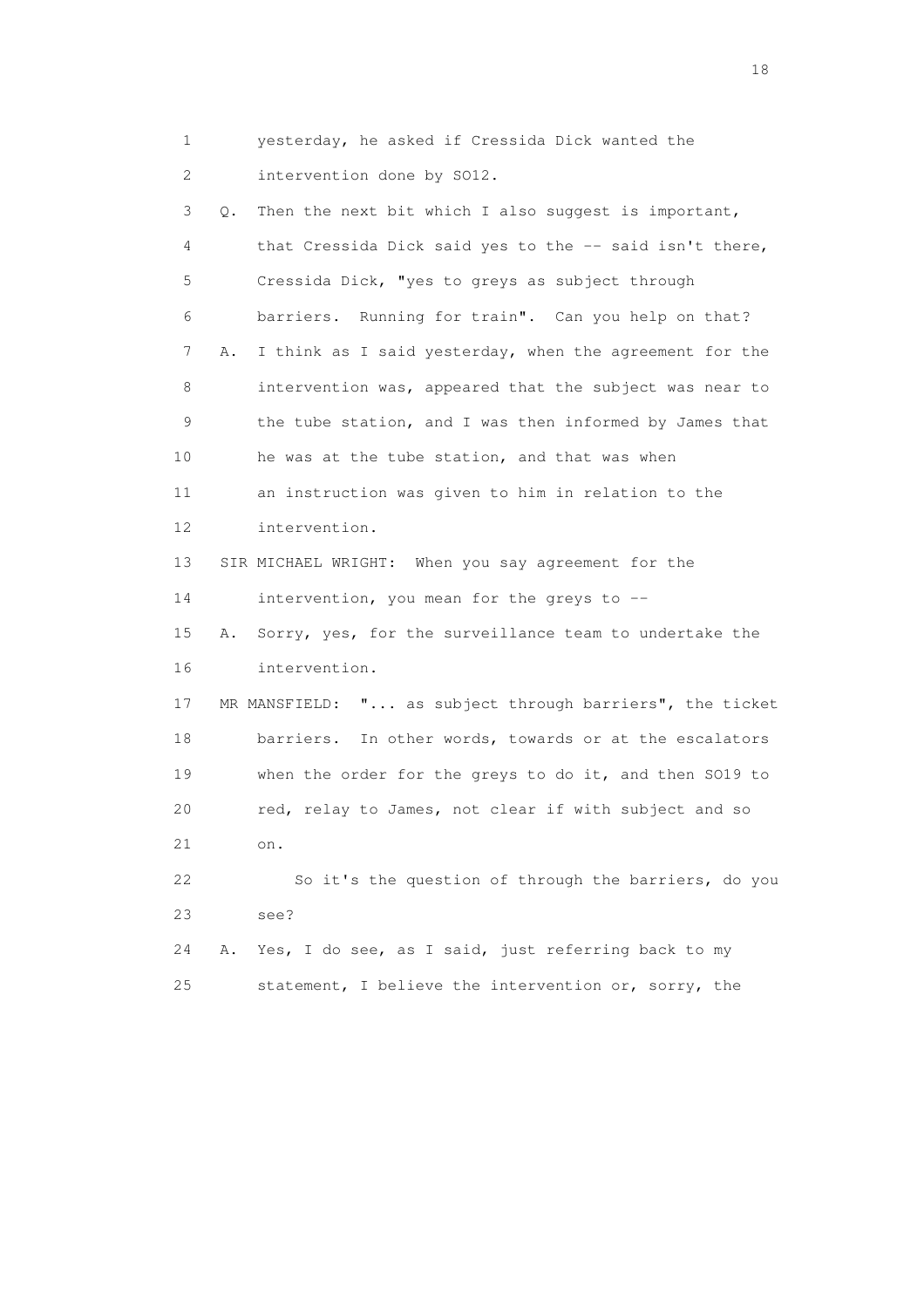1 yesterday, he asked if Cressida Dick wanted the 2 intervention done by SO12.

 3 Q. Then the next bit which I also suggest is important, 4 that Cressida Dick said yes to the -- said isn't there, 5 Cressida Dick, "yes to greys as subject through 6 barriers. Running for train". Can you help on that? 7 A. I think as I said yesterday, when the agreement for the 8 intervention was, appeared that the subject was near to 9 the tube station, and I was then informed by James that 10 he was at the tube station, and that was when 11 an instruction was given to him in relation to the 12 intervention. 13 SIR MICHAEL WRIGHT: When you say agreement for the 14 intervention, you mean for the greys to -- 15 A. Sorry, yes, for the surveillance team to undertake the 16 intervention. 17 MR MANSFIELD: "... as subject through barriers", the ticket 18 barriers. In other words, towards or at the escalators 19 when the order for the greys to do it, and then SO19 to 20 red, relay to James, not clear if with subject and so 21 on. 22 So it's the question of through the barriers, do you 23 see? 24 A. Yes, I do see, as I said, just referring back to my 25 statement, I believe the intervention or, sorry, the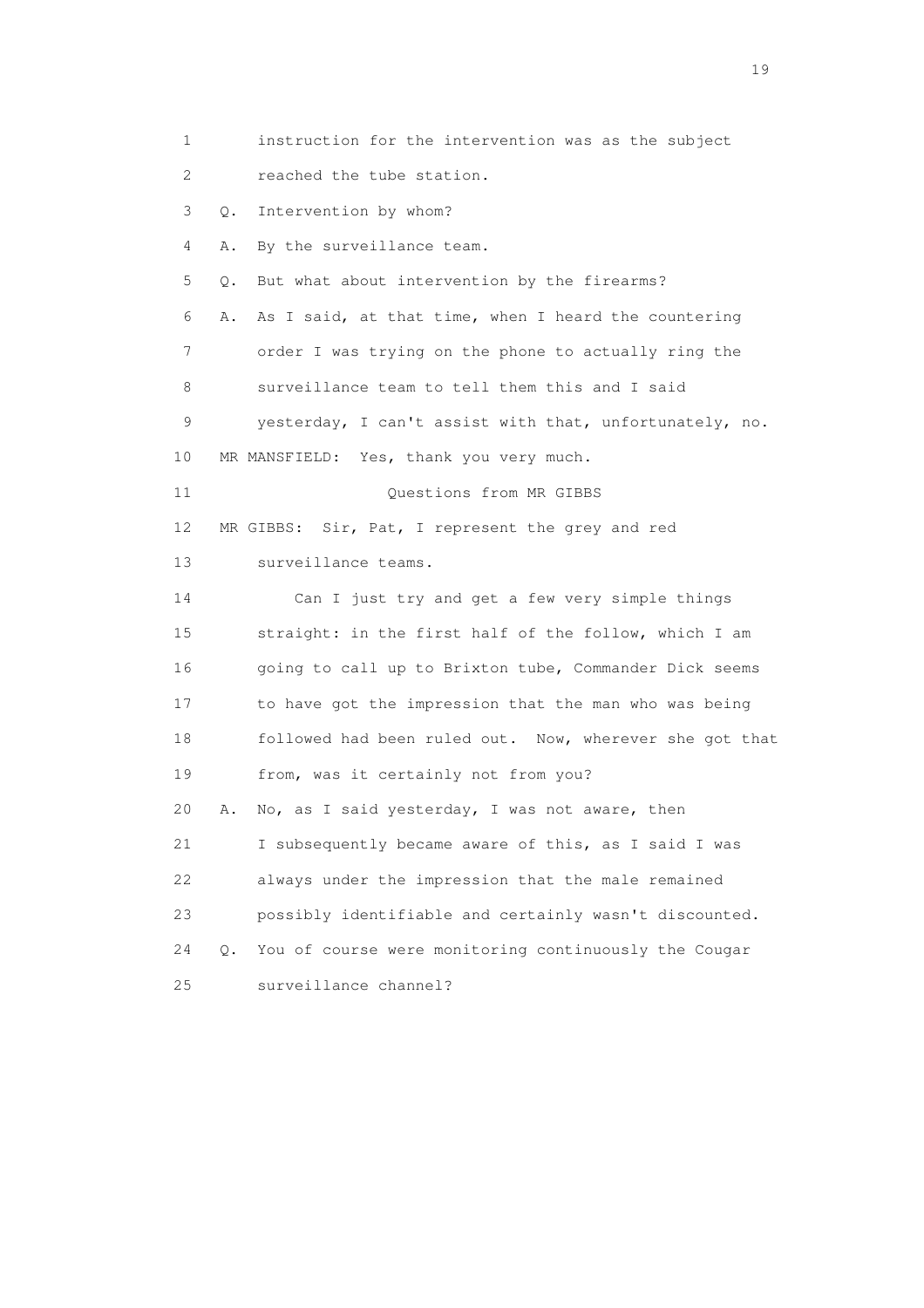1 instruction for the intervention was as the subject 2 reached the tube station. 3 Q. Intervention by whom? 4 A. By the surveillance team. 5 Q. But what about intervention by the firearms? 6 A. As I said, at that time, when I heard the countering 7 order I was trying on the phone to actually ring the 8 surveillance team to tell them this and I said 9 yesterday, I can't assist with that, unfortunately, no. 10 MR MANSFIELD: Yes, thank you very much. 11 Ouestions from MR GIBBS 12 MR GIBBS: Sir, Pat, I represent the grey and red 13 surveillance teams. 14 Can I just try and get a few very simple things 15 straight: in the first half of the follow, which I am 16 going to call up to Brixton tube, Commander Dick seems 17 to have got the impression that the man who was being 18 followed had been ruled out. Now, wherever she got that 19 from, was it certainly not from you? 20 A. No, as I said yesterday, I was not aware, then 21 I subsequently became aware of this, as I said I was 22 always under the impression that the male remained 23 possibly identifiable and certainly wasn't discounted. 24 Q. You of course were monitoring continuously the Cougar 25 surveillance channel?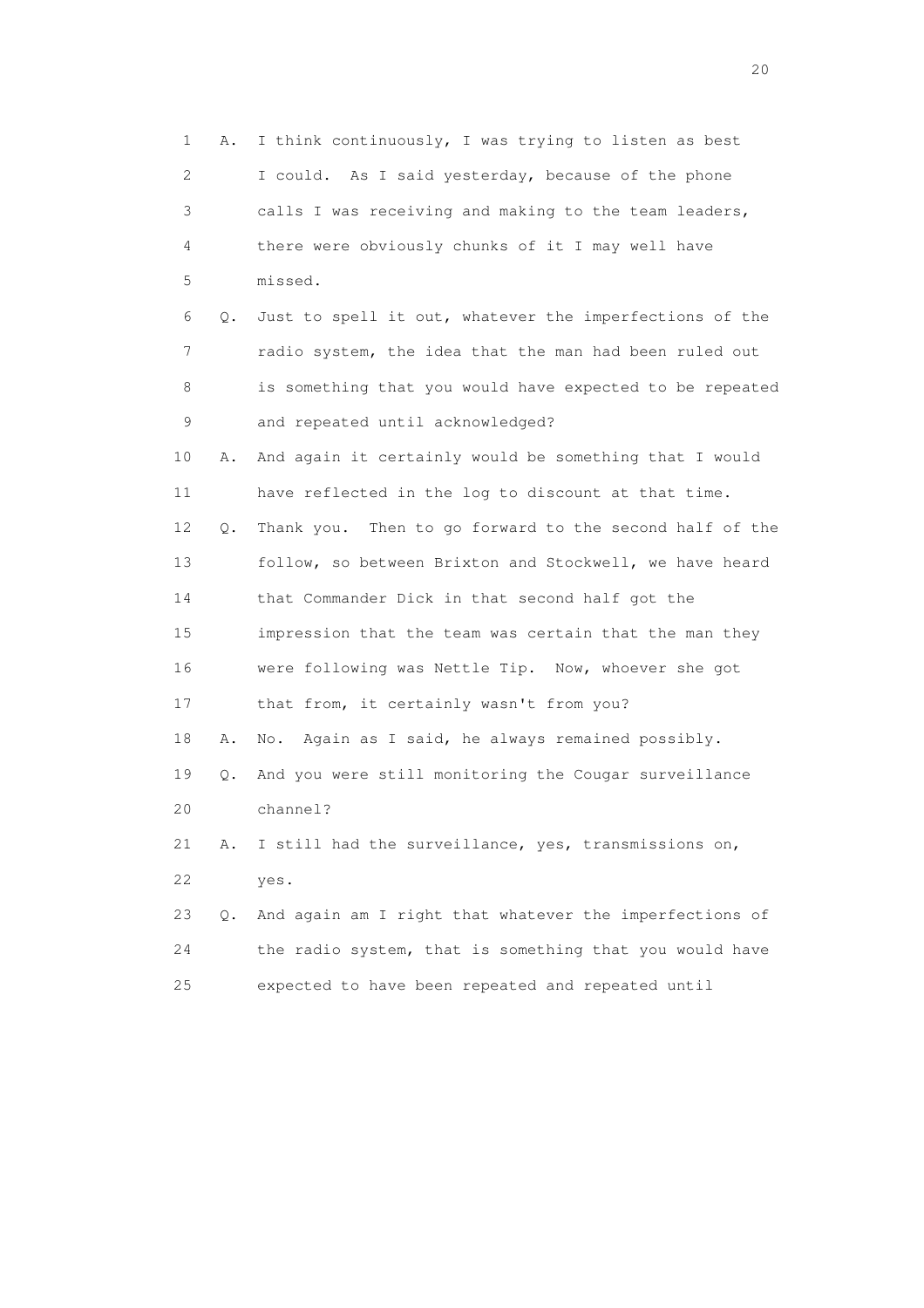| 1  | Α. | I think continuously, I was trying to listen as best       |
|----|----|------------------------------------------------------------|
| 2  |    | I could. As I said yesterday, because of the phone         |
| 3  |    | calls I was receiving and making to the team leaders,      |
| 4  |    | there were obviously chunks of it I may well have          |
| 5  |    | missed.                                                    |
| 6  | Q. | Just to spell it out, whatever the imperfections of the    |
| 7  |    | radio system, the idea that the man had been ruled out     |
| 8  |    | is something that you would have expected to be repeated   |
| 9  |    | and repeated until acknowledged?                           |
| 10 | Α. | And again it certainly would be something that I would     |
| 11 |    | have reflected in the log to discount at that time.        |
| 12 | Q. | Then to go forward to the second half of the<br>Thank you. |
| 13 |    | follow, so between Brixton and Stockwell, we have heard    |
| 14 |    | that Commander Dick in that second half got the            |
| 15 |    | impression that the team was certain that the man they     |
| 16 |    | were following was Nettle Tip. Now, whoever she got        |
| 17 |    | that from, it certainly wasn't from you?                   |
| 18 | Α. | Again as I said, he always remained possibly.<br>No.       |
| 19 | Q. | And you were still monitoring the Cougar surveillance      |
| 20 |    | channel?                                                   |
| 21 | Α. | I still had the surveillance, yes, transmissions on,       |
| 22 |    | yes.                                                       |
| 23 | Q. | And again am I right that whatever the imperfections of    |
| 24 |    | the radio system, that is something that you would have    |
| 25 |    | expected to have been repeated and repeated until          |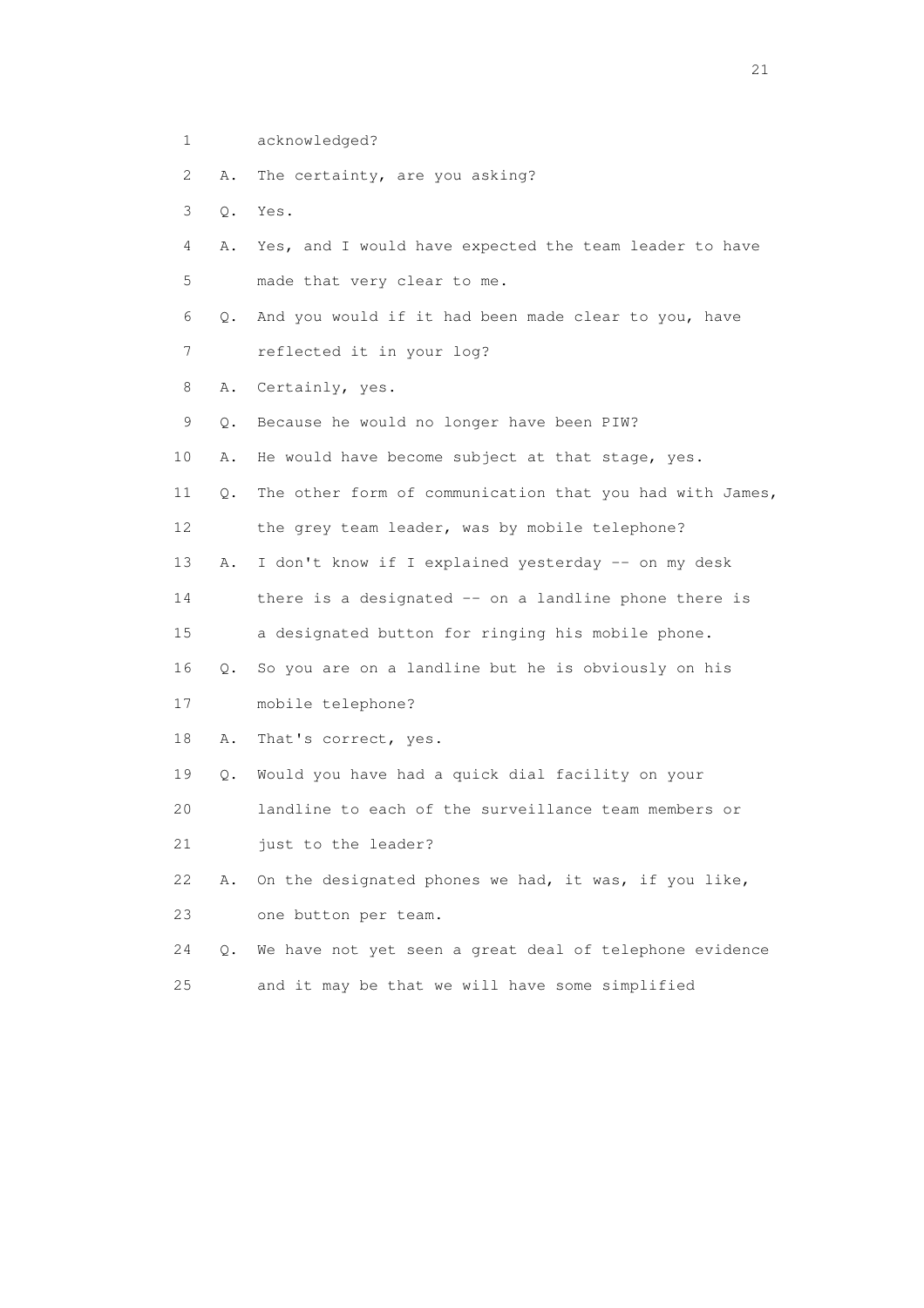- 1 acknowledged?
- 2 A. The certainty, are you asking?
- 3 Q. Yes.
- 4 A. Yes, and I would have expected the team leader to have 5 made that very clear to me.
- 6 Q. And you would if it had been made clear to you, have 7 reflected it in your log?
- 8 A. Certainly, yes.
- 9 Q. Because he would no longer have been PIW?
- 10 A. He would have become subject at that stage, yes.
- 11 Q. The other form of communication that you had with James, 12 the grey team leader, was by mobile telephone?
- 13 A. I don't know if I explained yesterday -- on my desk
- 14 there is a designated -- on a landline phone there is
- 15 a designated button for ringing his mobile phone.
- 16 Q. So you are on a landline but he is obviously on his
- 17 mobile telephone?
- 18 A. That's correct, yes.
- 19 Q. Would you have had a quick dial facility on your
- 20 landline to each of the surveillance team members or
- 21 just to the leader?
- 22 A. On the designated phones we had, it was, if you like, 23 one button per team.
- 24 Q. We have not yet seen a great deal of telephone evidence 25 and it may be that we will have some simplified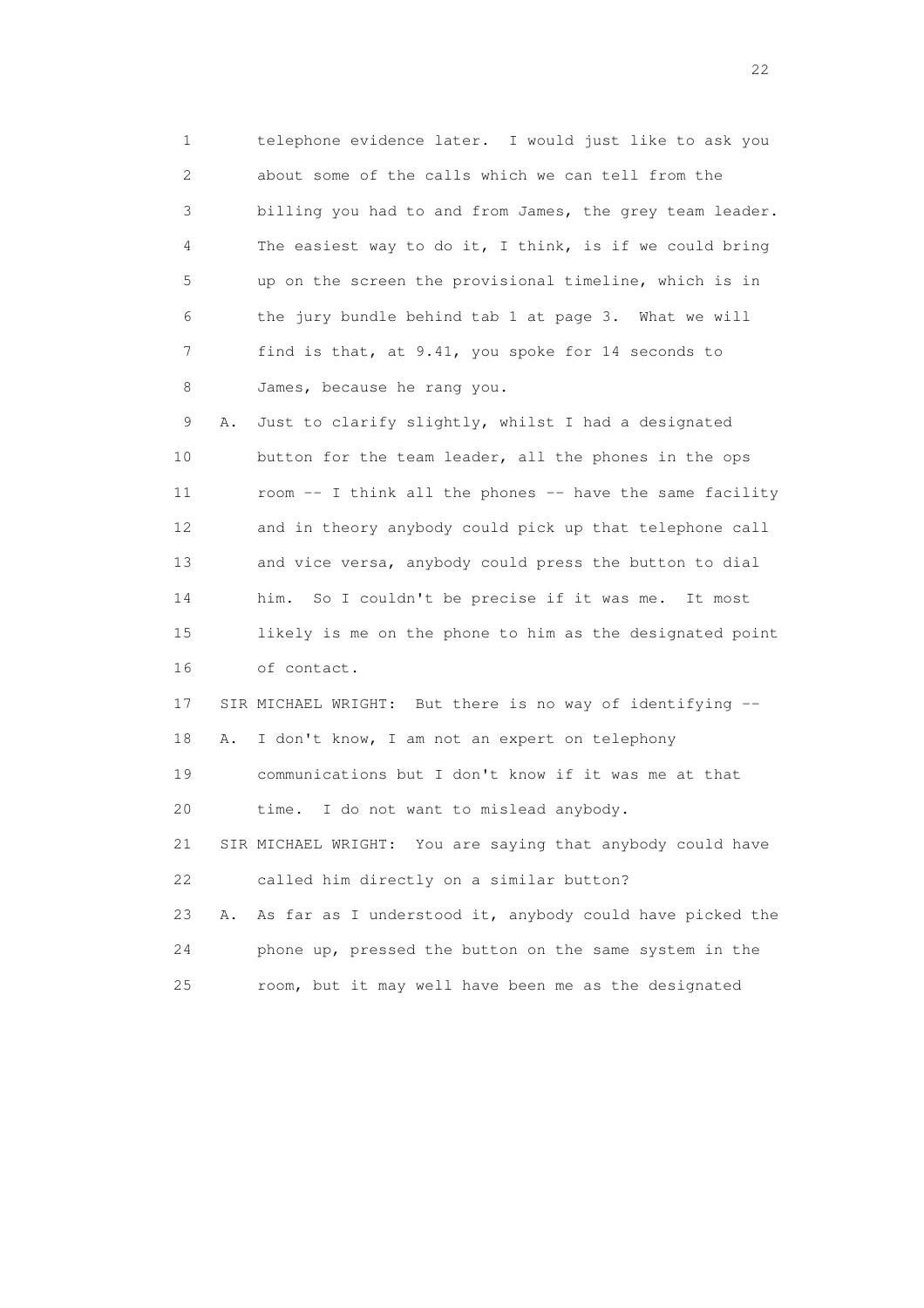1 telephone evidence later. I would just like to ask you 2 about some of the calls which we can tell from the 3 billing you had to and from James, the grey team leader. 4 The easiest way to do it, I think, is if we could bring 5 up on the screen the provisional timeline, which is in 6 the jury bundle behind tab 1 at page 3. What we will 7 find is that, at 9.41, you spoke for 14 seconds to 8 James, because he rang you.

 9 A. Just to clarify slightly, whilst I had a designated 10 button for the team leader, all the phones in the ops 11 room -- I think all the phones -- have the same facility 12 and in theory anybody could pick up that telephone call 13 and vice versa, anybody could press the button to dial 14 him. So I couldn't be precise if it was me. It most 15 likely is me on the phone to him as the designated point 16 of contact.

 17 SIR MICHAEL WRIGHT: But there is no way of identifying -- 18 A. I don't know, I am not an expert on telephony 19 communications but I don't know if it was me at that 20 time. I do not want to mislead anybody. 21 SIR MICHAEL WRIGHT: You are saying that anybody could have 22 called him directly on a similar button? 23 A. As far as I understood it, anybody could have picked the

 24 phone up, pressed the button on the same system in the 25 room, but it may well have been me as the designated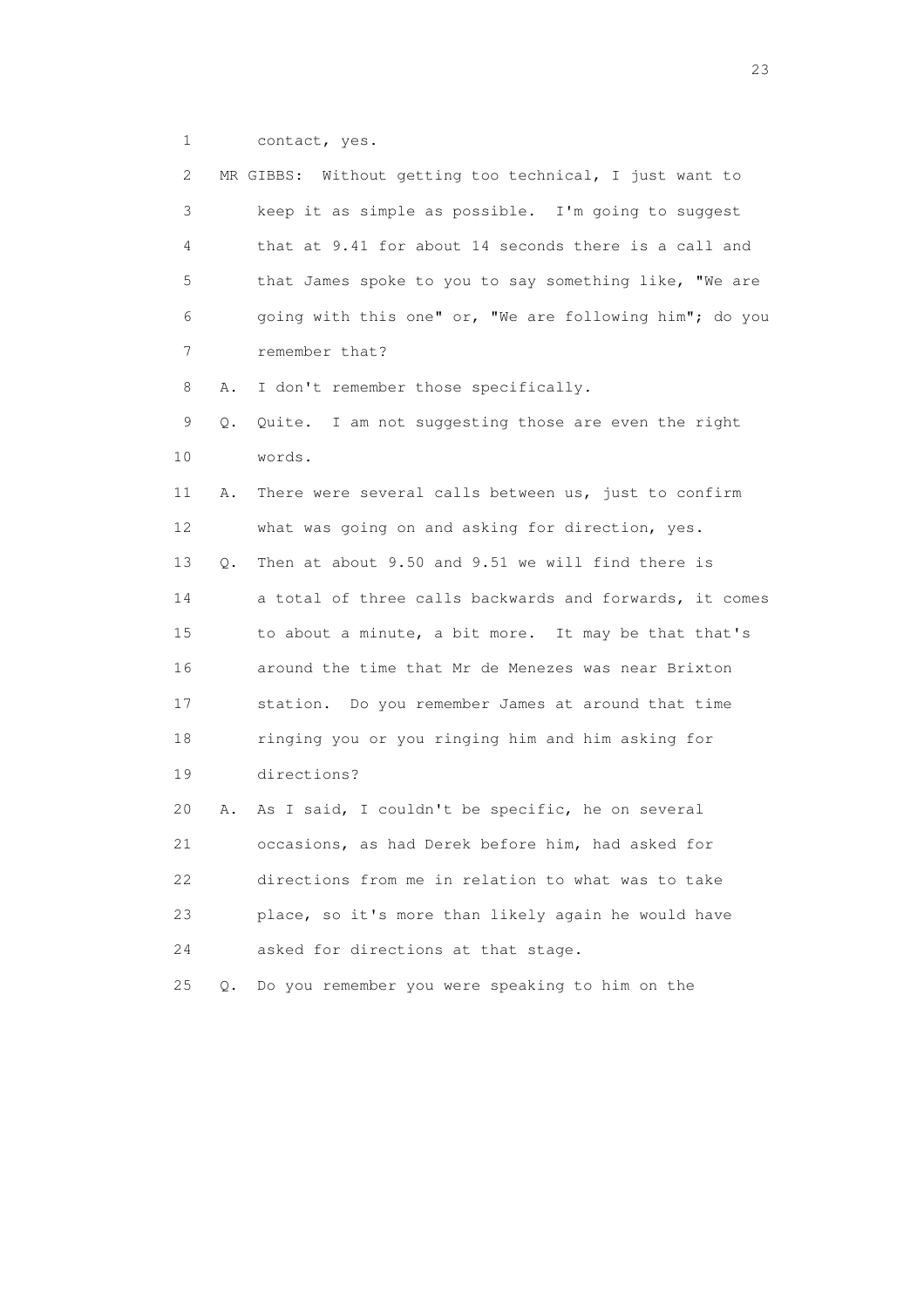1 contact, yes.

| 2  |           | MR GIBBS: Without getting too technical, I just want to |
|----|-----------|---------------------------------------------------------|
| 3  |           | keep it as simple as possible. I'm going to suggest     |
| 4  |           | that at 9.41 for about 14 seconds there is a call and   |
| 5  |           | that James spoke to you to say something like, "We are  |
| 6  |           | going with this one" or, "We are following him"; do you |
| 7  |           | remember that?                                          |
| 8  | Α.        | I don't remember those specifically.                    |
| 9  | Q.        | Quite. I am not suggesting those are even the right     |
| 10 |           | words.                                                  |
| 11 | Α.        | There were several calls between us, just to confirm    |
| 12 |           | what was going on and asking for direction, yes.        |
| 13 | Q.        | Then at about 9.50 and 9.51 we will find there is       |
| 14 |           | a total of three calls backwards and forwards, it comes |
| 15 |           | to about a minute, a bit more. It may be that that's    |
| 16 |           | around the time that Mr de Menezes was near Brixton     |
| 17 |           | station. Do you remember James at around that time      |
| 18 |           | ringing you or you ringing him and him asking for       |
| 19 |           | directions?                                             |
| 20 | Α.        | As I said, I couldn't be specific, he on several        |
| 21 |           | occasions, as had Derek before him, had asked for       |
| 22 |           | directions from me in relation to what was to take      |
| 23 |           | place, so it's more than likely again he would have     |
| 24 |           | asked for directions at that stage.                     |
| 25 | $\circ$ . | Do you remember you were speaking to him on the         |

23 and 23 and 23 and 23 and 23 and 23 and 23 and 23 and 23 and 23 and 23 and 23 and 23 and 23 and 23 and 23 and 24 and 25 and 25 and 26 and 26 and 26 and 26 and 26 and 26 and 26 and 26 and 26 and 26 and 26 and 26 and 26 an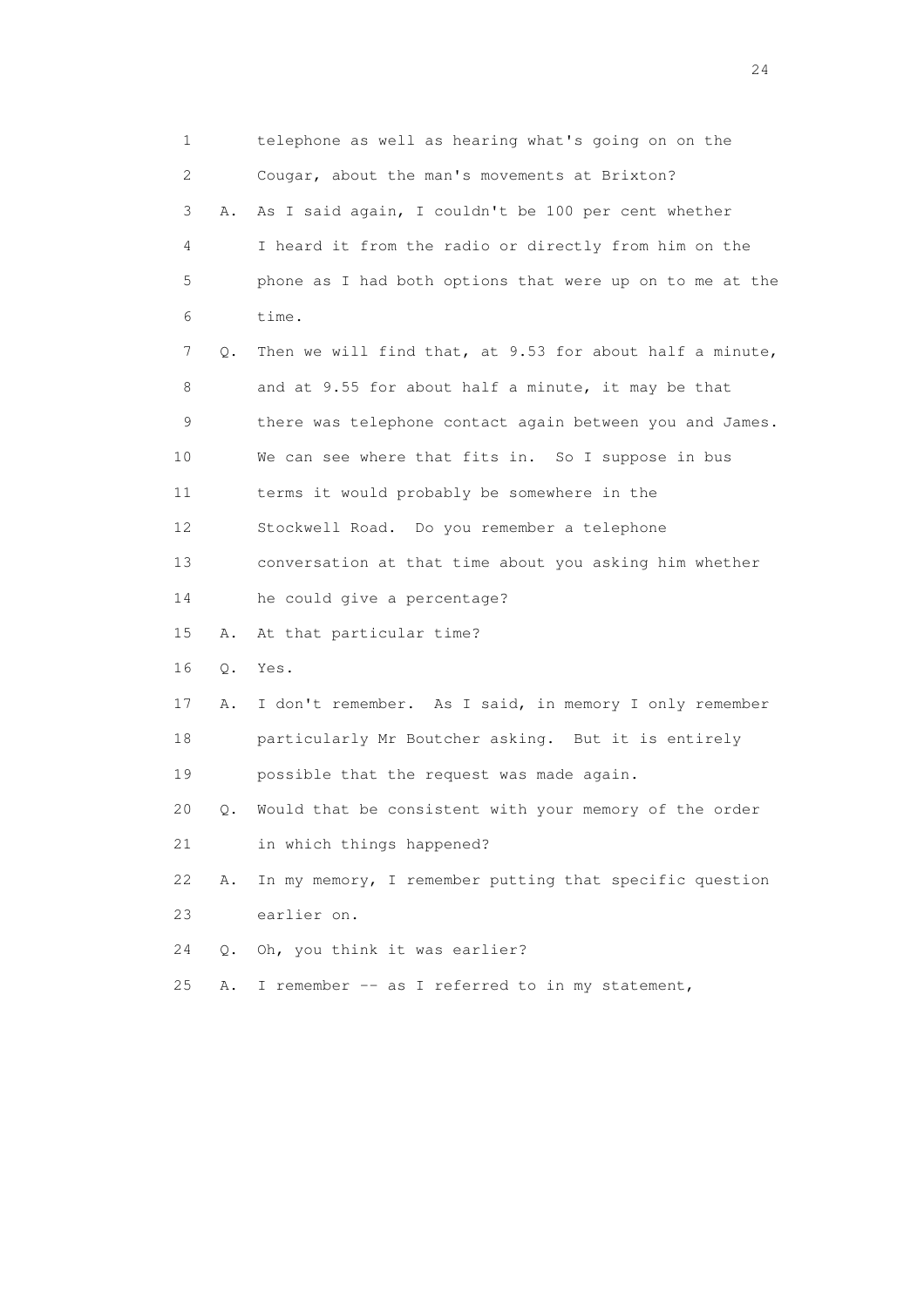1 telephone as well as hearing what's going on on the 2 Cougar, about the man's movements at Brixton? 3 A. As I said again, I couldn't be 100 per cent whether 4 I heard it from the radio or directly from him on the 5 phone as I had both options that were up on to me at the 6 time. 7 Q. Then we will find that, at 9.53 for about half a minute, 8 and at 9.55 for about half a minute, it may be that 9 there was telephone contact again between you and James. 10 We can see where that fits in. So I suppose in bus 11 terms it would probably be somewhere in the 12 Stockwell Road. Do you remember a telephone 13 conversation at that time about you asking him whether 14 he could give a percentage? 15 A. At that particular time? 16 Q. Yes. 17 A. I don't remember. As I said, in memory I only remember 18 particularly Mr Boutcher asking. But it is entirely 19 possible that the request was made again. 20 Q. Would that be consistent with your memory of the order 21 in which things happened? 22 A. In my memory, I remember putting that specific question 23 earlier on. 24 Q. Oh, you think it was earlier? 25 A. I remember -- as I referred to in my statement,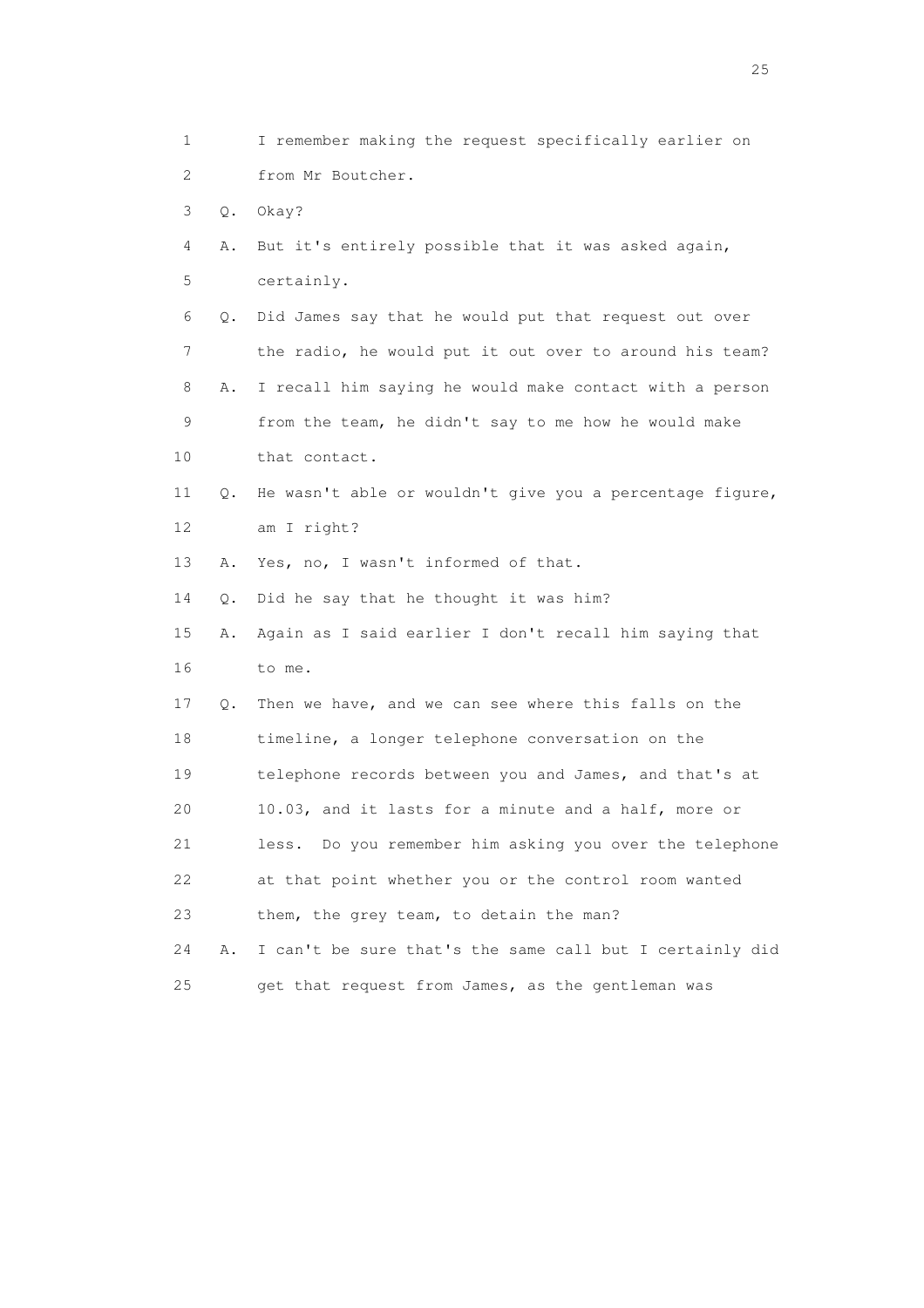1 I remember making the request specifically earlier on 2 from Mr Boutcher. 3 Q. Okay? 4 A. But it's entirely possible that it was asked again, 5 certainly. 6 Q. Did James say that he would put that request out over 7 the radio, he would put it out over to around his team? 8 A. I recall him saying he would make contact with a person 9 from the team, he didn't say to me how he would make 10 that contact. 11 Q. He wasn't able or wouldn't give you a percentage figure, 12 am I right? 13 A. Yes, no, I wasn't informed of that. 14 Q. Did he say that he thought it was him? 15 A. Again as I said earlier I don't recall him saying that 16 to me. 17 Q. Then we have, and we can see where this falls on the 18 timeline, a longer telephone conversation on the 19 telephone records between you and James, and that's at 20 10.03, and it lasts for a minute and a half, more or 21 less. Do you remember him asking you over the telephone 22 at that point whether you or the control room wanted 23 them, the grey team, to detain the man? 24 A. I can't be sure that's the same call but I certainly did 25 get that request from James, as the gentleman was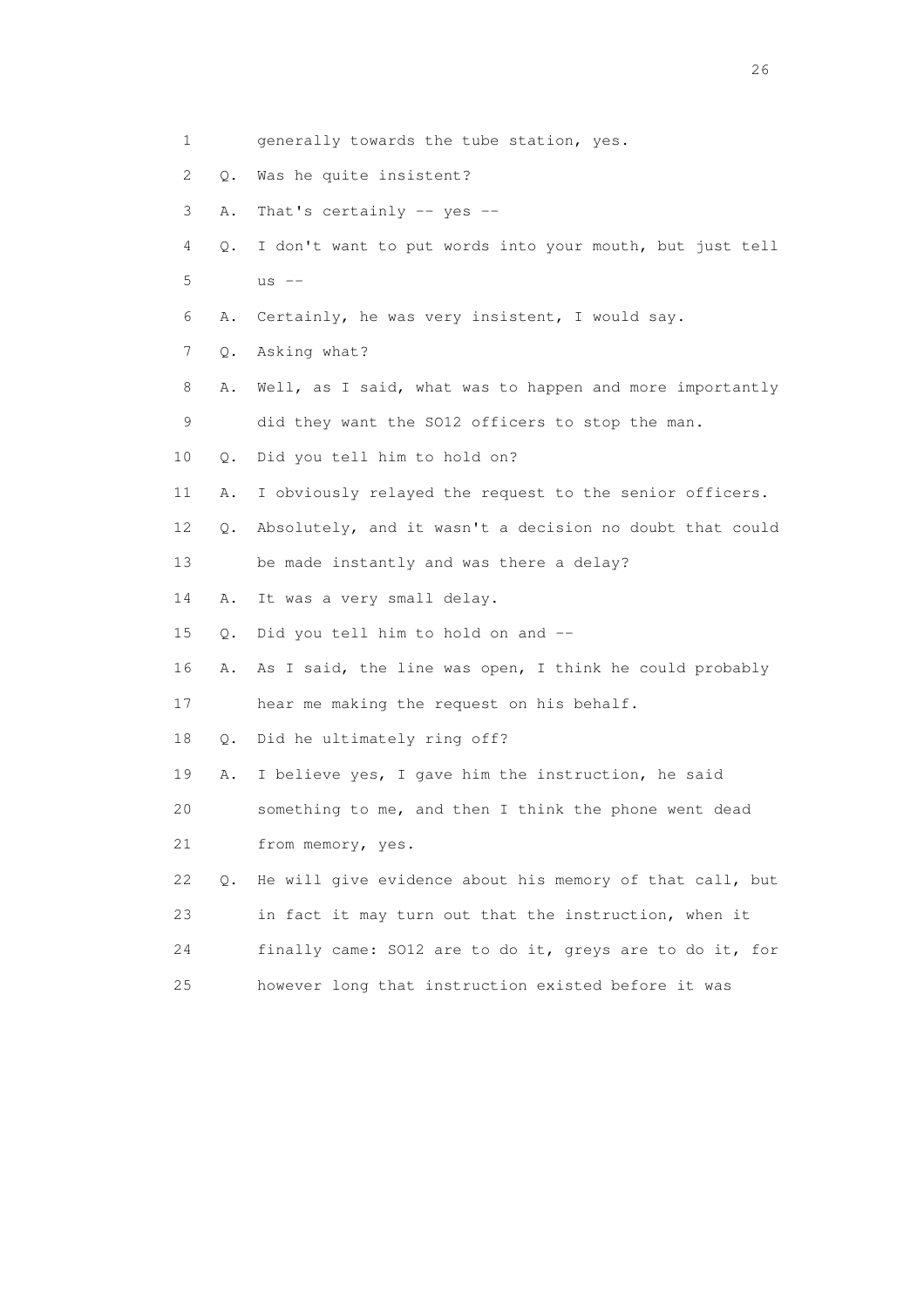| 1  |       | generally towards the tube station, yes.                 |
|----|-------|----------------------------------------------------------|
| 2  | $Q$ . | Was he quite insistent?                                  |
| 3  | Α.    | That's certainly $--$ yes $--$                           |
| 4  | Q.    | I don't want to put words into your mouth, but just tell |
| 5  |       | $us$ $--$                                                |
| 6  | Α.    | Certainly, he was very insistent, I would say.           |
| 7  | Q.    | Asking what?                                             |
| 8  | Α.    | Well, as I said, what was to happen and more importantly |
| 9  |       | did they want the SO12 officers to stop the man.         |
| 10 | Q.    | Did you tell him to hold on?                             |
| 11 | Α.    | I obviously relayed the request to the senior officers.  |
| 12 | Q.    | Absolutely, and it wasn't a decision no doubt that could |
| 13 |       | be made instantly and was there a delay?                 |
| 14 | Α.    | It was a very small delay.                               |
| 15 | Q.    | Did you tell him to hold on and --                       |
| 16 | Α.    | As I said, the line was open, I think he could probably  |
| 17 |       | hear me making the request on his behalf.                |
| 18 | Q.    | Did he ultimately ring off?                              |
| 19 | Α.    | I believe yes, I gave him the instruction, he said       |
| 20 |       | something to me, and then I think the phone went dead    |
| 21 |       | from memory, yes.                                        |
| 22 | О.    | He will give evidence about his memory of that call, but |
| 23 |       | in fact it may turn out that the instruction, when it    |
| 24 |       | finally came: SO12 are to do it, greys are to do it, for |
| 25 |       | however long that instruction existed before it was      |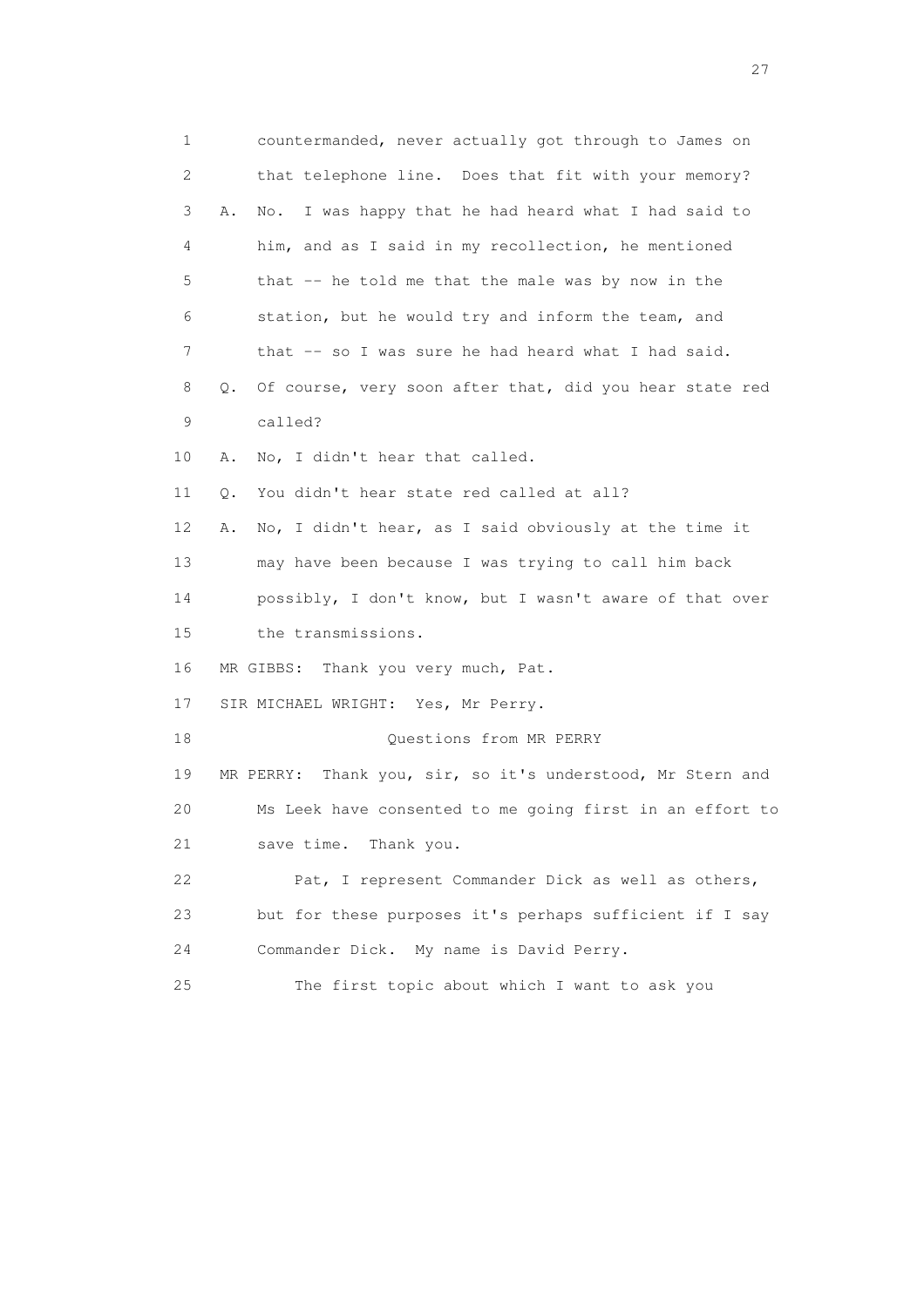| $\mathbf 1$ | countermanded, never actually got through to James on         |
|-------------|---------------------------------------------------------------|
| 2           | that telephone line. Does that fit with your memory?          |
| 3           | I was happy that he had heard what I had said to<br>Α.<br>No. |
| 4           | him, and as I said in my recollection, he mentioned           |
| 5           | that -- he told me that the male was by now in the            |
| 6           | station, but he would try and inform the team, and            |
| 7           | that -- so I was sure he had heard what I had said.           |
| 8           | Of course, very soon after that, did you hear state red<br>Q. |
| 9           | called?                                                       |
| 10          | No, I didn't hear that called.<br>Α.                          |
| 11          | You didn't hear state red called at all?<br>Q.                |
| 12          | No, I didn't hear, as I said obviously at the time it<br>Α.   |
| 13          | may have been because I was trying to call him back           |
| 14          | possibly, I don't know, but I wasn't aware of that over       |
| 15          | the transmissions.                                            |
| 16          | MR GIBBS: Thank you very much, Pat.                           |
| 17          | SIR MICHAEL WRIGHT: Yes, Mr Perry.                            |
| 18          | Questions from MR PERRY                                       |
| 19          | MR PERRY: Thank you, sir, so it's understood, Mr Stern and    |
| 20          | Ms Leek have consented to me going first in an effort to      |
| 21          | save time. Thank you.                                         |
| 22          | Pat, I represent Commander Dick as well as others,            |
| 23          | but for these purposes it's perhaps sufficient if I say       |
| 24          | Commander Dick. My name is David Perry.                       |
| 25          | The first topic about which I want to ask you                 |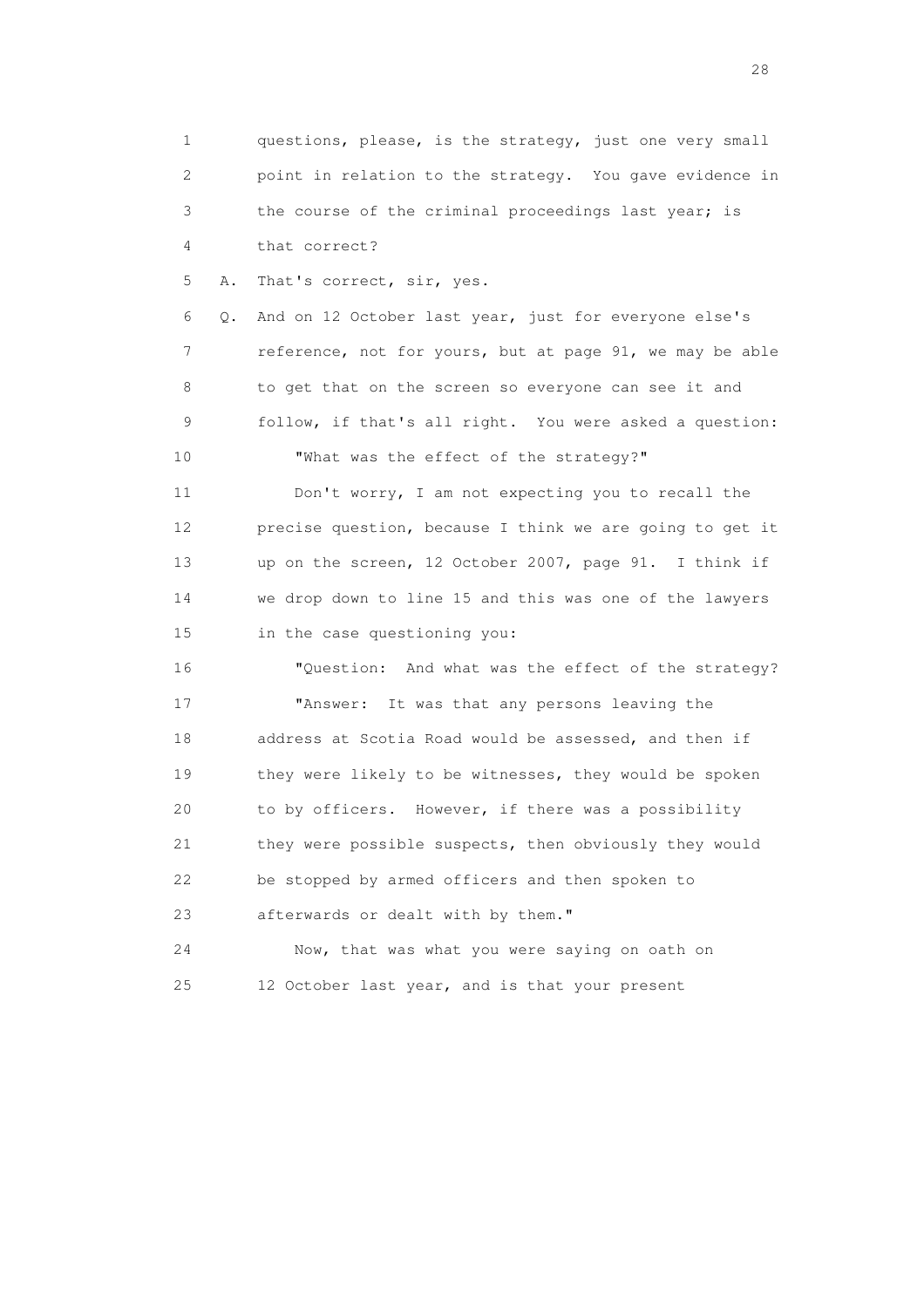1 questions, please, is the strategy, just one very small 2 point in relation to the strategy. You gave evidence in 3 the course of the criminal proceedings last year; is 4 that correct?

5 A. That's correct, sir, yes.

 6 Q. And on 12 October last year, just for everyone else's 7 reference, not for yours, but at page 91, we may be able 8 to get that on the screen so everyone can see it and 9 follow, if that's all right. You were asked a question: 10 "What was the effect of the strategy?"

 11 Don't worry, I am not expecting you to recall the 12 precise question, because I think we are going to get it 13 up on the screen, 12 October 2007, page 91. I think if 14 we drop down to line 15 and this was one of the lawyers 15 in the case questioning you:

 16 "Question: And what was the effect of the strategy? 17 "Answer: It was that any persons leaving the 18 address at Scotia Road would be assessed, and then if 19 they were likely to be witnesses, they would be spoken 20 to by officers. However, if there was a possibility 21 they were possible suspects, then obviously they would 22 be stopped by armed officers and then spoken to 23 afterwards or dealt with by them."

 24 Now, that was what you were saying on oath on 25 12 October last year, and is that your present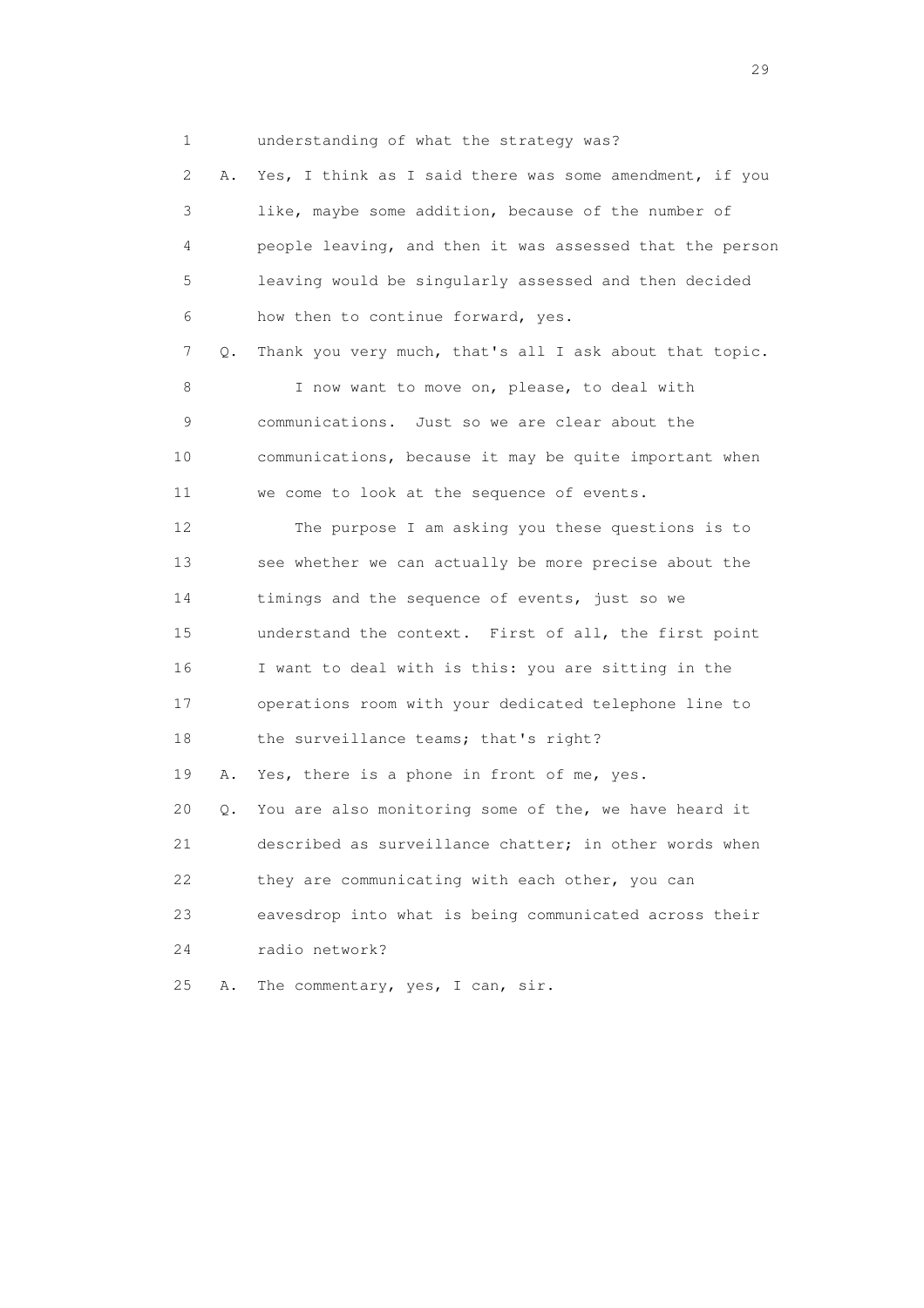1 understanding of what the strategy was?

 2 A. Yes, I think as I said there was some amendment, if you 3 like, maybe some addition, because of the number of 4 people leaving, and then it was assessed that the person 5 leaving would be singularly assessed and then decided 6 how then to continue forward, yes. 7 Q. Thank you very much, that's all I ask about that topic. 8 I now want to move on, please, to deal with 9 communications. Just so we are clear about the 10 communications, because it may be quite important when 11 we come to look at the sequence of events. 12 The purpose I am asking you these questions is to 13 see whether we can actually be more precise about the 14 timings and the sequence of events, just so we 15 understand the context. First of all, the first point 16 I want to deal with is this: you are sitting in the 17 operations room with your dedicated telephone line to 18 the surveillance teams; that's right? 19 A. Yes, there is a phone in front of me, yes. 20 Q. You are also monitoring some of the, we have heard it 21 described as surveillance chatter; in other words when 22 they are communicating with each other, you can 23 eavesdrop into what is being communicated across their 24 radio network? 25 A. The commentary, yes, I can, sir.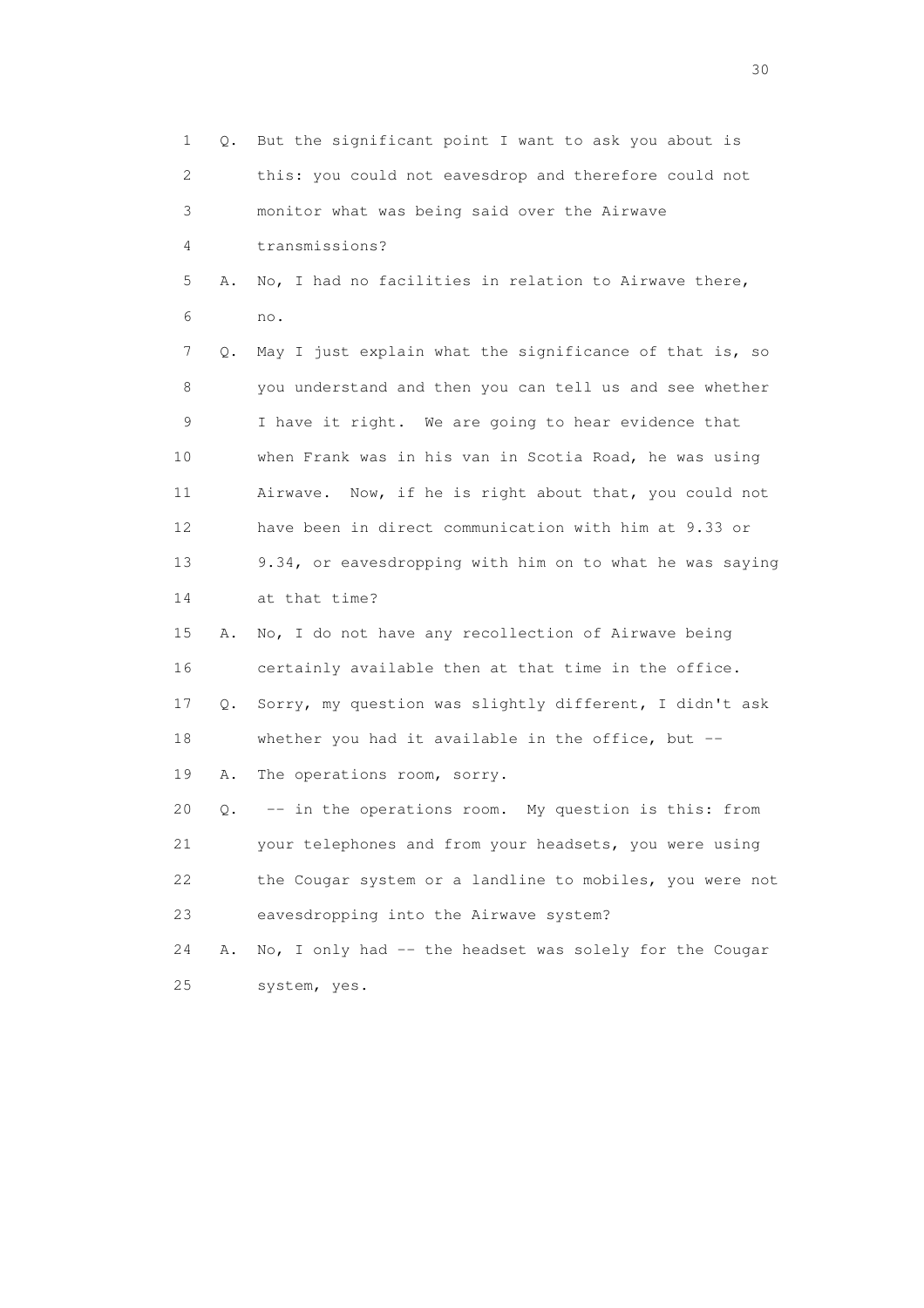1 Q. But the significant point I want to ask you about is 2 this: you could not eavesdrop and therefore could not 3 monitor what was being said over the Airwave 4 transmissions? 5 A. No, I had no facilities in relation to Airwave there, 6 no. 7 Q. May I just explain what the significance of that is, so 8 you understand and then you can tell us and see whether 9 I have it right. We are going to hear evidence that 10 when Frank was in his van in Scotia Road, he was using 11 Airwave. Now, if he is right about that, you could not 12 have been in direct communication with him at 9.33 or 13 9.34, or eavesdropping with him on to what he was saying 14 at that time? 15 A. No, I do not have any recollection of Airwave being 16 certainly available then at that time in the office. 17 Q. Sorry, my question was slightly different, I didn't ask 18 whether you had it available in the office, but -- 19 A. The operations room, sorry. 20 Q. -- in the operations room. My question is this: from 21 your telephones and from your headsets, you were using 22 the Cougar system or a landline to mobiles, you were not 23 eavesdropping into the Airwave system? 24 A. No, I only had -- the headset was solely for the Cougar 25 system, yes.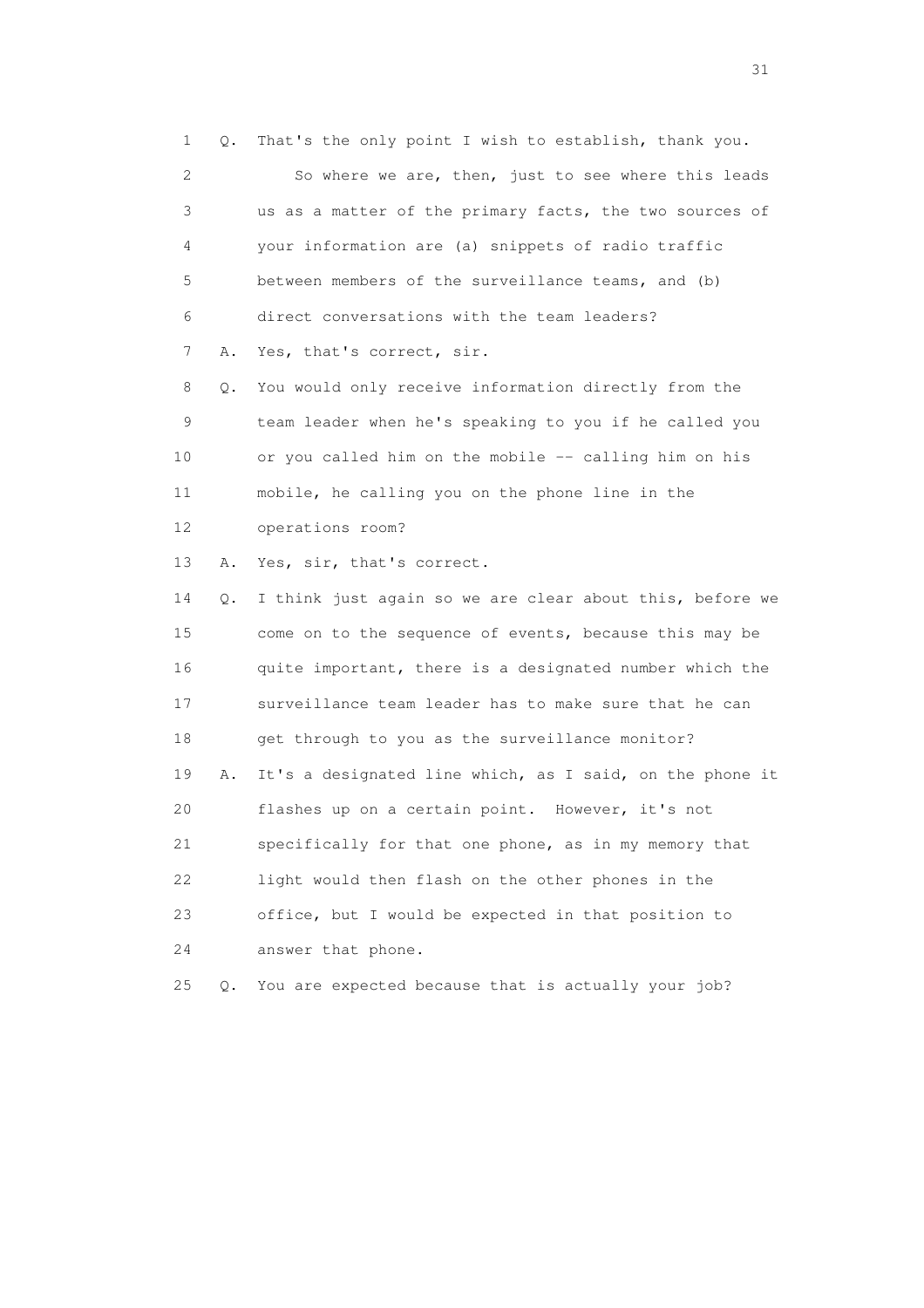1 Q. That's the only point I wish to establish, thank you. 2 So where we are, then, just to see where this leads 3 us as a matter of the primary facts, the two sources of 4 your information are (a) snippets of radio traffic 5 between members of the surveillance teams, and (b) 6 direct conversations with the team leaders? 7 A. Yes, that's correct, sir. 8 Q. You would only receive information directly from the 9 team leader when he's speaking to you if he called you 10 or you called him on the mobile -- calling him on his 11 mobile, he calling you on the phone line in the 12 operations room?

13 A. Yes, sir, that's correct.

 14 Q. I think just again so we are clear about this, before we 15 come on to the sequence of events, because this may be 16 quite important, there is a designated number which the 17 surveillance team leader has to make sure that he can 18 get through to you as the surveillance monitor? 19 A. It's a designated line which, as I said, on the phone it 20 flashes up on a certain point. However, it's not 21 specifically for that one phone, as in my memory that 22 light would then flash on the other phones in the 23 office, but I would be expected in that position to 24 answer that phone.

25 Q. You are expected because that is actually your job?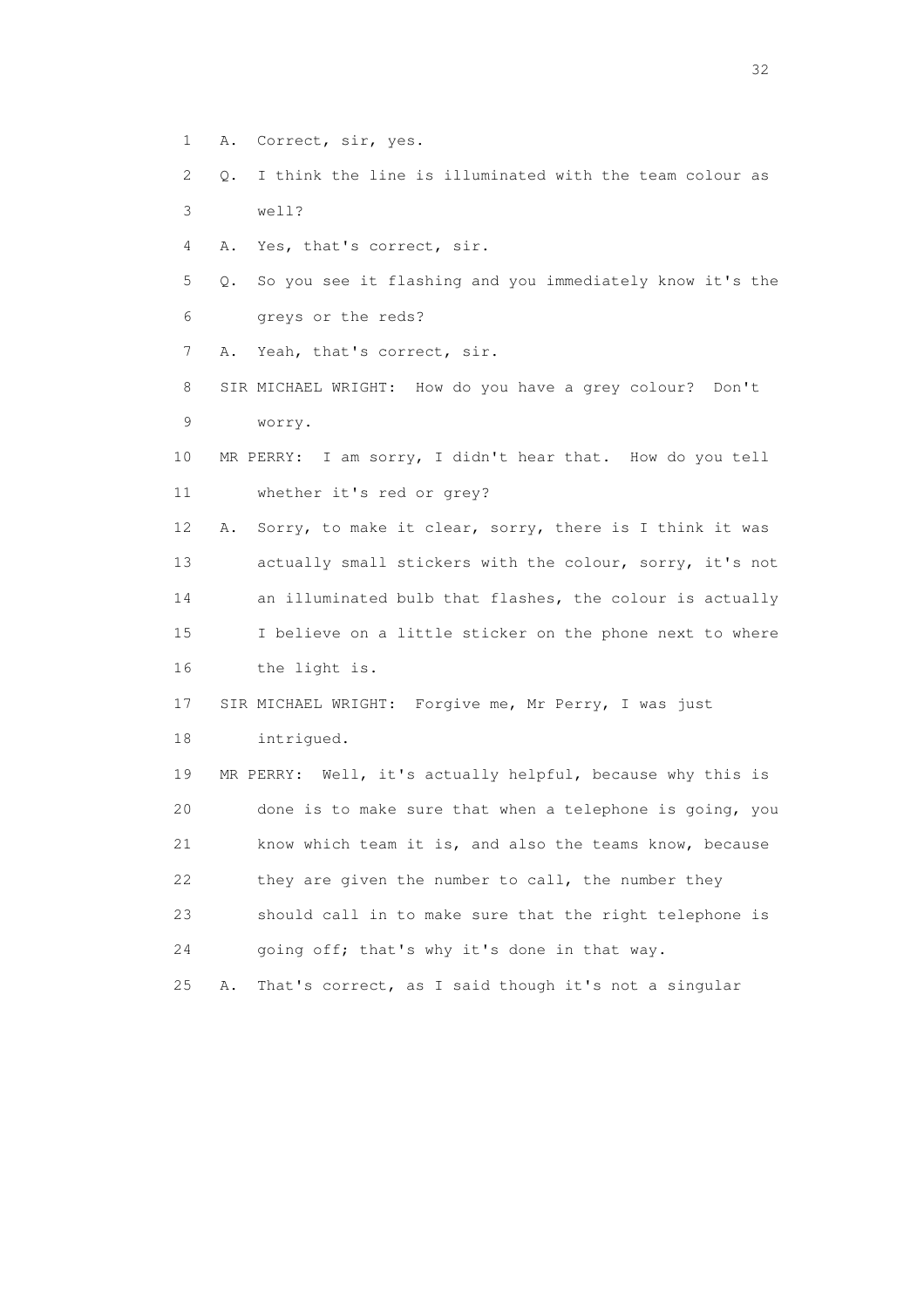- 1 A. Correct, sir, yes.
- 2 Q. I think the line is illuminated with the team colour as 3 well?
- 4 A. Yes, that's correct, sir.
- 5 Q. So you see it flashing and you immediately know it's the 6 greys or the reds?
- 7 A. Yeah, that's correct, sir.
- 8 SIR MICHAEL WRIGHT: How do you have a grey colour? Don't 9 worry.
- 10 MR PERRY: I am sorry, I didn't hear that. How do you tell 11 whether it's red or grey?

 12 A. Sorry, to make it clear, sorry, there is I think it was 13 actually small stickers with the colour, sorry, it's not 14 an illuminated bulb that flashes, the colour is actually 15 I believe on a little sticker on the phone next to where 16 the light is.

- 17 SIR MICHAEL WRIGHT: Forgive me, Mr Perry, I was just
- 18 intrigued.

 19 MR PERRY: Well, it's actually helpful, because why this is 20 done is to make sure that when a telephone is going, you 21 know which team it is, and also the teams know, because 22 they are given the number to call, the number they 23 should call in to make sure that the right telephone is 24 going off; that's why it's done in that way.

25 A. That's correct, as I said though it's not a singular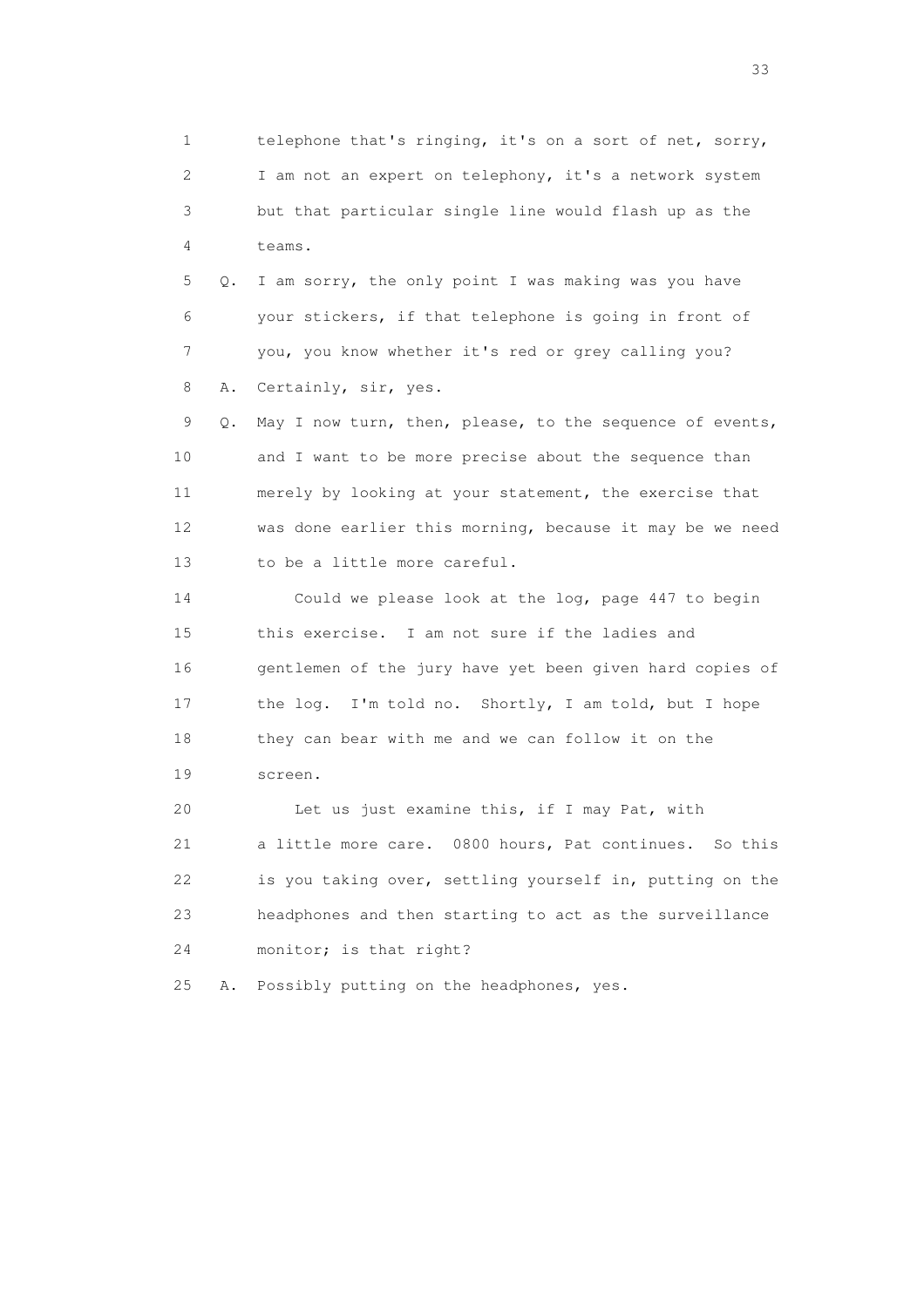1 telephone that's ringing, it's on a sort of net, sorry, 2 I am not an expert on telephony, it's a network system 3 but that particular single line would flash up as the 4 teams.

 5 Q. I am sorry, the only point I was making was you have 6 your stickers, if that telephone is going in front of 7 you, you know whether it's red or grey calling you? 8 A. Certainly, sir, yes.

 9 Q. May I now turn, then, please, to the sequence of events, 10 and I want to be more precise about the sequence than 11 merely by looking at your statement, the exercise that 12 was done earlier this morning, because it may be we need 13 to be a little more careful.

 14 Could we please look at the log, page 447 to begin 15 this exercise. I am not sure if the ladies and 16 gentlemen of the jury have yet been given hard copies of 17 the log. I'm told no. Shortly, I am told, but I hope 18 they can bear with me and we can follow it on the 19 screen.

 20 Let us just examine this, if I may Pat, with 21 a little more care. 0800 hours, Pat continues. So this 22 is you taking over, settling yourself in, putting on the 23 headphones and then starting to act as the surveillance 24 monitor; is that right?

25 A. Possibly putting on the headphones, yes.

<u>33</u> and the state of the state of the state of the state of the state of the state of the state of the state of the state of the state of the state of the state of the state of the state of the state of the state of the s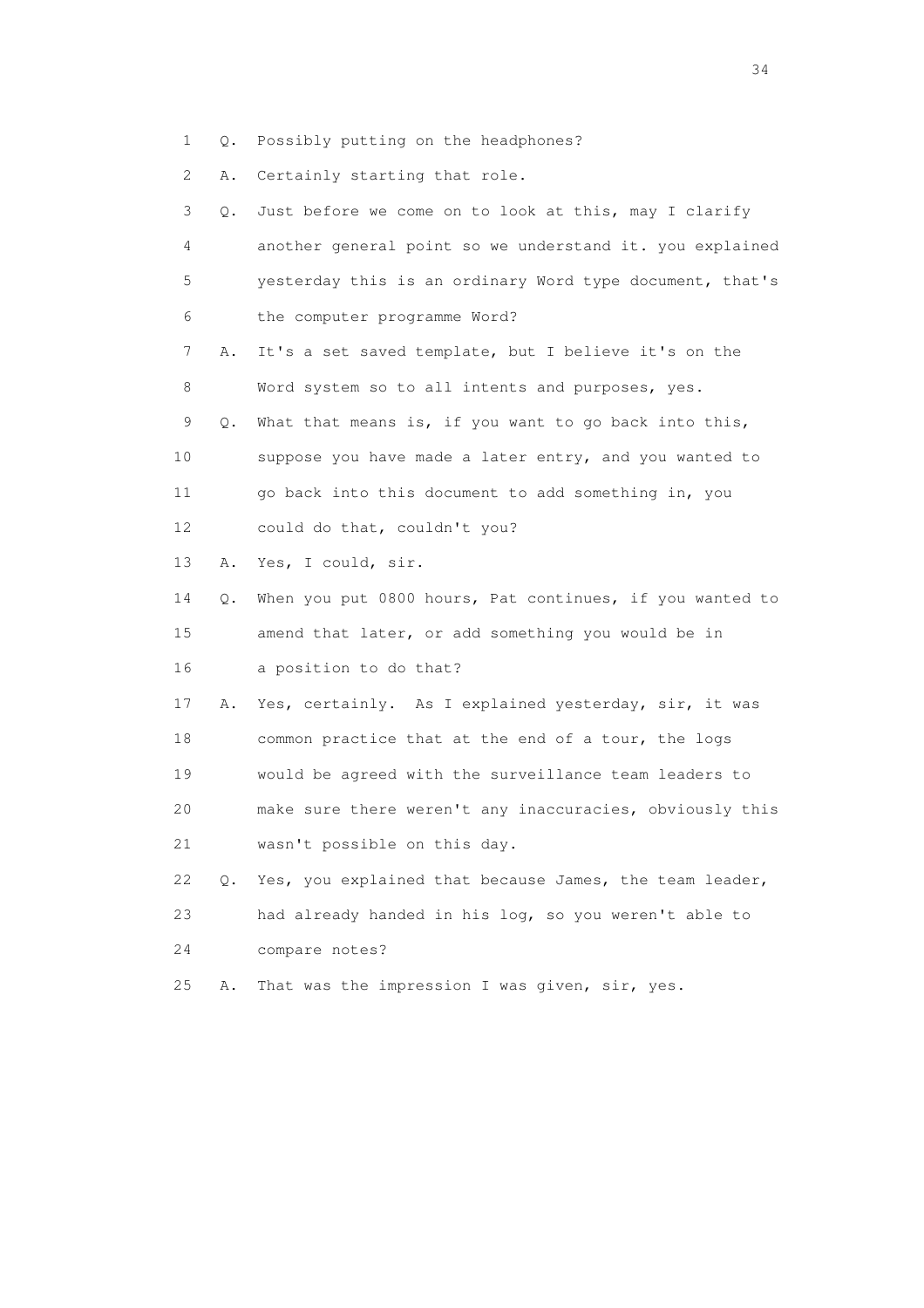1 Q. Possibly putting on the headphones?

2 A. Certainly starting that role.

| 3  | О. | Just before we come on to look at this, may I clarify    |
|----|----|----------------------------------------------------------|
| 4  |    | another general point so we understand it. you explained |
| 5  |    | yesterday this is an ordinary Word type document, that's |
| 6  |    | the computer programme Word?                             |
| 7  | Α. | It's a set saved template, but I believe it's on the     |
| 8  |    | Word system so to all intents and purposes, yes.         |
| 9  | Q. | What that means is, if you want to go back into this,    |
| 10 |    | suppose you have made a later entry, and you wanted to   |
| 11 |    | go back into this document to add something in, you      |
| 12 |    | could do that, couldn't you?                             |
| 13 | Α. | Yes, I could, sir.                                       |
| 14 | Q. | When you put 0800 hours, Pat continues, if you wanted to |
| 15 |    | amend that later, or add something you would be in       |
| 16 |    | a position to do that?                                   |
| 17 | Α. | Yes, certainly. As I explained yesterday, sir, it was    |
| 18 |    | common practice that at the end of a tour, the logs      |
| 19 |    | would be agreed with the surveillance team leaders to    |
| 20 |    | make sure there weren't any inaccuracies, obviously this |
| 21 |    | wasn't possible on this day.                             |
| 22 | Q. | Yes, you explained that because James, the team leader,  |
| 23 |    | had already handed in his log, so you weren't able to    |
| 24 |    | compare notes?                                           |
| 25 | Α. | That was the impression I was given, sir, yes.           |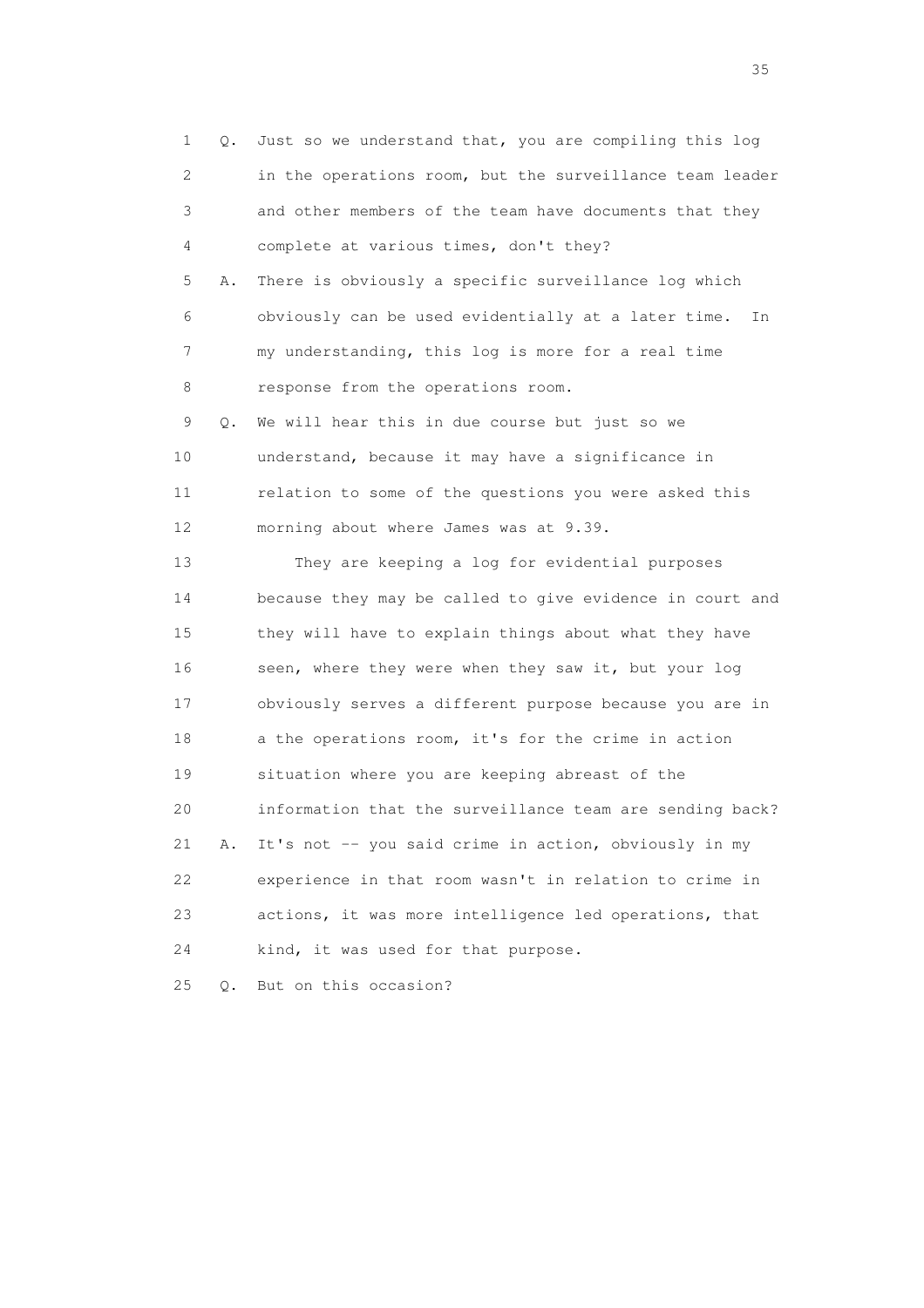1 Q. Just so we understand that, you are compiling this log 2 in the operations room, but the surveillance team leader 3 and other members of the team have documents that they 4 complete at various times, don't they? 5 A. There is obviously a specific surveillance log which 6 obviously can be used evidentially at a later time. In 7 my understanding, this log is more for a real time 8 response from the operations room. 9 Q. We will hear this in due course but just so we 10 understand, because it may have a significance in 11 relation to some of the questions you were asked this 12 morning about where James was at 9.39. 13 They are keeping a log for evidential purposes 14 because they may be called to give evidence in court and 15 they will have to explain things about what they have 16 seen, where they were when they saw it, but your log 17 obviously serves a different purpose because you are in 18 a the operations room, it's for the crime in action 19 situation where you are keeping abreast of the 20 information that the surveillance team are sending back? 21 A. It's not -- you said crime in action, obviously in my 22 experience in that room wasn't in relation to crime in 23 actions, it was more intelligence led operations, that 24 kind, it was used for that purpose. 25 Q. But on this occasion?

<u>35</u> and the state of the state of the state of the state of the state of the state of the state of the state of the state of the state of the state of the state of the state of the state of the state of the state of the s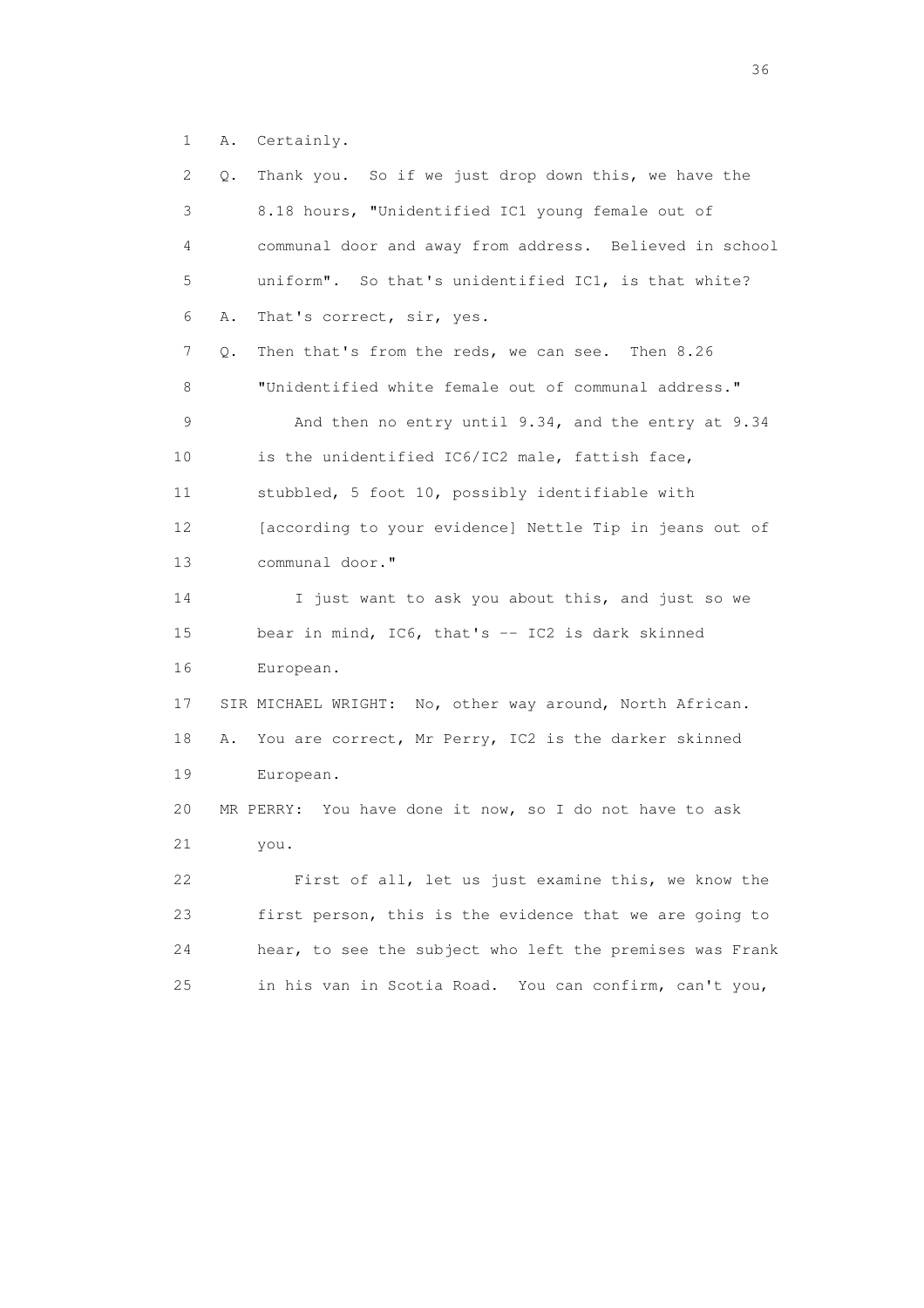1 A. Certainly.

| 2               | Thank you. So if we just drop down this, we have the<br>Q. |
|-----------------|------------------------------------------------------------|
| 3               | 8.18 hours, "Unidentified IC1 young female out of          |
| 4               | communal door and away from address. Believed in school    |
| 5               | uniform". So that's unidentified IC1, is that white?       |
| 6               | That's correct, sir, yes.<br>Α.                            |
| 7               | Then that's from the reds, we can see. Then 8.26<br>Q.     |
| 8               | "Unidentified white female out of communal address."       |
| 9               | And then no entry until 9.34, and the entry at 9.34        |
| 10              | is the unidentified IC6/IC2 male, fattish face,            |
| 11              | stubbled, 5 foot 10, possibly identifiable with            |
| 12 <sup>°</sup> | [according to your evidence] Nettle Tip in jeans out of    |
| 13              | communal door."                                            |
| 14              | I just want to ask you about this, and just so we          |
| 15              | bear in mind, $IC6$ , that's $-$ IC2 is dark skinned       |
| 16              | European.                                                  |
| 17              | SIR MICHAEL WRIGHT: No, other way around, North African.   |
| 18              | You are correct, Mr Perry, IC2 is the darker skinned<br>Α. |
| 19              | European.                                                  |
| 20              | MR PERRY: You have done it now, so I do not have to ask    |
| 21              | you.                                                       |
| 22              | First of all, let us just examine this, we know the        |
| 23              | first person, this is the evidence that we are going to    |
| 24              | hear, to see the subject who left the premises was Frank   |
| 25              | in his van in Scotia Road. You can confirm, can't you,     |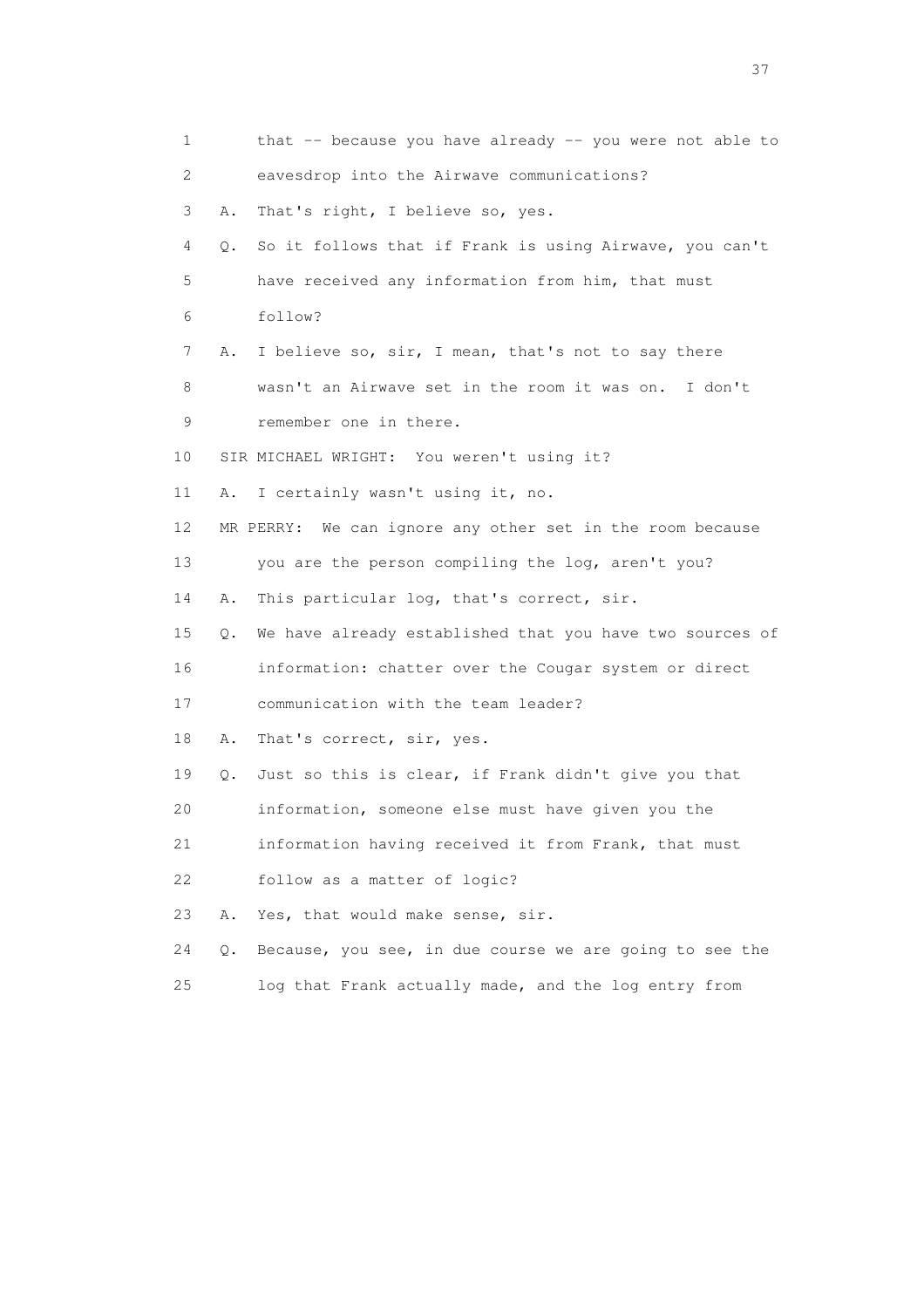| 1                         |    | that -- because you have already -- you were not able to  |
|---------------------------|----|-----------------------------------------------------------|
| $\mathbf{2}^{\mathsf{I}}$ |    | eavesdrop into the Airwave communications?                |
| 3                         | Α. | That's right, I believe so, yes.                          |
| 4                         | Q. | So it follows that if Frank is using Airwave, you can't   |
| 5                         |    | have received any information from him, that must         |
| 6                         |    | follow?                                                   |
| 7                         | Α. | I believe so, sir, I mean, that's not to say there        |
| 8                         |    | wasn't an Airwave set in the room it was on. I don't      |
| 9                         |    | remember one in there.                                    |
| 10                        |    | SIR MICHAEL WRIGHT: You weren't using it?                 |
| 11                        | Α. | I certainly wasn't using it, no.                          |
| 12                        |    | MR PERRY: We can ignore any other set in the room because |
| 13                        |    | you are the person compiling the log, aren't you?         |
| 14                        | Α. | This particular log, that's correct, sir.                 |
| 15                        | Q. | We have already established that you have two sources of  |
| 16                        |    | information: chatter over the Cougar system or direct     |
| 17                        |    | communication with the team leader?                       |
| 18                        | Α. | That's correct, sir, yes.                                 |
| 19                        | О. | Just so this is clear, if Frank didn't give you that      |
| 20                        |    | information, someone else must have given you the         |
| 21                        |    | information having received it from Frank, that must      |
| 22                        |    | follow as a matter of logic?                              |
| 23                        | Α. | Yes, that would make sense, sir.                          |
| 24                        | Q. | Because, you see, in due course we are going to see the   |
| 25                        |    | log that Frank actually made, and the log entry from      |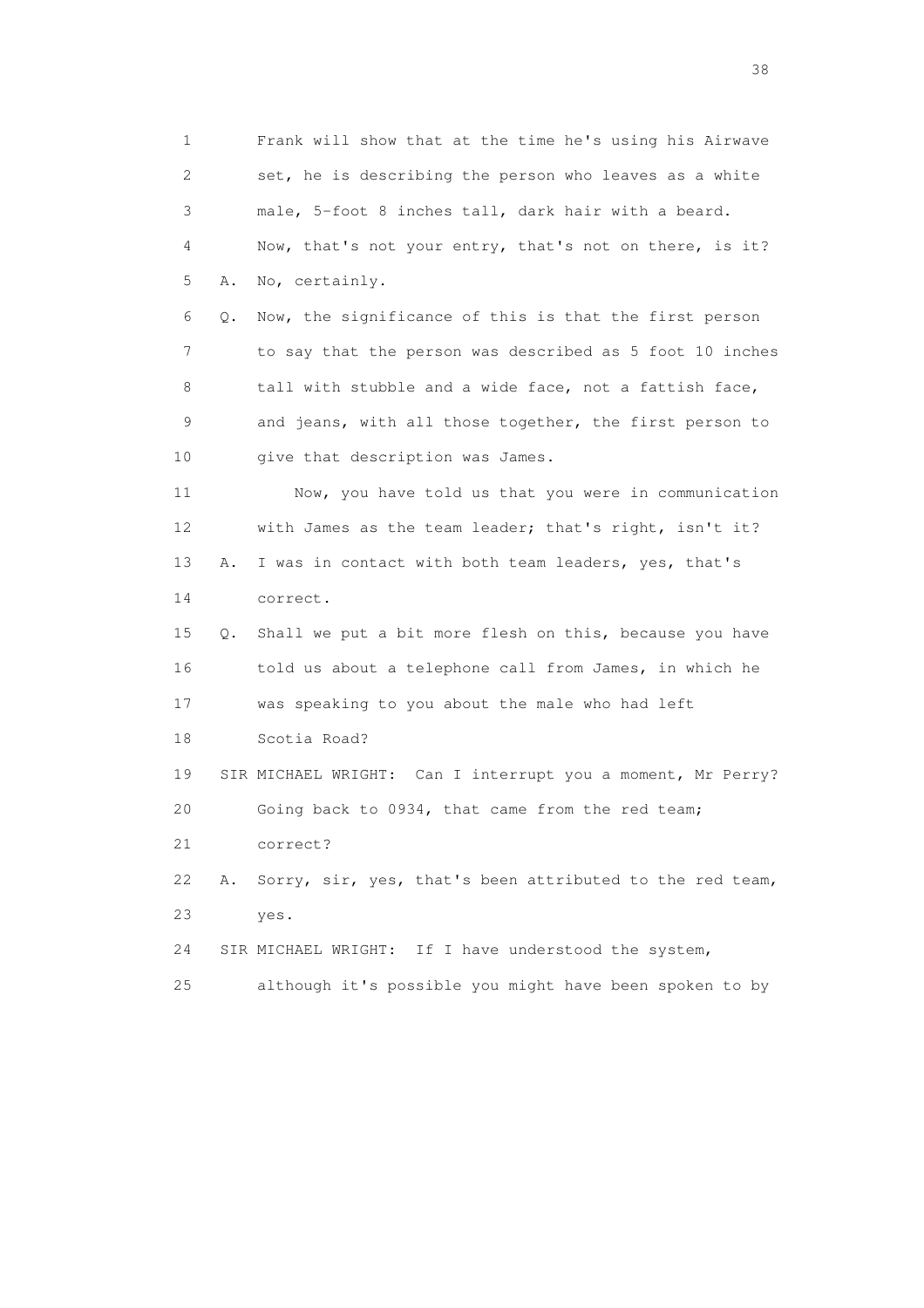1 Frank will show that at the time he's using his Airwave 2 set, he is describing the person who leaves as a white 3 male, 5-foot 8 inches tall, dark hair with a beard. 4 Now, that's not your entry, that's not on there, is it? 5 A. No, certainly. 6 Q. Now, the significance of this is that the first person 7 to say that the person was described as 5 foot 10 inches 8 tall with stubble and a wide face, not a fattish face, 9 and jeans, with all those together, the first person to 10 give that description was James. 11 Now, you have told us that you were in communication 12 with James as the team leader; that's right, isn't it? 13 A. I was in contact with both team leaders, yes, that's 14 correct. 15 Q. Shall we put a bit more flesh on this, because you have 16 told us about a telephone call from James, in which he 17 was speaking to you about the male who had left 18 Scotia Road? 19 SIR MICHAEL WRIGHT: Can I interrupt you a moment, Mr Perry? 20 Going back to 0934, that came from the red team; 21 correct? 22 A. Sorry, sir, yes, that's been attributed to the red team, 23 yes. 24 SIR MICHAEL WRIGHT: If I have understood the system, 25 although it's possible you might have been spoken to by

and the state of the state of the state of the state of the state of the state of the state of the state of the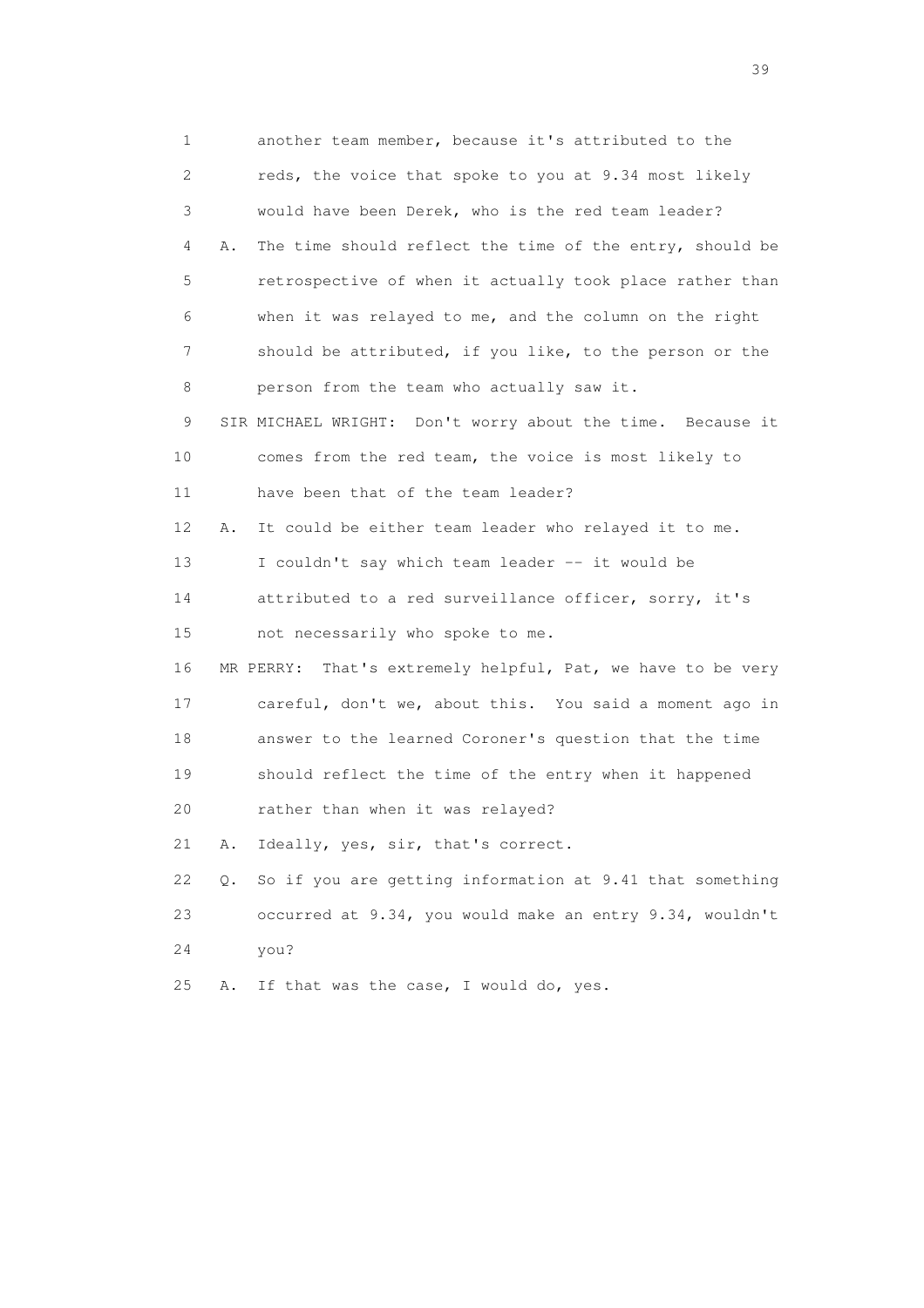1 another team member, because it's attributed to the 2 reds, the voice that spoke to you at 9.34 most likely 3 would have been Derek, who is the red team leader? 4 A. The time should reflect the time of the entry, should be 5 retrospective of when it actually took place rather than 6 when it was relayed to me, and the column on the right 7 should be attributed, if you like, to the person or the 8 person from the team who actually saw it. 9 SIR MICHAEL WRIGHT: Don't worry about the time. Because it 10 comes from the red team, the voice is most likely to 11 have been that of the team leader? 12 A. It could be either team leader who relayed it to me. 13 I couldn't say which team leader -- it would be 14 attributed to a red surveillance officer, sorry, it's 15 not necessarily who spoke to me. 16 MR PERRY: That's extremely helpful, Pat, we have to be very 17 careful, don't we, about this. You said a moment ago in 18 answer to the learned Coroner's question that the time 19 should reflect the time of the entry when it happened 20 rather than when it was relayed? 21 A. Ideally, yes, sir, that's correct. 22 Q. So if you are getting information at 9.41 that something 23 occurred at 9.34, you would make an entry 9.34, wouldn't 24 you? 25 A. If that was the case, I would do, yes.

 $39<sup>2</sup>$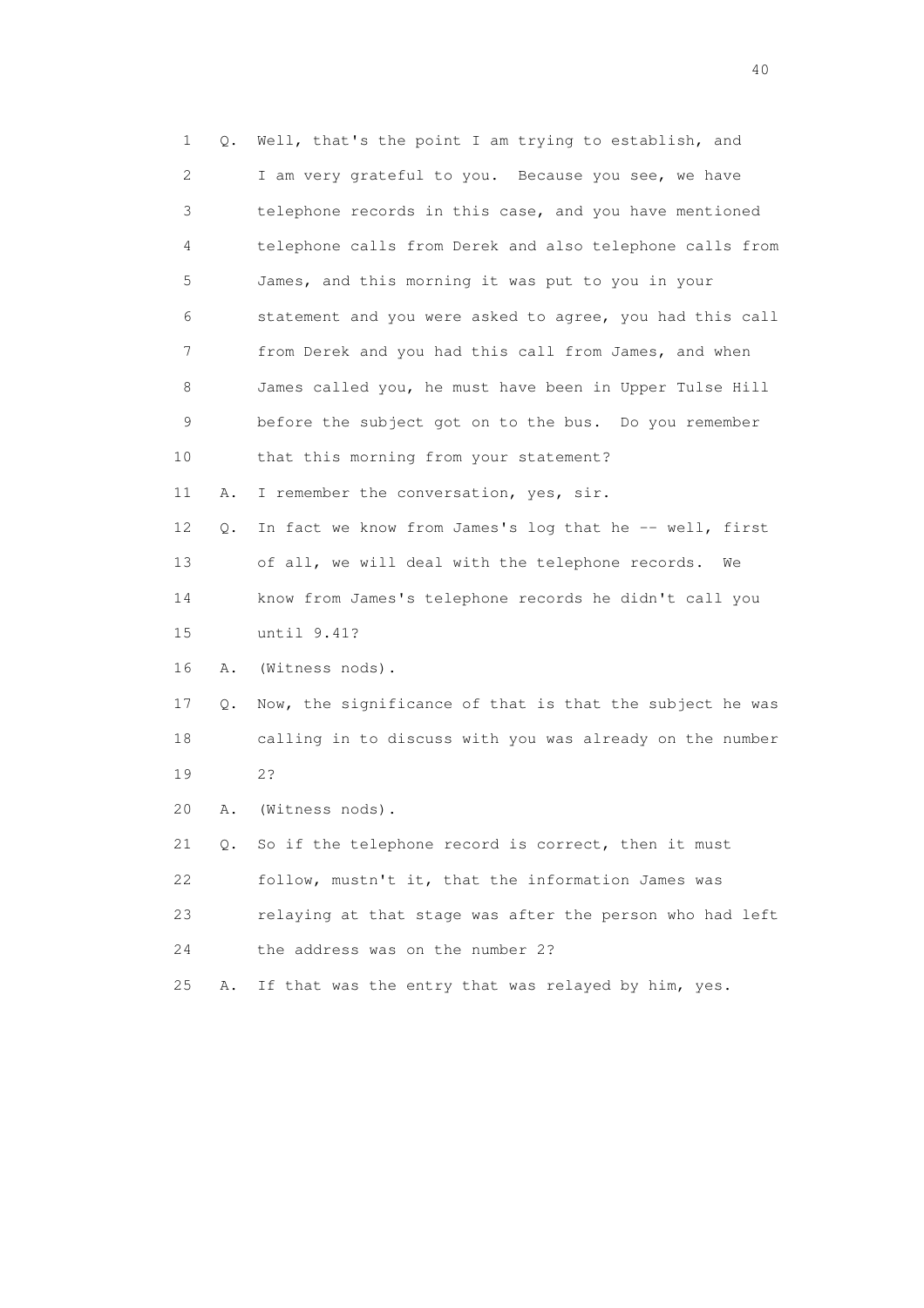1 Q. Well, that's the point I am trying to establish, and 2 I am very grateful to you. Because you see, we have 3 telephone records in this case, and you have mentioned 4 telephone calls from Derek and also telephone calls from 5 James, and this morning it was put to you in your 6 statement and you were asked to agree, you had this call 7 from Derek and you had this call from James, and when 8 James called you, he must have been in Upper Tulse Hill 9 before the subject got on to the bus. Do you remember 10 that this morning from your statement? 11 A. I remember the conversation, yes, sir. 12 Q. In fact we know from James's log that he -- well, first 13 of all, we will deal with the telephone records. We 14 know from James's telephone records he didn't call you 15 until 9.41? 16 A. (Witness nods). 17 Q. Now, the significance of that is that the subject he was 18 calling in to discuss with you was already on the number 19 2? 20 A. (Witness nods). 21 Q. So if the telephone record is correct, then it must 22 follow, mustn't it, that the information James was 23 relaying at that stage was after the person who had left 24 the address was on the number 2? 25 A. If that was the entry that was relayed by him, yes.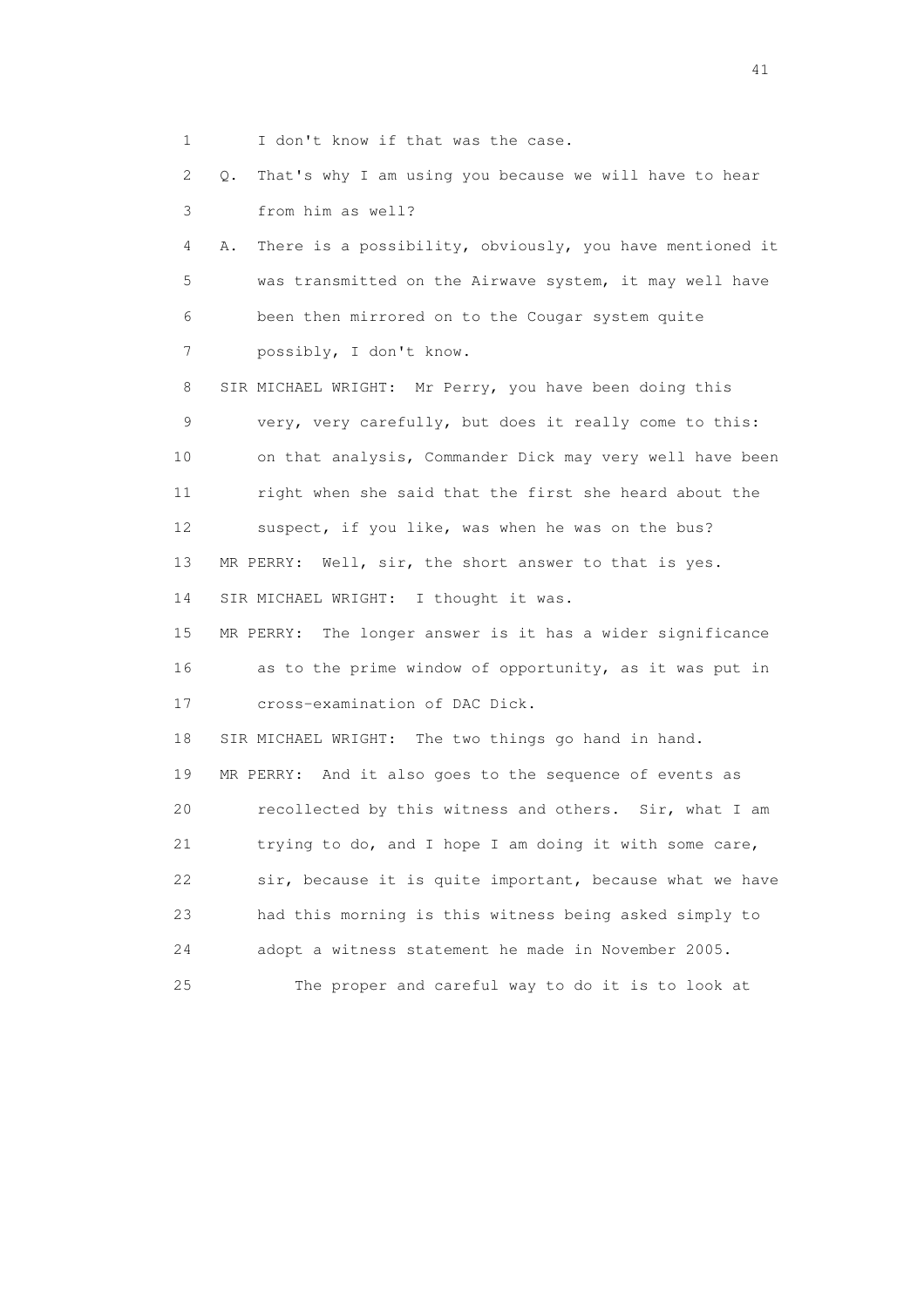1 I don't know if that was the case.

 2 Q. That's why I am using you because we will have to hear 3 from him as well?

 4 A. There is a possibility, obviously, you have mentioned it 5 was transmitted on the Airwave system, it may well have 6 been then mirrored on to the Cougar system quite 7 possibly, I don't know.

 8 SIR MICHAEL WRIGHT: Mr Perry, you have been doing this 9 very, very carefully, but does it really come to this: 10 on that analysis, Commander Dick may very well have been 11 right when she said that the first she heard about the 12 suspect, if you like, was when he was on the bus? 13 MR PERRY: Well, sir, the short answer to that is yes. 14 SIR MICHAEL WRIGHT: I thought it was.

 15 MR PERRY: The longer answer is it has a wider significance 16 as to the prime window of opportunity, as it was put in 17 cross-examination of DAC Dick.

18 SIR MICHAEL WRIGHT: The two things go hand in hand.

 19 MR PERRY: And it also goes to the sequence of events as 20 recollected by this witness and others. Sir, what I am 21 trying to do, and I hope I am doing it with some care, 22 sir, because it is quite important, because what we have 23 had this morning is this witness being asked simply to 24 adopt a witness statement he made in November 2005. 25 The proper and careful way to do it is to look at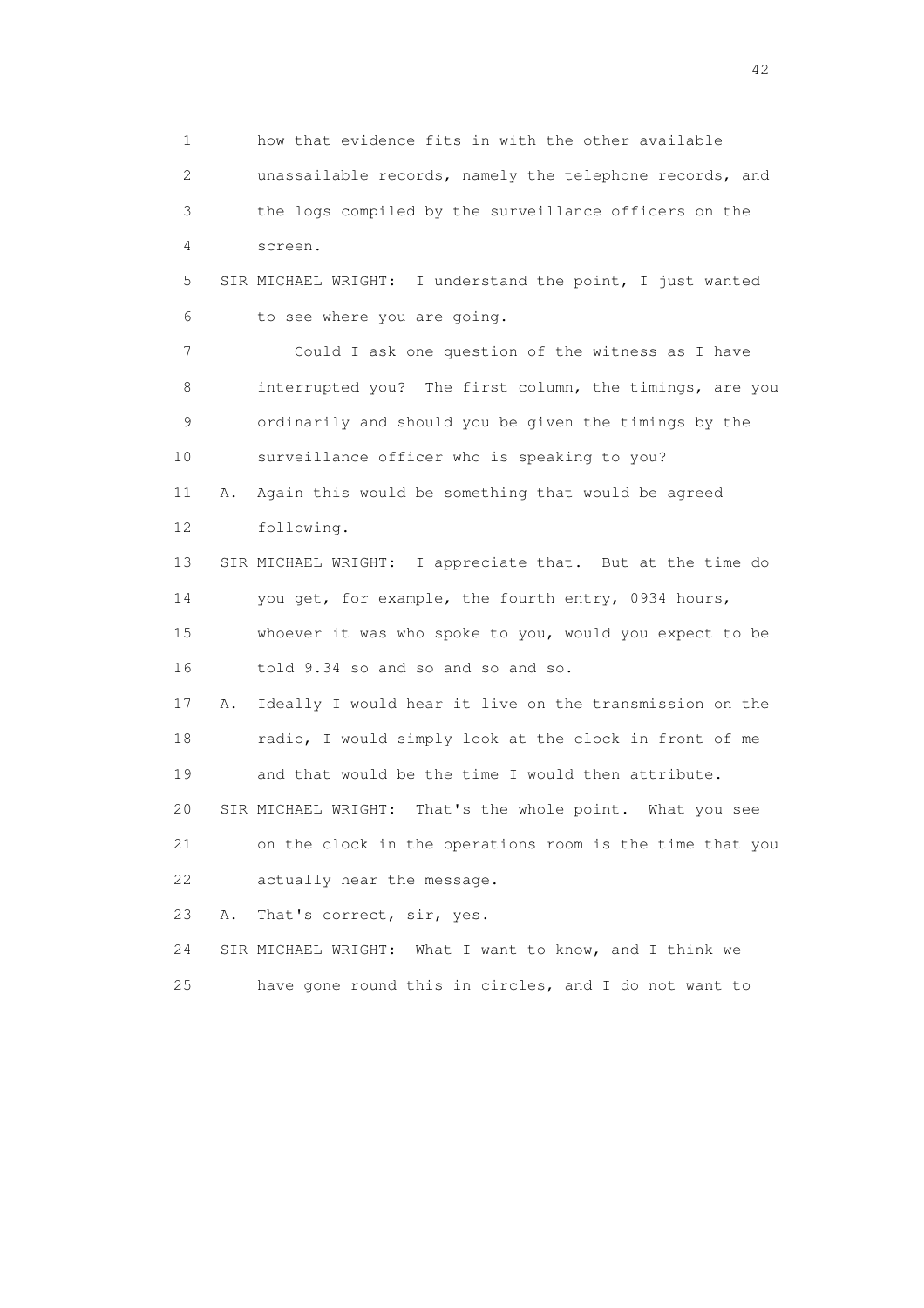1 how that evidence fits in with the other available 2 unassailable records, namely the telephone records, and 3 the logs compiled by the surveillance officers on the 4 screen. 5 SIR MICHAEL WRIGHT: I understand the point, I just wanted 6 to see where you are going. 7 Could I ask one question of the witness as I have 8 interrupted you? The first column, the timings, are you 9 ordinarily and should you be given the timings by the 10 surveillance officer who is speaking to you? 11 A. Again this would be something that would be agreed 12 following. 13 SIR MICHAEL WRIGHT: I appreciate that. But at the time do 14 you get, for example, the fourth entry, 0934 hours, 15 whoever it was who spoke to you, would you expect to be 16 told 9.34 so and so and so and so. 17 A. Ideally I would hear it live on the transmission on the 18 radio, I would simply look at the clock in front of me 19 and that would be the time I would then attribute. 20 SIR MICHAEL WRIGHT: That's the whole point. What you see 21 on the clock in the operations room is the time that you 22 actually hear the message. 23 A. That's correct, sir, yes. 24 SIR MICHAEL WRIGHT: What I want to know, and I think we 25 have gone round this in circles, and I do not want to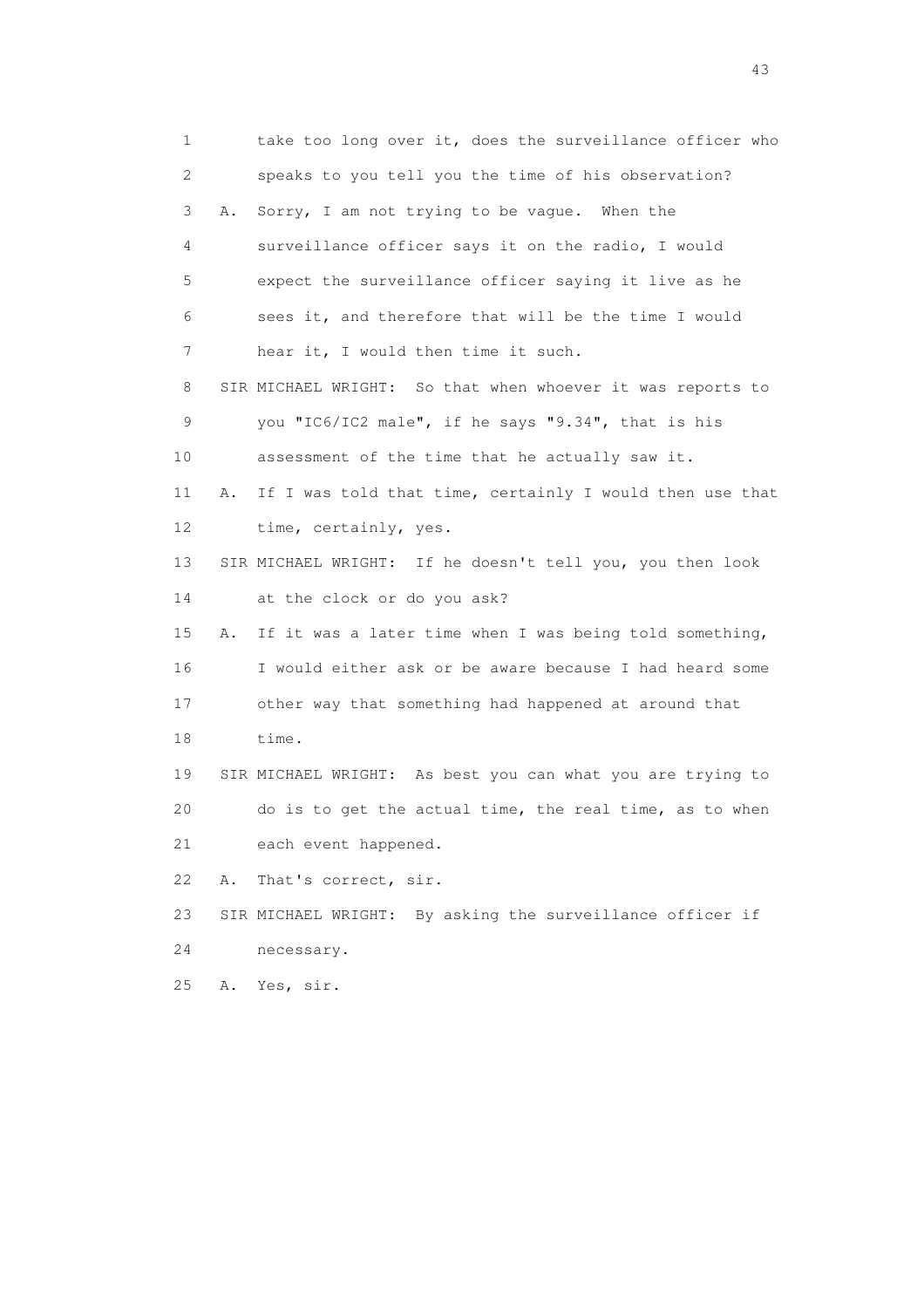1 take too long over it, does the surveillance officer who 2 speaks to you tell you the time of his observation? 3 A. Sorry, I am not trying to be vague. When the 4 surveillance officer says it on the radio, I would 5 expect the surveillance officer saying it live as he 6 sees it, and therefore that will be the time I would 7 hear it, I would then time it such. 8 SIR MICHAEL WRIGHT: So that when whoever it was reports to 9 you "IC6/IC2 male", if he says "9.34", that is his 10 assessment of the time that he actually saw it. 11 A. If I was told that time, certainly I would then use that 12 time, certainly, yes. 13 SIR MICHAEL WRIGHT: If he doesn't tell you, you then look 14 at the clock or do you ask? 15 A. If it was a later time when I was being told something, 16 I would either ask or be aware because I had heard some 17 other way that something had happened at around that 18 time. 19 SIR MICHAEL WRIGHT: As best you can what you are trying to 20 do is to get the actual time, the real time, as to when 21 each event happened. 22 A. That's correct, sir. 23 SIR MICHAEL WRIGHT: By asking the surveillance officer if 24 necessary. 25 A. Yes, sir.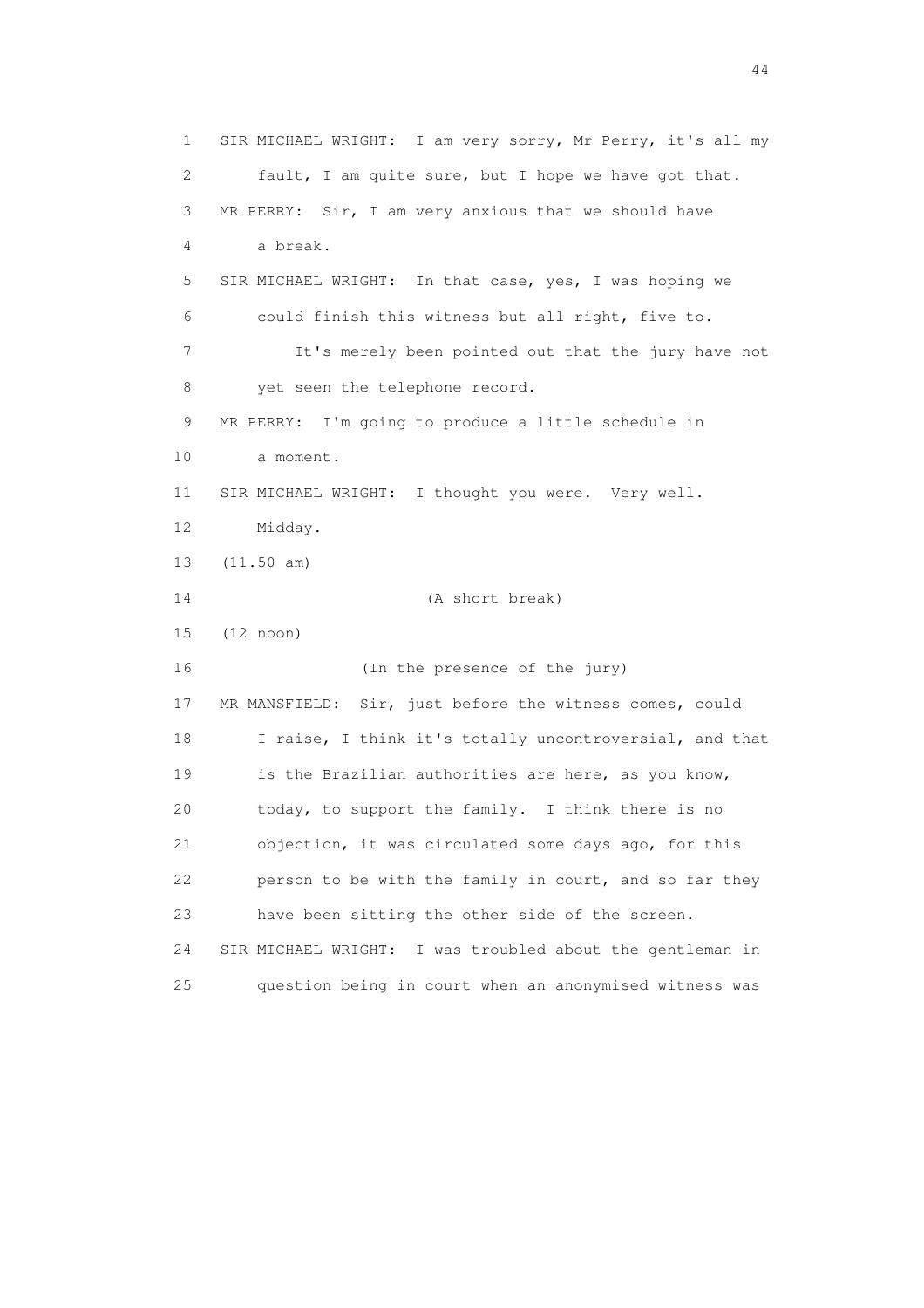1 SIR MICHAEL WRIGHT: I am very sorry, Mr Perry, it's all my 2 fault, I am quite sure, but I hope we have got that. 3 MR PERRY: Sir, I am very anxious that we should have 4 a break. 5 SIR MICHAEL WRIGHT: In that case, yes, I was hoping we 6 could finish this witness but all right, five to. 7 It's merely been pointed out that the jury have not 8 yet seen the telephone record. 9 MR PERRY: I'm going to produce a little schedule in 10 a moment. 11 SIR MICHAEL WRIGHT: I thought you were. Very well. 12 Midday. 13 (11.50 am) 14 (A short break) 15 (12 noon) 16 (In the presence of the jury) 17 MR MANSFIELD: Sir, just before the witness comes, could 18 I raise, I think it's totally uncontroversial, and that 19 is the Brazilian authorities are here, as you know, 20 today, to support the family. I think there is no 21 objection, it was circulated some days ago, for this 22 person to be with the family in court, and so far they 23 have been sitting the other side of the screen. 24 SIR MICHAEL WRIGHT: I was troubled about the gentleman in 25 question being in court when an anonymised witness was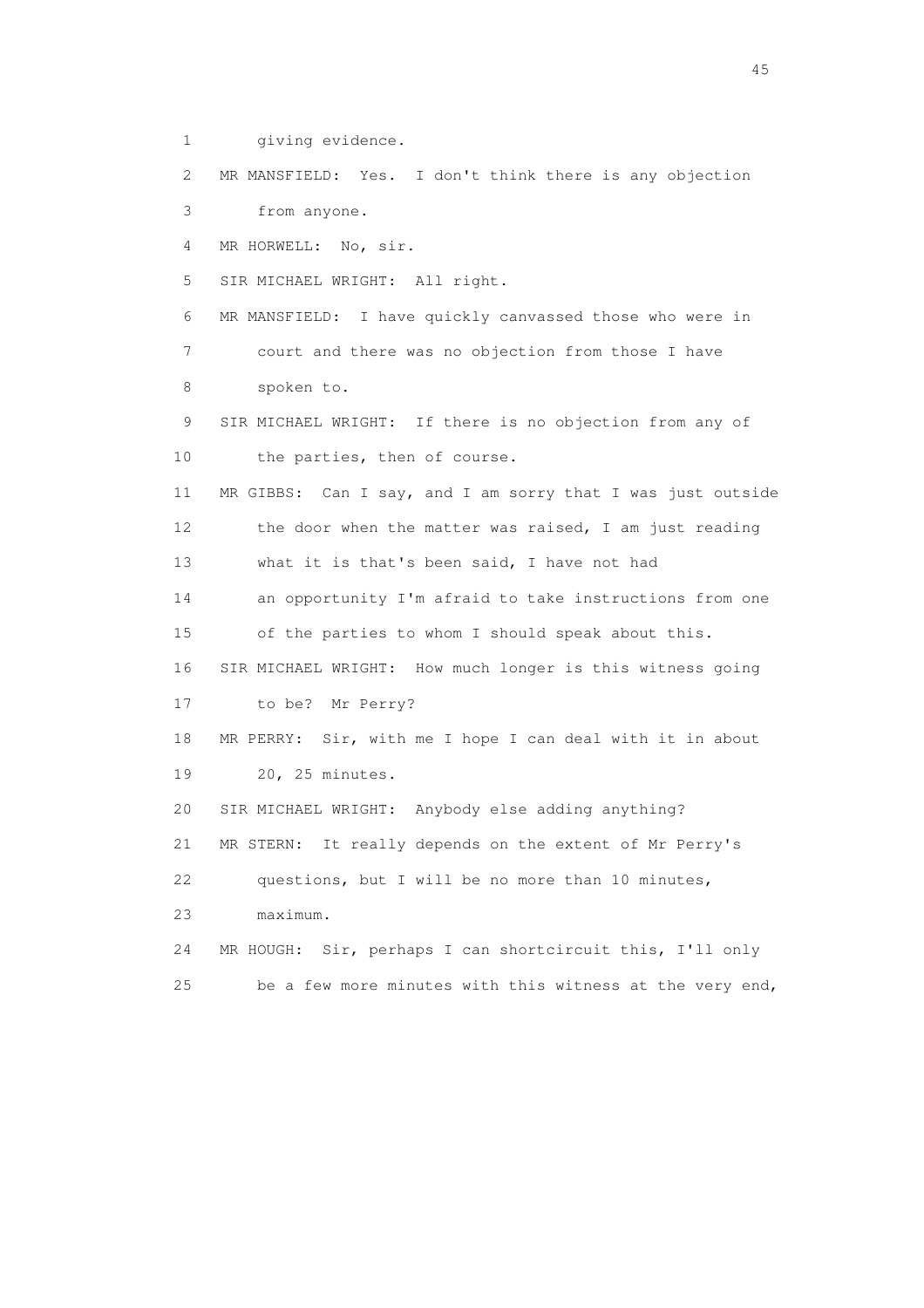1 giving evidence.

 2 MR MANSFIELD: Yes. I don't think there is any objection 3 from anyone.

4 MR HORWELL: No, sir.

5 SIR MICHAEL WRIGHT: All right.

 6 MR MANSFIELD: I have quickly canvassed those who were in 7 court and there was no objection from those I have 8 spoken to.

 9 SIR MICHAEL WRIGHT: If there is no objection from any of 10 the parties, then of course.

 11 MR GIBBS: Can I say, and I am sorry that I was just outside 12 the door when the matter was raised, I am just reading 13 what it is that's been said, I have not had

14 an opportunity I'm afraid to take instructions from one

15 of the parties to whom I should speak about this.

16 SIR MICHAEL WRIGHT: How much longer is this witness going

17 to be? Mr Perry?

 18 MR PERRY: Sir, with me I hope I can deal with it in about 19 20, 25 minutes.

20 SIR MICHAEL WRIGHT: Anybody else adding anything?

21 MR STERN: It really depends on the extent of Mr Perry's

22 questions, but I will be no more than 10 minutes,

23 maximum.

 24 MR HOUGH: Sir, perhaps I can shortcircuit this, I'll only 25 be a few more minutes with this witness at the very end,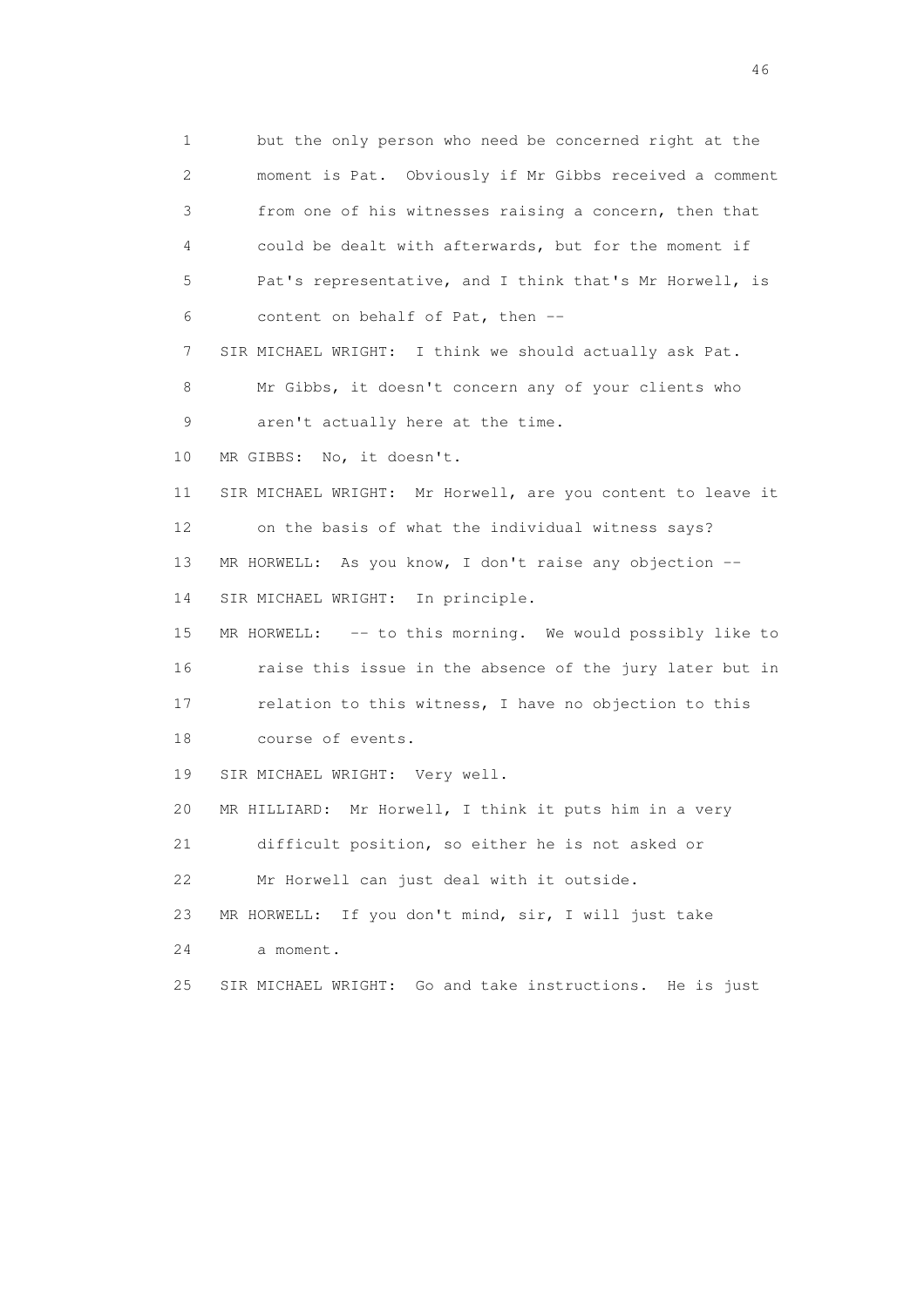1 but the only person who need be concerned right at the 2 moment is Pat. Obviously if Mr Gibbs received a comment 3 from one of his witnesses raising a concern, then that 4 could be dealt with afterwards, but for the moment if 5 Pat's representative, and I think that's Mr Horwell, is 6 content on behalf of Pat, then -- 7 SIR MICHAEL WRIGHT: I think we should actually ask Pat. 8 Mr Gibbs, it doesn't concern any of your clients who 9 aren't actually here at the time. 10 MR GIBBS: No, it doesn't. 11 SIR MICHAEL WRIGHT: Mr Horwell, are you content to leave it 12 on the basis of what the individual witness says? 13 MR HORWELL: As you know, I don't raise any objection -- 14 SIR MICHAEL WRIGHT: In principle. 15 MR HORWELL: -- to this morning. We would possibly like to 16 raise this issue in the absence of the jury later but in 17 relation to this witness, I have no objection to this 18 course of events. 19 SIR MICHAEL WRIGHT: Very well. 20 MR HILLIARD: Mr Horwell, I think it puts him in a very 21 difficult position, so either he is not asked or 22 Mr Horwell can just deal with it outside. 23 MR HORWELL: If you don't mind, sir, I will just take 24 a moment. 25 SIR MICHAEL WRIGHT: Go and take instructions. He is just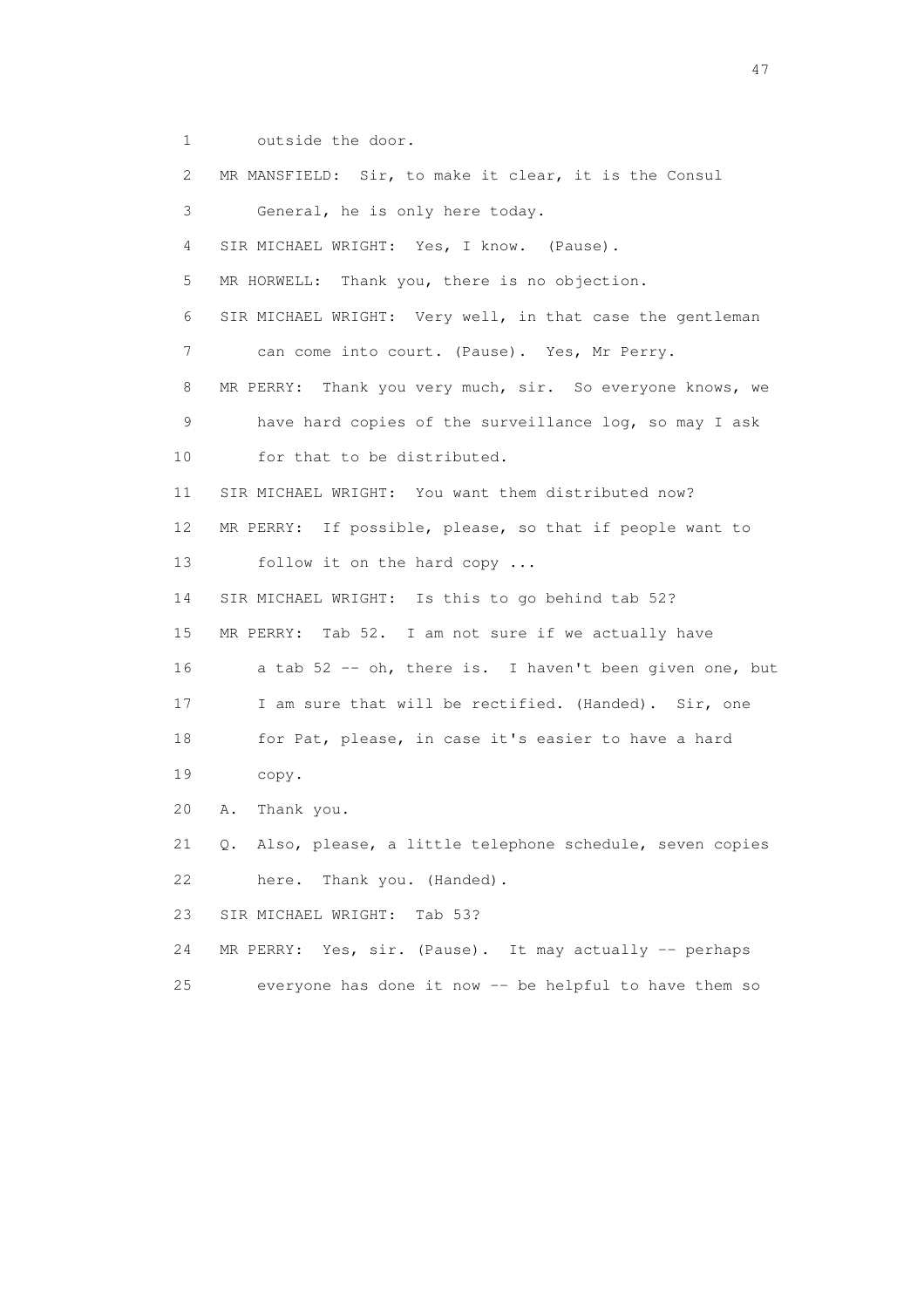1 outside the door.

 2 MR MANSFIELD: Sir, to make it clear, it is the Consul 3 General, he is only here today. 4 SIR MICHAEL WRIGHT: Yes, I know. (Pause). 5 MR HORWELL: Thank you, there is no objection. 6 SIR MICHAEL WRIGHT: Very well, in that case the gentleman 7 can come into court. (Pause). Yes, Mr Perry. 8 MR PERRY: Thank you very much, sir. So everyone knows, we 9 have hard copies of the surveillance log, so may I ask 10 for that to be distributed. 11 SIR MICHAEL WRIGHT: You want them distributed now? 12 MR PERRY: If possible, please, so that if people want to 13 follow it on the hard copy ... 14 SIR MICHAEL WRIGHT: Is this to go behind tab 52? 15 MR PERRY: Tab 52. I am not sure if we actually have 16 a tab 52 -- oh, there is. I haven't been given one, but 17 I am sure that will be rectified. (Handed). Sir, one 18 for Pat, please, in case it's easier to have a hard 19 copy. 20 A. Thank you. 21 Q. Also, please, a little telephone schedule, seven copies 22 here. Thank you. (Handed). 23 SIR MICHAEL WRIGHT: Tab 53? 24 MR PERRY: Yes, sir. (Pause). It may actually -- perhaps 25 everyone has done it now -- be helpful to have them so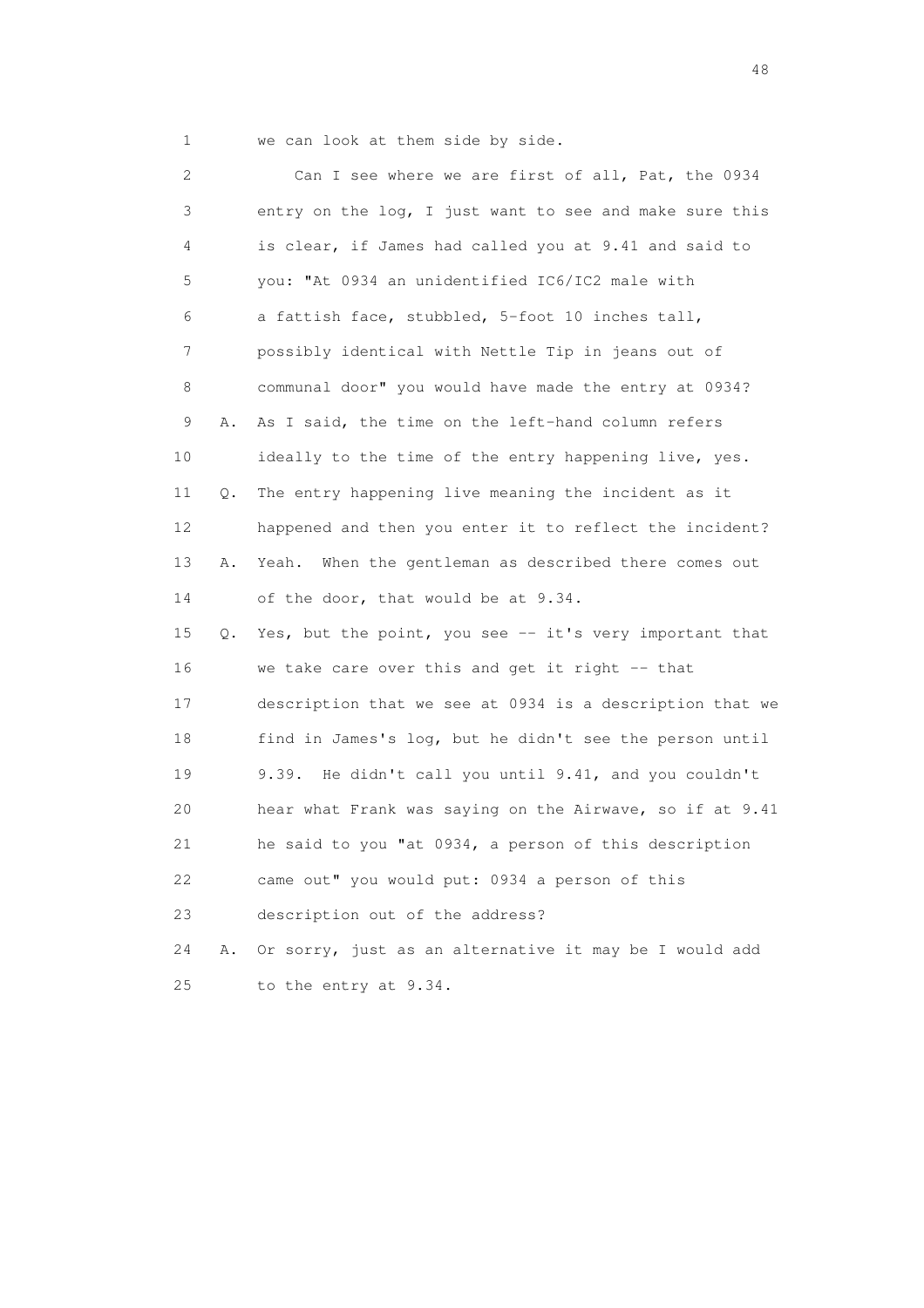1 we can look at them side by side.

 2 Can I see where we are first of all, Pat, the 0934 3 entry on the log, I just want to see and make sure this 4 is clear, if James had called you at 9.41 and said to 5 you: "At 0934 an unidentified IC6/IC2 male with 6 a fattish face, stubbled, 5-foot 10 inches tall, 7 possibly identical with Nettle Tip in jeans out of 8 communal door" you would have made the entry at 0934? 9 A. As I said, the time on the left-hand column refers 10 ideally to the time of the entry happening live, yes. 11 Q. The entry happening live meaning the incident as it 12 happened and then you enter it to reflect the incident? 13 A. Yeah. When the gentleman as described there comes out 14 of the door, that would be at 9.34. 15 Q. Yes, but the point, you see -- it's very important that 16 we take care over this and get it right -- that 17 description that we see at 0934 is a description that we 18 find in James's log, but he didn't see the person until 19 9.39. He didn't call you until 9.41, and you couldn't 20 hear what Frank was saying on the Airwave, so if at 9.41 21 he said to you "at 0934, a person of this description 22 came out" you would put: 0934 a person of this 23 description out of the address? 24 A. Or sorry, just as an alternative it may be I would add 25 to the entry at 9.34.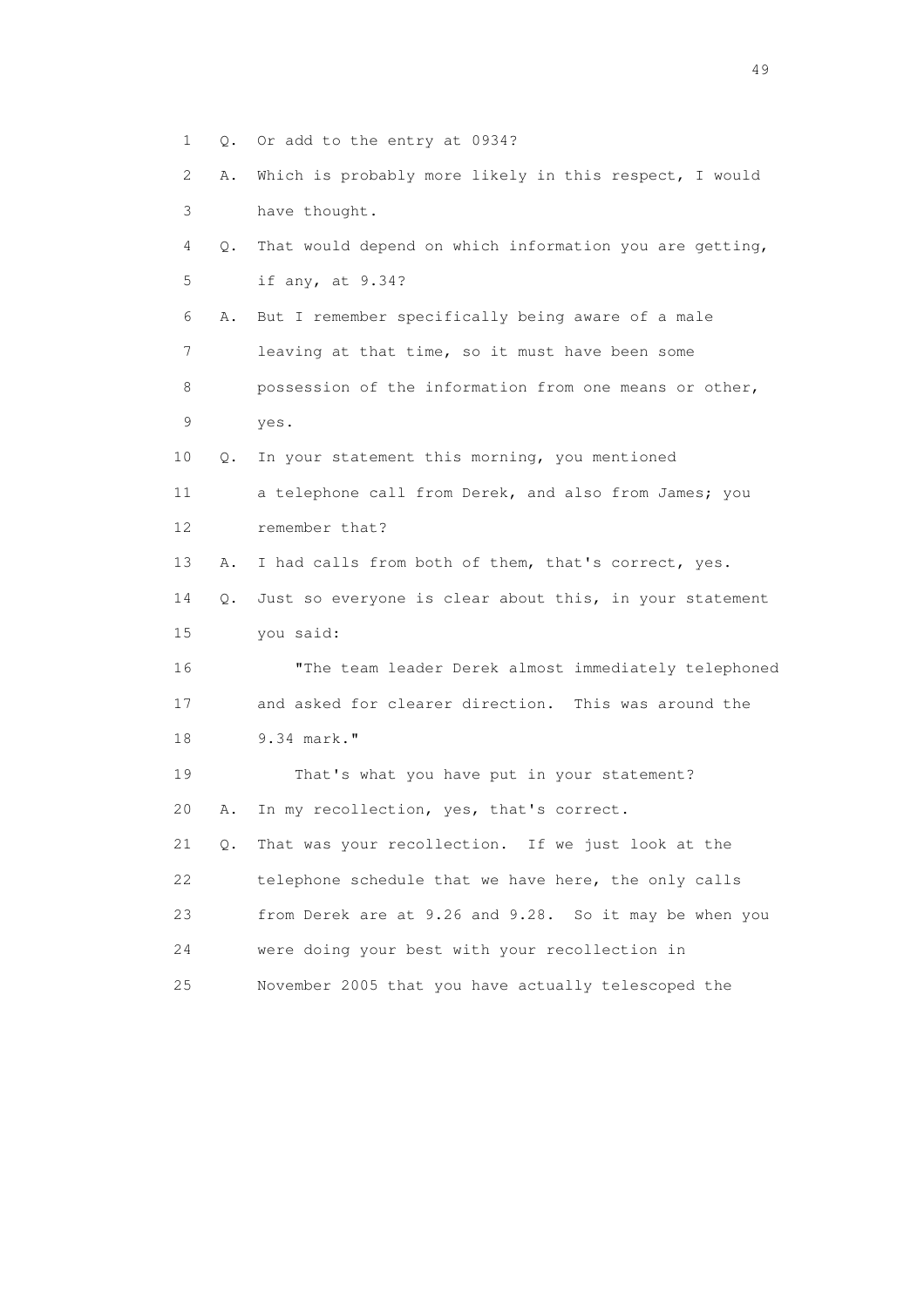1 Q. Or add to the entry at 0934? 2 A. Which is probably more likely in this respect, I would 3 have thought. 4 Q. That would depend on which information you are getting, 5 if any, at 9.34? 6 A. But I remember specifically being aware of a male 7 leaving at that time, so it must have been some 8 possession of the information from one means or other, 9 yes. 10 Q. In your statement this morning, you mentioned 11 a telephone call from Derek, and also from James; you 12 remember that? 13 A. I had calls from both of them, that's correct, yes. 14 Q. Just so everyone is clear about this, in your statement 15 you said: 16 "The team leader Derek almost immediately telephoned 17 and asked for clearer direction. This was around the 18 9.34 mark." 19 That's what you have put in your statement? 20 A. In my recollection, yes, that's correct. 21 Q. That was your recollection. If we just look at the 22 telephone schedule that we have here, the only calls 23 from Derek are at 9.26 and 9.28. So it may be when you 24 were doing your best with your recollection in 25 November 2005 that you have actually telescoped the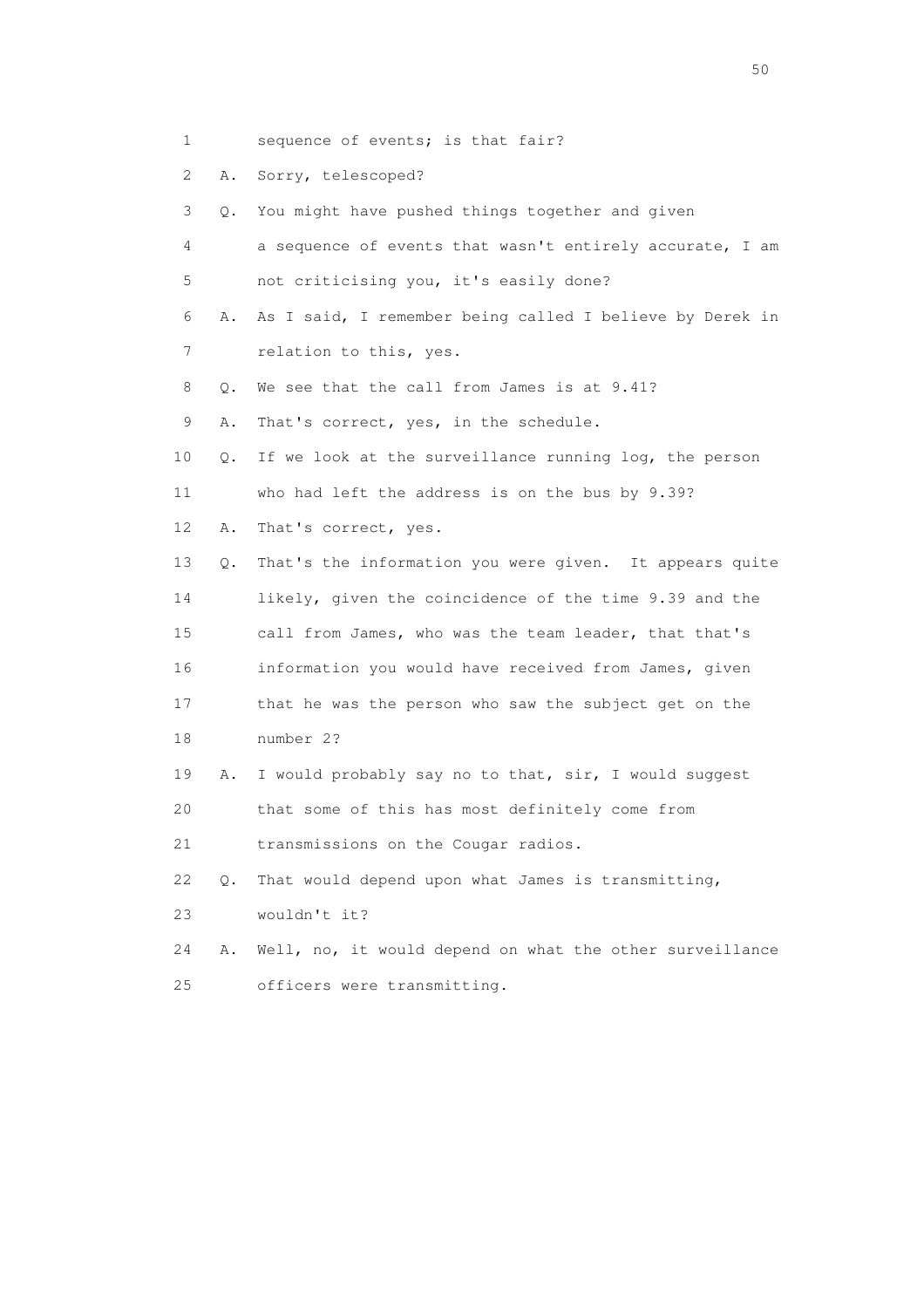- 1 sequence of events; is that fair?
- 2 A. Sorry, telescoped?
- 3 Q. You might have pushed things together and given
- 4 a sequence of events that wasn't entirely accurate, I am 5 not criticising you, it's easily done?
- 6 A. As I said, I remember being called I believe by Derek in 7 relation to this, yes.
- 8 0. We see that the call from James is at 9.41?
- 9 A. That's correct, yes, in the schedule.
- 10 Q. If we look at the surveillance running log, the person
- 11 who had left the address is on the bus by 9.39?
- 12 A. That's correct, yes.
- 13 Q. That's the information you were given. It appears quite 14 likely, given the coincidence of the time 9.39 and the 15 call from James, who was the team leader, that that's 16 information you would have received from James, given 17 that he was the person who saw the subject get on the 18 number 2?
- 19 A. I would probably say no to that, sir, I would suggest 20 that some of this has most definitely come from
- 21 transmissions on the Cougar radios.
- 22 Q. That would depend upon what James is transmitting,
- 23 wouldn't it?
- 24 A. Well, no, it would depend on what the other surveillance 25 officers were transmitting.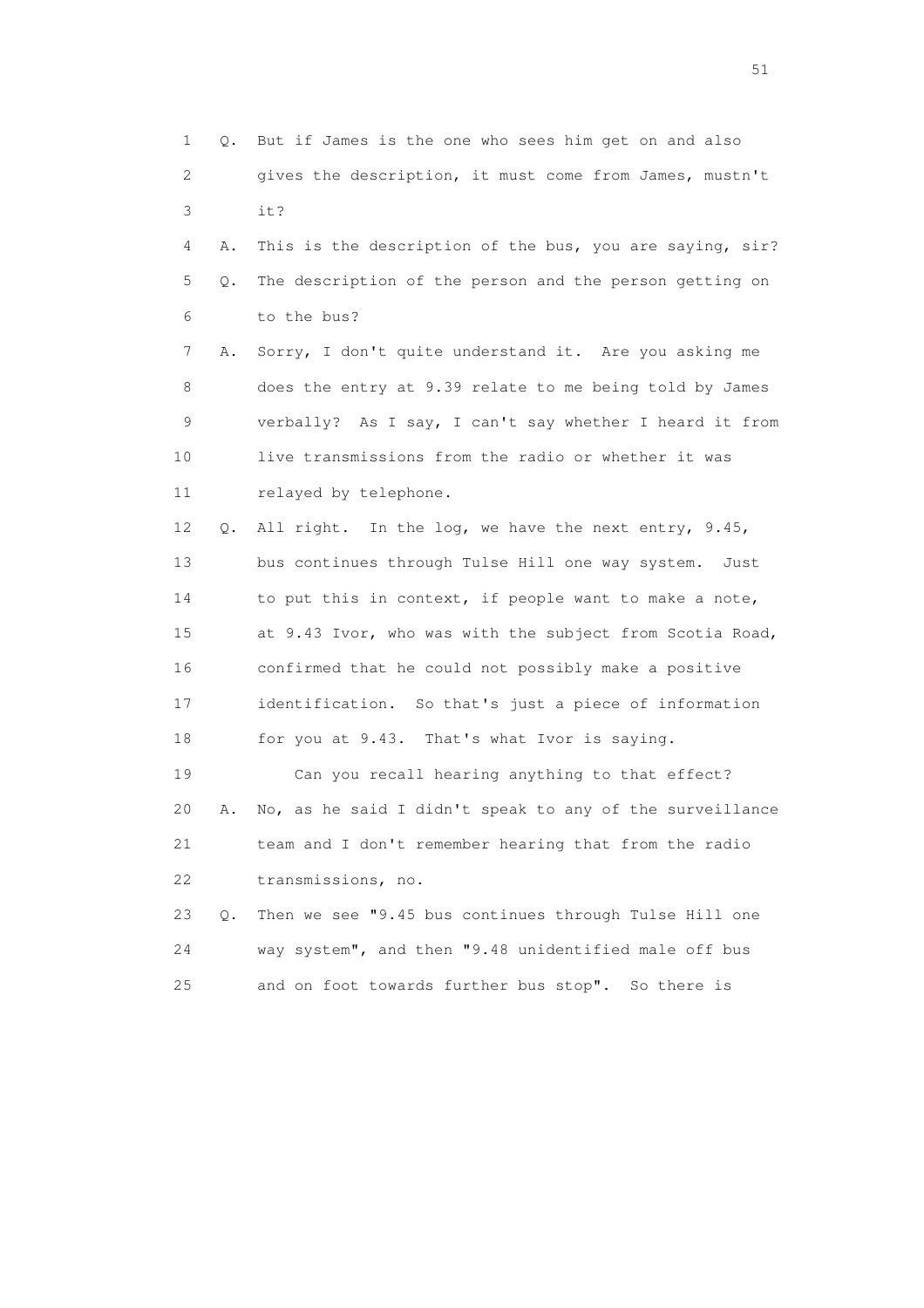1 Q. But if James is the one who sees him get on and also 2 gives the description, it must come from James, mustn't 3 it? 4 A. This is the description of the bus, you are saying, sir? 5 Q. The description of the person and the person getting on 6 to the bus? 7 A. Sorry, I don't quite understand it. Are you asking me 8 does the entry at 9.39 relate to me being told by James 9 verbally? As I say, I can't say whether I heard it from 10 live transmissions from the radio or whether it was 11 relayed by telephone. 12 Q. All right. In the log, we have the next entry, 9.45, 13 bus continues through Tulse Hill one way system. Just 14 to put this in context, if people want to make a note, 15 at 9.43 Ivor, who was with the subject from Scotia Road, 16 confirmed that he could not possibly make a positive 17 identification. So that's just a piece of information 18 for you at 9.43. That's what Ivor is saying. 19 Can you recall hearing anything to that effect? 20 A. No, as he said I didn't speak to any of the surveillance 21 team and I don't remember hearing that from the radio 22 transmissions, no. 23 Q. Then we see "9.45 bus continues through Tulse Hill one 24 way system", and then "9.48 unidentified male off bus 25 and on foot towards further bus stop". So there is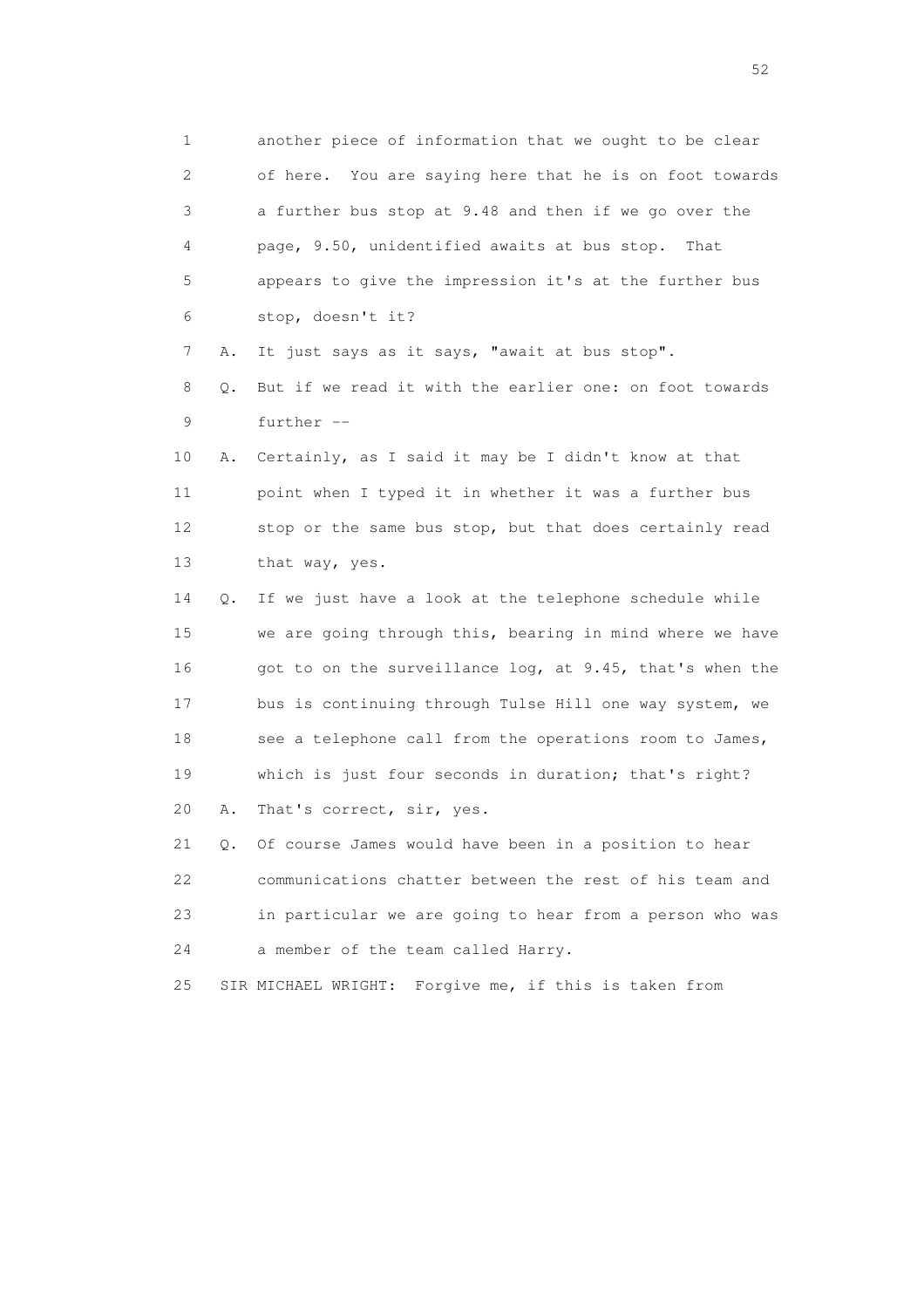1 another piece of information that we ought to be clear 2 of here. You are saying here that he is on foot towards 3 a further bus stop at 9.48 and then if we go over the 4 page, 9.50, unidentified awaits at bus stop. That 5 appears to give the impression it's at the further bus 6 stop, doesn't it? 7 A. It just says as it says, "await at bus stop". 8 Q. But if we read it with the earlier one: on foot towards 9 further -- 10 A. Certainly, as I said it may be I didn't know at that 11 point when I typed it in whether it was a further bus 12 stop or the same bus stop, but that does certainly read 13 that way, yes. 14 Q. If we just have a look at the telephone schedule while 15 we are going through this, bearing in mind where we have 16 got to on the surveillance log, at 9.45, that's when the 17 bus is continuing through Tulse Hill one way system, we 18 see a telephone call from the operations room to James, 19 which is just four seconds in duration; that's right? 20 A. That's correct, sir, yes. 21 Q. Of course James would have been in a position to hear 22 communications chatter between the rest of his team and 23 in particular we are going to hear from a person who was 24 a member of the team called Harry. 25 SIR MICHAEL WRIGHT: Forgive me, if this is taken from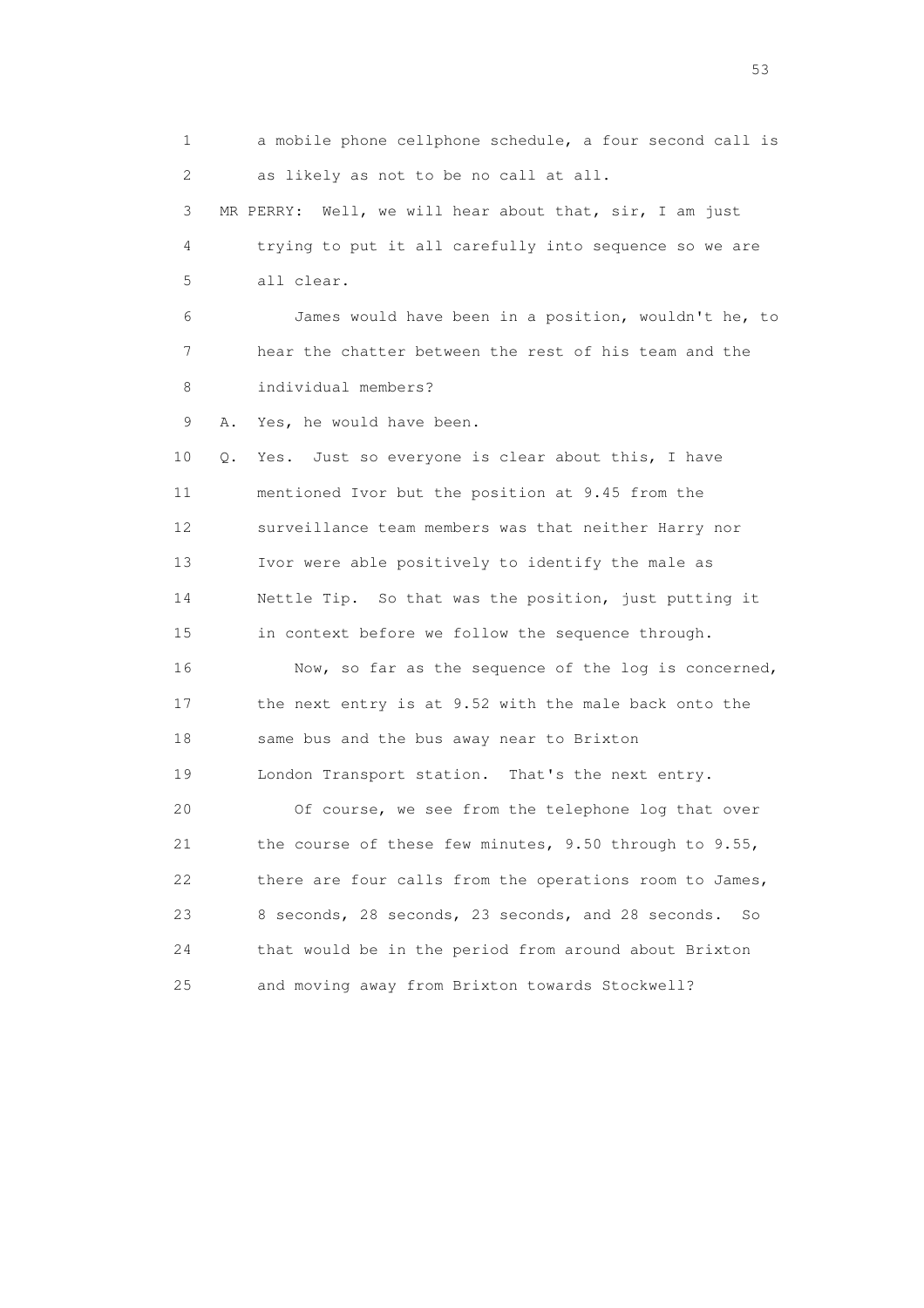1 a mobile phone cellphone schedule, a four second call is 2 as likely as not to be no call at all. 3 MR PERRY: Well, we will hear about that, sir, I am just 4 trying to put it all carefully into sequence so we are 5 all clear. 6 James would have been in a position, wouldn't he, to 7 hear the chatter between the rest of his team and the 8 individual members? 9 A. Yes, he would have been. 10 Q. Yes. Just so everyone is clear about this, I have 11 mentioned Ivor but the position at 9.45 from the 12 surveillance team members was that neither Harry nor 13 Ivor were able positively to identify the male as 14 Nettle Tip. So that was the position, just putting it 15 in context before we follow the sequence through. 16 Now, so far as the sequence of the log is concerned, 17 the next entry is at 9.52 with the male back onto the 18 same bus and the bus away near to Brixton 19 London Transport station. That's the next entry. 20 Of course, we see from the telephone log that over 21 the course of these few minutes, 9.50 through to 9.55, 22 there are four calls from the operations room to James, 23 8 seconds, 28 seconds, 23 seconds, and 28 seconds. So 24 that would be in the period from around about Brixton 25 and moving away from Brixton towards Stockwell?

 $\sim$  53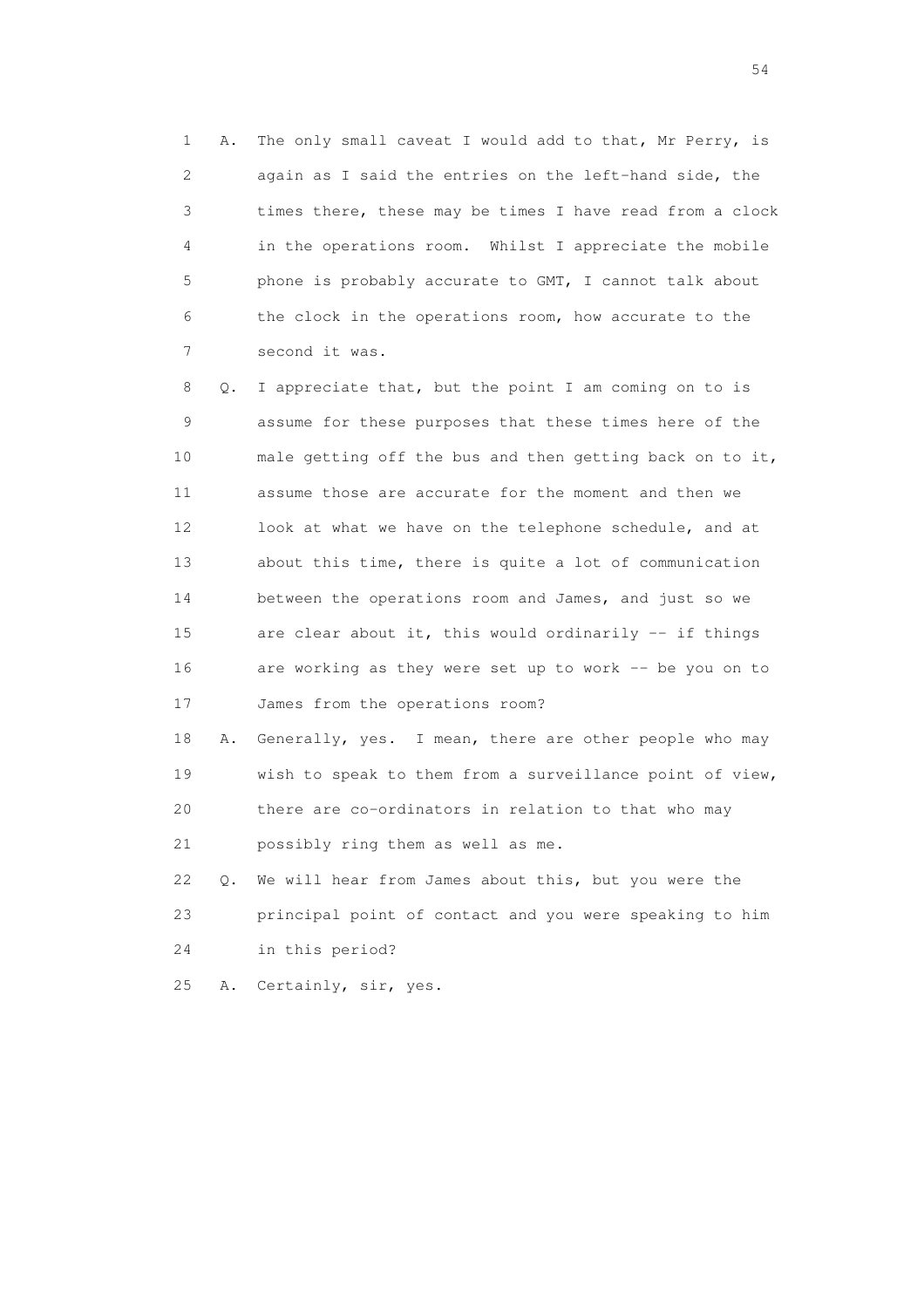1 A. The only small caveat I would add to that, Mr Perry, is 2 again as I said the entries on the left-hand side, the 3 times there, these may be times I have read from a clock 4 in the operations room. Whilst I appreciate the mobile 5 phone is probably accurate to GMT, I cannot talk about 6 the clock in the operations room, how accurate to the 7 second it was.

 8 Q. I appreciate that, but the point I am coming on to is 9 assume for these purposes that these times here of the 10 male getting off the bus and then getting back on to it, 11 assume those are accurate for the moment and then we 12 look at what we have on the telephone schedule, and at 13 about this time, there is quite a lot of communication 14 between the operations room and James, and just so we 15 are clear about it, this would ordinarily -- if things 16 are working as they were set up to work -- be you on to 17 James from the operations room?

 18 A. Generally, yes. I mean, there are other people who may 19 wish to speak to them from a surveillance point of view, 20 there are co-ordinators in relation to that who may 21 possibly ring them as well as me.

 22 Q. We will hear from James about this, but you were the 23 principal point of contact and you were speaking to him 24 in this period?

25 A. Certainly, sir, yes.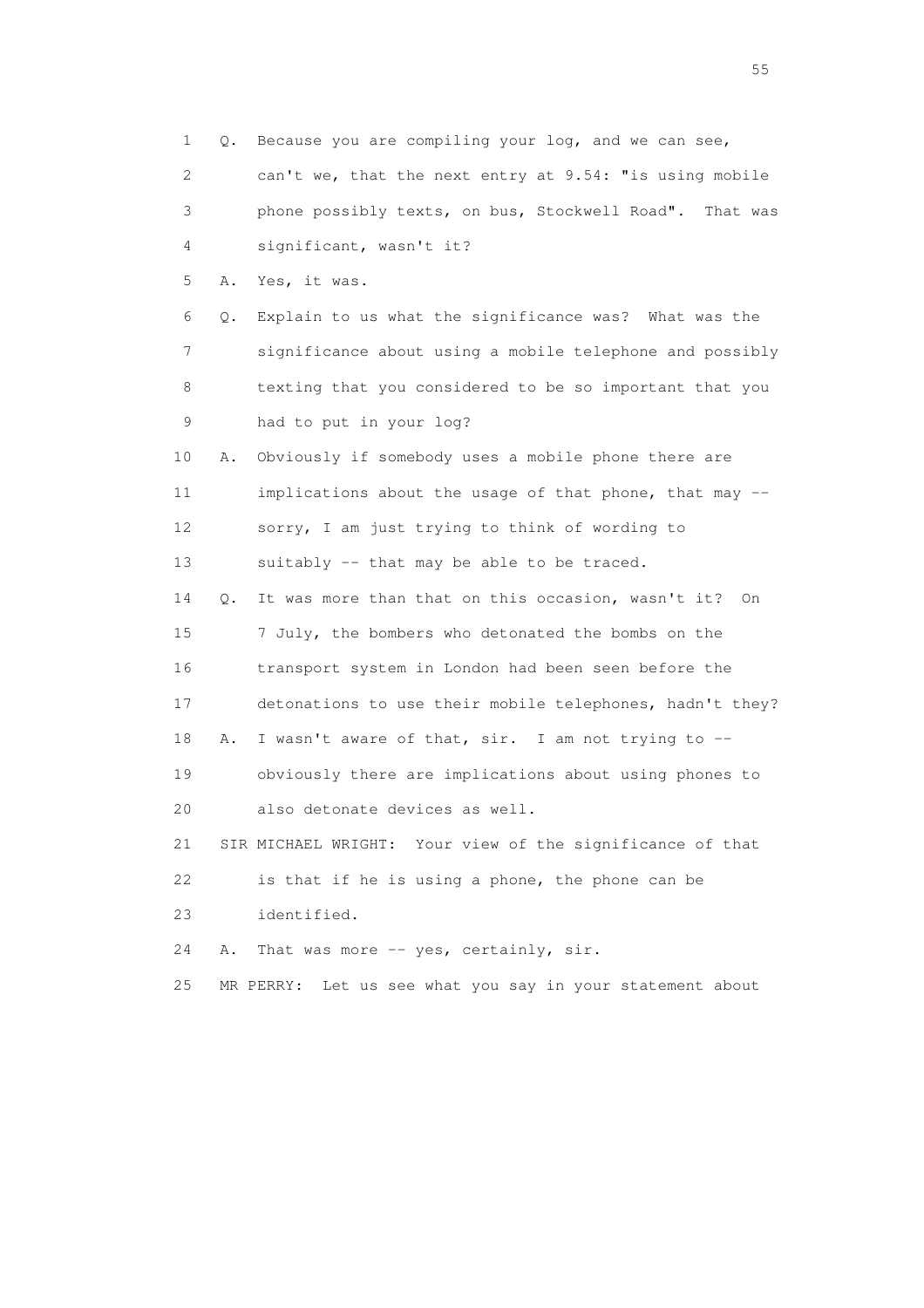1 Q. Because you are compiling your log, and we can see, 2 can't we, that the next entry at 9.54: "is using mobile 3 phone possibly texts, on bus, Stockwell Road". That was 4 significant, wasn't it? 5 A. Yes, it was. 6 Q. Explain to us what the significance was? What was the 7 significance about using a mobile telephone and possibly 8 texting that you considered to be so important that you 9 had to put in your log? 10 A. Obviously if somebody uses a mobile phone there are 11 implications about the usage of that phone, that may -- 12 sorry, I am just trying to think of wording to 13 suitably -- that may be able to be traced. 14 Q. It was more than that on this occasion, wasn't it? On 15 7 July, the bombers who detonated the bombs on the 16 transport system in London had been seen before the 17 detonations to use their mobile telephones, hadn't they? 18 A. I wasn't aware of that, sir. I am not trying to -- 19 obviously there are implications about using phones to 20 also detonate devices as well. 21 SIR MICHAEL WRIGHT: Your view of the significance of that 22 is that if he is using a phone, the phone can be 23 identified. 24 A. That was more -- yes, certainly, sir. 25 MR PERRY: Let us see what you say in your statement about

the state of the state of the state of the state of the state of the state of the state of the state of the state of the state of the state of the state of the state of the state of the state of the state of the state of t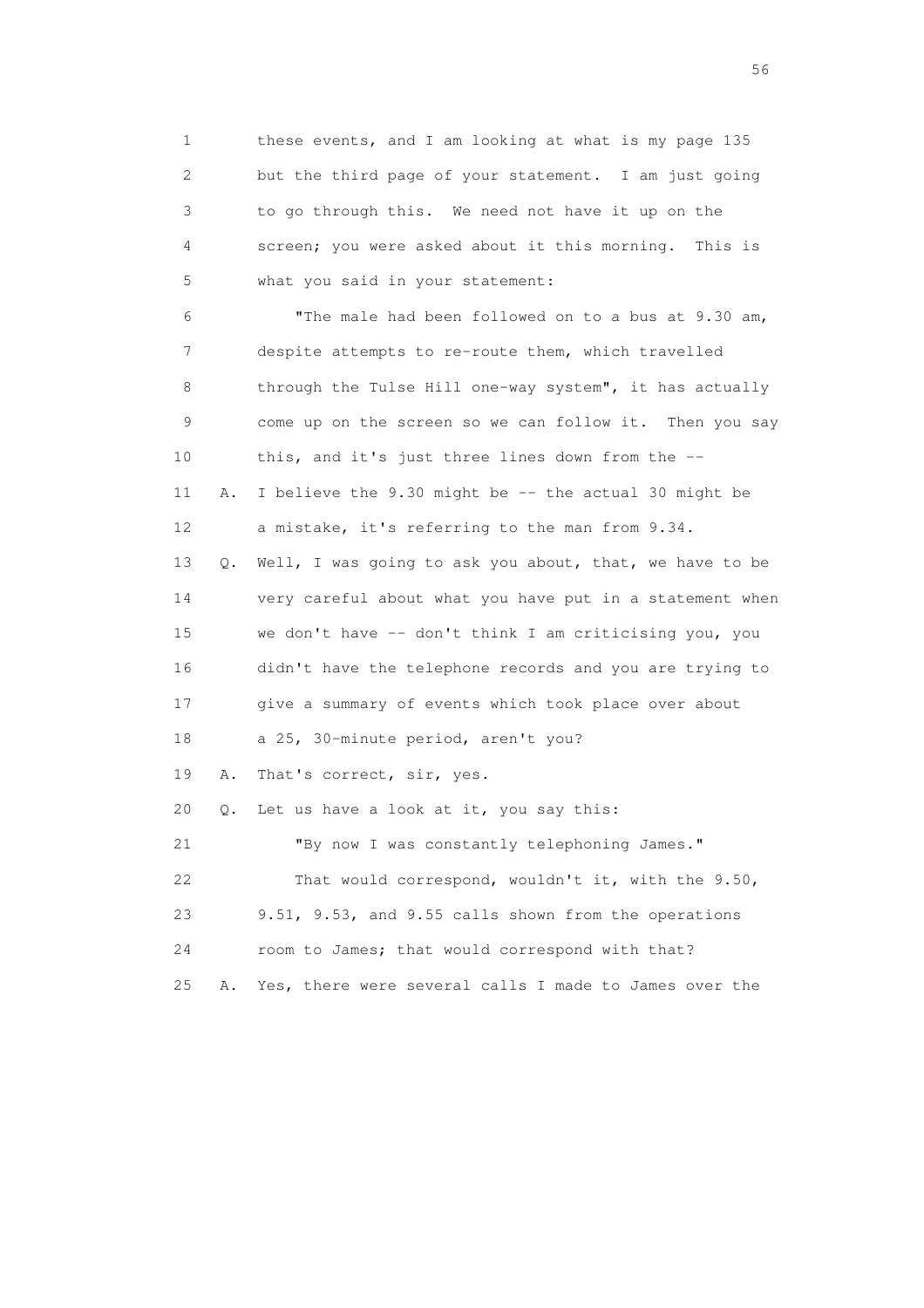1 these events, and I am looking at what is my page 135 2 but the third page of your statement. I am just going 3 to go through this. We need not have it up on the 4 screen; you were asked about it this morning. This is 5 what you said in your statement: 6 "The male had been followed on to a bus at 9.30 am, 7 despite attempts to re-route them, which travelled 8 through the Tulse Hill one-way system", it has actually 9 come up on the screen so we can follow it. Then you say 10 this, and it's just three lines down from the -- 11 A. I believe the 9.30 might be -- the actual 30 might be 12 a mistake, it's referring to the man from 9.34. 13 Q. Well, I was going to ask you about, that, we have to be 14 very careful about what you have put in a statement when 15 we don't have -- don't think I am criticising you, you 16 didn't have the telephone records and you are trying to 17 give a summary of events which took place over about 18 a 25, 30-minute period, aren't you? 19 A. That's correct, sir, yes. 20 Q. Let us have a look at it, you say this: 21 "By now I was constantly telephoning James." 22 That would correspond, wouldn't it, with the 9.50, 23 9.51, 9.53, and 9.55 calls shown from the operations 24 room to James; that would correspond with that? 25 A. Yes, there were several calls I made to James over the

 $56<sup>o</sup>$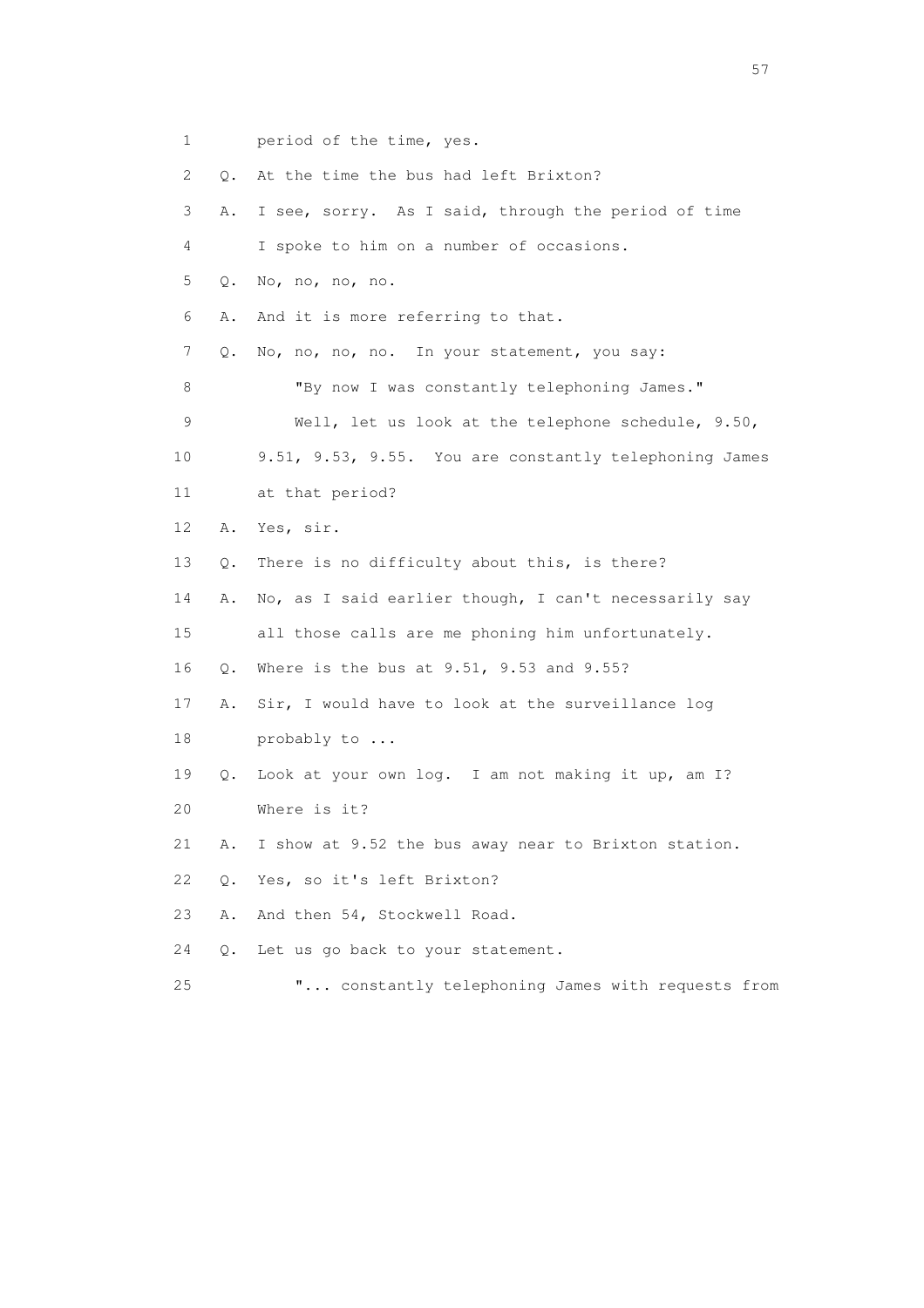1 period of the time, yes.

| 2  | Q. | At the time the bus had left Brixton?                  |
|----|----|--------------------------------------------------------|
| 3  | Α. | I see, sorry. As I said, through the period of time    |
| 4  |    | I spoke to him on a number of occasions.               |
| 5  | Q. | No, no, no, no.                                        |
| 6  | Α. | And it is more referring to that.                      |
| 7  | Q. | No, no, no, no. In your statement, you say:            |
| 8  |    | "By now I was constantly telephoning James."           |
| 9  |    | Well, let us look at the telephone schedule, 9.50,     |
| 10 |    | 9.51, 9.53, 9.55. You are constantly telephoning James |
| 11 |    | at that period?                                        |
| 12 | Α. | Yes, sir.                                              |
| 13 | Q. | There is no difficulty about this, is there?           |
| 14 | Α. | No, as I said earlier though, I can't necessarily say  |
| 15 |    | all those calls are me phoning him unfortunately.      |
| 16 | Q. | Where is the bus at 9.51, 9.53 and 9.55?               |
| 17 | Α. | Sir, I would have to look at the surveillance log      |
| 18 |    | probably to                                            |
| 19 | Q. | Look at your own log. I am not making it up, am I?     |
| 20 |    | Where is it?                                           |
| 21 | Α. | I show at 9.52 the bus away near to Brixton station.   |
| 22 | Q. | Yes, so it's left Brixton?                             |
| 23 | Α. | And then 54, Stockwell Road.                           |
| 24 | Q. | Let us go back to your statement.                      |
| 25 |    | " constantly telephoning James with requests from      |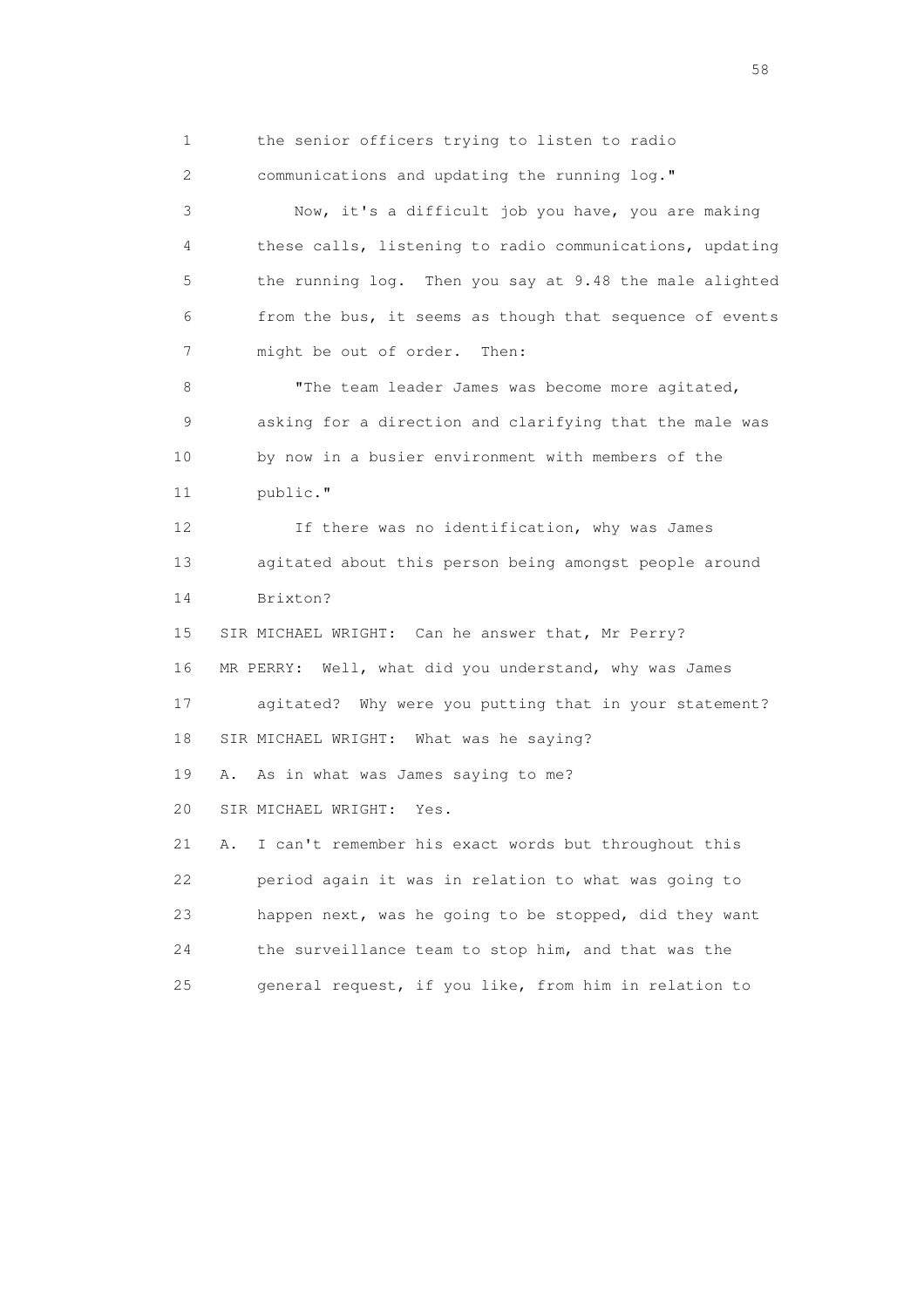1 the senior officers trying to listen to radio

2 communications and updating the running log."

 3 Now, it's a difficult job you have, you are making 4 these calls, listening to radio communications, updating 5 the running log. Then you say at 9.48 the male alighted 6 from the bus, it seems as though that sequence of events 7 might be out of order. Then:

8 "The team leader James was become more agitated, 9 asking for a direction and clarifying that the male was 10 by now in a busier environment with members of the 11 public."

 12 If there was no identification, why was James 13 agitated about this person being amongst people around 14 Brixton?

 15 SIR MICHAEL WRIGHT: Can he answer that, Mr Perry? 16 MR PERRY: Well, what did you understand, why was James 17 agitated? Why were you putting that in your statement? 18 SIR MICHAEL WRIGHT: What was he saying? 19 A. As in what was James saying to me? 20 SIR MICHAEL WRIGHT: Yes. 21 A. I can't remember his exact words but throughout this 22 period again it was in relation to what was going to 23 happen next, was he going to be stopped, did they want 24 the surveillance team to stop him, and that was the

25 general request, if you like, from him in relation to

the state of the state of the state of the state of the state of the state of the state of the state of the state of the state of the state of the state of the state of the state of the state of the state of the state of t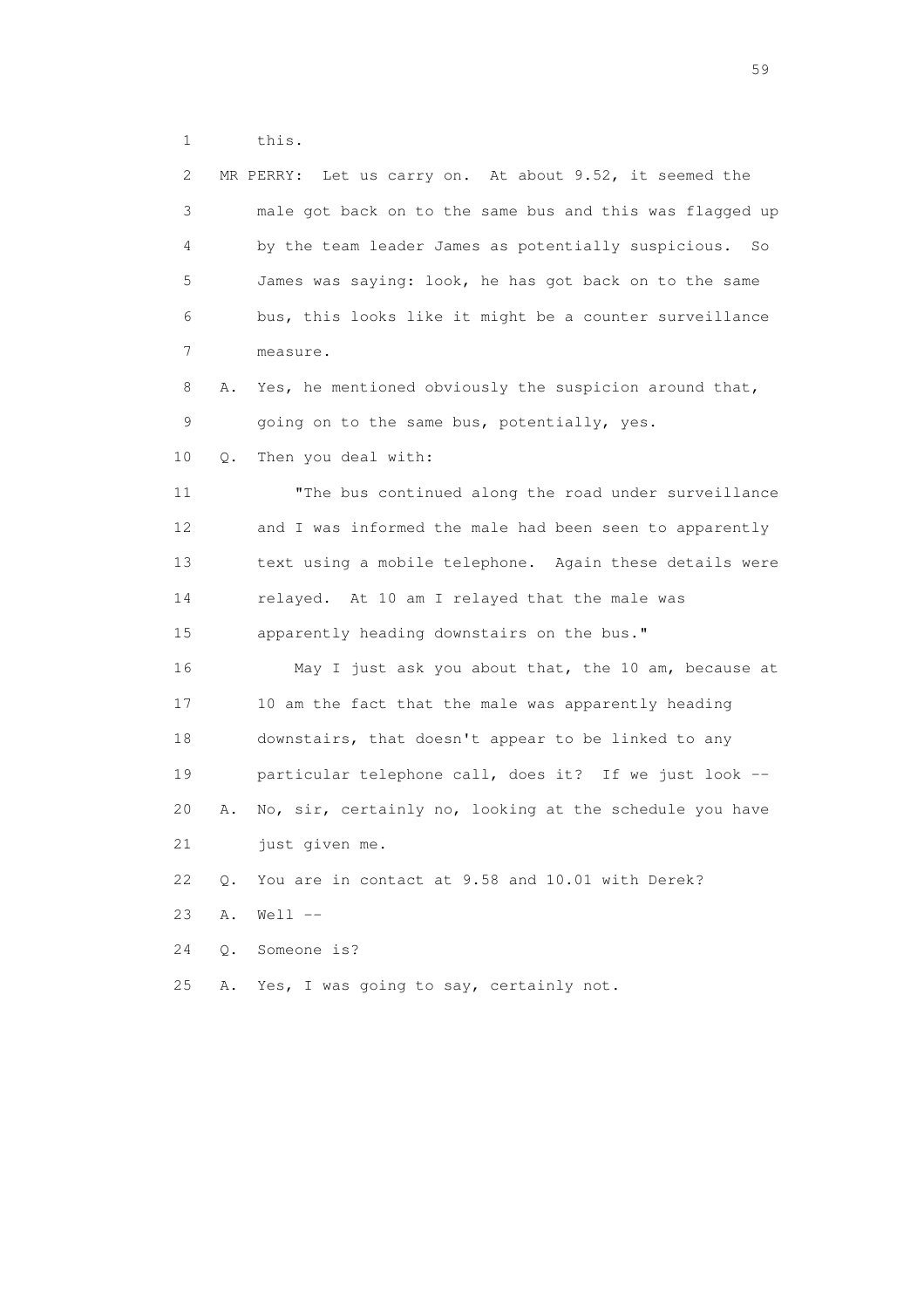1 this.

| 2  |       | Let us carry on. At about 9.52, it seemed the<br>MR PERRY: |
|----|-------|------------------------------------------------------------|
| 3  |       | male got back on to the same bus and this was flagged up   |
| 4  |       | by the team leader James as potentially suspicious.<br>So  |
| 5  |       | James was saying: look, he has got back on to the same     |
| 6  |       | bus, this looks like it might be a counter surveillance    |
| 7  |       | measure.                                                   |
| 8  | Α.    | Yes, he mentioned obviously the suspicion around that,     |
| 9  |       | going on to the same bus, potentially, yes.                |
| 10 | О.    | Then you deal with:                                        |
| 11 |       | "The bus continued along the road under surveillance       |
| 12 |       | and I was informed the male had been seen to apparently    |
| 13 |       | text using a mobile telephone. Again these details were    |
| 14 |       | relayed. At 10 am I relayed that the male was              |
| 15 |       | apparently heading downstairs on the bus."                 |
| 16 |       | May I just ask you about that, the 10 am, because at       |
| 17 |       | 10 am the fact that the male was apparently heading        |
| 18 |       | downstairs, that doesn't appear to be linked to any        |
| 19 |       | particular telephone call, does it? If we just look --     |
| 20 | Α.    | No, sir, certainly no, looking at the schedule you have    |
| 21 |       | just given me.                                             |
| 22 | Q.    | You are in contact at 9.58 and 10.01 with Derek?           |
| 23 | Α.    | $Well1$ $--$                                               |
| 24 | $Q$ . | Someone is?                                                |
| 25 | Α.    | Yes, I was going to say, certainly not.                    |

the contract of the contract of the contract of the contract of the contract of the contract of the contract of the contract of the contract of the contract of the contract of the contract of the contract of the contract o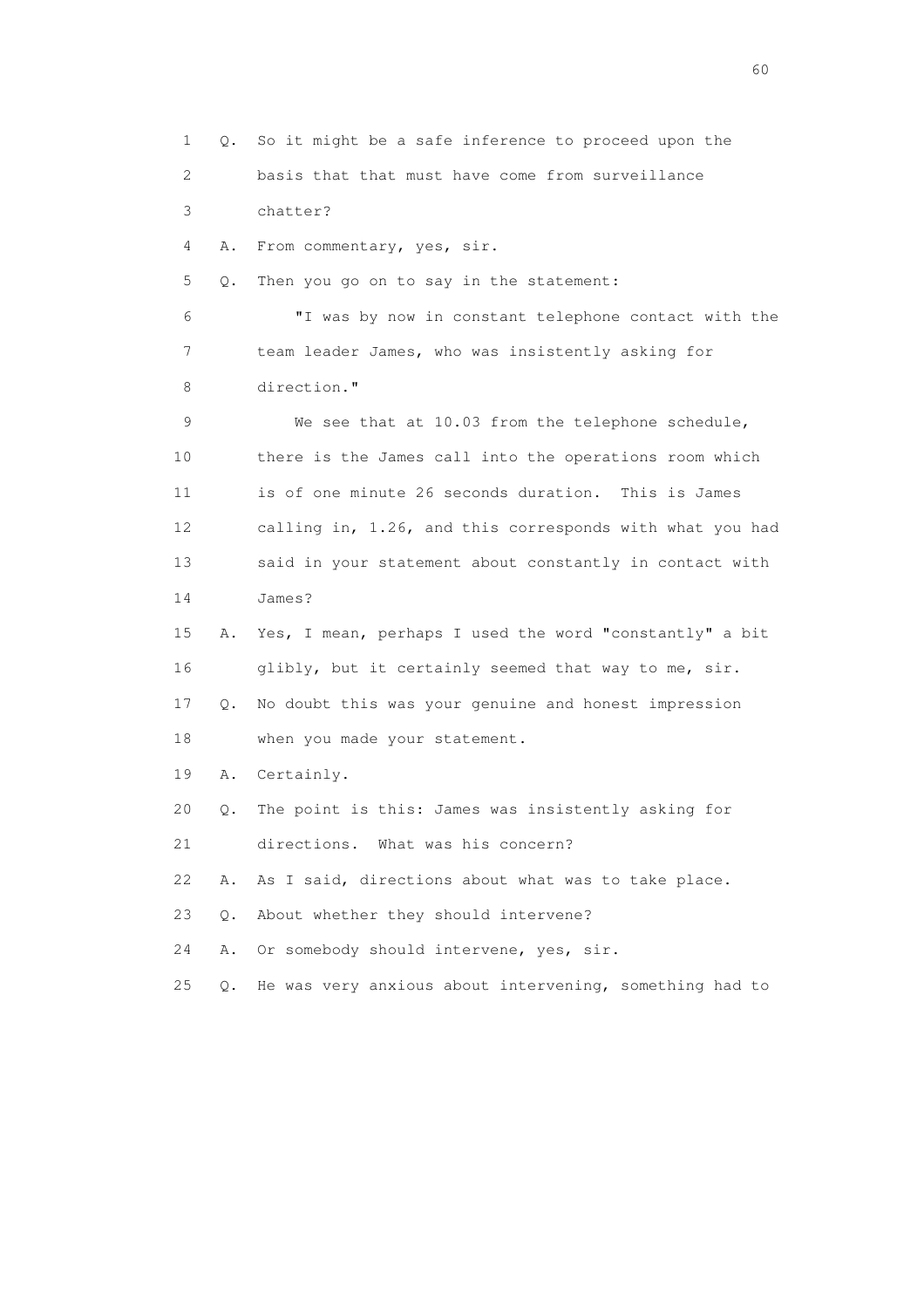1 Q. So it might be a safe inference to proceed upon the 2 basis that that must have come from surveillance 3 chatter? 4 A. From commentary, yes, sir. 5 Q. Then you go on to say in the statement: 6 "I was by now in constant telephone contact with the 7 team leader James, who was insistently asking for 8 direction." 9 We see that at 10.03 from the telephone schedule, 10 there is the James call into the operations room which 11 is of one minute 26 seconds duration. This is James 12 calling in, 1.26, and this corresponds with what you had 13 said in your statement about constantly in contact with 14 James? 15 A. Yes, I mean, perhaps I used the word "constantly" a bit 16 glibly, but it certainly seemed that way to me, sir. 17 Q. No doubt this was your genuine and honest impression 18 when you made your statement. 19 A. Certainly. 20 Q. The point is this: James was insistently asking for 21 directions. What was his concern? 22 A. As I said, directions about what was to take place. 23 Q. About whether they should intervene? 24 A. Or somebody should intervene, yes, sir. 25 Q. He was very anxious about intervening, something had to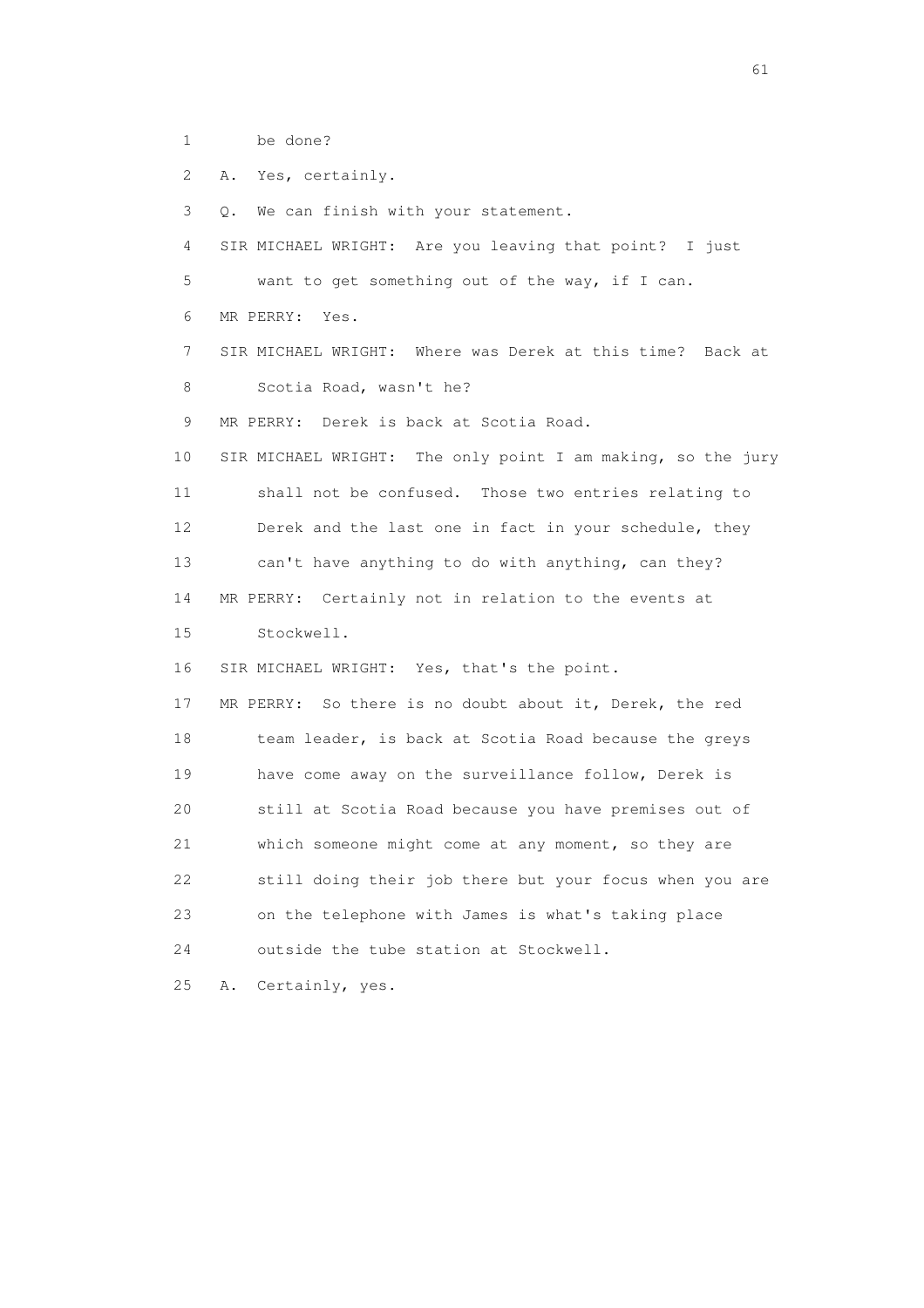1 be done?

2 A. Yes, certainly.

 3 Q. We can finish with your statement. 4 SIR MICHAEL WRIGHT: Are you leaving that point? I just 5 want to get something out of the way, if I can. 6 MR PERRY: Yes. 7 SIR MICHAEL WRIGHT: Where was Derek at this time? Back at 8 Scotia Road, wasn't he? 9 MR PERRY: Derek is back at Scotia Road. 10 SIR MICHAEL WRIGHT: The only point I am making, so the jury 11 shall not be confused. Those two entries relating to 12 Derek and the last one in fact in your schedule, they 13 can't have anything to do with anything, can they? 14 MR PERRY: Certainly not in relation to the events at 15 Stockwell. 16 SIR MICHAEL WRIGHT: Yes, that's the point. 17 MR PERRY: So there is no doubt about it, Derek, the red 18 team leader, is back at Scotia Road because the greys 19 have come away on the surveillance follow, Derek is 20 still at Scotia Road because you have premises out of 21 which someone might come at any moment, so they are 22 still doing their job there but your focus when you are 23 on the telephone with James is what's taking place 24 outside the tube station at Stockwell. 25 A. Certainly, yes.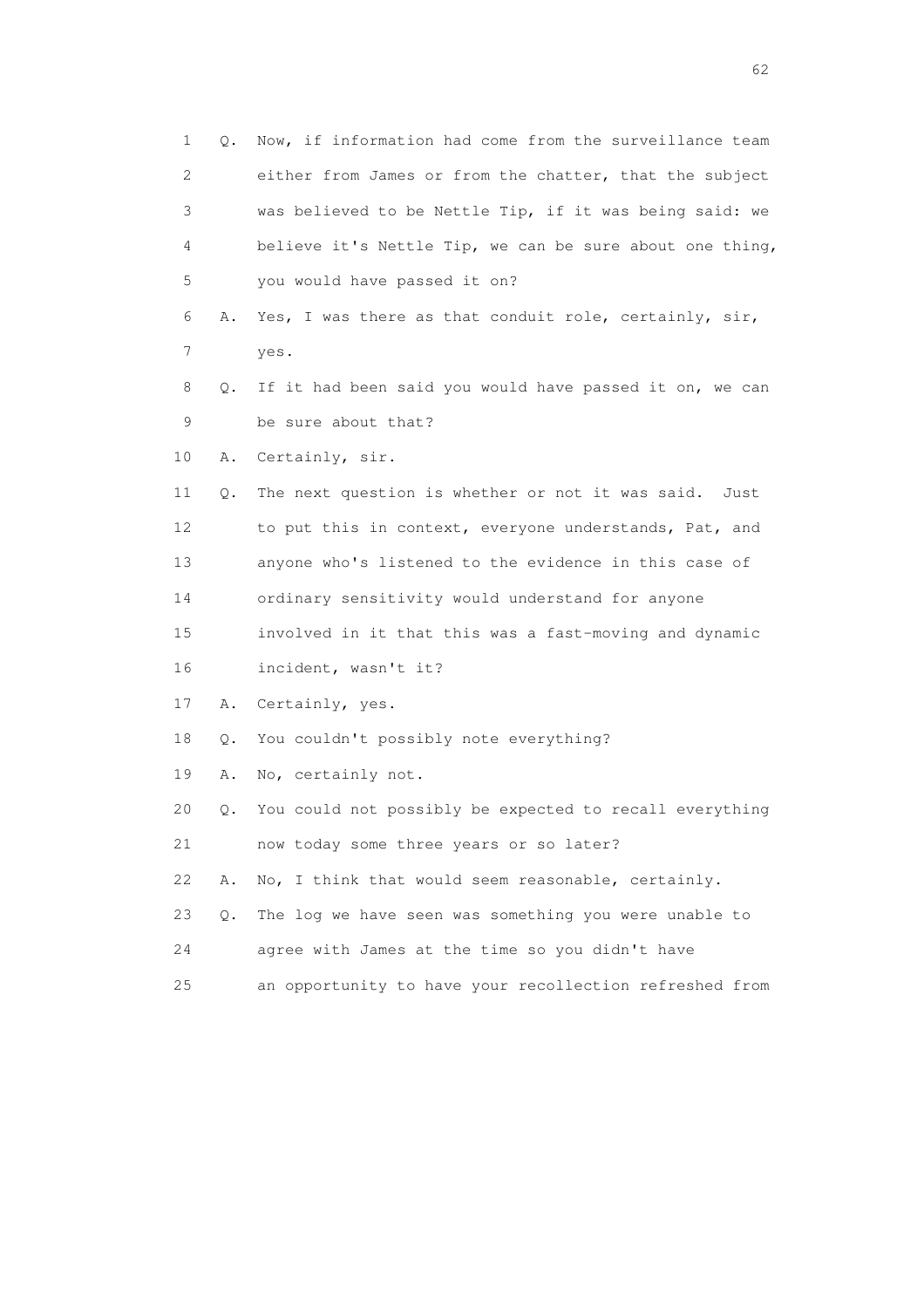| $\mathbf 1$ | Q. | Now, if information had come from the surveillance team  |
|-------------|----|----------------------------------------------------------|
| 2           |    | either from James or from the chatter, that the subject  |
| 3           |    | was believed to be Nettle Tip, if it was being said: we  |
| 4           |    | believe it's Nettle Tip, we can be sure about one thing, |
| 5           |    | you would have passed it on?                             |
| 6           | Α. | Yes, I was there as that conduit role, certainly, sir,   |
| 7           |    | yes.                                                     |
| 8           | Q. | If it had been said you would have passed it on, we can  |
| 9           |    | be sure about that?                                      |
| 10          | Α. | Certainly, sir.                                          |
| 11          | Q. | The next question is whether or not it was said.<br>Just |
| 12          |    | to put this in context, everyone understands, Pat, and   |
| 13          |    | anyone who's listened to the evidence in this case of    |
| 14          |    | ordinary sensitivity would understand for anyone         |
| 15          |    | involved in it that this was a fast-moving and dynamic   |
| 16          |    | incident, wasn't it?                                     |
| 17          | Α. | Certainly, yes.                                          |
| 18          | Q. | You couldn't possibly note everything?                   |
| 19          | Α. | No, certainly not.                                       |
| 20          | Q. | You could not possibly be expected to recall everything  |
| 21          |    | now today some three years or so later?                  |
| 22          | Α. | No, I think that would seem reasonable, certainly.       |
| 23          | Q. | The log we have seen was something you were unable to    |
| 24          |    | agree with James at the time so you didn't have          |
| 25          |    | an opportunity to have your recollection refreshed from  |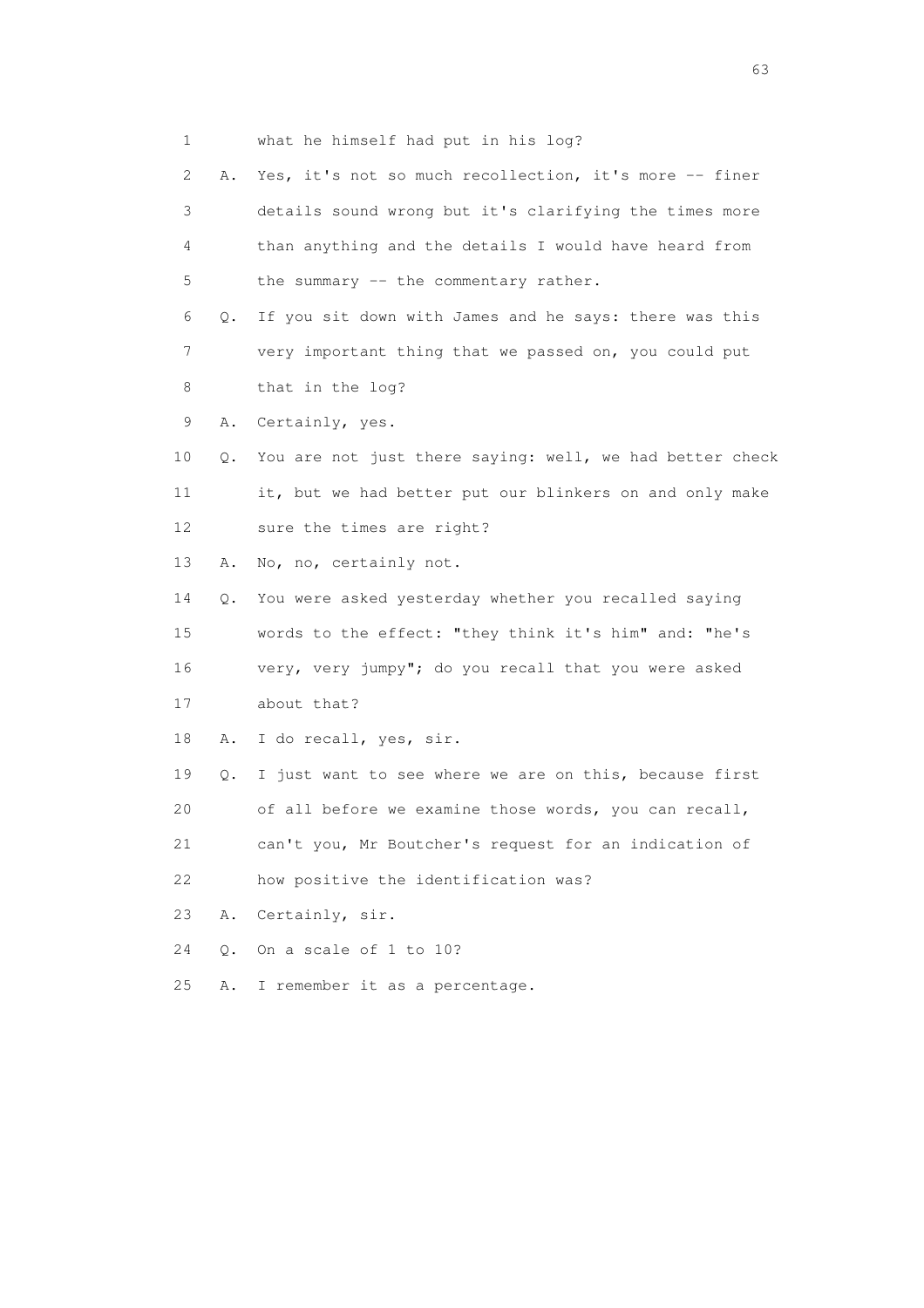1 what he himself had put in his log?

| 2  | Α. | Yes, it's not so much recollection, it's more -- finer   |
|----|----|----------------------------------------------------------|
| 3  |    | details sound wrong but it's clarifying the times more   |
| 4  |    | than anything and the details I would have heard from    |
| 5  |    | the summary -- the commentary rather.                    |
| 6  | Q. | If you sit down with James and he says: there was this   |
| 7  |    | very important thing that we passed on, you could put    |
| 8  |    | that in the log?                                         |
| 9  | Α. | Certainly, yes.                                          |
| 10 | Q. | You are not just there saying: well, we had better check |
| 11 |    | it, but we had better put our blinkers on and only make  |
| 12 |    | sure the times are right?                                |
| 13 | Α. | No, no, certainly not.                                   |
| 14 | Q. | You were asked yesterday whether you recalled saying     |
| 15 |    | words to the effect: "they think it's him" and: "he's    |
| 16 |    | very, very jumpy"; do you recall that you were asked     |
| 17 |    | about that?                                              |
| 18 | Α. | I do recall, yes, sir.                                   |
| 19 | Q. | I just want to see where we are on this, because first   |
| 20 |    | of all before we examine those words, you can recall,    |
| 21 |    | can't you, Mr Boutcher's request for an indication of    |
| 22 |    | how positive the identification was?                     |
| 23 | Α. | Certainly, sir.                                          |
| 24 | О. | On a scale of 1 to 10?                                   |
| 25 | Α. | I remember it as a percentage.                           |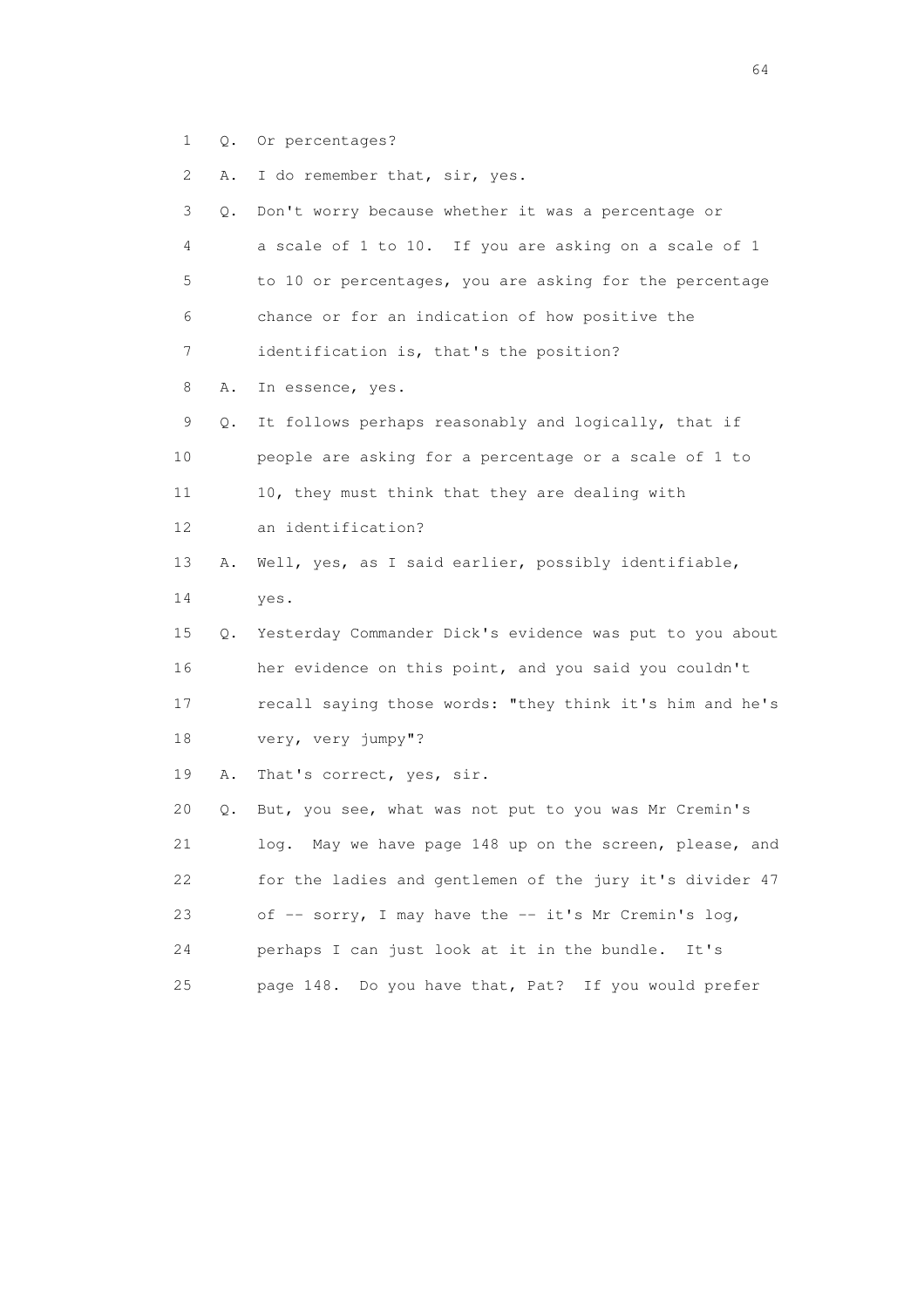1 Q. Or percentages?

2 A. I do remember that, sir, yes.

 3 Q. Don't worry because whether it was a percentage or 4 a scale of 1 to 10. If you are asking on a scale of 1 5 to 10 or percentages, you are asking for the percentage 6 chance or for an indication of how positive the 7 identification is, that's the position? 8 A. In essence, yes. 9 Q. It follows perhaps reasonably and logically, that if 10 people are asking for a percentage or a scale of 1 to 11 10, they must think that they are dealing with 12 an identification? 13 A. Well, yes, as I said earlier, possibly identifiable, 14 yes. 15 Q. Yesterday Commander Dick's evidence was put to you about 16 her evidence on this point, and you said you couldn't 17 recall saying those words: "they think it's him and he's 18 very, very jumpy"? 19 A. That's correct, yes, sir. 20 Q. But, you see, what was not put to you was Mr Cremin's 21 log. May we have page 148 up on the screen, please, and 22 for the ladies and gentlemen of the jury it's divider 47

 23 of -- sorry, I may have the -- it's Mr Cremin's log, 24 perhaps I can just look at it in the bundle. It's

25 page 148. Do you have that, Pat? If you would prefer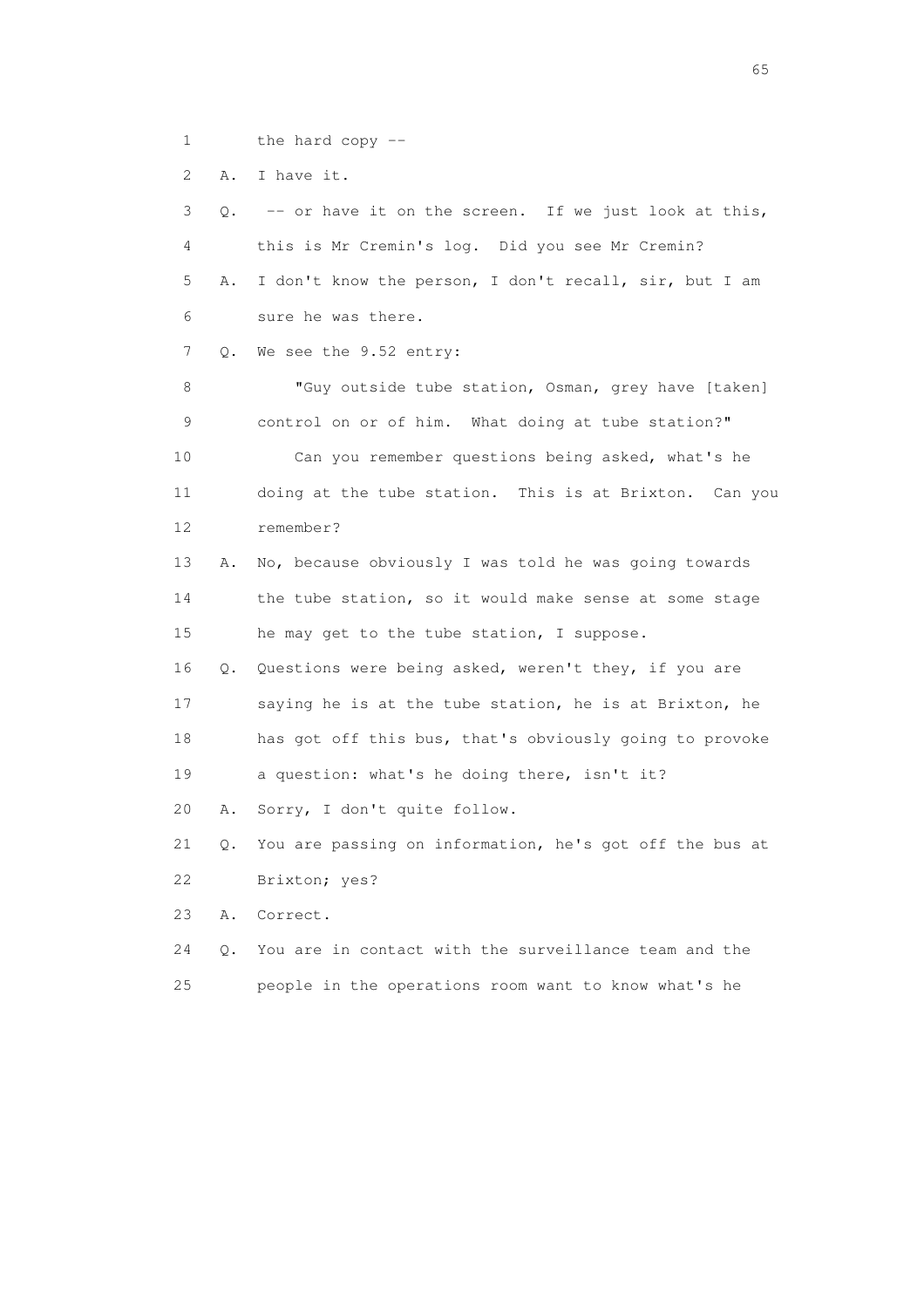1 the hard copy --

2 A. I have it.

 3 Q. -- or have it on the screen. If we just look at this, 4 this is Mr Cremin's log. Did you see Mr Cremin? 5 A. I don't know the person, I don't recall, sir, but I am 6 sure he was there. 7 Q. We see the 9.52 entry: 8 "Guy outside tube station, Osman, grey have [taken] 9 control on or of him. What doing at tube station?" 10 Can you remember questions being asked, what's he 11 doing at the tube station. This is at Brixton. Can you 12 remember? 13 A. No, because obviously I was told he was going towards 14 the tube station, so it would make sense at some stage 15 he may get to the tube station, I suppose. 16 Q. Questions were being asked, weren't they, if you are 17 saying he is at the tube station, he is at Brixton, he 18 has got off this bus, that's obviously going to provoke 19 a question: what's he doing there, isn't it? 20 A. Sorry, I don't quite follow. 21 Q. You are passing on information, he's got off the bus at 22 Brixton; yes? 23 A. Correct. 24 Q. You are in contact with the surveillance team and the 25 people in the operations room want to know what's he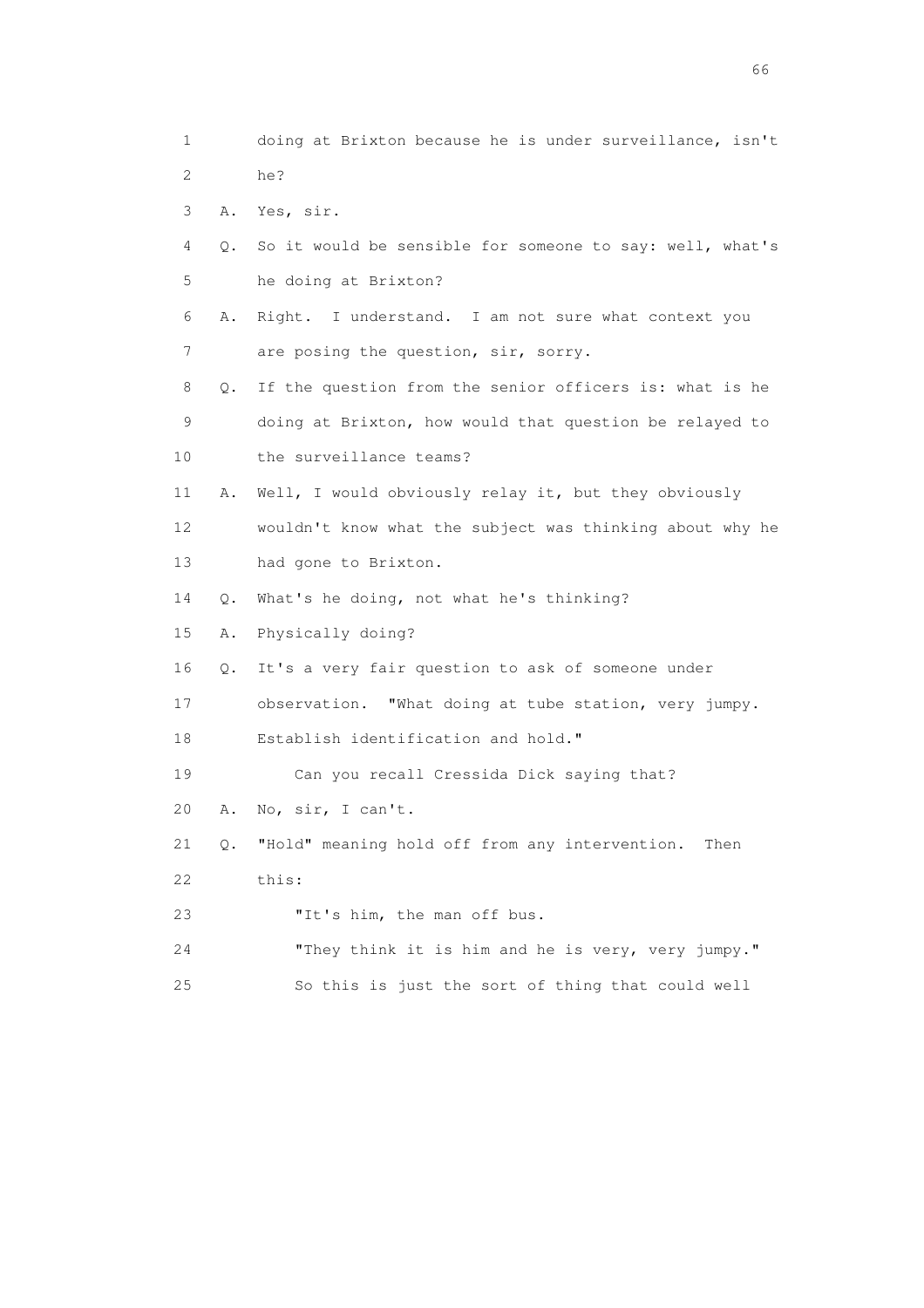1 doing at Brixton because he is under surveillance, isn't 2 he? 3 A. Yes, sir. 4 Q. So it would be sensible for someone to say: well, what's 5 he doing at Brixton? 6 A. Right. I understand. I am not sure what context you 7 are posing the question, sir, sorry. 8 Q. If the question from the senior officers is: what is he 9 doing at Brixton, how would that question be relayed to 10 the surveillance teams? 11 A. Well, I would obviously relay it, but they obviously 12 wouldn't know what the subject was thinking about why he 13 had gone to Brixton. 14 Q. What's he doing, not what he's thinking? 15 A. Physically doing? 16 Q. It's a very fair question to ask of someone under 17 observation. "What doing at tube station, very jumpy. 18 Establish identification and hold." 19 Can you recall Cressida Dick saying that? 20 A. No, sir, I can't. 21 Q. "Hold" meaning hold off from any intervention. Then 22 this: 23 "It's him, the man off bus. 24 "They think it is him and he is very, very jumpy." 25 So this is just the sort of thing that could well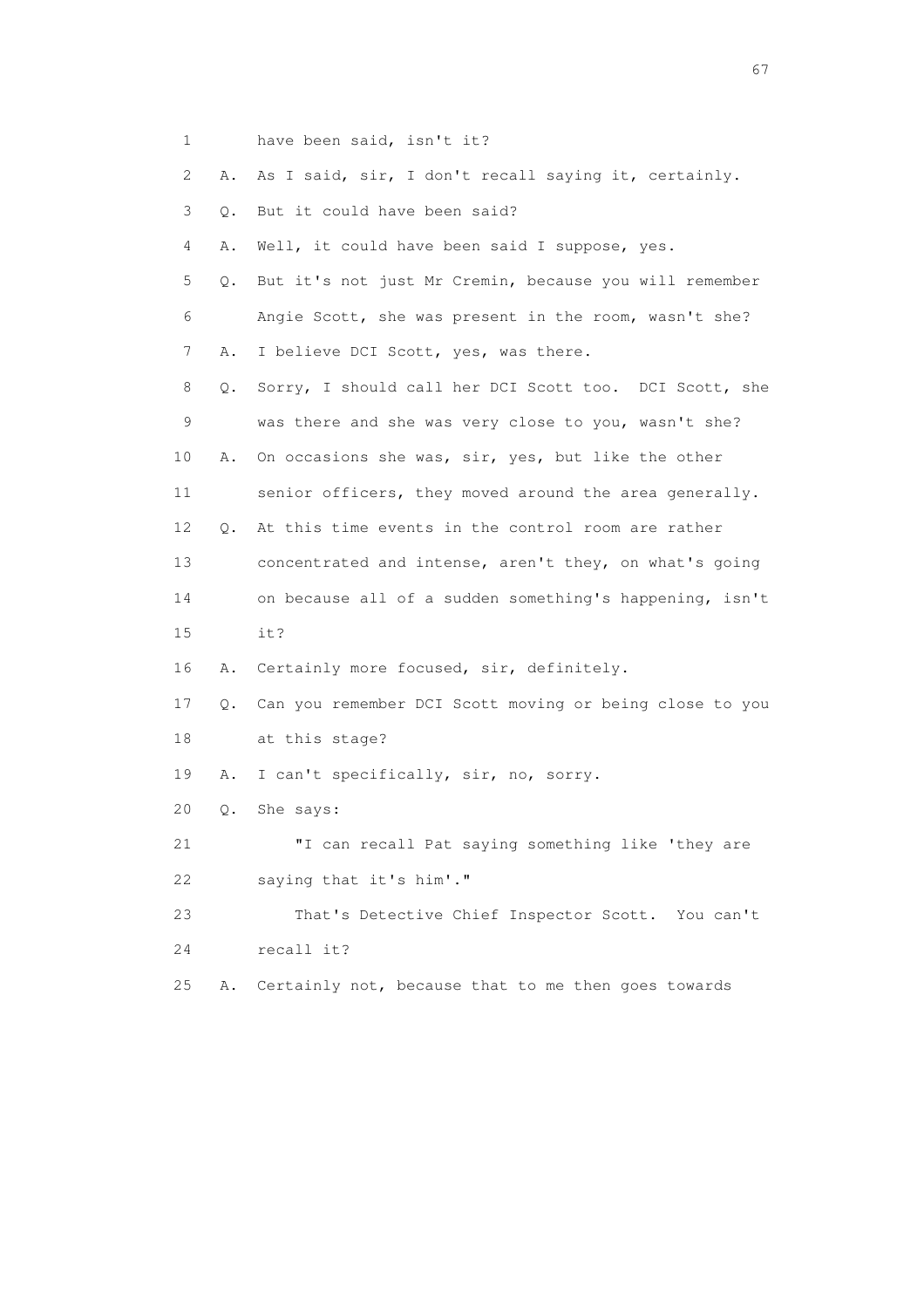| $\mathbf{1}$ |           | have been said, isn't it?                               |
|--------------|-----------|---------------------------------------------------------|
| 2            | Α.        | As I said, sir, I don't recall saying it, certainly.    |
| 3            | Q.        | But it could have been said?                            |
| 4            | Α.        | Well, it could have been said I suppose, yes.           |
| 5            | $\circ$ . | But it's not just Mr Cremin, because you will remember  |
| 6            |           | Angie Scott, she was present in the room, wasn't she?   |
| 7            | Α.        | I believe DCI Scott, yes, was there.                    |
| 8            | Q.        | Sorry, I should call her DCI Scott too. DCI Scott, she  |
| 9            |           | was there and she was very close to you, wasn't she?    |
| 10           | Α.        | On occasions she was, sir, yes, but like the other      |
| 11           |           | senior officers, they moved around the area generally.  |
| 12           | Q.        | At this time events in the control room are rather      |
| 13           |           | concentrated and intense, aren't they, on what's going  |
| 14           |           | on because all of a sudden something's happening, isn't |
| 15           |           | it?                                                     |
| 16           | Α.        | Certainly more focused, sir, definitely.                |
| 17           | Q.        | Can you remember DCI Scott moving or being close to you |
| 18           |           | at this stage?                                          |
| 19           | Α.        | I can't specifically, sir, no, sorry.                   |
| 20           | Q.        | She says:                                               |
| 21           |           | "I can recall Pat saying something like 'they are       |
| 22           |           | saying that it's him'."                                 |
| 23           |           | That's Detective Chief Inspector Scott. You can't       |
| 24           |           | recall it?                                              |
| 25           | Α.        | Certainly not, because that to me then goes towards     |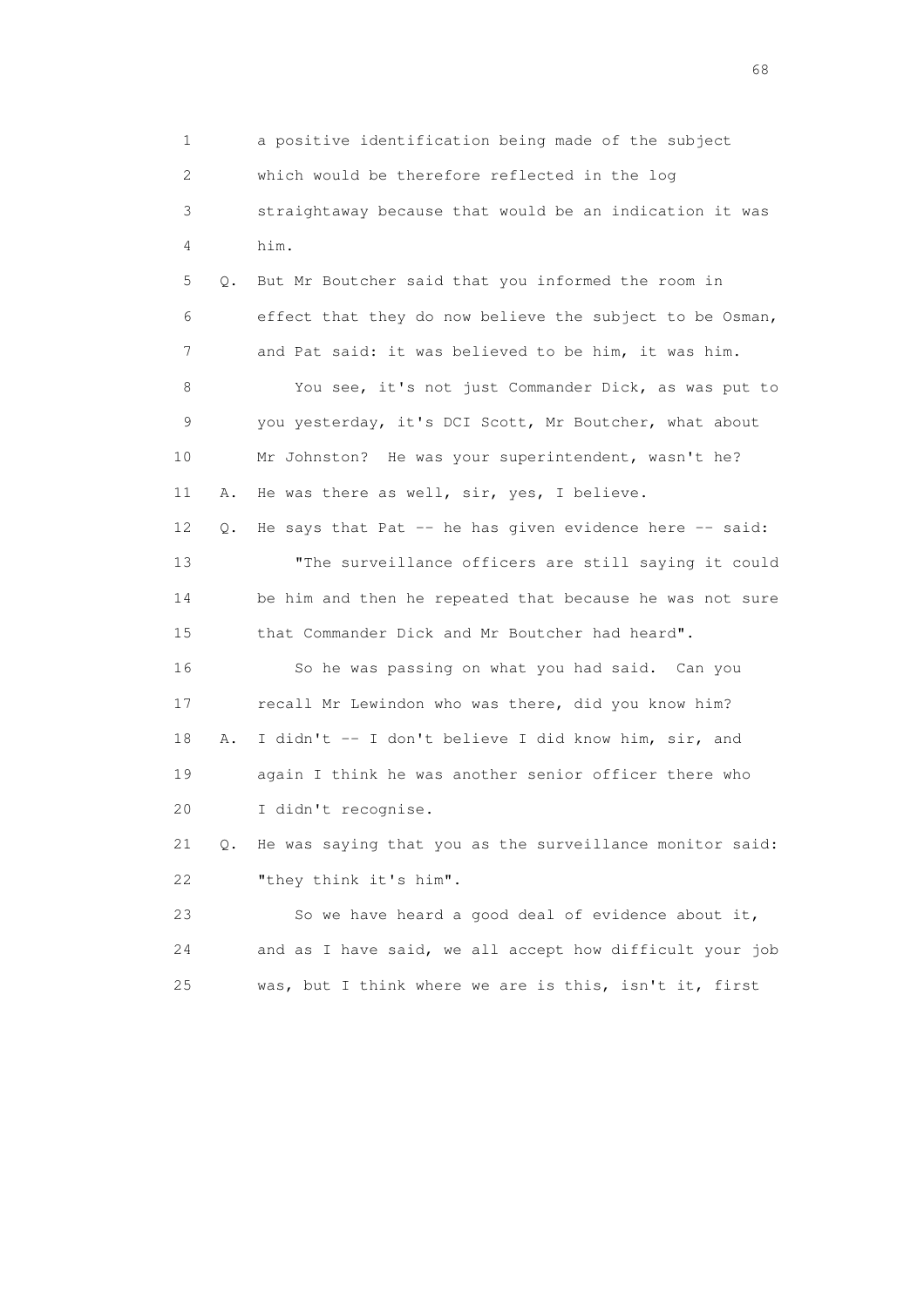1 a positive identification being made of the subject 2 which would be therefore reflected in the log 3 straightaway because that would be an indication it was 4 him. 5 Q. But Mr Boutcher said that you informed the room in 6 effect that they do now believe the subject to be Osman, 7 and Pat said: it was believed to be him, it was him. 8 You see, it's not just Commander Dick, as was put to 9 you yesterday, it's DCI Scott, Mr Boutcher, what about 10 Mr Johnston? He was your superintendent, wasn't he? 11 A. He was there as well, sir, yes, I believe. 12 Q. He says that Pat -- he has given evidence here -- said: 13 "The surveillance officers are still saying it could 14 be him and then he repeated that because he was not sure 15 that Commander Dick and Mr Boutcher had heard". 16 So he was passing on what you had said. Can you 17 recall Mr Lewindon who was there, did you know him? 18 A. I didn't -- I don't believe I did know him, sir, and 19 again I think he was another senior officer there who 20 I didn't recognise. 21 Q. He was saying that you as the surveillance monitor said: 22 "they think it's him". 23 So we have heard a good deal of evidence about it, 24 and as I have said, we all accept how difficult your job 25 was, but I think where we are is this, isn't it, first

en de la construction de la construction de la construction de la construction de la construction de la construction de la construction de la construction de la construction de la construction de la construction de la cons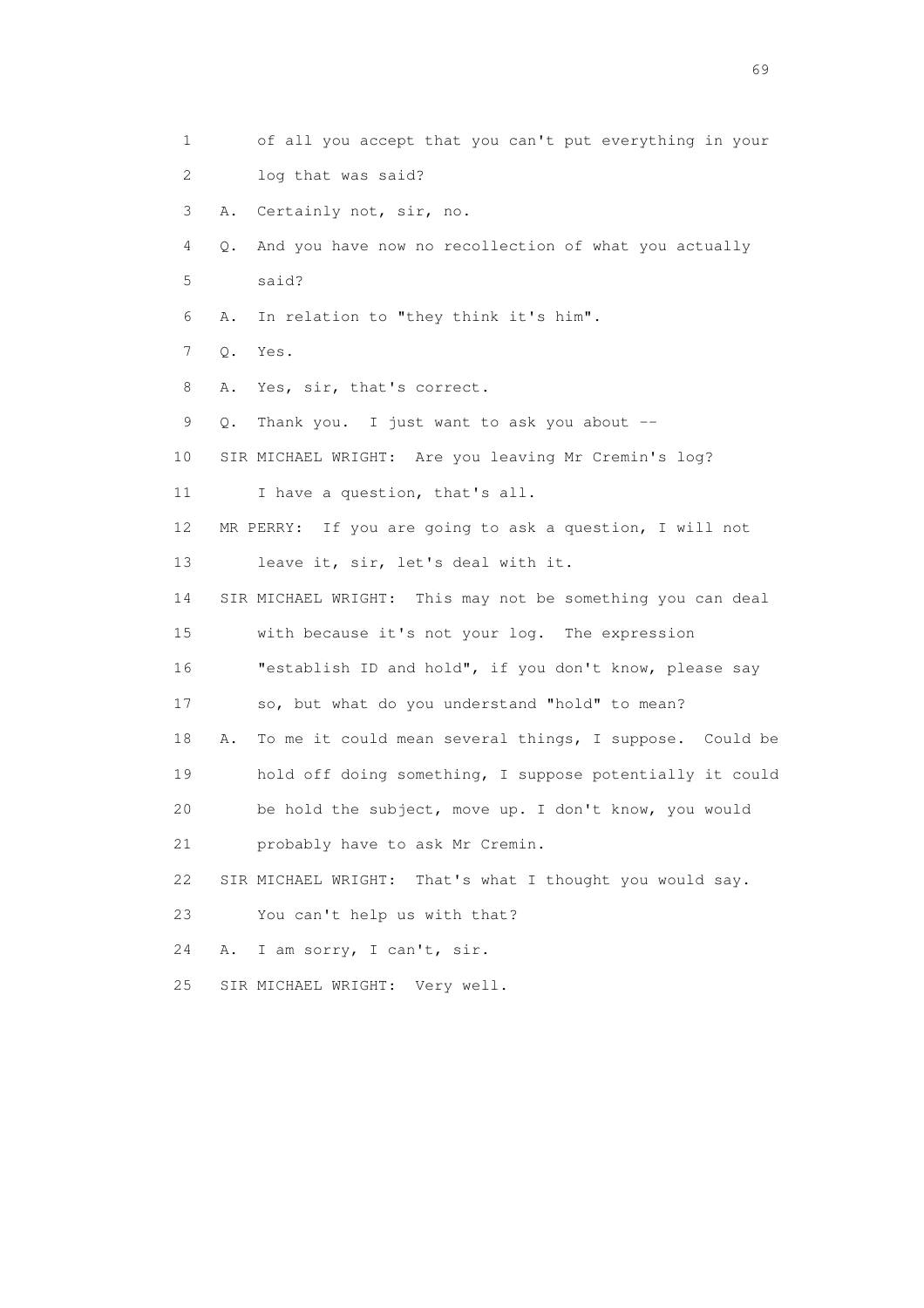1 of all you accept that you can't put everything in your 2 log that was said? 3 A. Certainly not, sir, no. 4 Q. And you have now no recollection of what you actually 5 said? 6 A. In relation to "they think it's him". 7 Q. Yes. 8 A. Yes, sir, that's correct. 9 Q. Thank you. I just want to ask you about -- 10 SIR MICHAEL WRIGHT: Are you leaving Mr Cremin's log? 11 I have a question, that's all. 12 MR PERRY: If you are going to ask a question, I will not 13 leave it, sir, let's deal with it. 14 SIR MICHAEL WRIGHT: This may not be something you can deal 15 with because it's not your log. The expression 16 "establish ID and hold", if you don't know, please say 17 so, but what do you understand "hold" to mean? 18 A. To me it could mean several things, I suppose. Could be 19 hold off doing something, I suppose potentially it could 20 be hold the subject, move up. I don't know, you would 21 probably have to ask Mr Cremin. 22 SIR MICHAEL WRIGHT: That's what I thought you would say. 23 You can't help us with that? 24 A. I am sorry, I can't, sir. 25 SIR MICHAEL WRIGHT: Very well.

entral de la construction de la construction de la construction de la construction de la construction de la co<br>1990 : la construction de la construction de la construction de la construction de la construction de la const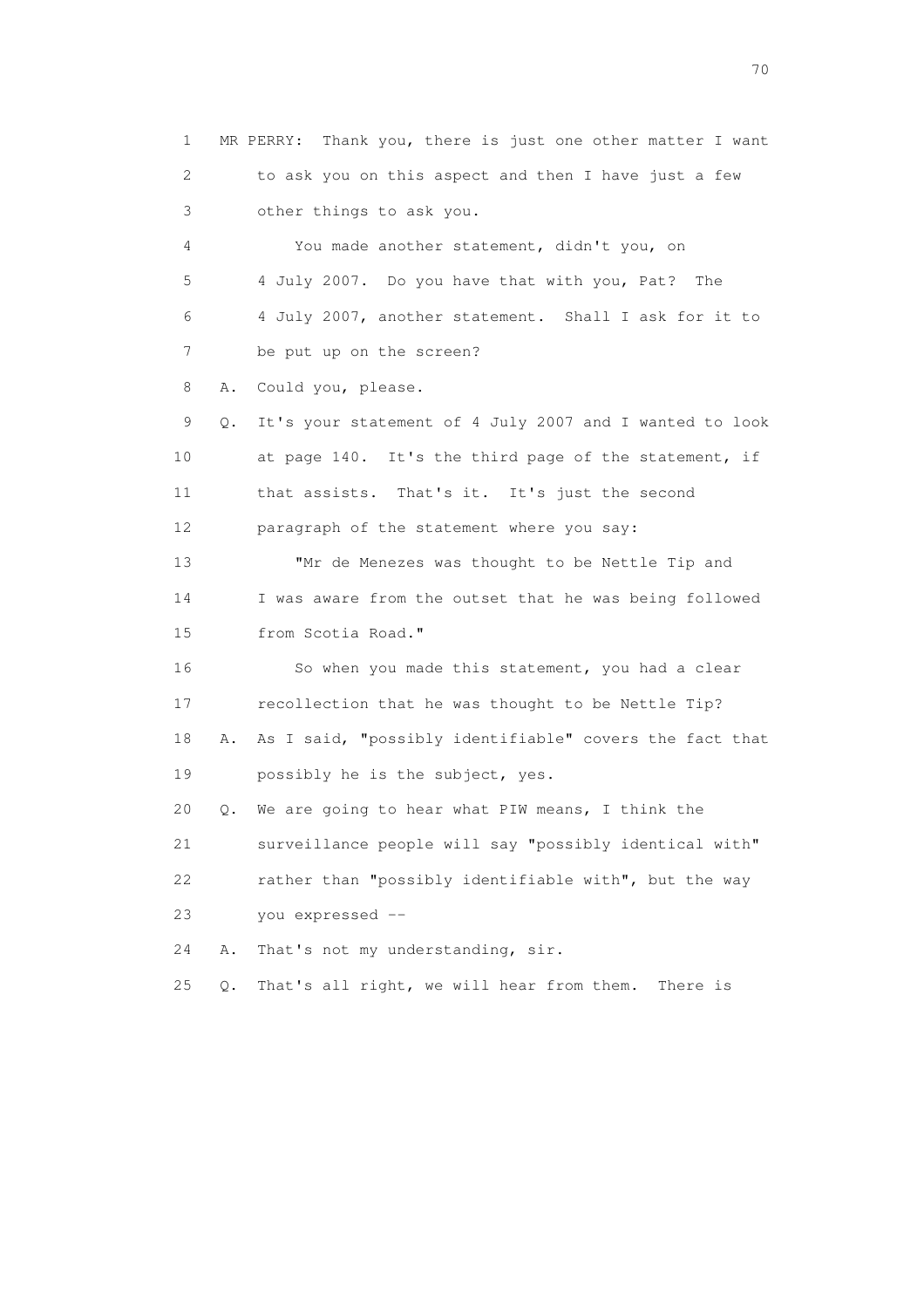1 MR PERRY: Thank you, there is just one other matter I want 2 to ask you on this aspect and then I have just a few 3 other things to ask you. 4 You made another statement, didn't you, on 5 4 July 2007. Do you have that with you, Pat? The 6 4 July 2007, another statement. Shall I ask for it to 7 be put up on the screen? 8 A. Could you, please. 9 Q. It's your statement of 4 July 2007 and I wanted to look 10 at page 140. It's the third page of the statement, if 11 that assists. That's it. It's just the second 12 paragraph of the statement where you say: 13 "Mr de Menezes was thought to be Nettle Tip and 14 I was aware from the outset that he was being followed 15 from Scotia Road." 16 So when you made this statement, you had a clear 17 recollection that he was thought to be Nettle Tip? 18 A. As I said, "possibly identifiable" covers the fact that 19 possibly he is the subject, yes. 20 Q. We are going to hear what PIW means, I think the 21 surveillance people will say "possibly identical with" 22 rather than "possibly identifiable with", but the way 23 you expressed -- 24 A. That's not my understanding, sir. 25 Q. That's all right, we will hear from them. There is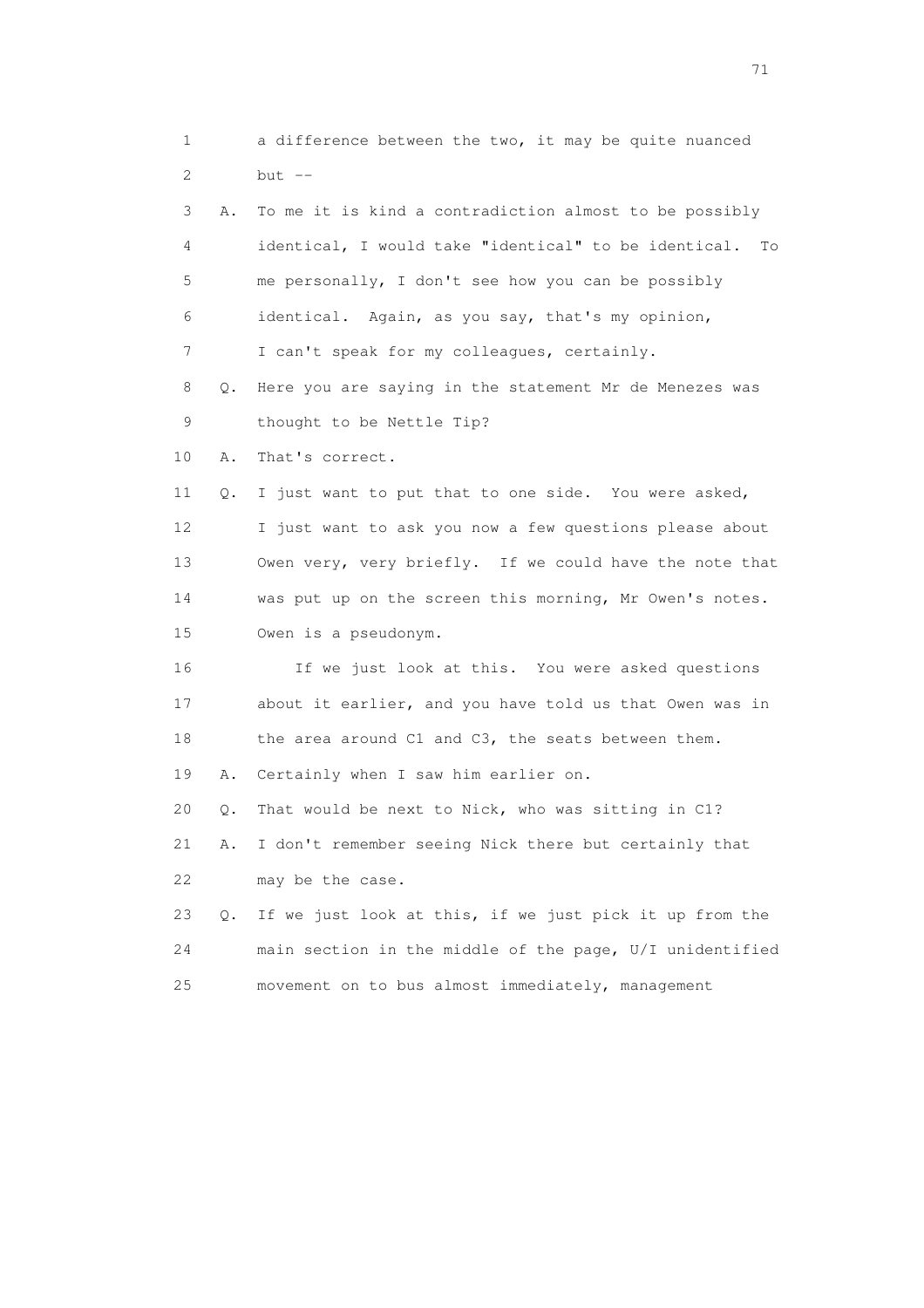1 a difference between the two, it may be quite nuanced  $2$  but  $-$  3 A. To me it is kind a contradiction almost to be possibly 4 identical, I would take "identical" to be identical. To 5 me personally, I don't see how you can be possibly 6 identical. Again, as you say, that's my opinion, 7 I can't speak for my colleagues, certainly. 8 Q. Here you are saying in the statement Mr de Menezes was 9 thought to be Nettle Tip? 10 A. That's correct. 11 Q. I just want to put that to one side. You were asked, 12 I just want to ask you now a few questions please about 13 Owen very, very briefly. If we could have the note that 14 was put up on the screen this morning, Mr Owen's notes. 15 Owen is a pseudonym. 16 If we just look at this. You were asked questions 17 about it earlier, and you have told us that Owen was in 18 the area around C1 and C3, the seats between them. 19 A. Certainly when I saw him earlier on. 20 Q. That would be next to Nick, who was sitting in C1? 21 A. I don't remember seeing Nick there but certainly that 22 may be the case. 23 Q. If we just look at this, if we just pick it up from the 24 main section in the middle of the page, U/I unidentified 25 movement on to bus almost immediately, management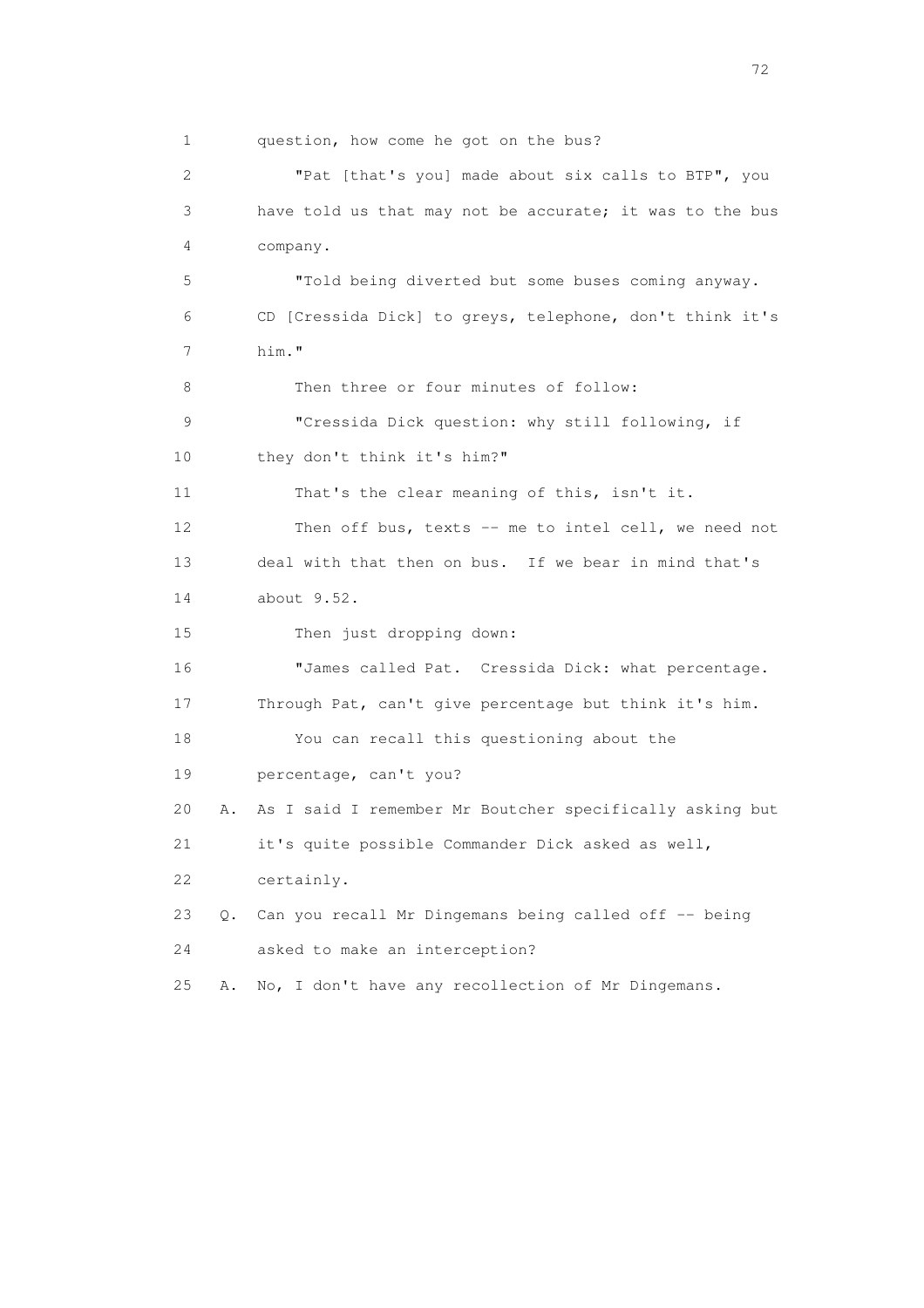1 question, how come he got on the bus? 2 "Pat [that's you] made about six calls to BTP", you 3 have told us that may not be accurate; it was to the bus 4 company. 5 "Told being diverted but some buses coming anyway. 6 CD [Cressida Dick] to greys, telephone, don't think it's 7 him." 8 Then three or four minutes of follow: 9 "Cressida Dick question: why still following, if 10 they don't think it's him?" 11 That's the clear meaning of this, isn't it. 12 Then off bus, texts -- me to intel cell, we need not 13 deal with that then on bus. If we bear in mind that's 14 about 9.52. 15 Then just dropping down: 16 "James called Pat. Cressida Dick: what percentage. 17 Through Pat, can't give percentage but think it's him. 18 You can recall this questioning about the 19 percentage, can't you? 20 A. As I said I remember Mr Boutcher specifically asking but 21 it's quite possible Commander Dick asked as well, 22 certainly. 23 Q. Can you recall Mr Dingemans being called off -- being 24 asked to make an interception? 25 A. No, I don't have any recollection of Mr Dingemans.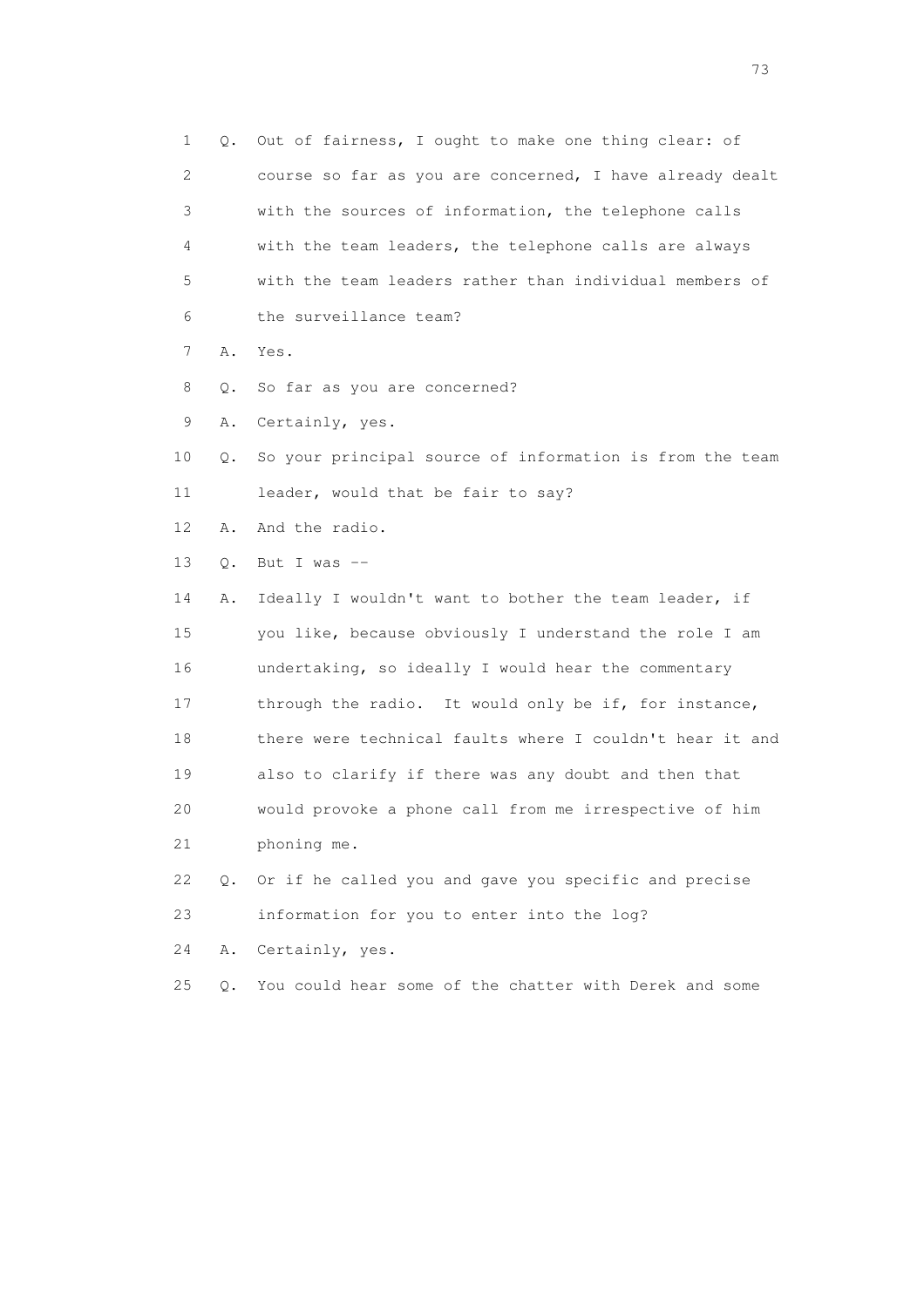1 Q. Out of fairness, I ought to make one thing clear: of 2 course so far as you are concerned, I have already dealt 3 with the sources of information, the telephone calls 4 with the team leaders, the telephone calls are always 5 with the team leaders rather than individual members of 6 the surveillance team? 7 A. Yes. 8 Q. So far as you are concerned? 9 A. Certainly, yes. 10 Q. So your principal source of information is from the team 11 leader, would that be fair to say? 12 A. And the radio. 13 Q. But I was -- 14 A. Ideally I wouldn't want to bother the team leader, if 15 you like, because obviously I understand the role I am 16 undertaking, so ideally I would hear the commentary 17 through the radio. It would only be if, for instance, 18 there were technical faults where I couldn't hear it and 19 also to clarify if there was any doubt and then that 20 would provoke a phone call from me irrespective of him 21 phoning me. 22 Q. Or if he called you and gave you specific and precise 23 information for you to enter into the log? 24 A. Certainly, yes. 25 Q. You could hear some of the chatter with Derek and some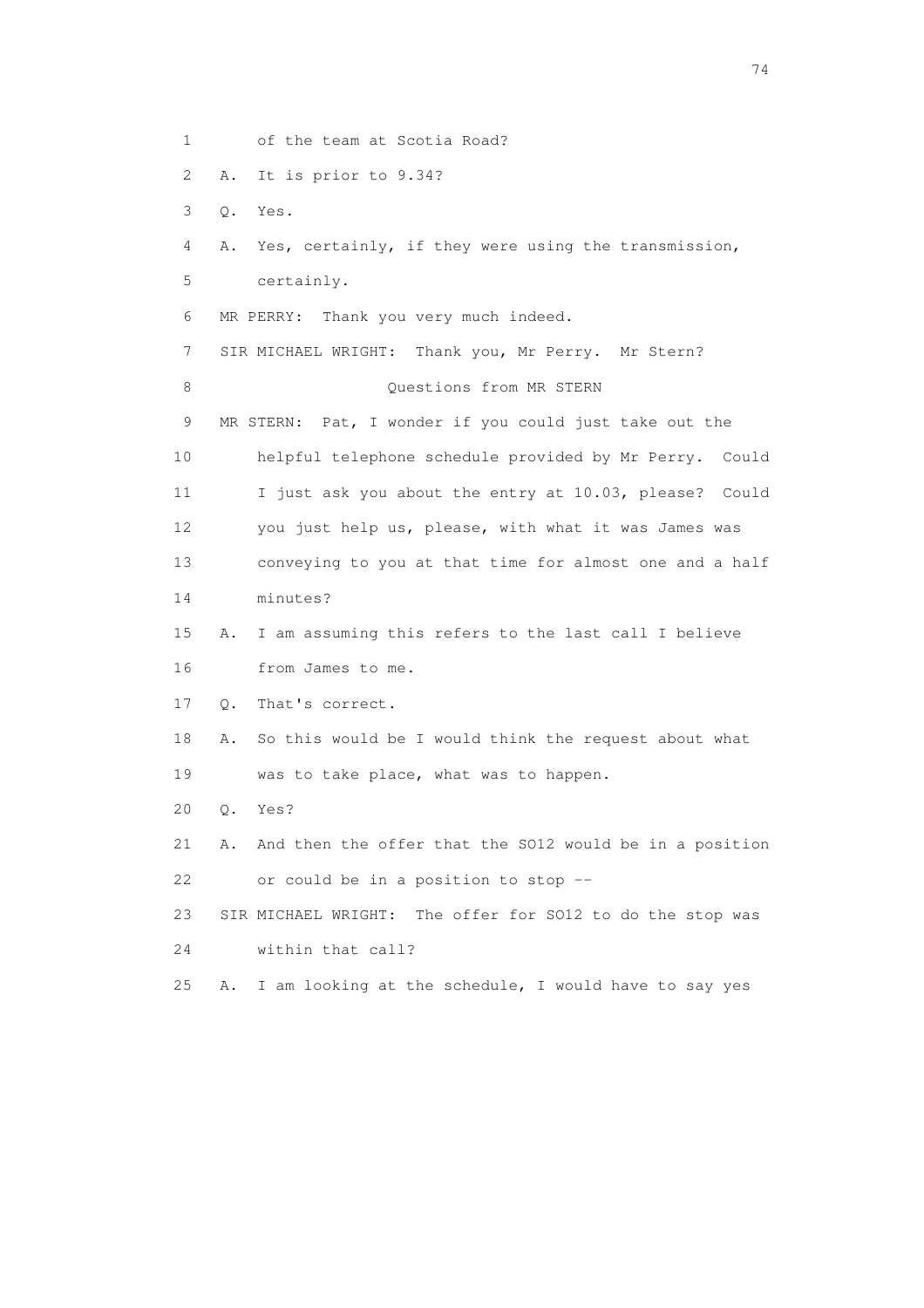1 of the team at Scotia Road? 2 A. It is prior to 9.34? 3 Q. Yes. 4 A. Yes, certainly, if they were using the transmission, 5 certainly. 6 MR PERRY: Thank you very much indeed. 7 SIR MICHAEL WRIGHT: Thank you, Mr Perry. Mr Stern? 8 Ouestions from MR STERN 9 MR STERN: Pat, I wonder if you could just take out the 10 helpful telephone schedule provided by Mr Perry. Could 11 I just ask you about the entry at 10.03, please? Could 12 you just help us, please, with what it was James was 13 conveying to you at that time for almost one and a half 14 minutes? 15 A. I am assuming this refers to the last call I believe 16 from James to me. 17 Q. That's correct. 18 A. So this would be I would think the request about what 19 was to take place, what was to happen. 20 Q. Yes? 21 A. And then the offer that the SO12 would be in a position 22 or could be in a position to stop -- 23 SIR MICHAEL WRIGHT: The offer for SO12 to do the stop was 24 within that call? 25 A. I am looking at the schedule, I would have to say yes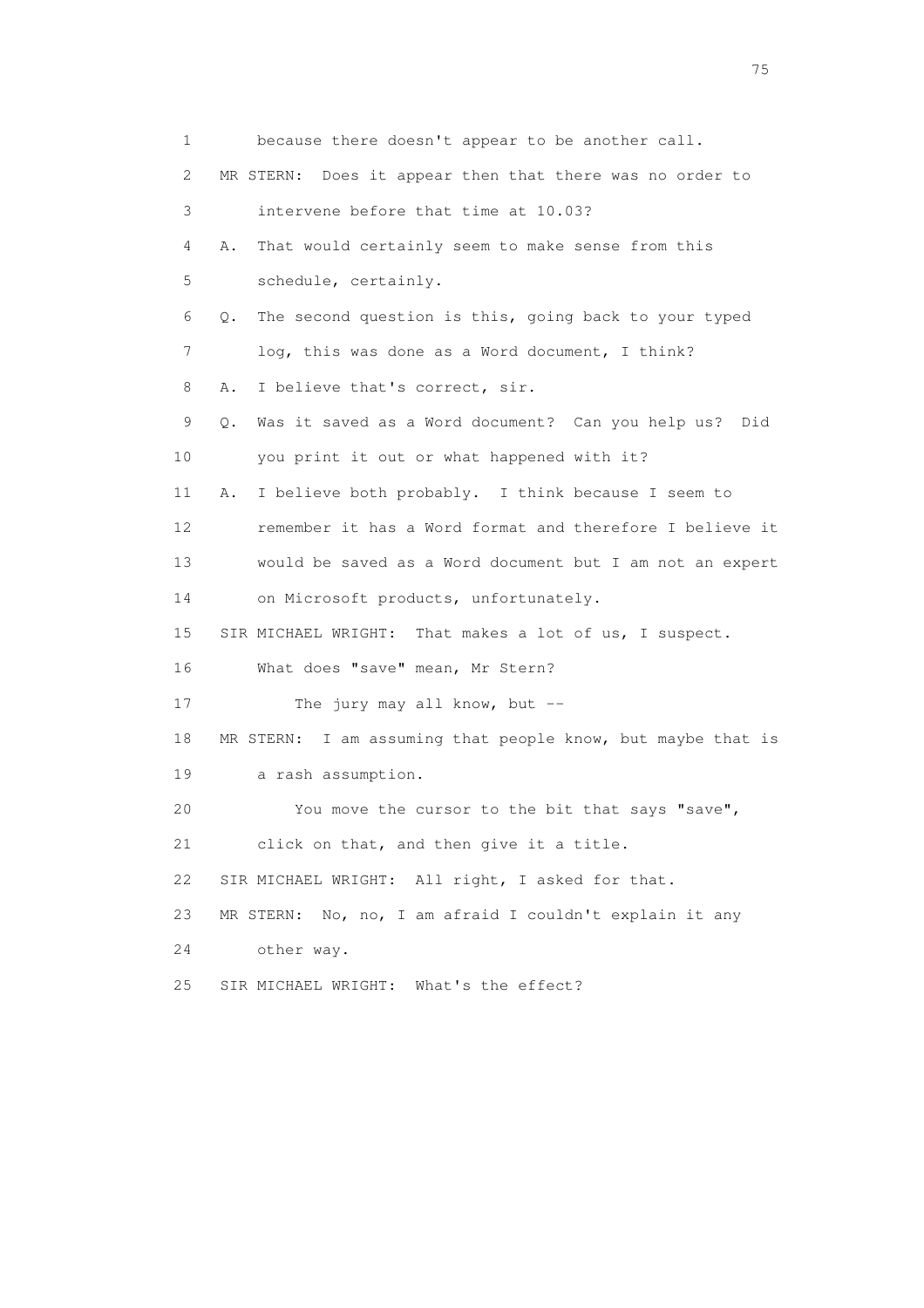1 because there doesn't appear to be another call. 2 MR STERN: Does it appear then that there was no order to 3 intervene before that time at 10.03? 4 A. That would certainly seem to make sense from this 5 schedule, certainly. 6 Q. The second question is this, going back to your typed 7 log, this was done as a Word document, I think? 8 A. I believe that's correct, sir. 9 Q. Was it saved as a Word document? Can you help us? Did 10 you print it out or what happened with it? 11 A. I believe both probably. I think because I seem to 12 remember it has a Word format and therefore I believe it 13 would be saved as a Word document but I am not an expert 14 on Microsoft products, unfortunately. 15 SIR MICHAEL WRIGHT: That makes a lot of us, I suspect. 16 What does "save" mean, Mr Stern? 17 The jury may all know, but --18 MR STERN: I am assuming that people know, but maybe that is 19 a rash assumption. 20 You move the cursor to the bit that says "save", 21 click on that, and then give it a title. 22 SIR MICHAEL WRIGHT: All right, I asked for that. 23 MR STERN: No, no, I am afraid I couldn't explain it any 24 other way. 25 SIR MICHAEL WRIGHT: What's the effect?

na matsay na katalog as na kasang na mga 175 may 2008. Ang isang isang nagsang nagsang nagsang nagsang nagsang<br>Tagapang nagsang nagsang nagsang nagsang nagsang nagsang nagsang nagsang nagsang nagsang nagsang nagsang nagsa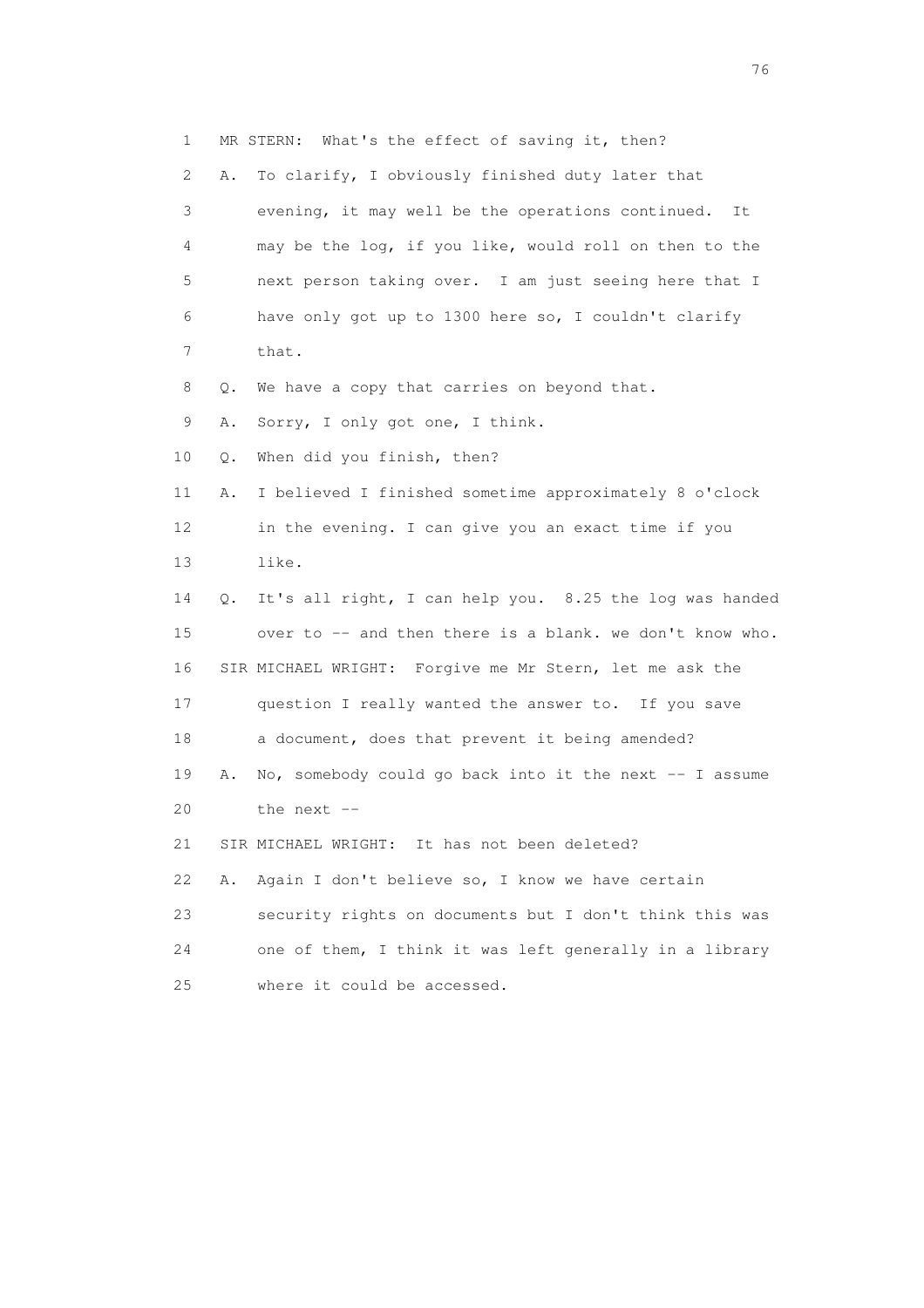1 MR STERN: What's the effect of saving it, then? 2 A. To clarify, I obviously finished duty later that 3 evening, it may well be the operations continued. It 4 may be the log, if you like, would roll on then to the 5 next person taking over. I am just seeing here that I 6 have only got up to 1300 here so, I couldn't clarify 7 that. 8 Q. We have a copy that carries on beyond that. 9 A. Sorry, I only got one, I think. 10 Q. When did you finish, then? 11 A. I believed I finished sometime approximately 8 o'clock 12 in the evening. I can give you an exact time if you 13 like. 14 Q. It's all right, I can help you. 8.25 the log was handed 15 over to -- and then there is a blank. we don't know who. 16 SIR MICHAEL WRIGHT: Forgive me Mr Stern, let me ask the 17 question I really wanted the answer to. If you save 18 a document, does that prevent it being amended? 19 A. No, somebody could go back into it the next -- I assume 20 the next -- 21 SIR MICHAEL WRIGHT: It has not been deleted? 22 A. Again I don't believe so, I know we have certain 23 security rights on documents but I don't think this was 24 one of them, I think it was left generally in a library 25 where it could be accessed.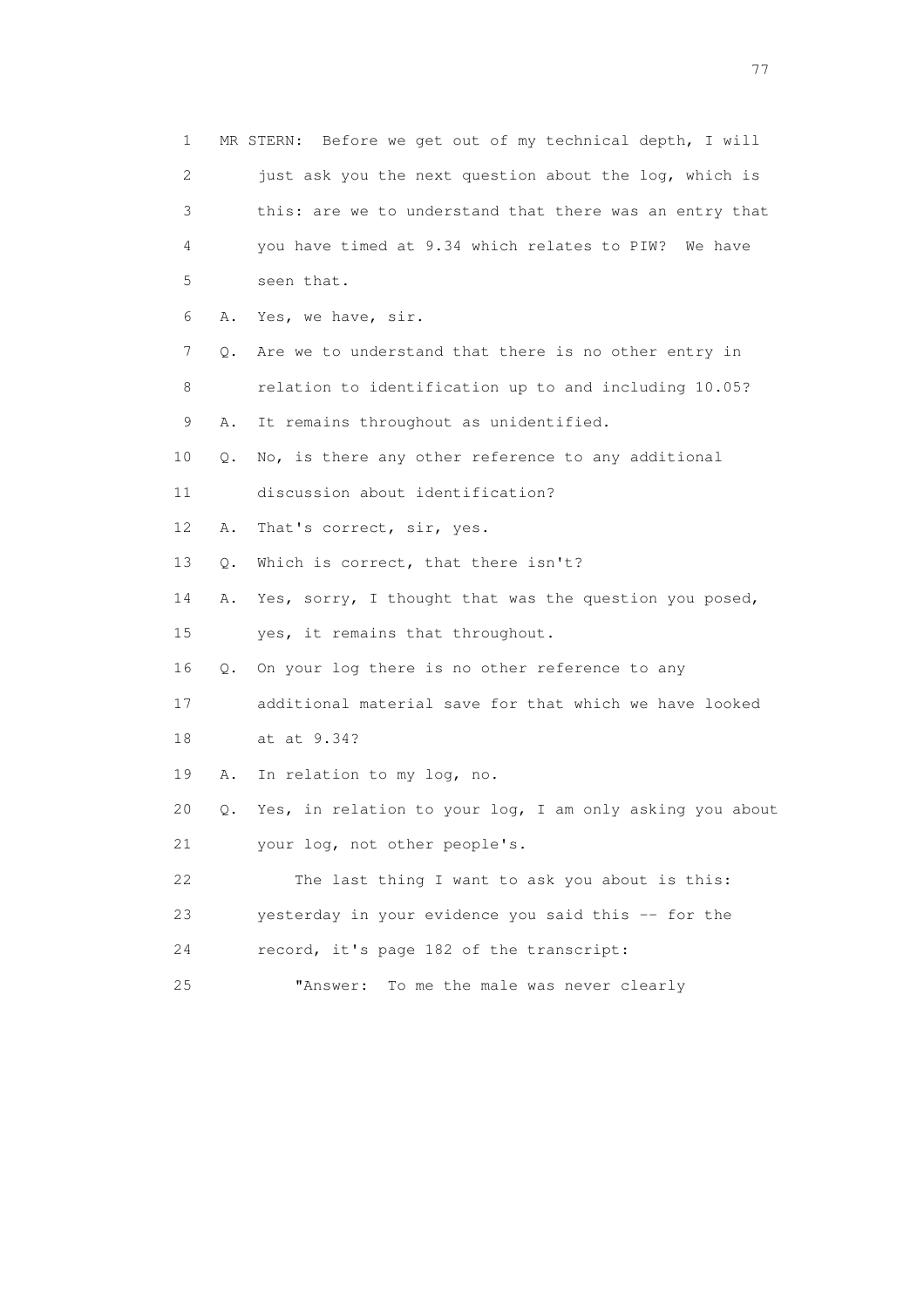1 MR STERN: Before we get out of my technical depth, I will 2 just ask you the next question about the log, which is 3 this: are we to understand that there was an entry that 4 you have timed at 9.34 which relates to PIW? We have 5 seen that. 6 A. Yes, we have, sir. 7 Q. Are we to understand that there is no other entry in 8 relation to identification up to and including 10.05? 9 A. It remains throughout as unidentified. 10 Q. No, is there any other reference to any additional 11 discussion about identification? 12 A. That's correct, sir, yes. 13 Q. Which is correct, that there isn't? 14 A. Yes, sorry, I thought that was the question you posed, 15 yes, it remains that throughout. 16 Q. On your log there is no other reference to any 17 additional material save for that which we have looked 18 at at 9.34? 19 A. In relation to my log, no. 20 Q. Yes, in relation to your log, I am only asking you about 21 your log, not other people's. 22 The last thing I want to ask you about is this: 23 yesterday in your evidence you said this -- for the 24 record, it's page 182 of the transcript: 25 "Answer: To me the male was never clearly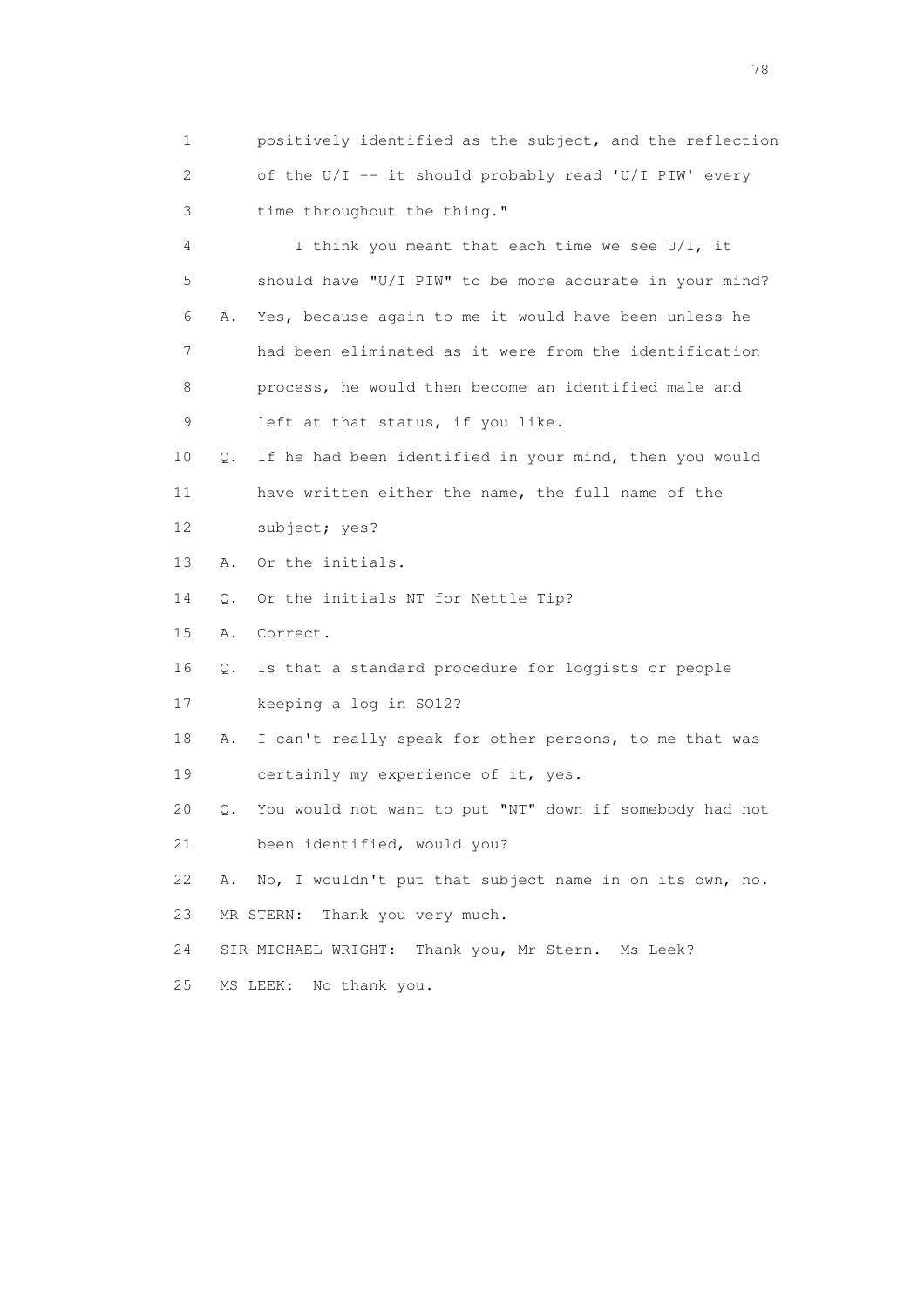1 positively identified as the subject, and the reflection 2 of the U/I -- it should probably read 'U/I PIW' every 3 time throughout the thing."

 4 I think you meant that each time we see U/I, it 5 should have "U/I PIW" to be more accurate in your mind? 6 A. Yes, because again to me it would have been unless he 7 had been eliminated as it were from the identification 8 process, he would then become an identified male and 9 left at that status, if you like.

 10 Q. If he had been identified in your mind, then you would 11 have written either the name, the full name of the 12 subject; yes?

13 A. Or the initials.

14 Q. Or the initials NT for Nettle Tip?

15 A. Correct.

16 Q. Is that a standard procedure for loggists or people

17 keeping a log in SO12?

 18 A. I can't really speak for other persons, to me that was 19 certainly my experience of it, yes.

20 Q. You would not want to put "NT" down if somebody had not

21 been identified, would you?

22 A. No, I wouldn't put that subject name in on its own, no.

23 MR STERN: Thank you very much.

24 SIR MICHAEL WRIGHT: Thank you, Mr Stern. Ms Leek?

25 MS LEEK: No thank you.

na na matsayang mga kasang mga kalendaryon ng mga kasang mga kasang mga kasang mga kasang mga kasang mga kasan<br>Mga kasang mga kasang mga kasang mga kasang mga kasang mga kasang mga kasang mga kasang mga kasang mga kasang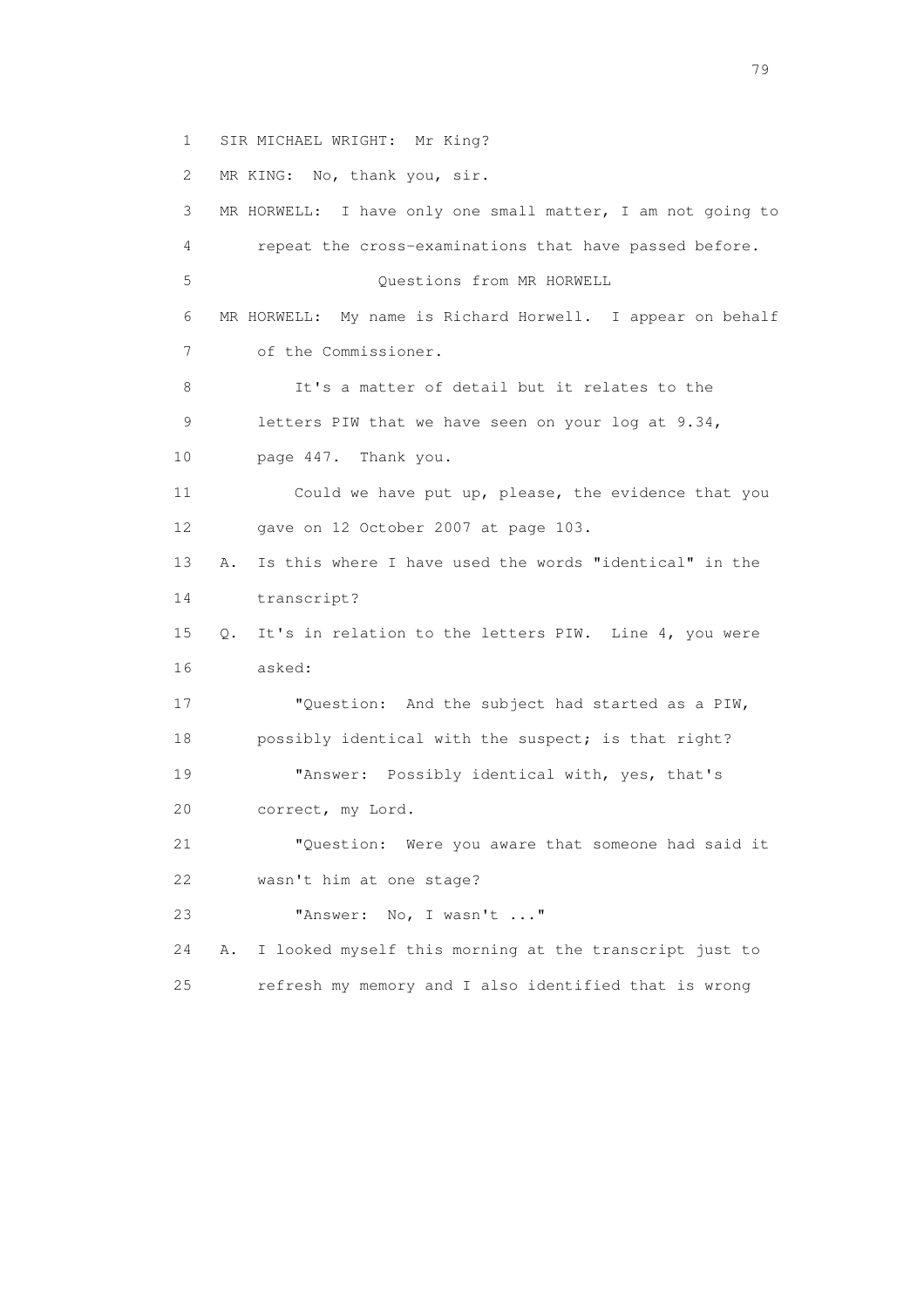1 SIR MICHAEL WRIGHT: Mr King?

2 MR KING: No, thank you, sir.

 3 MR HORWELL: I have only one small matter, I am not going to 4 repeat the cross-examinations that have passed before. 5 Questions from MR HORWELL 6 MR HORWELL: My name is Richard Horwell. I appear on behalf 7 of the Commissioner. 8 It's a matter of detail but it relates to the 9 letters PIW that we have seen on your log at 9.34, 10 page 447. Thank you. 11 Could we have put up, please, the evidence that you 12 gave on 12 October 2007 at page 103. 13 A. Is this where I have used the words "identical" in the 14 transcript? 15 Q. It's in relation to the letters PIW. Line 4, you were 16 asked: 17 "Question: And the subject had started as a PIW, 18 possibly identical with the suspect; is that right? 19 "Answer: Possibly identical with, yes, that's 20 correct, my Lord. 21 "Question: Were you aware that someone had said it 22 wasn't him at one stage? 23 "Answer: No, I wasn't ..." 24 A. I looked myself this morning at the transcript just to 25 refresh my memory and I also identified that is wrong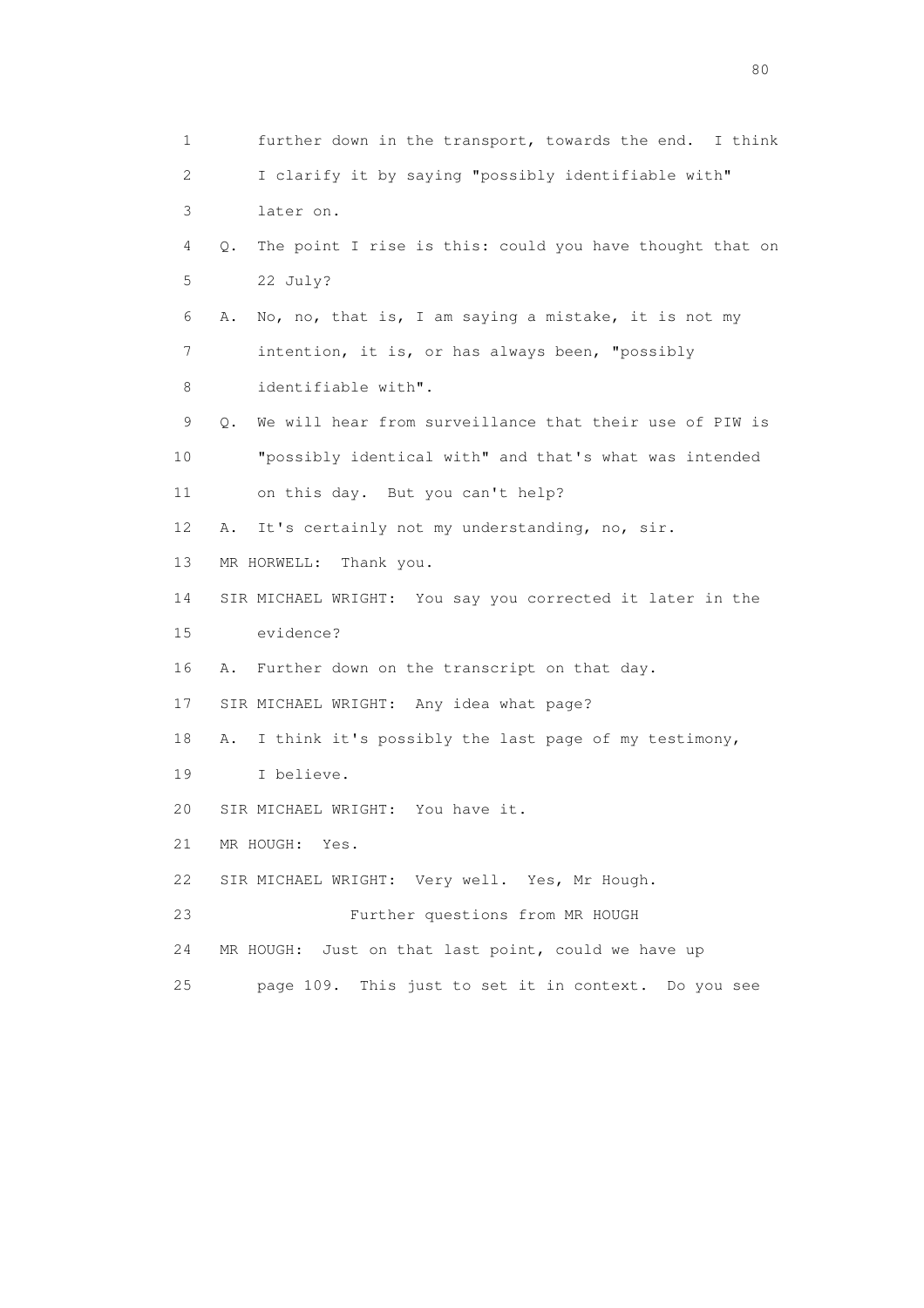1 further down in the transport, towards the end. I think 2 I clarify it by saying "possibly identifiable with" 3 later on. 4 Q. The point I rise is this: could you have thought that on 5 22 July? 6 A. No, no, that is, I am saying a mistake, it is not my 7 intention, it is, or has always been, "possibly 8 identifiable with". 9 Q. We will hear from surveillance that their use of PIW is 10 "possibly identical with" and that's what was intended 11 on this day. But you can't help? 12 A. It's certainly not my understanding, no, sir. 13 MR HORWELL: Thank you. 14 SIR MICHAEL WRIGHT: You say you corrected it later in the 15 evidence? 16 A. Further down on the transcript on that day. 17 SIR MICHAEL WRIGHT: Any idea what page? 18 A. I think it's possibly the last page of my testimony, 19 I believe. 20 SIR MICHAEL WRIGHT: You have it. 21 MR HOUGH: Yes. 22 SIR MICHAEL WRIGHT: Very well. Yes, Mr Hough. 23 Further questions from MR HOUGH 24 MR HOUGH: Just on that last point, could we have up 25 page 109. This just to set it in context. Do you see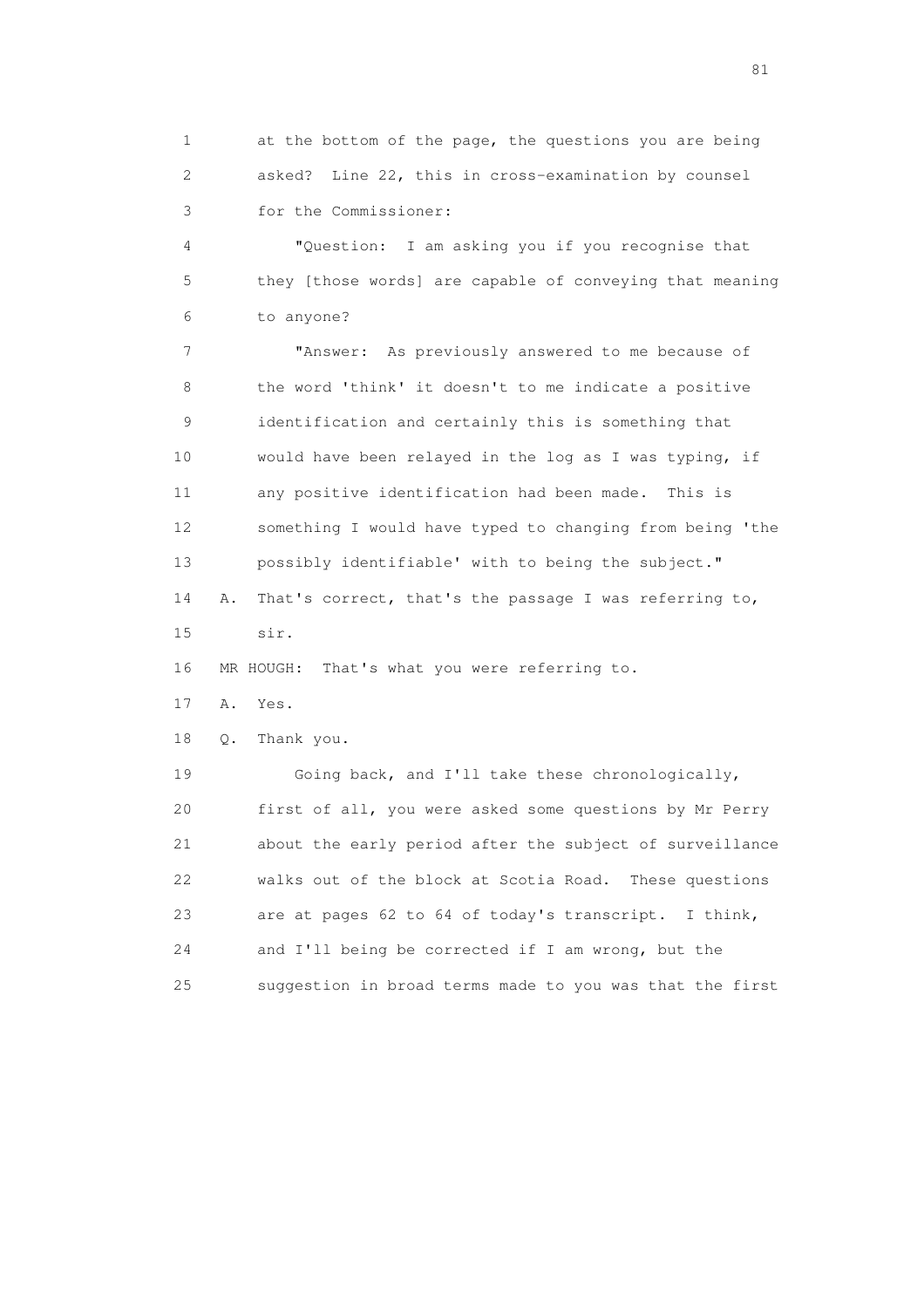1 at the bottom of the page, the questions you are being 2 asked? Line 22, this in cross-examination by counsel 3 for the Commissioner:

 4 "Question: I am asking you if you recognise that 5 they [those words] are capable of conveying that meaning 6 to anyone?

 7 "Answer: As previously answered to me because of 8 the word 'think' it doesn't to me indicate a positive 9 identification and certainly this is something that 10 would have been relayed in the log as I was typing, if 11 any positive identification had been made. This is 12 something I would have typed to changing from being 'the 13 possibly identifiable' with to being the subject." 14 A. That's correct, that's the passage I was referring to, 15 sir.

16 MR HOUGH: That's what you were referring to.

17 A. Yes.

18 Q. Thank you.

 19 Going back, and I'll take these chronologically, 20 first of all, you were asked some questions by Mr Perry 21 about the early period after the subject of surveillance 22 walks out of the block at Scotia Road. These questions 23 are at pages 62 to 64 of today's transcript. I think, 24 and I'll being be corrected if I am wrong, but the 25 suggestion in broad terms made to you was that the first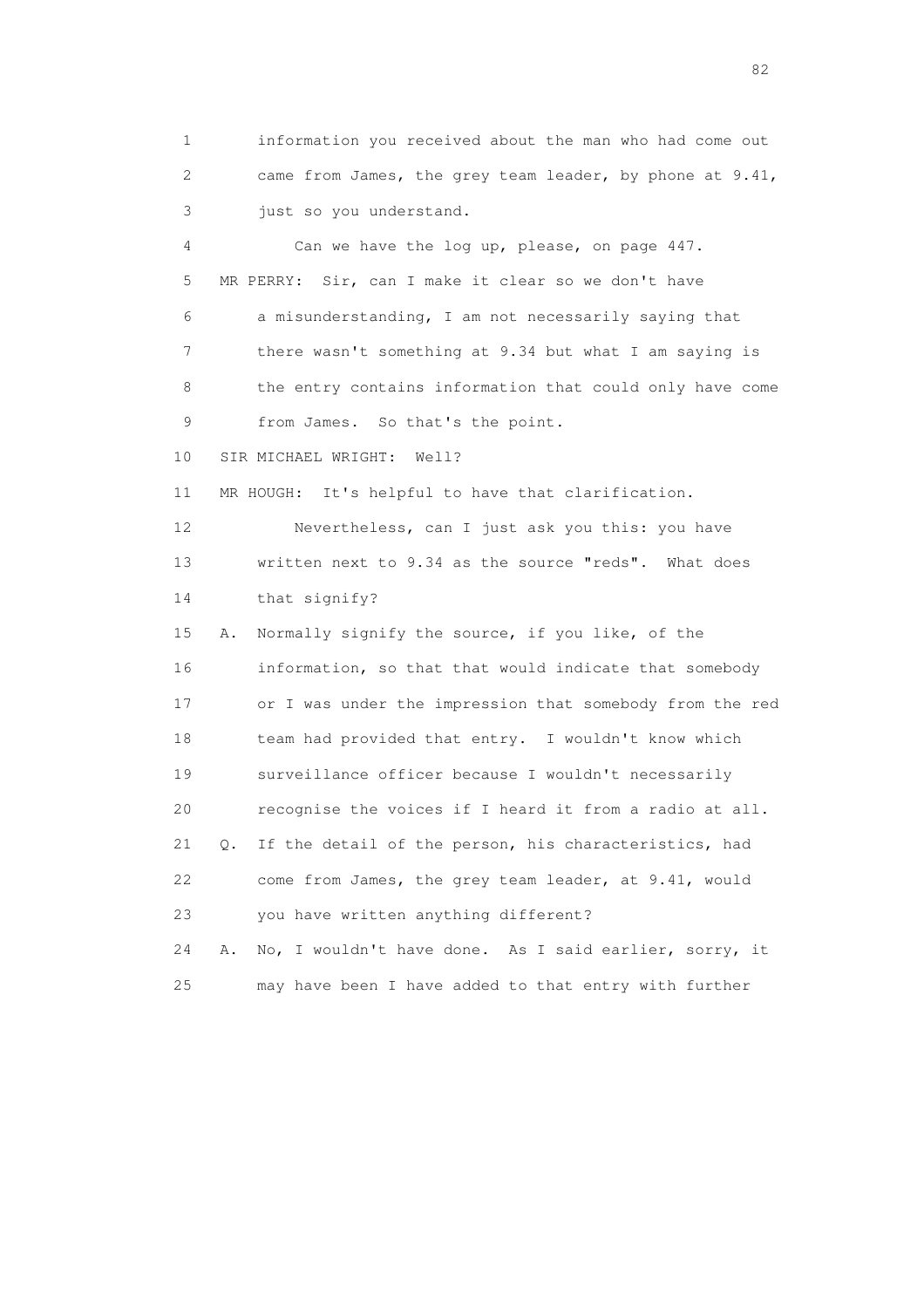1 information you received about the man who had come out 2 came from James, the grey team leader, by phone at 9.41, 3 just so you understand. 4 Can we have the log up, please, on page 447. 5 MR PERRY: Sir, can I make it clear so we don't have 6 a misunderstanding, I am not necessarily saying that 7 there wasn't something at 9.34 but what I am saying is 8 the entry contains information that could only have come 9 from James. So that's the point. 10 SIR MICHAEL WRIGHT: Well? 11 MR HOUGH: It's helpful to have that clarification. 12 Nevertheless, can I just ask you this: you have 13 written next to 9.34 as the source "reds". What does 14 that signify? 15 A. Normally signify the source, if you like, of the 16 information, so that that would indicate that somebody 17 or I was under the impression that somebody from the red 18 team had provided that entry. I wouldn't know which 19 surveillance officer because I wouldn't necessarily 20 recognise the voices if I heard it from a radio at all. 21 Q. If the detail of the person, his characteristics, had 22 come from James, the grey team leader, at 9.41, would 23 you have written anything different? 24 A. No, I wouldn't have done. As I said earlier, sorry, it 25 may have been I have added to that entry with further

experience of the state of the state of the state of the state of the state of the state of the state of the s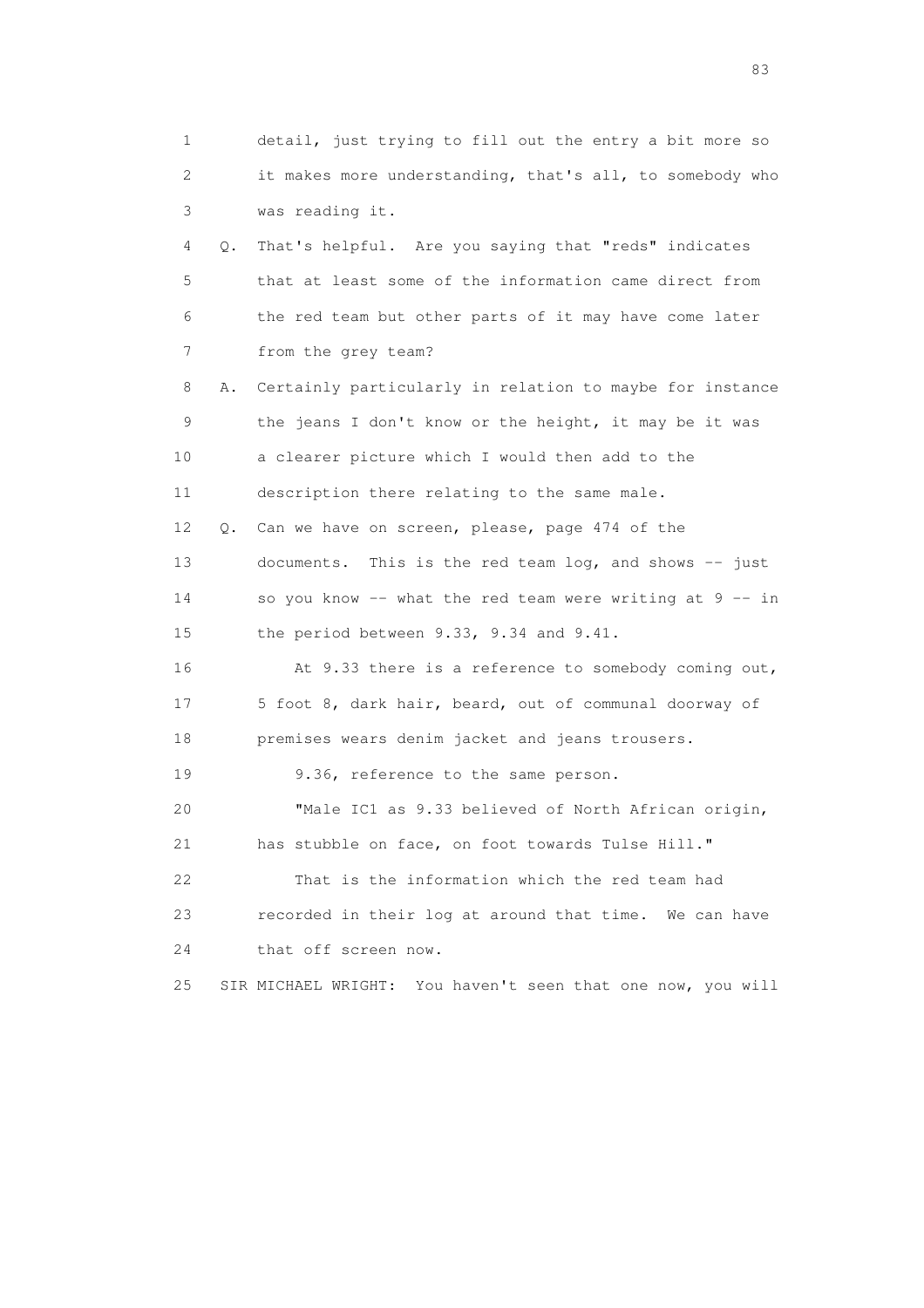| 1  |    | detail, just trying to fill out the entry a bit more so        |
|----|----|----------------------------------------------------------------|
| 2  |    | it makes more understanding, that's all, to somebody who       |
| 3  |    | was reading it.                                                |
| 4  | Q. | That's helpful. Are you saying that "reds" indicates           |
| 5  |    | that at least some of the information came direct from         |
| 6  |    | the red team but other parts of it may have come later         |
| 7  |    | from the grey team?                                            |
| 8  | Α. | Certainly particularly in relation to maybe for instance       |
| 9  |    | the jeans I don't know or the height, it may be it was         |
| 10 |    | a clearer picture which I would then add to the                |
| 11 |    | description there relating to the same male.                   |
| 12 | Q. | Can we have on screen, please, page 474 of the                 |
| 13 |    | This is the red team log, and shows $-$ just<br>documents.     |
| 14 |    | so you know -- what the red team were writing at 9 -- in       |
| 15 |    | the period between 9.33, 9.34 and 9.41.                        |
| 16 |    | At 9.33 there is a reference to somebody coming out,           |
| 17 |    | 5 foot 8, dark hair, beard, out of communal doorway of         |
| 18 |    | premises wears denim jacket and jeans trousers.                |
| 19 |    | 9.36, reference to the same person.                            |
| 20 |    | "Male IC1 as 9.33 believed of North African origin,            |
| 21 |    | has stubble on face, on foot towards Tulse Hill."              |
| 22 |    | That is the information which the red team had                 |
| 23 |    | recorded in their log at around that time. We can have         |
| 24 |    | that off screen now.                                           |
| 25 |    | You haven't seen that one now, you will<br>SIR MICHAEL WRIGHT: |

experience of the contract of the contract of the contract of the contract of the contract of the contract of the contract of the contract of the contract of the contract of the contract of the contract of the contract of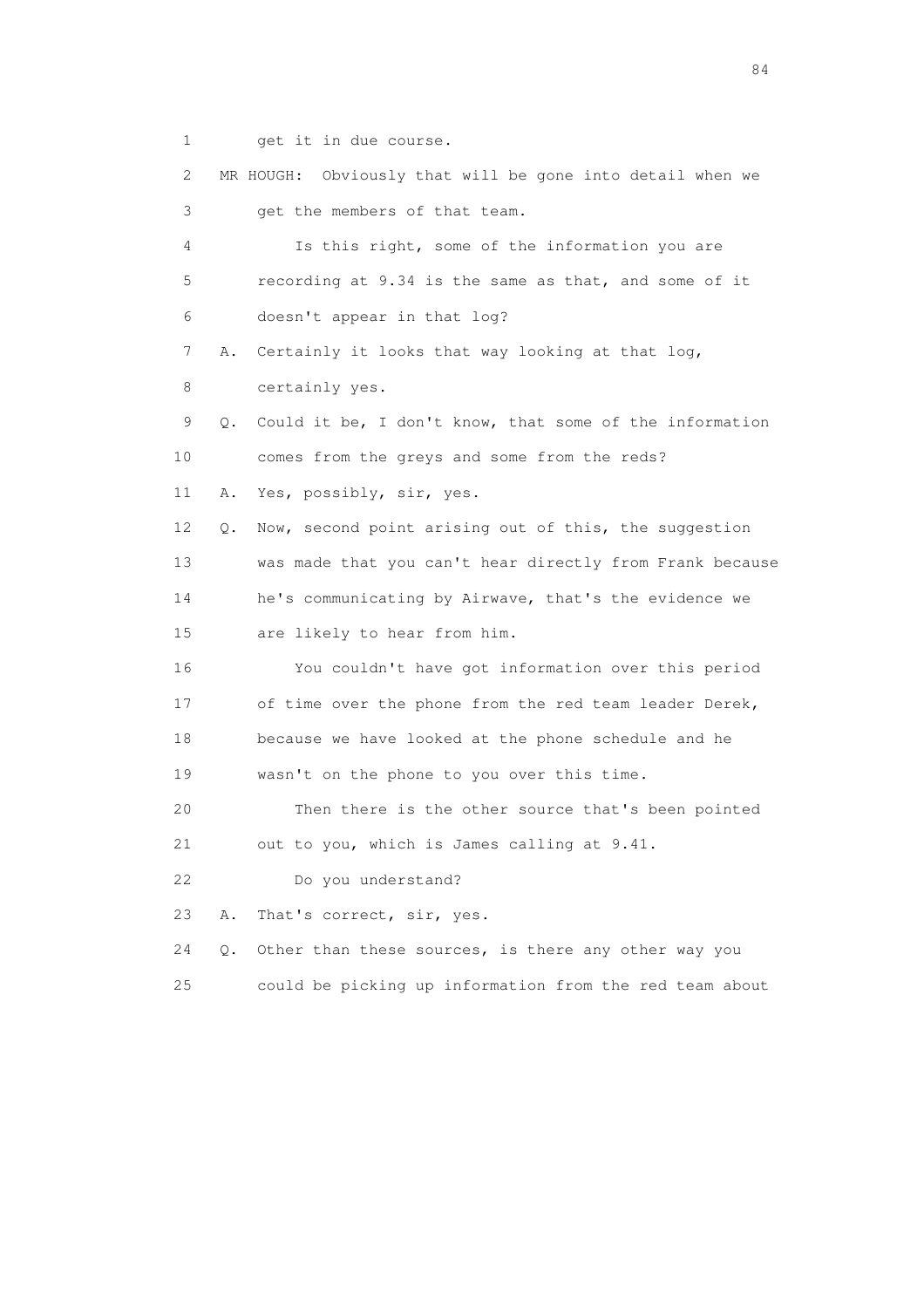1 get it in due course.

 2 MR HOUGH: Obviously that will be gone into detail when we 3 get the members of that team. 4 Is this right, some of the information you are 5 recording at 9.34 is the same as that, and some of it 6 doesn't appear in that log? 7 A. Certainly it looks that way looking at that log, 8 certainly yes. 9 Q. Could it be, I don't know, that some of the information 10 comes from the greys and some from the reds? 11 A. Yes, possibly, sir, yes. 12 Q. Now, second point arising out of this, the suggestion 13 was made that you can't hear directly from Frank because 14 he's communicating by Airwave, that's the evidence we 15 are likely to hear from him. 16 You couldn't have got information over this period 17 of time over the phone from the red team leader Derek, 18 because we have looked at the phone schedule and he 19 wasn't on the phone to you over this time. 20 Then there is the other source that's been pointed 21 out to you, which is James calling at 9.41. 22 Do you understand? 23 A. That's correct, sir, yes. 24 Q. Other than these sources, is there any other way you 25 could be picking up information from the red team about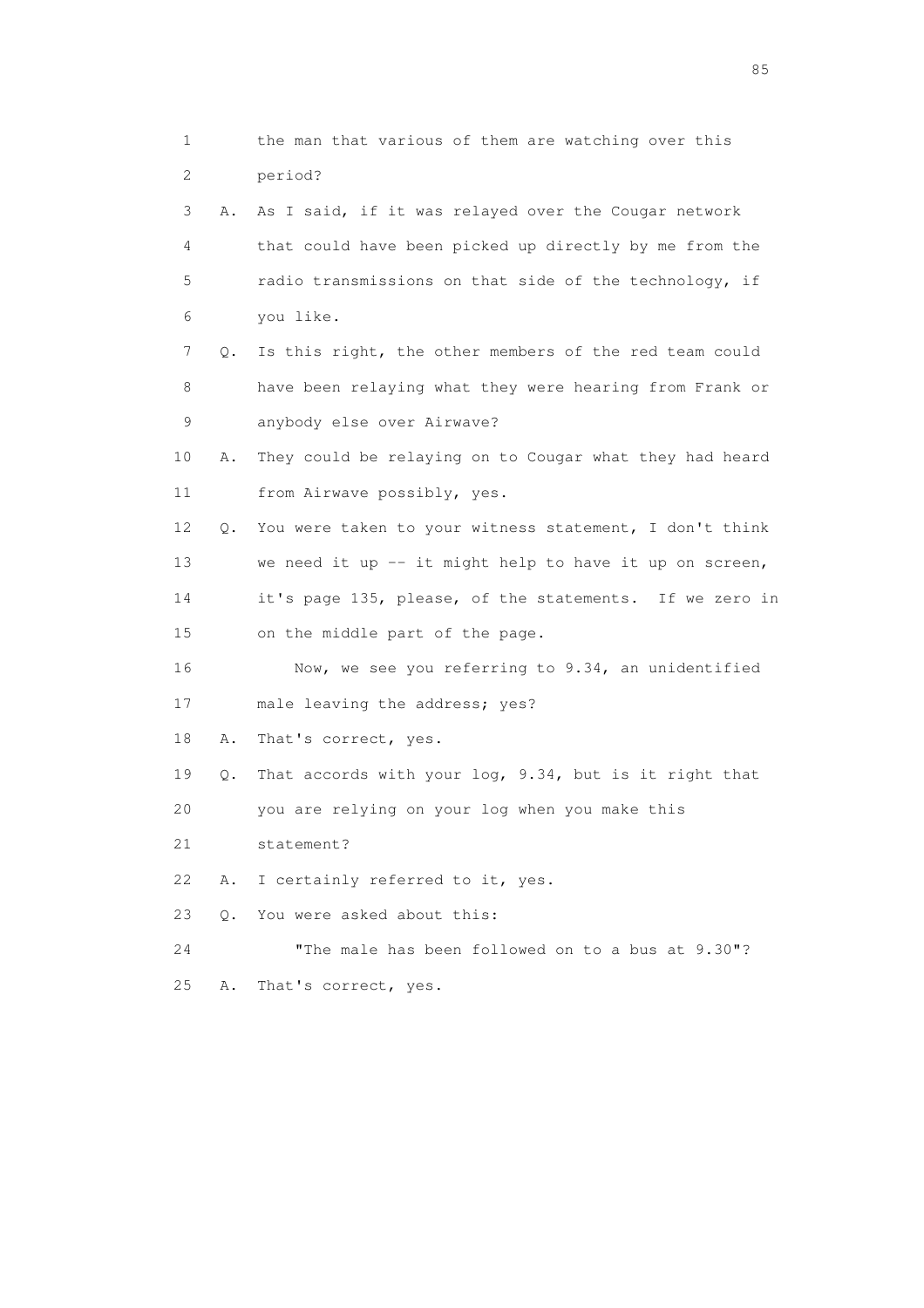1 the man that various of them are watching over this 2 period? 3 A. As I said, if it was relayed over the Cougar network 4 that could have been picked up directly by me from the 5 radio transmissions on that side of the technology, if 6 you like. 7 Q. Is this right, the other members of the red team could 8 have been relaying what they were hearing from Frank or 9 anybody else over Airwave? 10 A. They could be relaying on to Cougar what they had heard 11 from Airwave possibly, yes. 12 Q. You were taken to your witness statement, I don't think 13 we need it up -- it might help to have it up on screen, 14 it's page 135, please, of the statements. If we zero in 15 on the middle part of the page. 16 Now, we see you referring to 9.34, an unidentified 17 male leaving the address; yes? 18 A. That's correct, yes. 19 Q. That accords with your log, 9.34, but is it right that 20 you are relying on your log when you make this 21 statement? 22 A. I certainly referred to it, yes. 23 Q. You were asked about this: 24 "The male has been followed on to a bus at 9.30"? 25 A. That's correct, yes.

experience of the contract of the contract of the contract of the contract of the contract of the contract of the contract of the contract of the contract of the contract of the contract of the contract of the contract of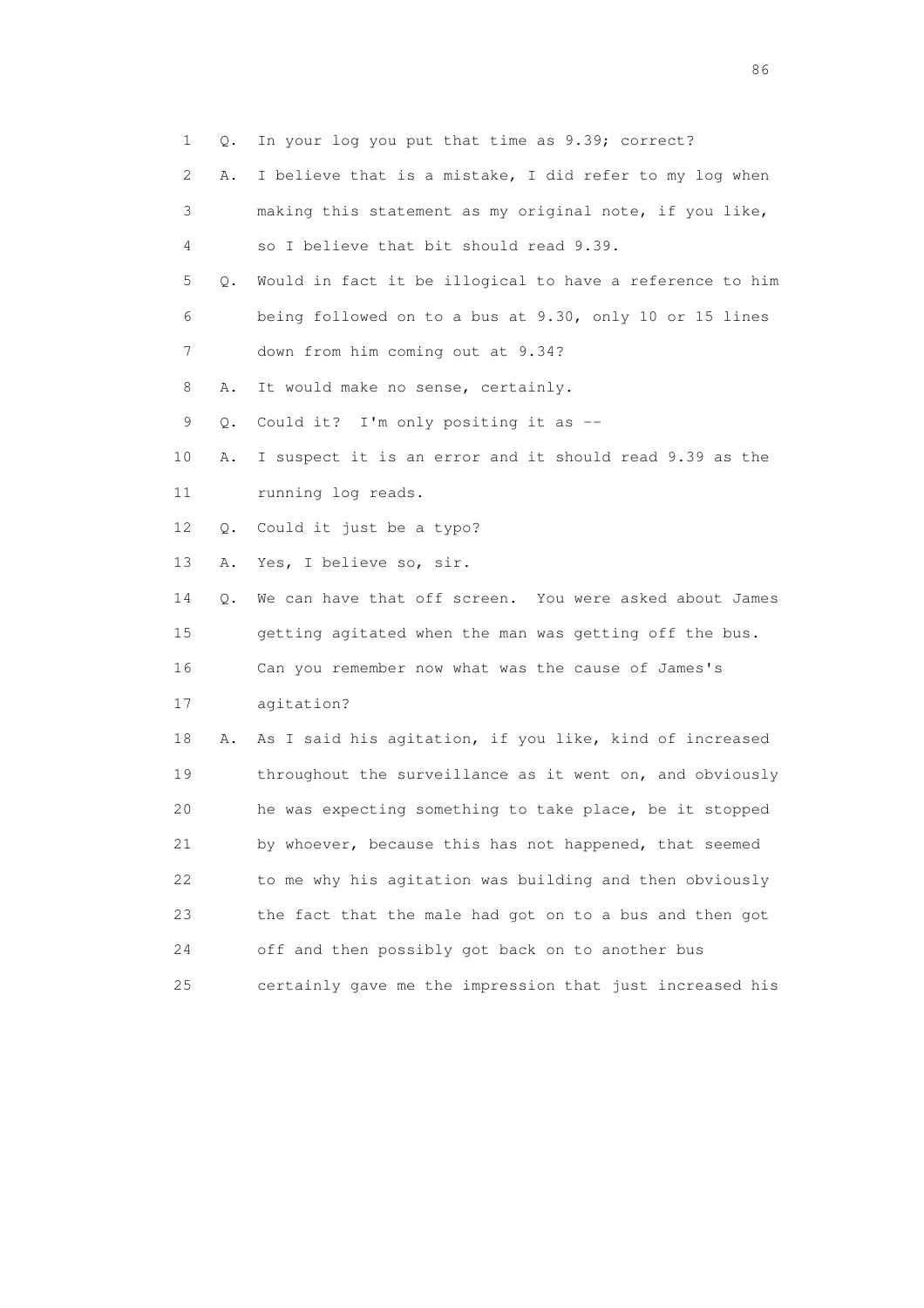1 Q. In your log you put that time as 9.39; correct?

- 2 A. I believe that is a mistake, I did refer to my log when 3 making this statement as my original note, if you like,
- 4 so I believe that bit should read 9.39.
- 5 Q. Would in fact it be illogical to have a reference to him 6 being followed on to a bus at 9.30, only 10 or 15 lines 7 down from him coming out at 9.34?
- 8 A. It would make no sense, certainly.
- 9 Q. Could it? I'm only positing it as --
- 10 A. I suspect it is an error and it should read 9.39 as the 11 running log reads.
- 12 Q. Could it just be a typo?
- 13 A. Yes, I believe so, sir.

 14 Q. We can have that off screen. You were asked about James 15 getting agitated when the man was getting off the bus. 16 Can you remember now what was the cause of James's

17 agitation?

 18 A. As I said his agitation, if you like, kind of increased 19 throughout the surveillance as it went on, and obviously 20 he was expecting something to take place, be it stopped 21 by whoever, because this has not happened, that seemed 22 to me why his agitation was building and then obviously 23 the fact that the male had got on to a bus and then got 24 off and then possibly got back on to another bus 25 certainly gave me the impression that just increased his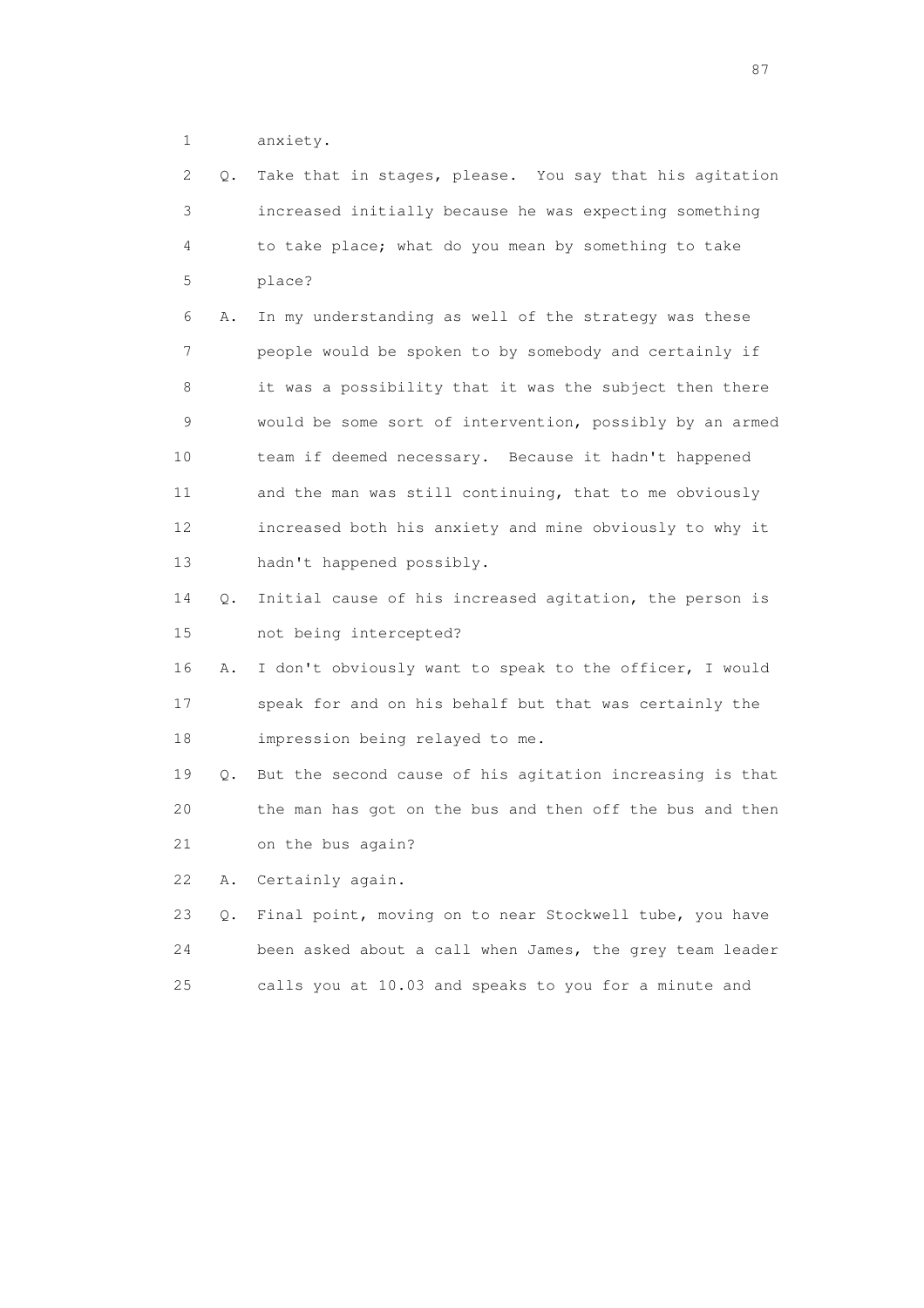1 anxiety.

| 2  | Q. | Take that in stages, please. You say that his agitation  |
|----|----|----------------------------------------------------------|
| 3  |    | increased initially because he was expecting something   |
| 4  |    | to take place; what do you mean by something to take     |
| 5  |    | place?                                                   |
| 6  | Α. | In my understanding as well of the strategy was these    |
| 7  |    | people would be spoken to by somebody and certainly if   |
| 8  |    | it was a possibility that it was the subject then there  |
| 9  |    | would be some sort of intervention, possibly by an armed |
| 10 |    | team if deemed necessary. Because it hadn't happened     |
| 11 |    | and the man was still continuing, that to me obviously   |
| 12 |    | increased both his anxiety and mine obviously to why it  |
| 13 |    | hadn't happened possibly.                                |
| 14 | Q. | Initial cause of his increased agitation, the person is  |
| 15 |    | not being intercepted?                                   |
| 16 | Α. | I don't obviously want to speak to the officer, I would  |
| 17 |    | speak for and on his behalf but that was certainly the   |
| 18 |    | impression being relayed to me.                          |
| 19 | Q. | But the second cause of his agitation increasing is that |
| 20 |    | the man has got on the bus and then off the bus and then |
| 21 |    | on the bus again?                                        |
| 22 | Α. | Certainly again.                                         |
| 23 | Q. | Final point, moving on to near Stockwell tube, you have  |
| 24 |    | been asked about a call when James, the grey team leader |

25 calls you at 10.03 and speaks to you for a minute and

experience of the state of the state of the state of the state of the state of the state of the state of the s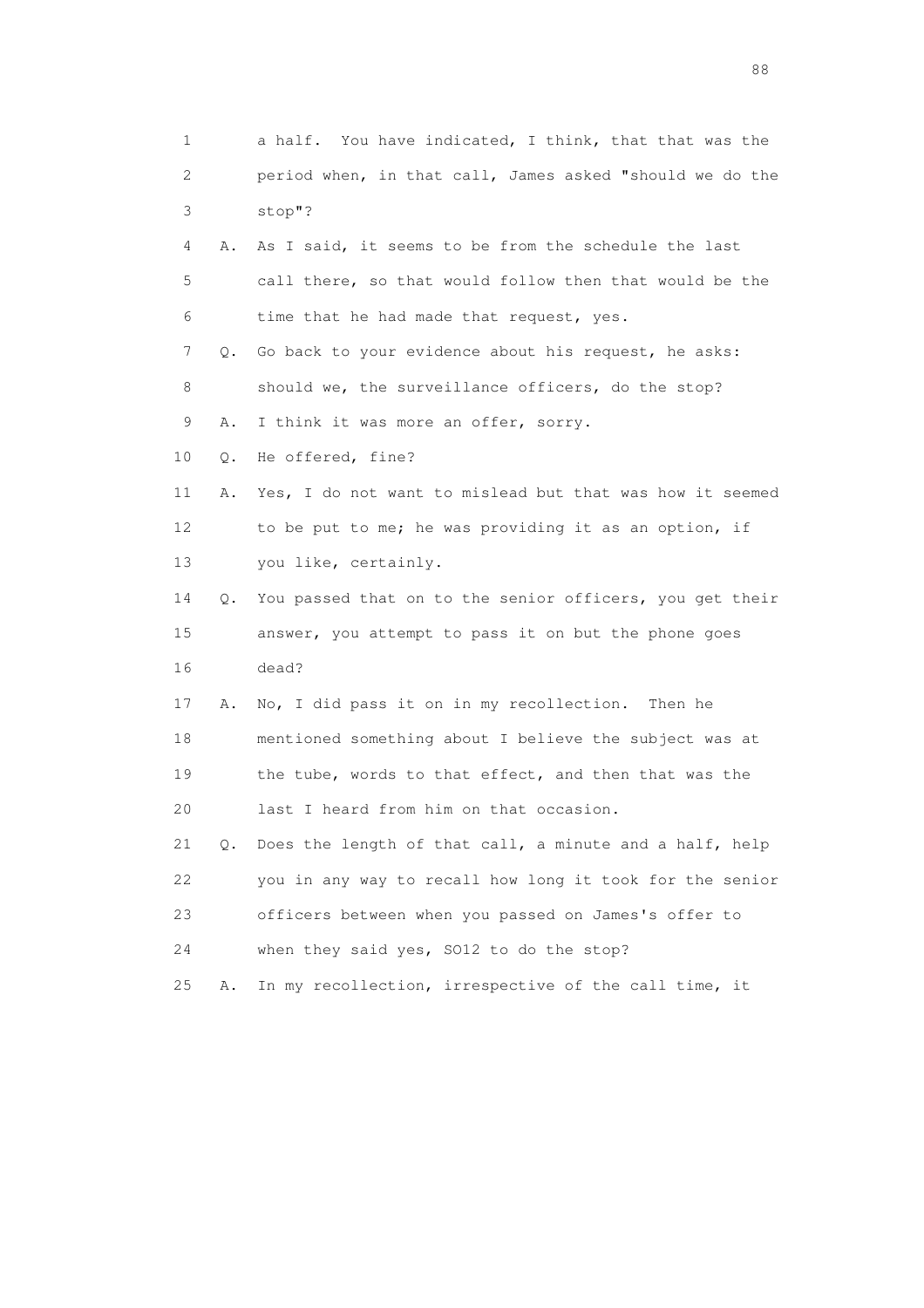1 a half. You have indicated, I think, that that was the 2 period when, in that call, James asked "should we do the 3 stop"? 4 A. As I said, it seems to be from the schedule the last 5 call there, so that would follow then that would be the 6 time that he had made that request, yes. 7 Q. Go back to your evidence about his request, he asks: 8 should we, the surveillance officers, do the stop? 9 A. I think it was more an offer, sorry. 10 Q. He offered, fine? 11 A. Yes, I do not want to mislead but that was how it seemed 12 to be put to me; he was providing it as an option, if 13 you like, certainly. 14 Q. You passed that on to the senior officers, you get their 15 answer, you attempt to pass it on but the phone goes 16 dead? 17 A. No, I did pass it on in my recollection. Then he 18 mentioned something about I believe the subject was at 19 the tube, words to that effect, and then that was the 20 last I heard from him on that occasion. 21 Q. Does the length of that call, a minute and a half, help 22 you in any way to recall how long it took for the senior 23 officers between when you passed on James's offer to 24 when they said yes, SO12 to do the stop? 25 A. In my recollection, irrespective of the call time, it

en de la construction de la construction de la construction de la construction de la construction de la constr<br>1880 : le construction de la construction de la construction de la construction de la construction de la const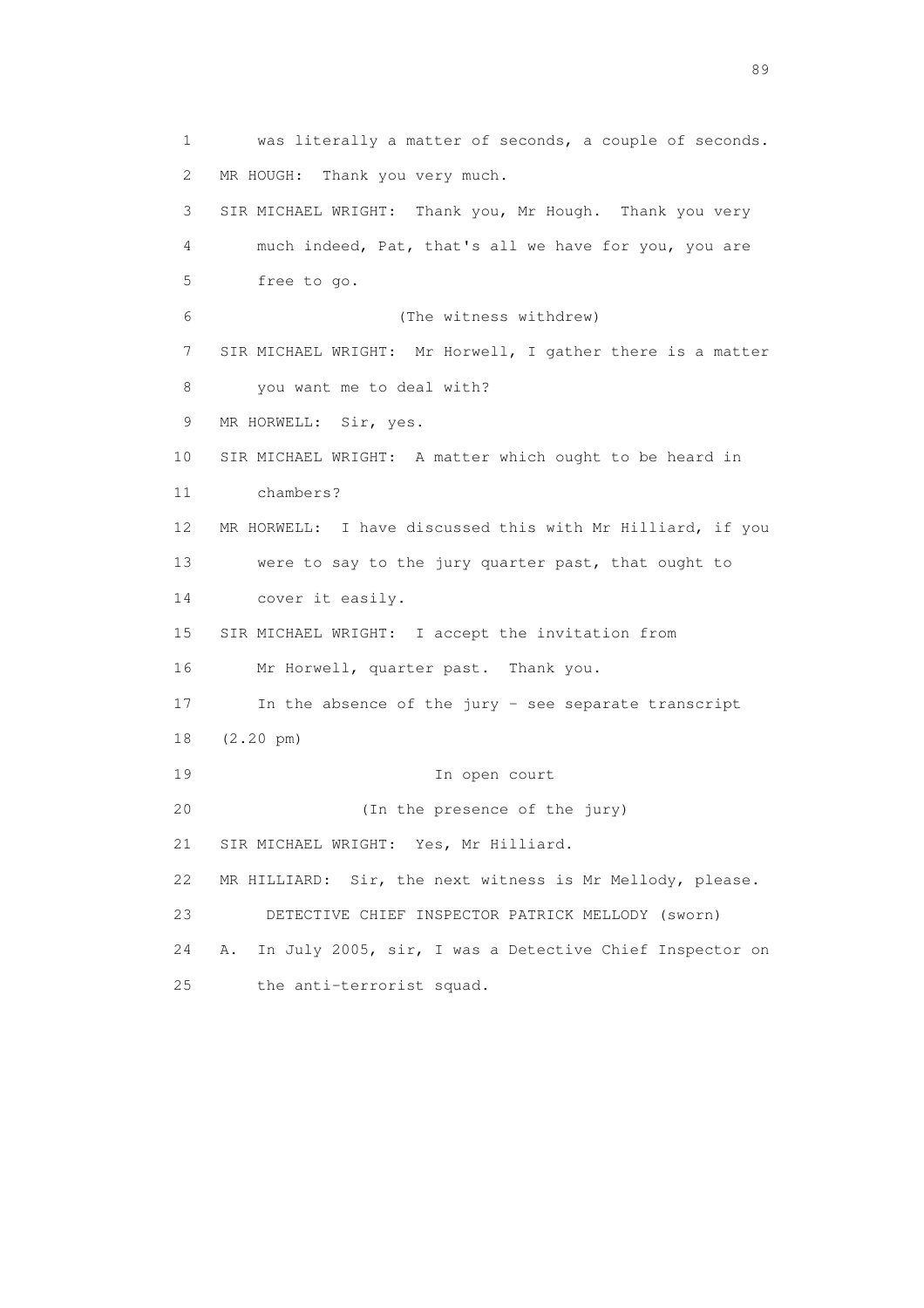1 was literally a matter of seconds, a couple of seconds. 2 MR HOUGH: Thank you very much. 3 SIR MICHAEL WRIGHT: Thank you, Mr Hough. Thank you very 4 much indeed, Pat, that's all we have for you, you are 5 free to go. 6 (The witness withdrew) 7 SIR MICHAEL WRIGHT: Mr Horwell, I gather there is a matter 8 you want me to deal with? 9 MR HORWELL: Sir, yes. 10 SIR MICHAEL WRIGHT: A matter which ought to be heard in 11 chambers? 12 MR HORWELL: I have discussed this with Mr Hilliard, if you 13 were to say to the jury quarter past, that ought to 14 cover it easily. 15 SIR MICHAEL WRIGHT: I accept the invitation from 16 Mr Horwell, quarter past. Thank you. 17 In the absence of the jury - see separate transcript 18 (2.20 pm) 19 In open court 20 (In the presence of the jury) 21 SIR MICHAEL WRIGHT: Yes, Mr Hilliard. 22 MR HILLIARD: Sir, the next witness is Mr Mellody, please. 23 DETECTIVE CHIEF INSPECTOR PATRICK MELLODY (sworn) 24 A. In July 2005, sir, I was a Detective Chief Inspector on 25 the anti-terrorist squad.

en andere de la provincia de la provincia de la provincia de la provincia de la provincia de la provincia de l<br>En 1910, en la provincia de la provincia de la provincia de la provincia de la provincia de la provincia de la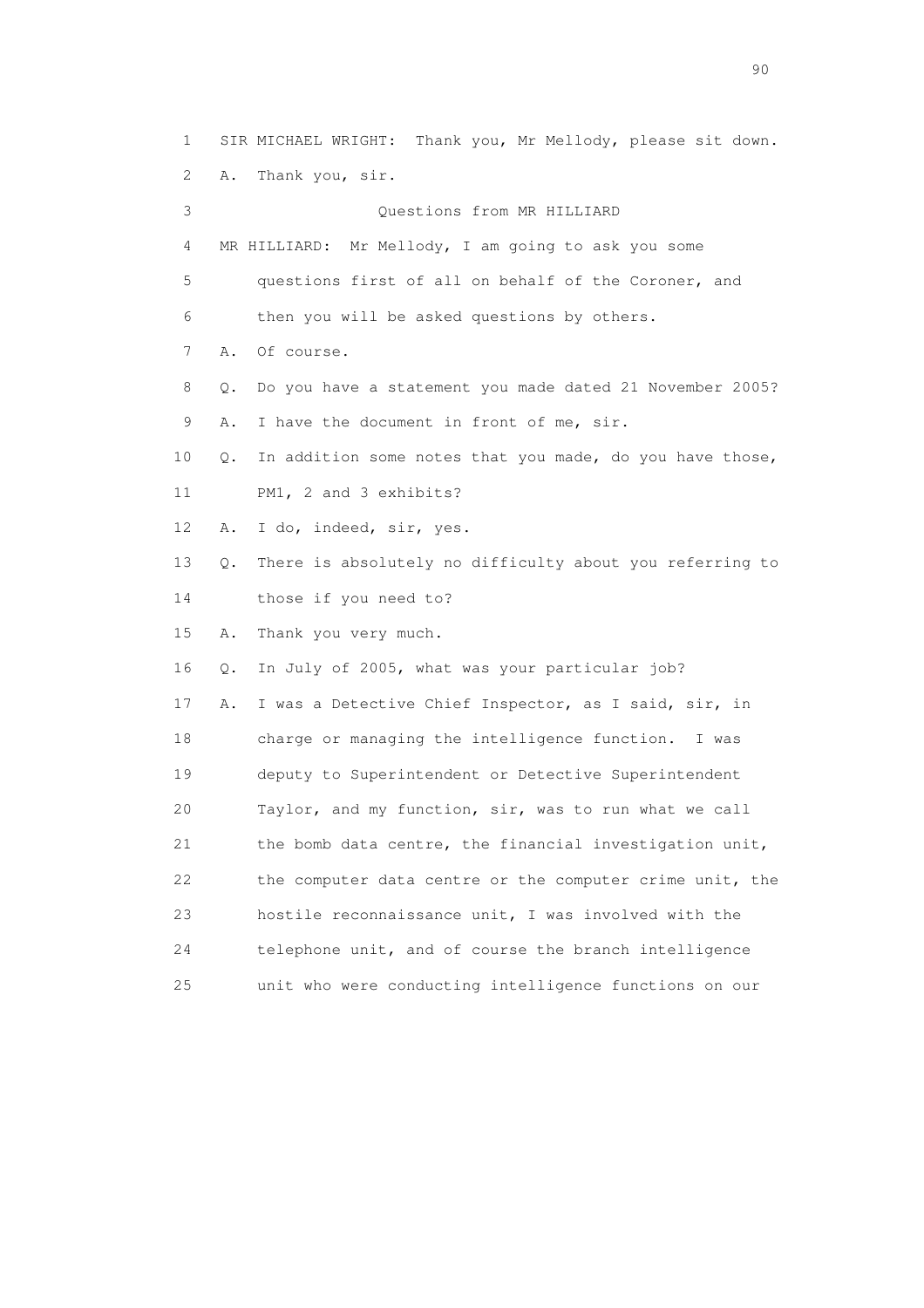1 SIR MICHAEL WRIGHT: Thank you, Mr Mellody, please sit down. 2 A. Thank you, sir. 3 Questions from MR HILLIARD 4 MR HILLIARD: Mr Mellody, I am going to ask you some 5 questions first of all on behalf of the Coroner, and 6 then you will be asked questions by others. 7 A. Of course. 8 Q. Do you have a statement you made dated 21 November 2005? 9 A. I have the document in front of me, sir. 10 Q. In addition some notes that you made, do you have those, 11 PM1, 2 and 3 exhibits? 12 A. I do, indeed, sir, yes. 13 Q. There is absolutely no difficulty about you referring to 14 those if you need to? 15 A. Thank you very much. 16 Q. In July of 2005, what was your particular job? 17 A. I was a Detective Chief Inspector, as I said, sir, in 18 charge or managing the intelligence function. I was 19 deputy to Superintendent or Detective Superintendent 20 Taylor, and my function, sir, was to run what we call 21 the bomb data centre, the financial investigation unit, 22 the computer data centre or the computer crime unit, the 23 hostile reconnaissance unit, I was involved with the 24 telephone unit, and of course the branch intelligence 25 unit who were conducting intelligence functions on our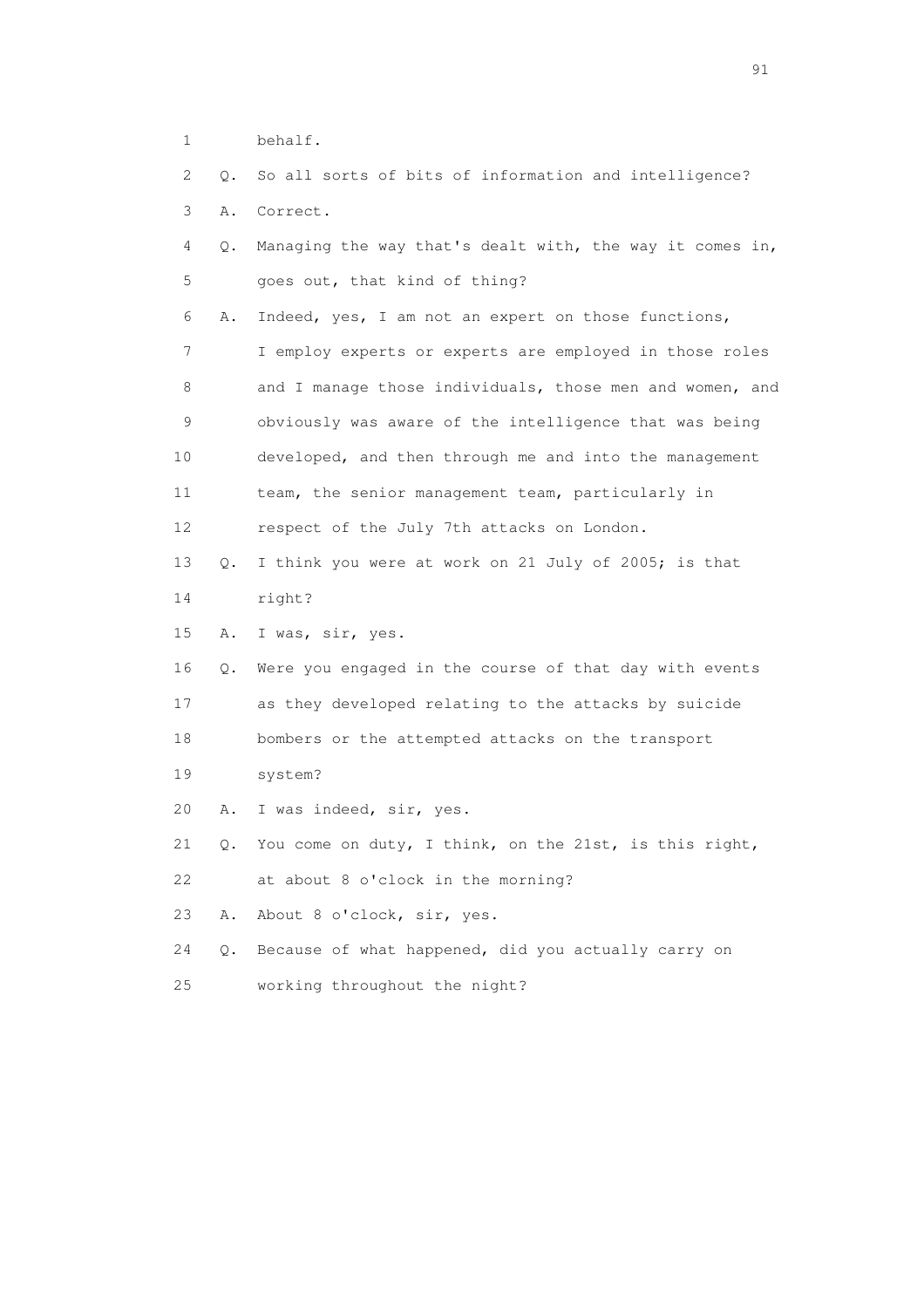- 1 behalf.
- 2 Q. So all sorts of bits of information and intelligence? 3 A. Correct. 4 Q. Managing the way that's dealt with, the way it comes in, 5 goes out, that kind of thing? 6 A. Indeed, yes, I am not an expert on those functions, 7 I employ experts or experts are employed in those roles 8 and I manage those individuals, those men and women, and 9 obviously was aware of the intelligence that was being 10 developed, and then through me and into the management 11 team, the senior management team, particularly in 12 respect of the July 7th attacks on London. 13 Q. I think you were at work on 21 July of 2005; is that 14 right? 15 A. I was, sir, yes. 16 Q. Were you engaged in the course of that day with events 17 as they developed relating to the attacks by suicide 18 bombers or the attempted attacks on the transport 19 system? 20 A. I was indeed, sir, yes. 21 Q. You come on duty, I think, on the 21st, is this right, 22 at about 8 o'clock in the morning? 23 A. About 8 o'clock, sir, yes. 24 Q. Because of what happened, did you actually carry on 25 working throughout the night?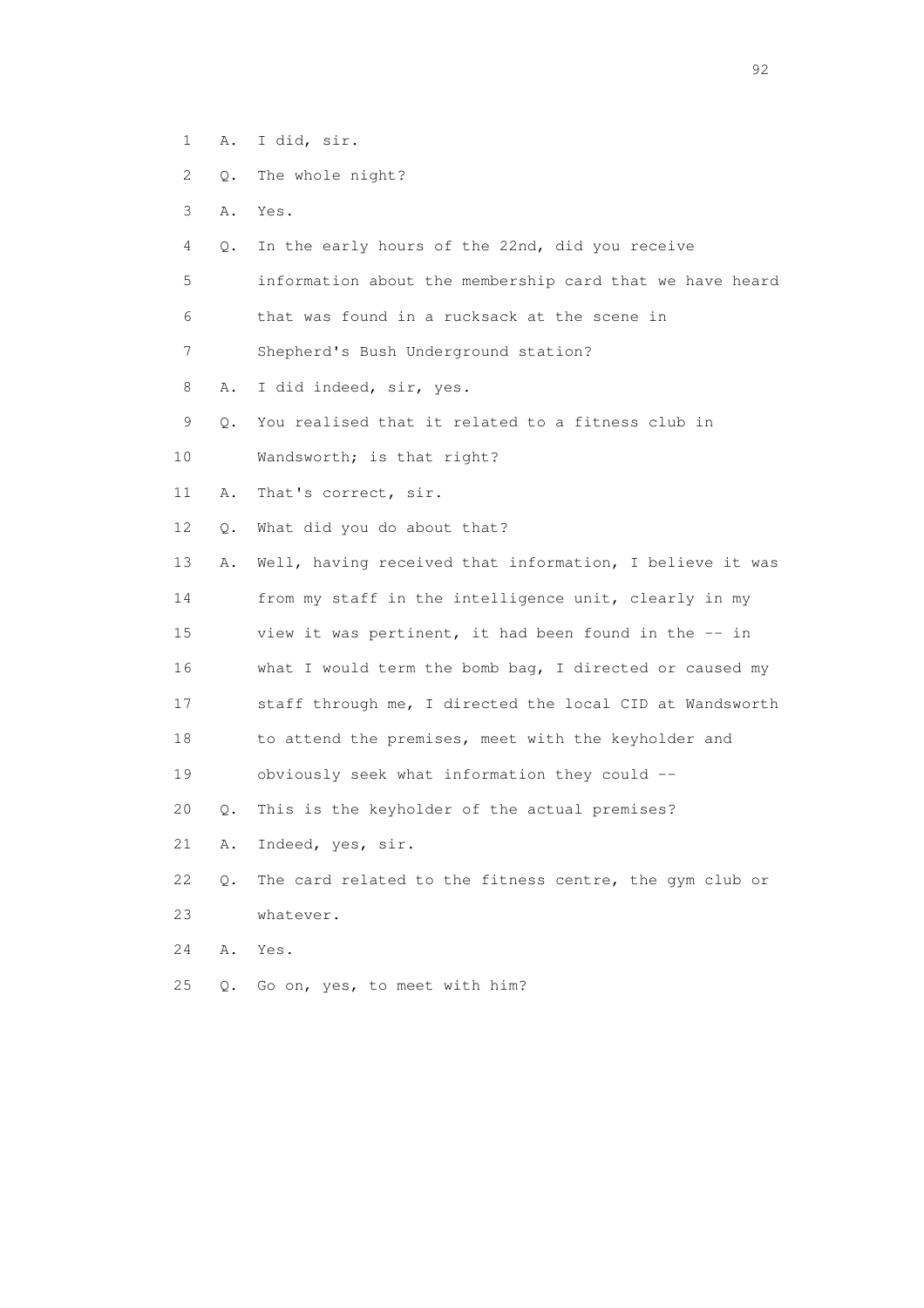- 1 A. I did, sir.
- 2 Q. The whole night?
- 3 A. Yes.
- 4 Q. In the early hours of the 22nd, did you receive
- 5 information about the membership card that we have heard
- 6 that was found in a rucksack at the scene in
- 7 Shepherd's Bush Underground station?
- 8 A. I did indeed, sir, yes.
- 9 Q. You realised that it related to a fitness club in
- 10 Wandsworth; is that right?
- 11 A. That's correct, sir.
- 12 Q. What did you do about that?
- 13 A. Well, having received that information, I believe it was 14 from my staff in the intelligence unit, clearly in my 15 view it was pertinent, it had been found in the -- in 16 what I would term the bomb bag, I directed or caused my 17 staff through me, I directed the local CID at Wandsworth 18 to attend the premises, meet with the keyholder and 19 obviously seek what information they could -- 20 Q. This is the keyholder of the actual premises? 21 A. Indeed, yes, sir.
- 22 Q. The card related to the fitness centre, the gym club or 23 whatever.
- 24 A. Yes.
- 25 Q. Go on, yes, to meet with him?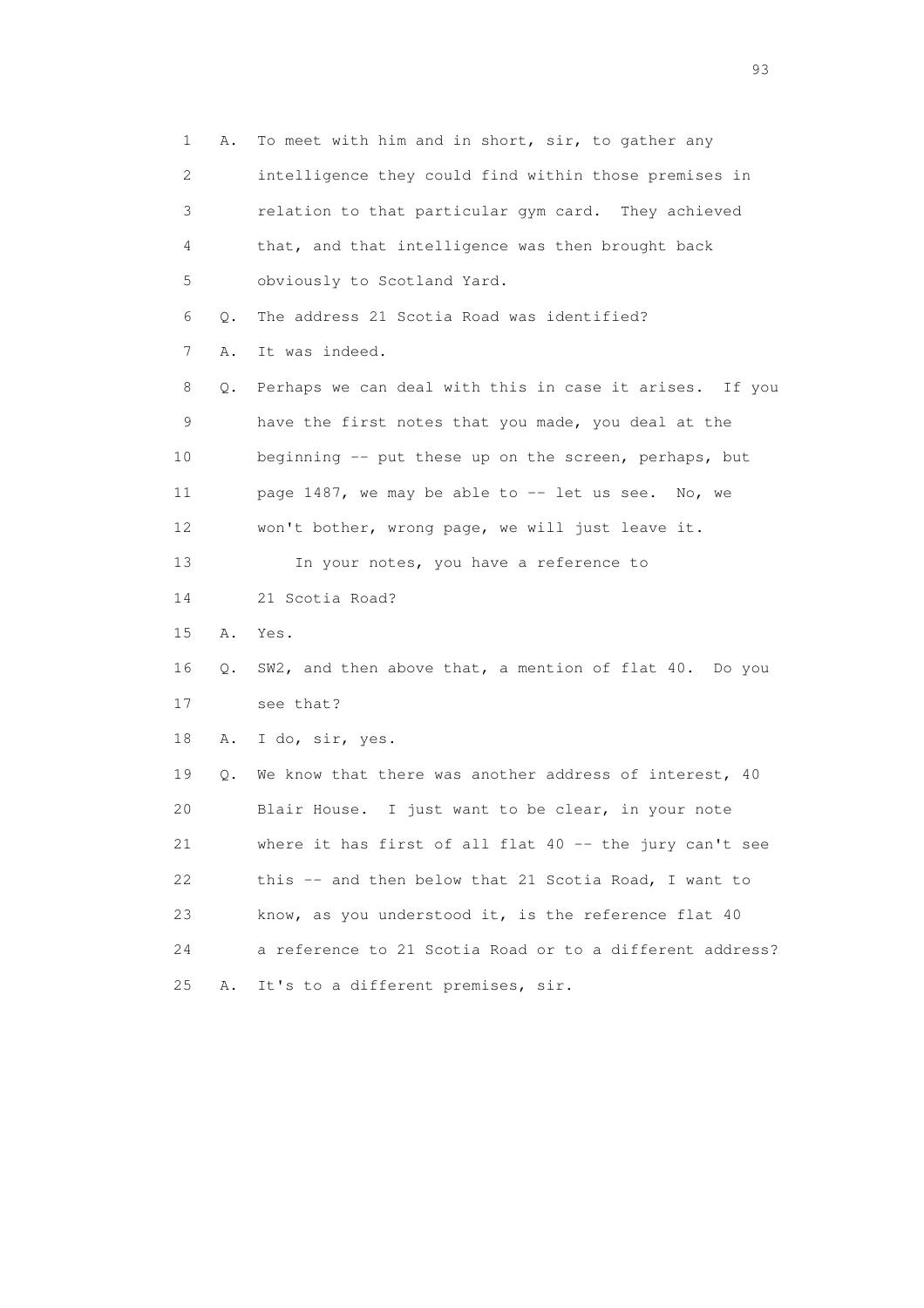1 A. To meet with him and in short, sir, to gather any 2 intelligence they could find within those premises in 3 relation to that particular gym card. They achieved 4 that, and that intelligence was then brought back 5 obviously to Scotland Yard. 6 Q. The address 21 Scotia Road was identified? 7 A. It was indeed. 8 Q. Perhaps we can deal with this in case it arises. If you 9 have the first notes that you made, you deal at the 10 beginning -- put these up on the screen, perhaps, but 11 page 1487, we may be able to -- let us see. No, we 12 won't bother, wrong page, we will just leave it. 13 In your notes, you have a reference to 14 21 Scotia Road? 15 A. Yes. 16 Q. SW2, and then above that, a mention of flat 40. Do you 17 see that? 18 A. I do, sir, yes. 19 Q. We know that there was another address of interest, 40 20 Blair House. I just want to be clear, in your note 21 where it has first of all flat 40 -- the jury can't see 22 this -- and then below that 21 Scotia Road, I want to 23 know, as you understood it, is the reference flat 40 24 a reference to 21 Scotia Road or to a different address? 25 A. It's to a different premises, sir.

experience of the contract of the contract of the contract of the contract of the contract of the contract of the contract of the contract of the contract of the contract of the contract of the contract of the contract of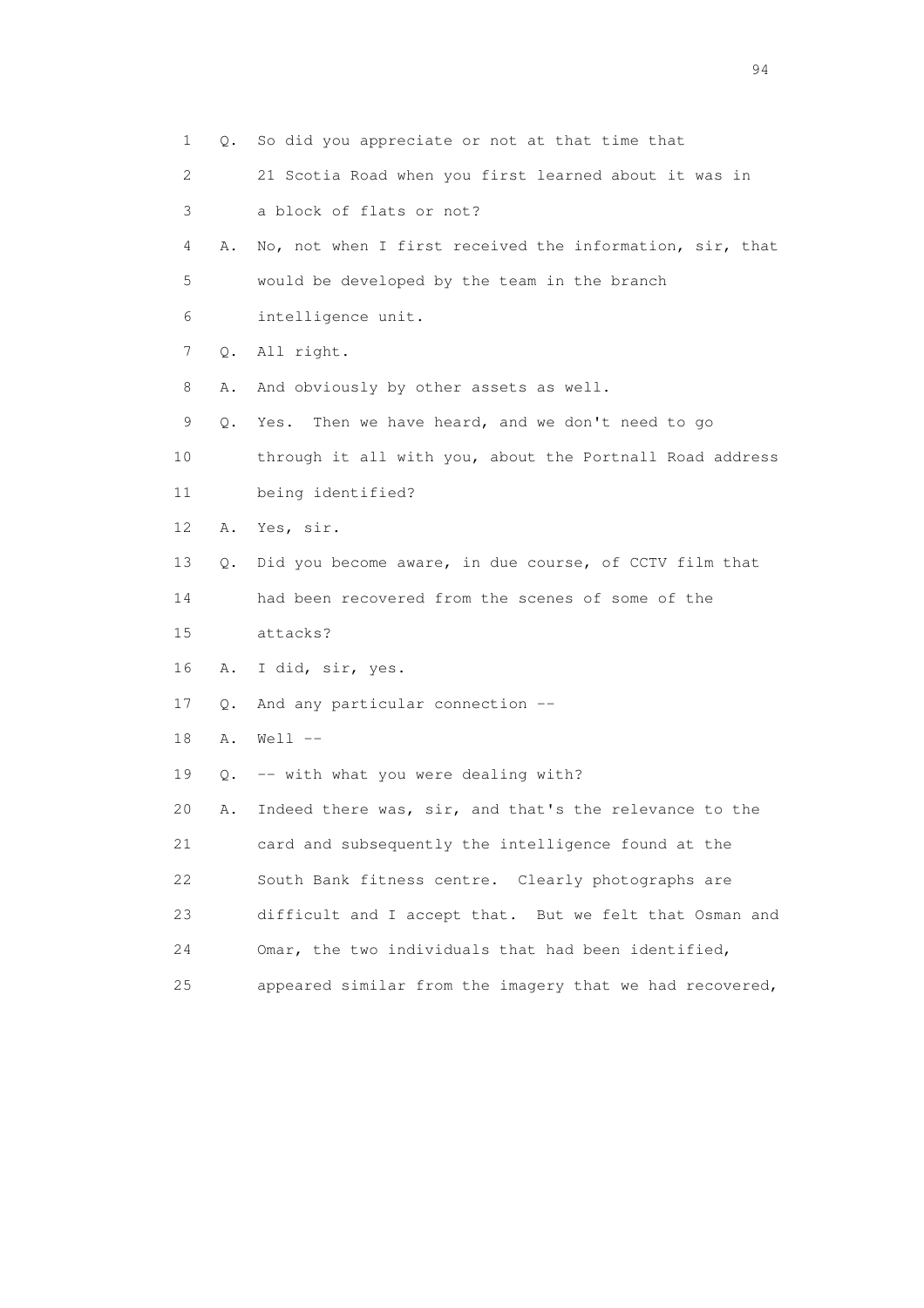| 1  | Q. | So did you appreciate or not at that time that           |
|----|----|----------------------------------------------------------|
| 2  |    | 21 Scotia Road when you first learned about it was in    |
| 3  |    | a block of flats or not?                                 |
| 4  | Α. | No, not when I first received the information, sir, that |
| 5  |    | would be developed by the team in the branch             |
| 6  |    | intelligence unit.                                       |
| 7  | Q. | All right.                                               |
| 8  | Α. | And obviously by other assets as well.                   |
| 9  | Q. | Then we have heard, and we don't need to go<br>Yes.      |
| 10 |    | through it all with you, about the Portnall Road address |
| 11 |    | being identified?                                        |
| 12 | Α. | Yes, sir.                                                |
| 13 | Q. | Did you become aware, in due course, of CCTV film that   |
| 14 |    | had been recovered from the scenes of some of the        |
| 15 |    | attacks?                                                 |
| 16 | Α. | I did, sir, yes.                                         |
| 17 | Q. | And any particular connection --                         |
| 18 | Α. | $Well1$ $--$                                             |
| 19 | Q. | -- with what you were dealing with?                      |
| 20 | Α. | Indeed there was, sir, and that's the relevance to the   |
| 21 |    | card and subsequently the intelligence found at the      |
| 22 |    | South Bank fitness centre. Clearly photographs are       |
| 23 |    | difficult and I accept that. But we felt that Osman and  |
| 24 |    | Omar, the two individuals that had been identified,      |
| 25 |    | appeared similar from the imagery that we had recovered, |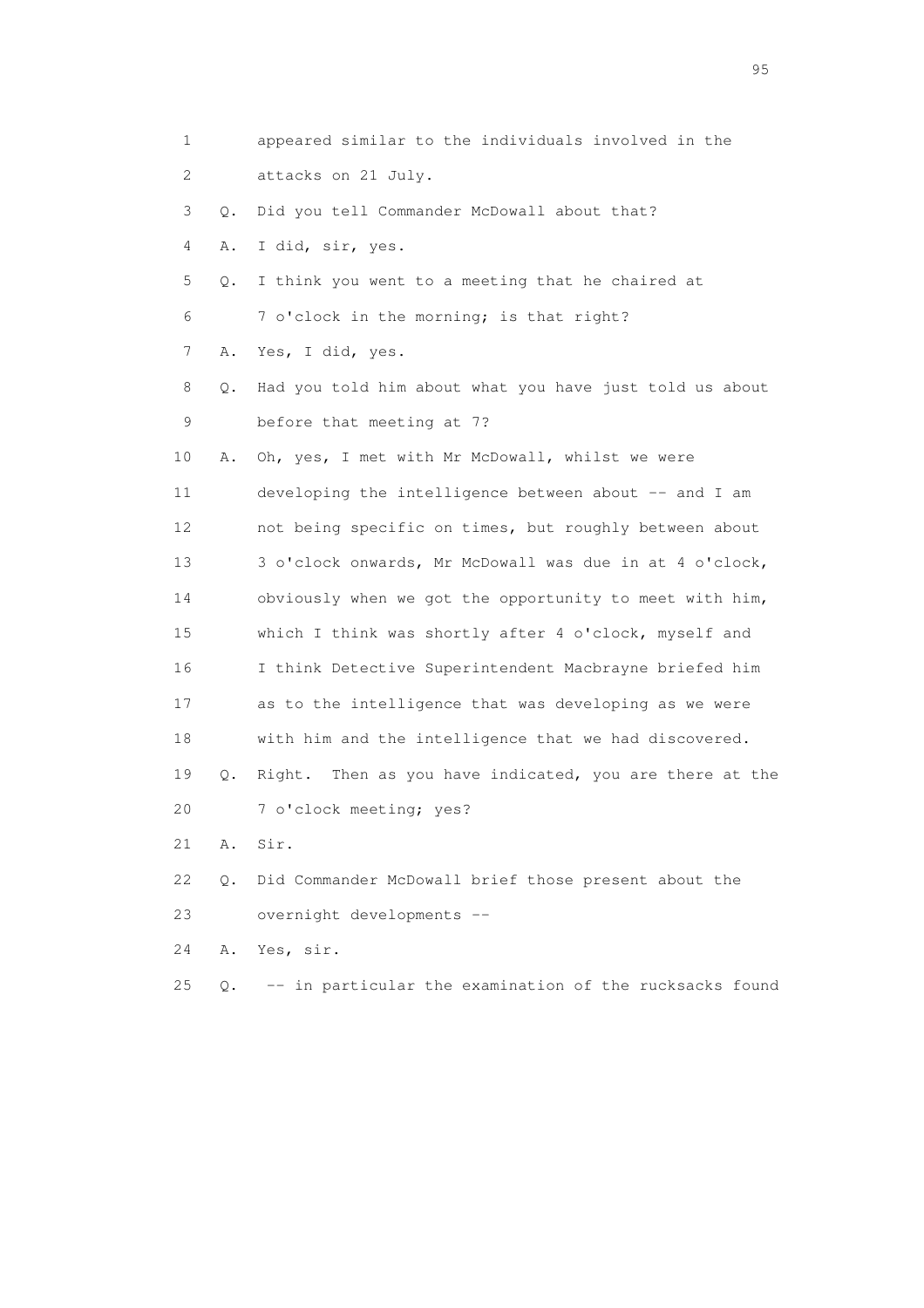1 appeared similar to the individuals involved in the 2 attacks on 21 July. 3 Q. Did you tell Commander McDowall about that? 4 A. I did, sir, yes. 5 Q. I think you went to a meeting that he chaired at 6 7 o'clock in the morning; is that right? 7 A. Yes, I did, yes. 8 Q. Had you told him about what you have just told us about 9 before that meeting at 7? 10 A. Oh, yes, I met with Mr McDowall, whilst we were 11 developing the intelligence between about -- and I am 12 not being specific on times, but roughly between about 13 3 o'clock onwards, Mr McDowall was due in at 4 o'clock, 14 obviously when we got the opportunity to meet with him, 15 which I think was shortly after 4 o'clock, myself and 16 I think Detective Superintendent Macbrayne briefed him 17 as to the intelligence that was developing as we were 18 with him and the intelligence that we had discovered. 19 Q. Right. Then as you have indicated, you are there at the 20 7 o'clock meeting; yes? 21 A. Sir. 22 Q. Did Commander McDowall brief those present about the 23 overnight developments -- 24 A. Yes, sir.

25 Q. -- in particular the examination of the rucksacks found

experience of the contract of the contract of the contract of the contract of the contract of the contract of the contract of the contract of the contract of the contract of the contract of the contract of the contract of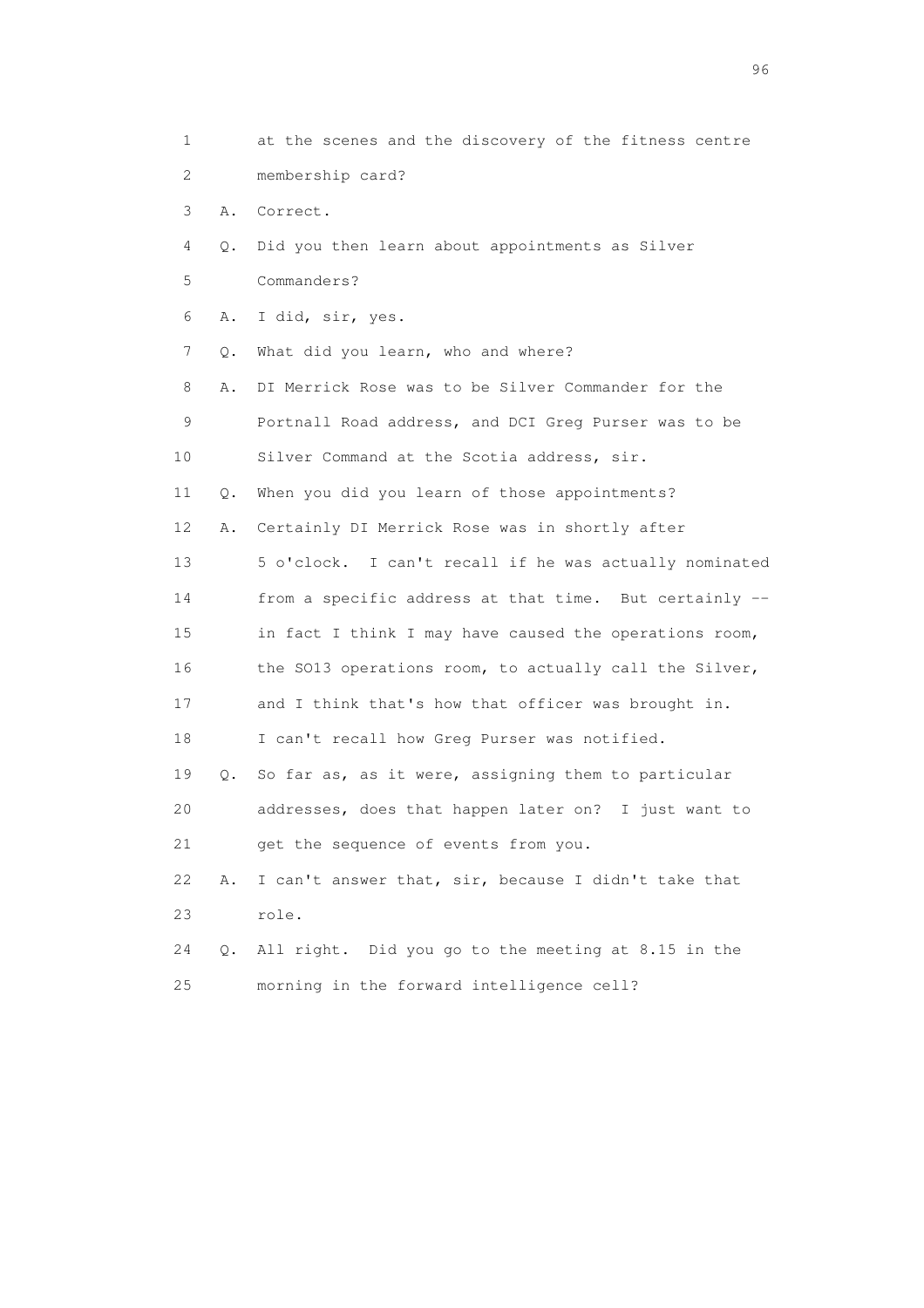| 1  |           | at the scenes and the discovery of the fitness centre  |
|----|-----------|--------------------------------------------------------|
| 2  |           | membership card?                                       |
| 3  | Α.        | Correct.                                               |
| 4  | Q.        | Did you then learn about appointments as Silver        |
| 5  |           | Commanders?                                            |
| 6  | Α.        | I did, sir, yes.                                       |
| 7  | Q.        | What did you learn, who and where?                     |
| 8  | Α.        | DI Merrick Rose was to be Silver Commander for the     |
| 9  |           | Portnall Road address, and DCI Greg Purser was to be   |
| 10 |           | Silver Command at the Scotia address, sir.             |
| 11 | $\circ$ . | When you did you learn of those appointments?          |
| 12 | Α.        | Certainly DI Merrick Rose was in shortly after         |
| 13 |           | 5 o'clock. I can't recall if he was actually nominated |
| 14 |           | from a specific address at that time. But certainly -- |
| 15 |           | in fact I think I may have caused the operations room, |
| 16 |           | the SO13 operations room, to actually call the Silver, |
| 17 |           | and I think that's how that officer was brought in.    |
| 18 |           | I can't recall how Greg Purser was notified.           |
| 19 | 0.        | So far as, as it were, assigning them to particular    |
| 20 |           | addresses, does that happen later on? I just want to   |
| 21 |           | get the sequence of events from you.                   |
| 22 | Α.        | I can't answer that, sir, because I didn't take that   |
| 23 |           | role.                                                  |
| 24 | Q.        | All right. Did you go to the meeting at 8.15 in the    |
| 25 |           | morning in the forward intelligence cell?              |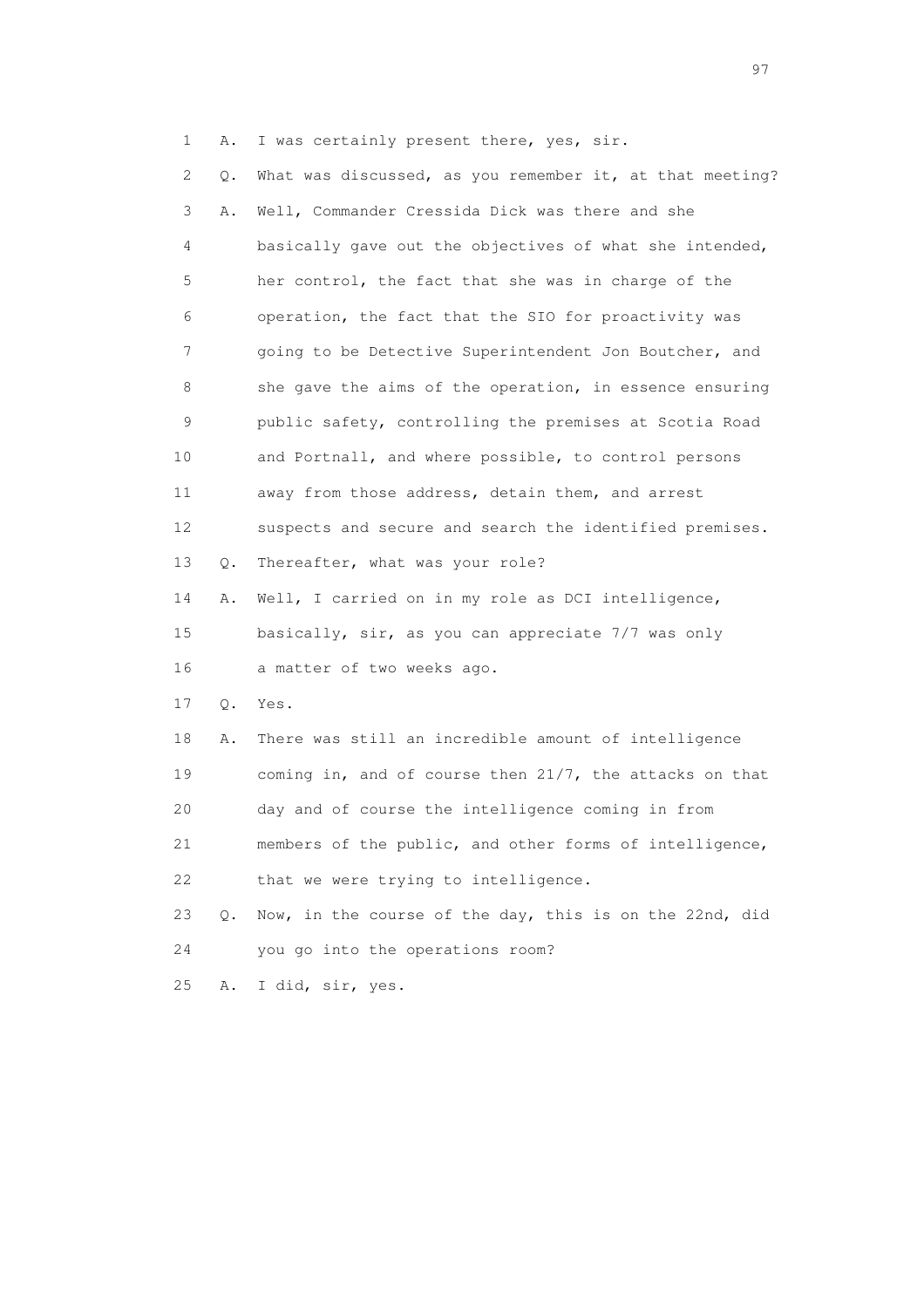1 A. I was certainly present there, yes, sir.

 2 Q. What was discussed, as you remember it, at that meeting? 3 A. Well, Commander Cressida Dick was there and she 4 basically gave out the objectives of what she intended, 5 her control, the fact that she was in charge of the 6 operation, the fact that the SIO for proactivity was 7 going to be Detective Superintendent Jon Boutcher, and 8 she gave the aims of the operation, in essence ensuring 9 public safety, controlling the premises at Scotia Road 10 and Portnall, and where possible, to control persons 11 away from those address, detain them, and arrest 12 suspects and secure and search the identified premises. 13 Q. Thereafter, what was your role? 14 A. Well, I carried on in my role as DCI intelligence, 15 basically, sir, as you can appreciate 7/7 was only 16 a matter of two weeks ago. 17 Q. Yes. 18 A. There was still an incredible amount of intelligence 19 coming in, and of course then 21/7, the attacks on that 20 day and of course the intelligence coming in from 21 members of the public, and other forms of intelligence, 22 that we were trying to intelligence. 23 Q. Now, in the course of the day, this is on the 22nd, did 24 you go into the operations room? 25 A. I did, sir, yes.

experience of the contract of the contract of the contract of the contract of the contract of the contract of the contract of the contract of the contract of the contract of the contract of the contract of the contract of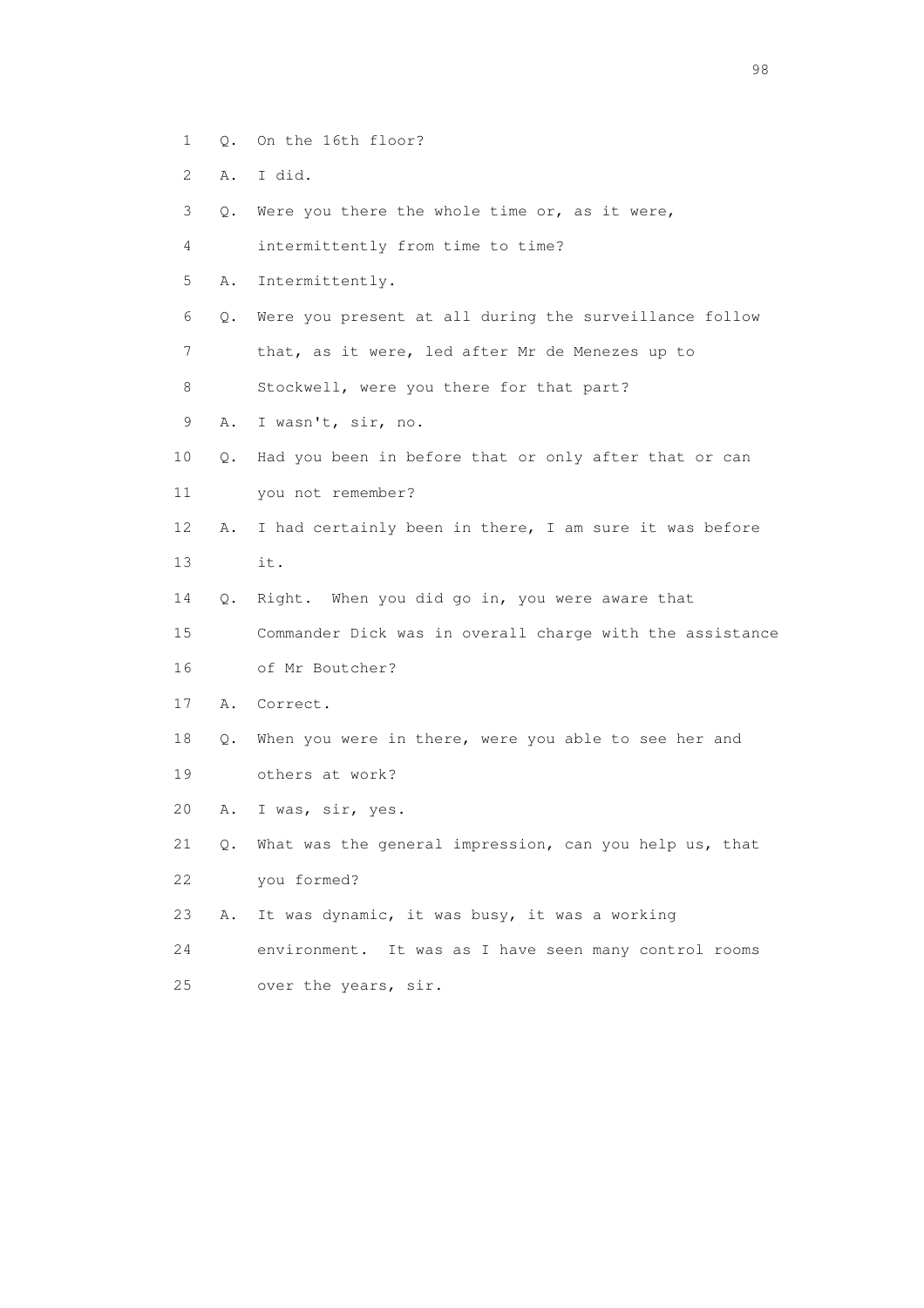- 1 Q. On the 16th floor?
- 2 A. I did.
- 3 Q. Were you there the whole time or, as it were,
- 4 intermittently from time to time?
- 5 A. Intermittently.
- 6 Q. Were you present at all during the surveillance follow
- 7 that, as it were, led after Mr de Menezes up to
- 8 Stockwell, were you there for that part?
- 9 A. I wasn't, sir, no.
- 10 Q. Had you been in before that or only after that or can
- 11 you not remember?
- 12 A. I had certainly been in there, I am sure it was before 13 it.
- 14 Q. Right. When you did go in, you were aware that
- 15 Commander Dick was in overall charge with the assistance 16 of Mr Boutcher?
- 17 A. Correct.
- 18 Q. When you were in there, were you able to see her and 19 others at work?
- 20 A. I was, sir, yes.
- 21 Q. What was the general impression, can you help us, that 22 you formed?
- 23 A. It was dynamic, it was busy, it was a working
- 24 environment. It was as I have seen many control rooms
- 25 over the years, sir.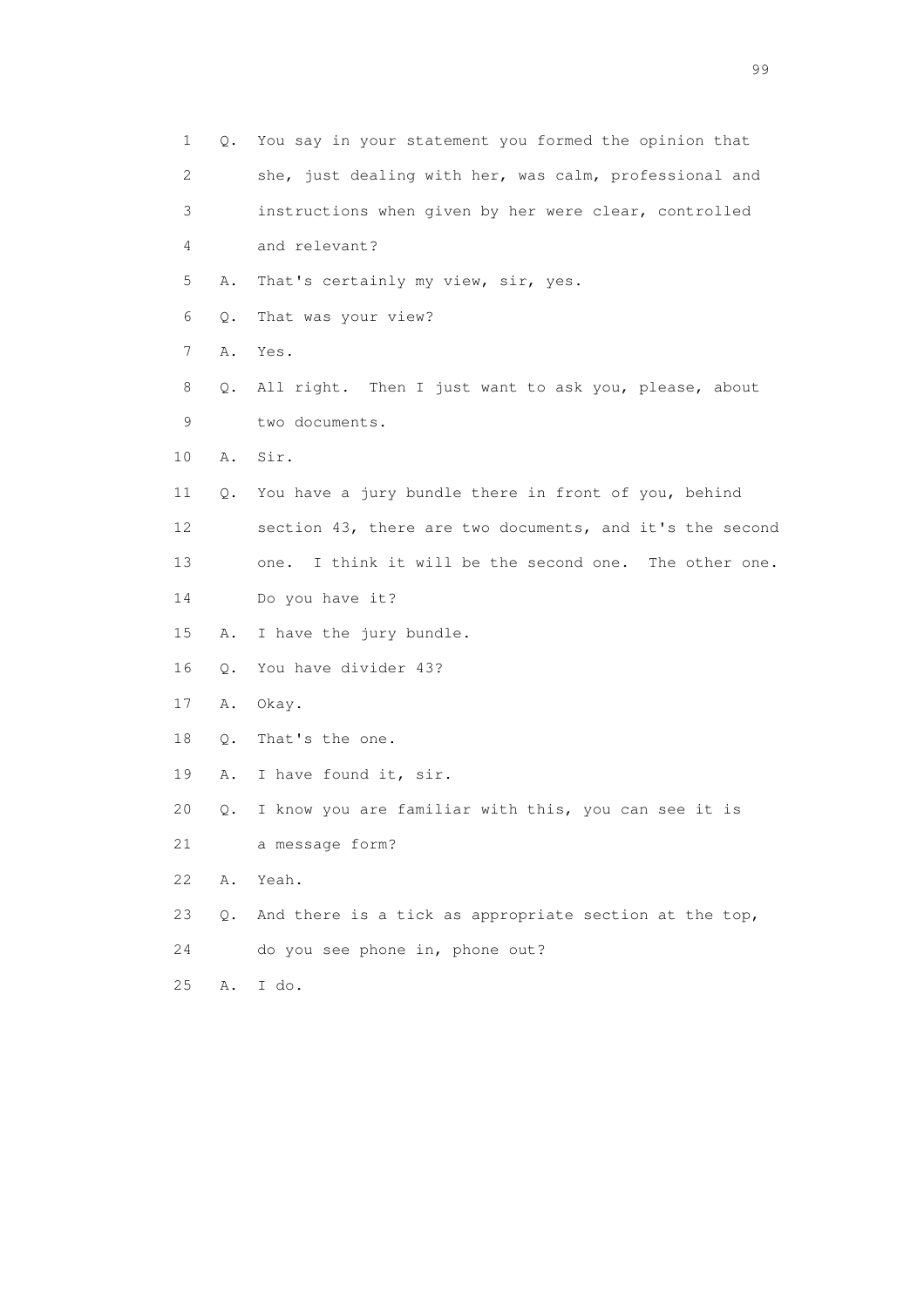| 1  | Q. | You say in your statement you formed the opinion that     |
|----|----|-----------------------------------------------------------|
| 2  |    | she, just dealing with her, was calm, professional and    |
| 3  |    | instructions when given by her were clear, controlled     |
| 4  |    | and relevant?                                             |
| 5  | Α. | That's certainly my view, sir, yes.                       |
| 6  | Q. | That was your view?                                       |
| 7  | Α. | Yes.                                                      |
| 8  | Q. | All right. Then I just want to ask you, please, about     |
| 9  |    | two documents.                                            |
| 10 | Α. | Sir.                                                      |
| 11 | Q. | You have a jury bundle there in front of you, behind      |
| 12 |    | section 43, there are two documents, and it's the second  |
| 13 |    | I think it will be the second one. The other one.<br>one. |
| 14 |    | Do you have it?                                           |
| 15 | Α. | I have the jury bundle.                                   |
| 16 | Q. | You have divider 43?                                      |
| 17 | Α. | Okay.                                                     |
| 18 | Q. | That's the one.                                           |
| 19 | Α. | I have found it, sir.                                     |
| 20 | Q. | I know you are familiar with this, you can see it is      |
| 21 |    | a message form?                                           |
| 22 | Α. | Yeah.                                                     |
| 23 | Q. | And there is a tick as appropriate section at the top,    |
| 24 |    | do you see phone in, phone out?                           |
| 25 | Α. | I do.                                                     |

en de la construction de la construction de la construction de la construction de la construction de la constr<br>1990 : la construction de la construction de la construction de la construction de la construction de la const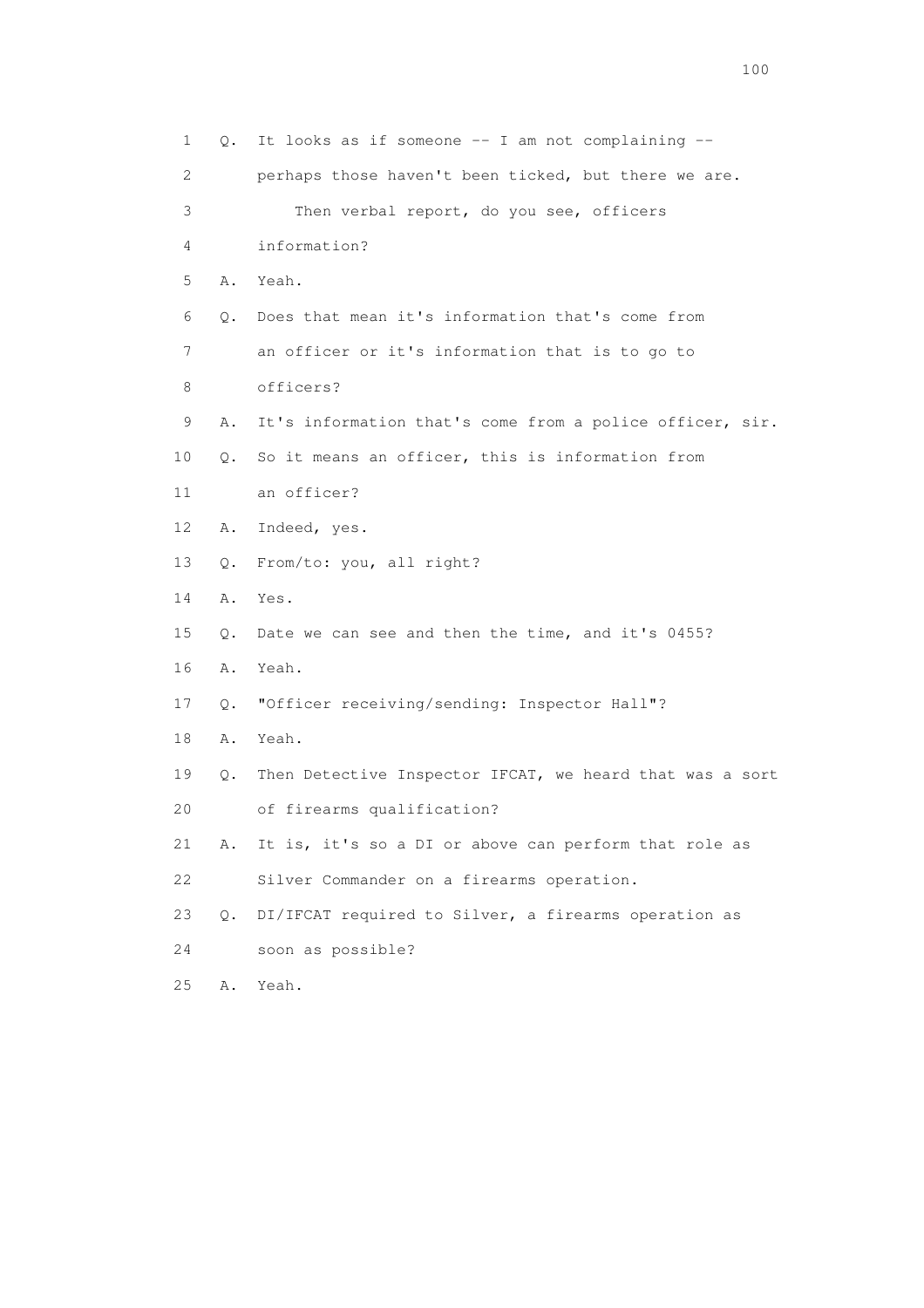| 1               | Q. | It looks as if someone -- I am not complaining --        |
|-----------------|----|----------------------------------------------------------|
| 2               |    | perhaps those haven't been ticked, but there we are.     |
| 3               |    | Then verbal report, do you see, officers                 |
| 4               |    | information?                                             |
| 5               | Α. | Yeah.                                                    |
| 6               | Q. | Does that mean it's information that's come from         |
| 7               |    | an officer or it's information that is to go to          |
| 8               |    | officers?                                                |
| 9               | Α. | It's information that's come from a police officer, sir. |
| 10              | Q. | So it means an officer, this is information from         |
| 11              |    | an officer?                                              |
| 12 <sup>°</sup> | Α. | Indeed, yes.                                             |
| 13              | Q. | From/to: you, all right?                                 |
| 14              | Α. | Yes.                                                     |
| 15              | Q. | Date we can see and then the time, and it's 0455?        |
| 16              | Α. | Yeah.                                                    |
| 17              | Q. | "Officer receiving/sending: Inspector Hall"?             |
| 18              | Α. | Yeah.                                                    |
| 19              | Q. | Then Detective Inspector IFCAT, we heard that was a sort |
| 20              |    | of firearms qualification?                               |
| 21              | Α. | It is, it's so a DI or above can perform that role as    |
| 22              |    | Silver Commander on a firearms operation.                |
| 23              | О. | DI/IFCAT required to Silver, a firearms operation as     |
| 24              |    | soon as possible?                                        |
| 25              | Α. | Yeah.                                                    |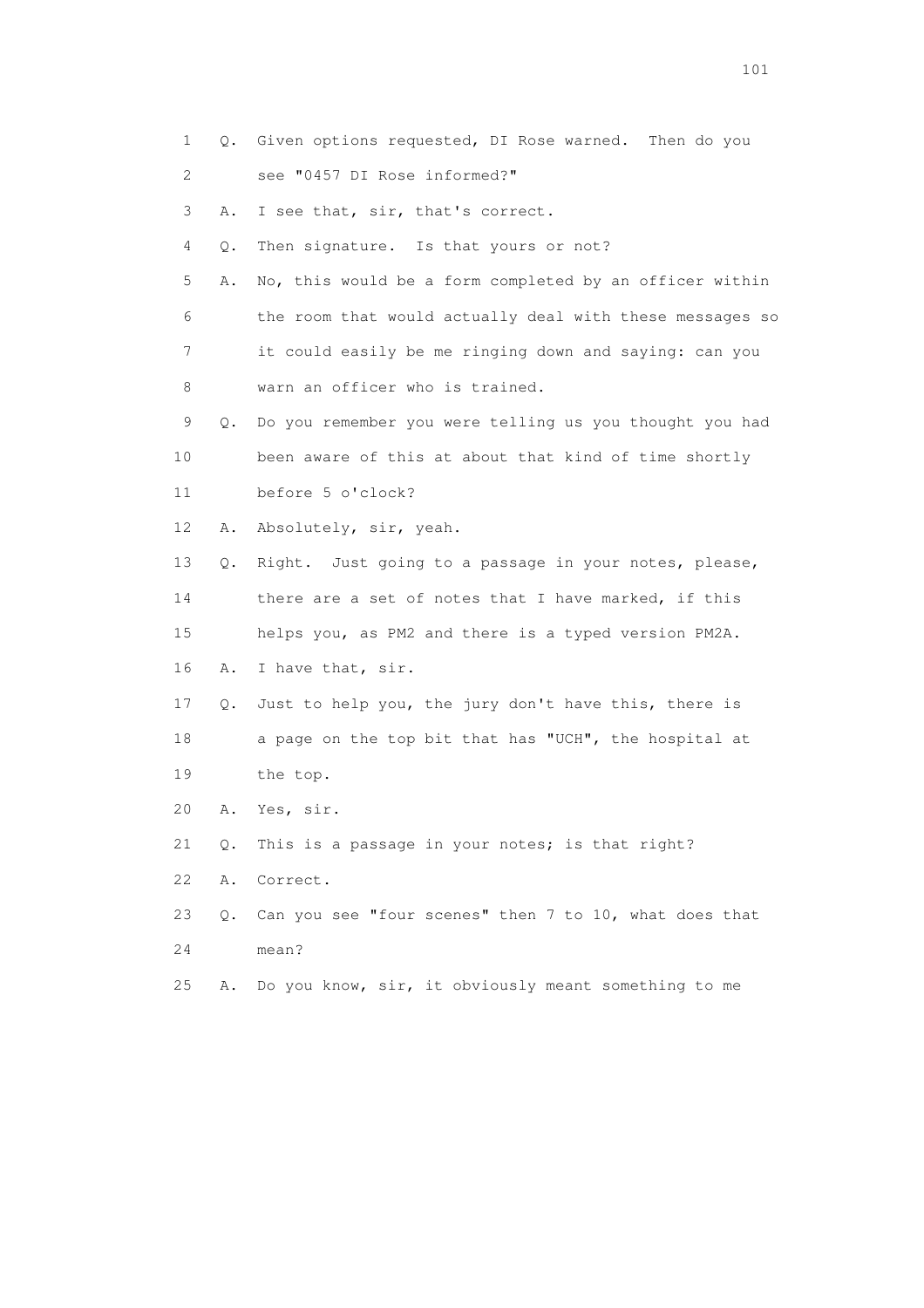1 Q. Given options requested, DI Rose warned. Then do you 2 see "0457 DI Rose informed?" 3 A. I see that, sir, that's correct. 4 Q. Then signature. Is that yours or not? 5 A. No, this would be a form completed by an officer within 6 the room that would actually deal with these messages so 7 it could easily be me ringing down and saying: can you 8 warn an officer who is trained. 9 Q. Do you remember you were telling us you thought you had 10 been aware of this at about that kind of time shortly 11 before 5 o'clock? 12 A. Absolutely, sir, yeah. 13 Q. Right. Just going to a passage in your notes, please, 14 there are a set of notes that I have marked, if this 15 helps you, as PM2 and there is a typed version PM2A. 16 A. I have that, sir. 17 Q. Just to help you, the jury don't have this, there is 18 a page on the top bit that has "UCH", the hospital at 19 the top. 20 A. Yes, sir. 21 Q. This is a passage in your notes; is that right? 22 A. Correct. 23 Q. Can you see "four scenes" then 7 to 10, what does that 24 mean? 25 A. Do you know, sir, it obviously meant something to me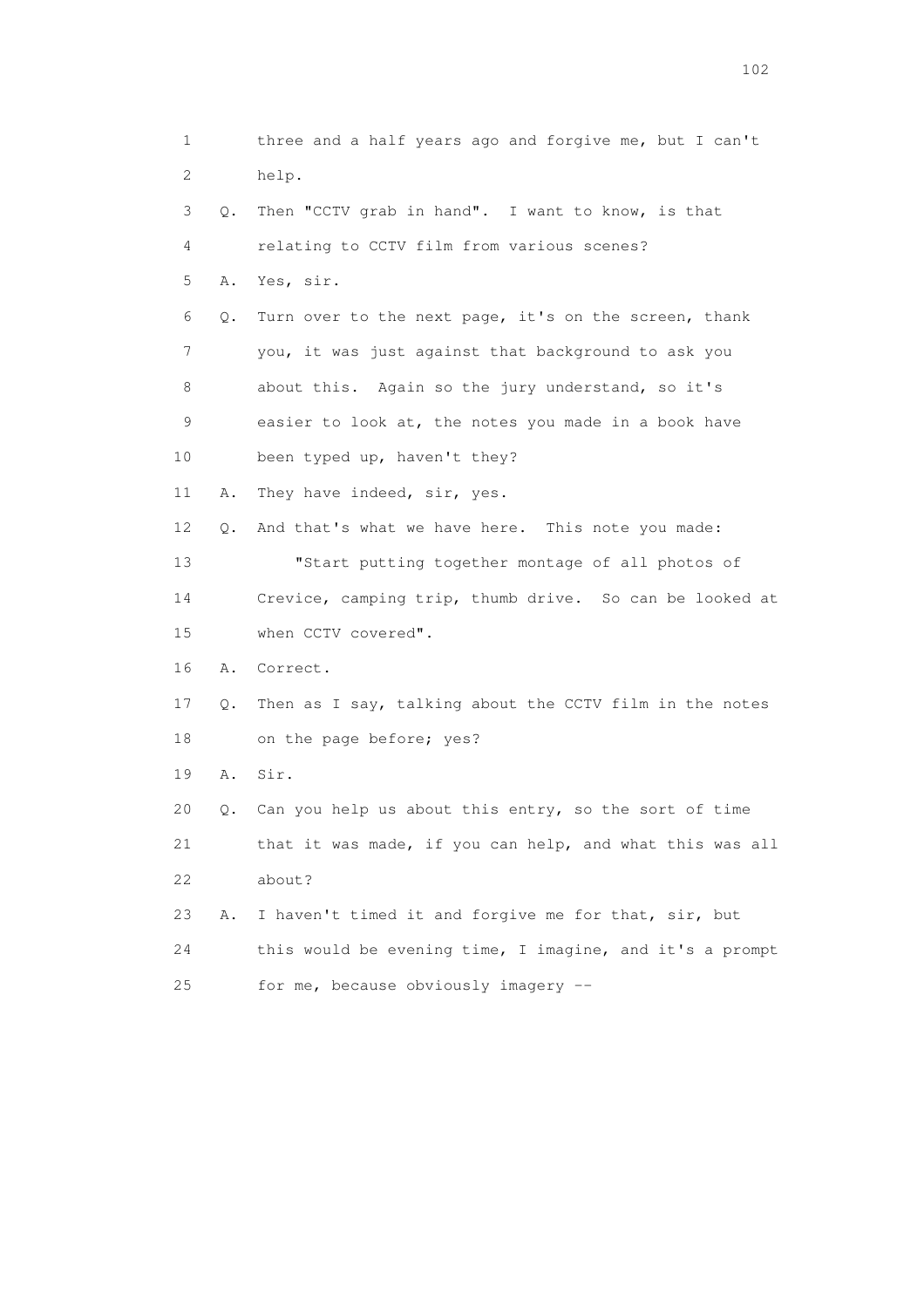1 three and a half years ago and forgive me, but I can't 2 help. 3 Q. Then "CCTV grab in hand". I want to know, is that 4 relating to CCTV film from various scenes? 5 A. Yes, sir. 6 Q. Turn over to the next page, it's on the screen, thank 7 you, it was just against that background to ask you 8 about this. Again so the jury understand, so it's 9 easier to look at, the notes you made in a book have 10 been typed up, haven't they? 11 A. They have indeed, sir, yes. 12 Q. And that's what we have here. This note you made: 13 "Start putting together montage of all photos of 14 Crevice, camping trip, thumb drive. So can be looked at 15 when CCTV covered". 16 A. Correct. 17 Q. Then as I say, talking about the CCTV film in the notes 18 on the page before; yes? 19 A. Sir. 20 Q. Can you help us about this entry, so the sort of time 21 that it was made, if you can help, and what this was all 22 about? 23 A. I haven't timed it and forgive me for that, sir, but 24 this would be evening time, I imagine, and it's a prompt 25 for me, because obviously imagery --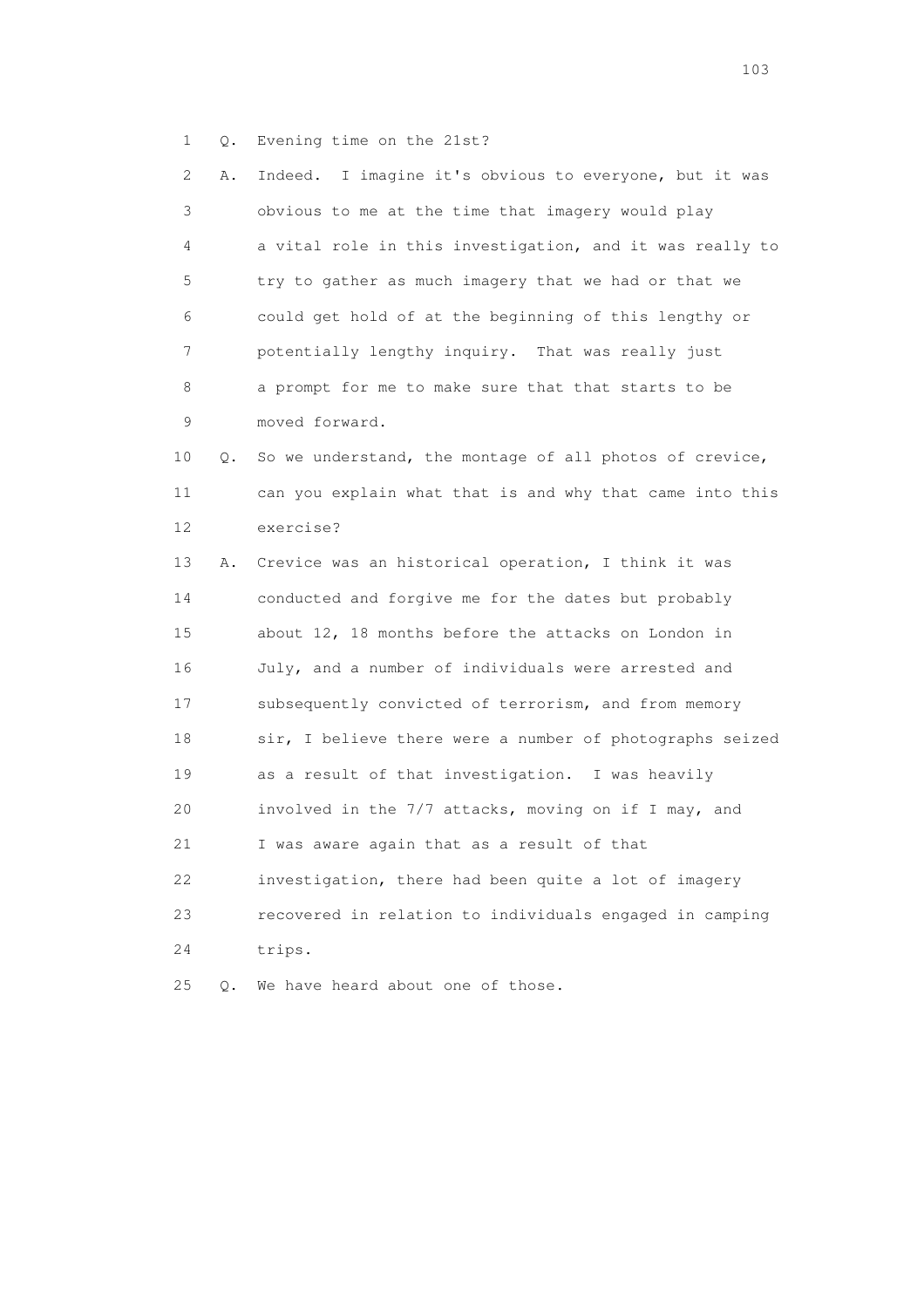1 Q. Evening time on the 21st?

 2 A. Indeed. I imagine it's obvious to everyone, but it was 3 obvious to me at the time that imagery would play 4 a vital role in this investigation, and it was really to 5 try to gather as much imagery that we had or that we 6 could get hold of at the beginning of this lengthy or 7 potentially lengthy inquiry. That was really just 8 a prompt for me to make sure that that starts to be 9 moved forward. 10 Q. So we understand, the montage of all photos of crevice, 11 can you explain what that is and why that came into this 12 exercise? 13 A. Crevice was an historical operation, I think it was 14 conducted and forgive me for the dates but probably 15 about 12, 18 months before the attacks on London in 16 July, and a number of individuals were arrested and 17 subsequently convicted of terrorism, and from memory 18 sir, I believe there were a number of photographs seized 19 as a result of that investigation. I was heavily 20 involved in the 7/7 attacks, moving on if I may, and 21 I was aware again that as a result of that 22 investigation, there had been quite a lot of imagery 23 recovered in relation to individuals engaged in camping 24 trips. 25 Q. We have heard about one of those.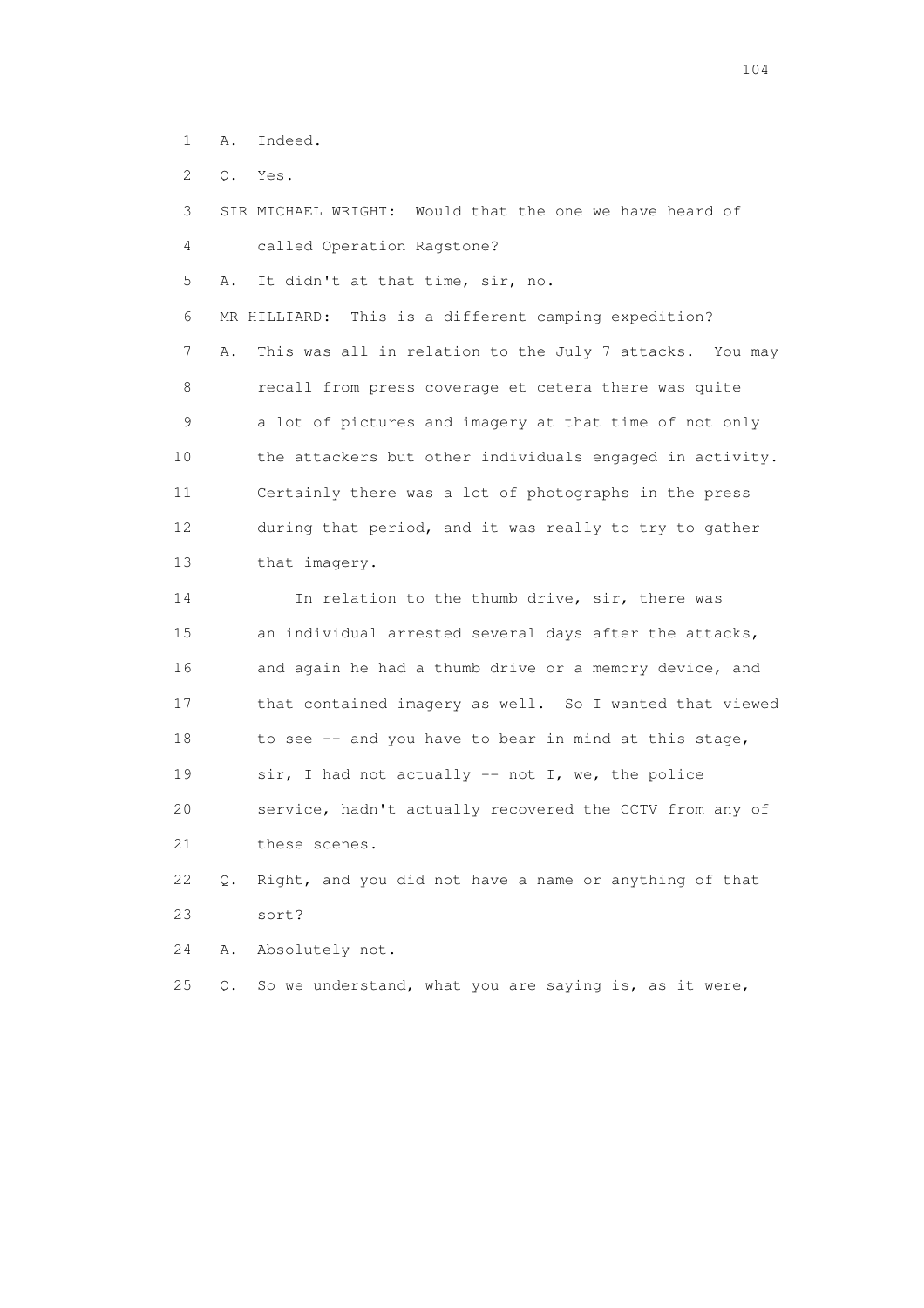- 1 A. Indeed.
- 2 Q. Yes.

 3 SIR MICHAEL WRIGHT: Would that the one we have heard of 4 called Operation Ragstone? 5 A. It didn't at that time, sir, no. 6 MR HILLIARD: This is a different camping expedition? 7 A. This was all in relation to the July 7 attacks. You may 8 recall from press coverage et cetera there was quite 9 a lot of pictures and imagery at that time of not only 10 the attackers but other individuals engaged in activity. 11 Certainly there was a lot of photographs in the press 12 during that period, and it was really to try to gather 13 that imagery. 14 In relation to the thumb drive, sir, there was 15 an individual arrested several days after the attacks, 16 and again he had a thumb drive or a memory device, and 17 that contained imagery as well. So I wanted that viewed 18 to see -- and you have to bear in mind at this stage, 19 sir, I had not actually -- not I, we, the police 20 service, hadn't actually recovered the CCTV from any of 21 these scenes. 22 Q. Right, and you did not have a name or anything of that 23 sort?

24 A. Absolutely not.

25 Q. So we understand, what you are saying is, as it were,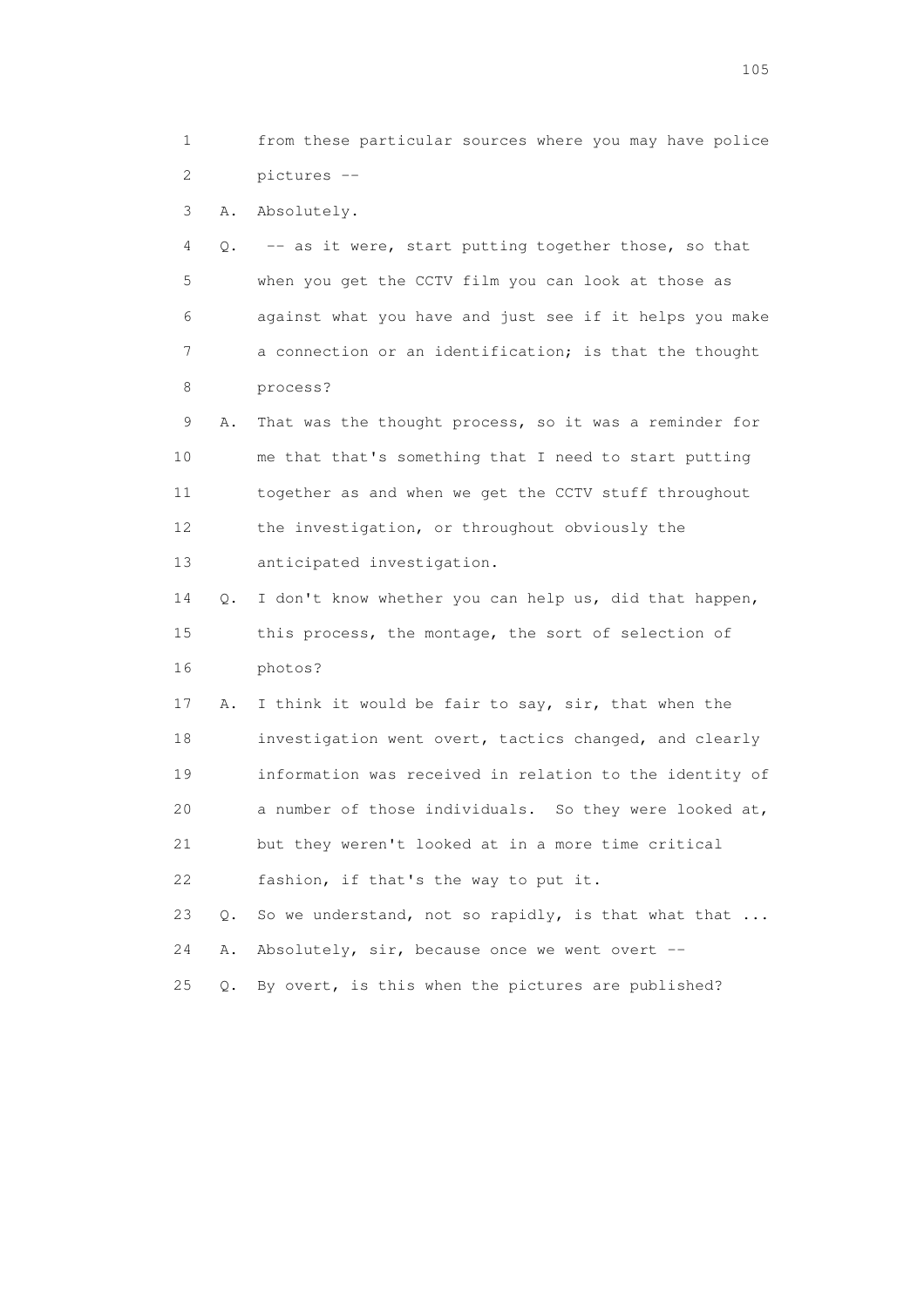1 from these particular sources where you may have police 2 pictures --

3 A. Absolutely.

 4 Q. -- as it were, start putting together those, so that 5 when you get the CCTV film you can look at those as 6 against what you have and just see if it helps you make 7 a connection or an identification; is that the thought 8 process?

 9 A. That was the thought process, so it was a reminder for 10 me that that's something that I need to start putting 11 together as and when we get the CCTV stuff throughout 12 the investigation, or throughout obviously the 13 anticipated investigation.

 14 Q. I don't know whether you can help us, did that happen, 15 this process, the montage, the sort of selection of 16 photos?

 17 A. I think it would be fair to say, sir, that when the 18 investigation went overt, tactics changed, and clearly 19 information was received in relation to the identity of 20 a number of those individuals. So they were looked at, 21 but they weren't looked at in a more time critical 22 fashion, if that's the way to put it.

23 Q. So we understand, not so rapidly, is that what that ... 24 A. Absolutely, sir, because once we went overt -- 25 Q. By overt, is this when the pictures are published?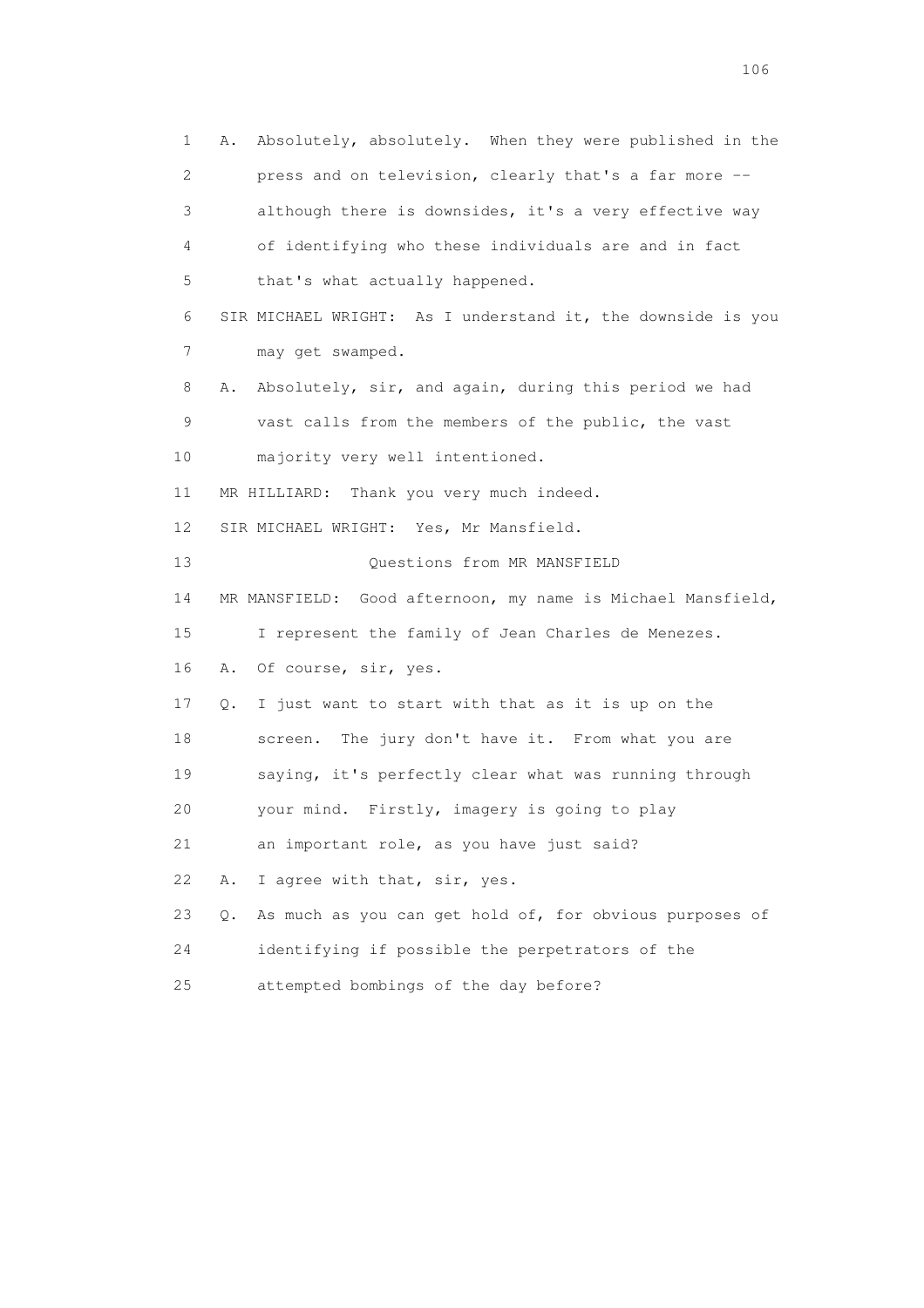1 A. Absolutely, absolutely. When they were published in the 2 press and on television, clearly that's a far more -- 3 although there is downsides, it's a very effective way 4 of identifying who these individuals are and in fact 5 that's what actually happened. 6 SIR MICHAEL WRIGHT: As I understand it, the downside is you 7 may get swamped. 8 A. Absolutely, sir, and again, during this period we had 9 vast calls from the members of the public, the vast 10 majority very well intentioned. 11 MR HILLIARD: Thank you very much indeed. 12 SIR MICHAEL WRIGHT: Yes, Mr Mansfield. 13 Ouestions from MR MANSFIELD 14 MR MANSFIELD: Good afternoon, my name is Michael Mansfield, 15 I represent the family of Jean Charles de Menezes. 16 A. Of course, sir, yes. 17 Q. I just want to start with that as it is up on the 18 screen. The jury don't have it. From what you are 19 saying, it's perfectly clear what was running through 20 your mind. Firstly, imagery is going to play 21 an important role, as you have just said? 22 A. I agree with that, sir, yes. 23 Q. As much as you can get hold of, for obvious purposes of 24 identifying if possible the perpetrators of the 25 attempted bombings of the day before?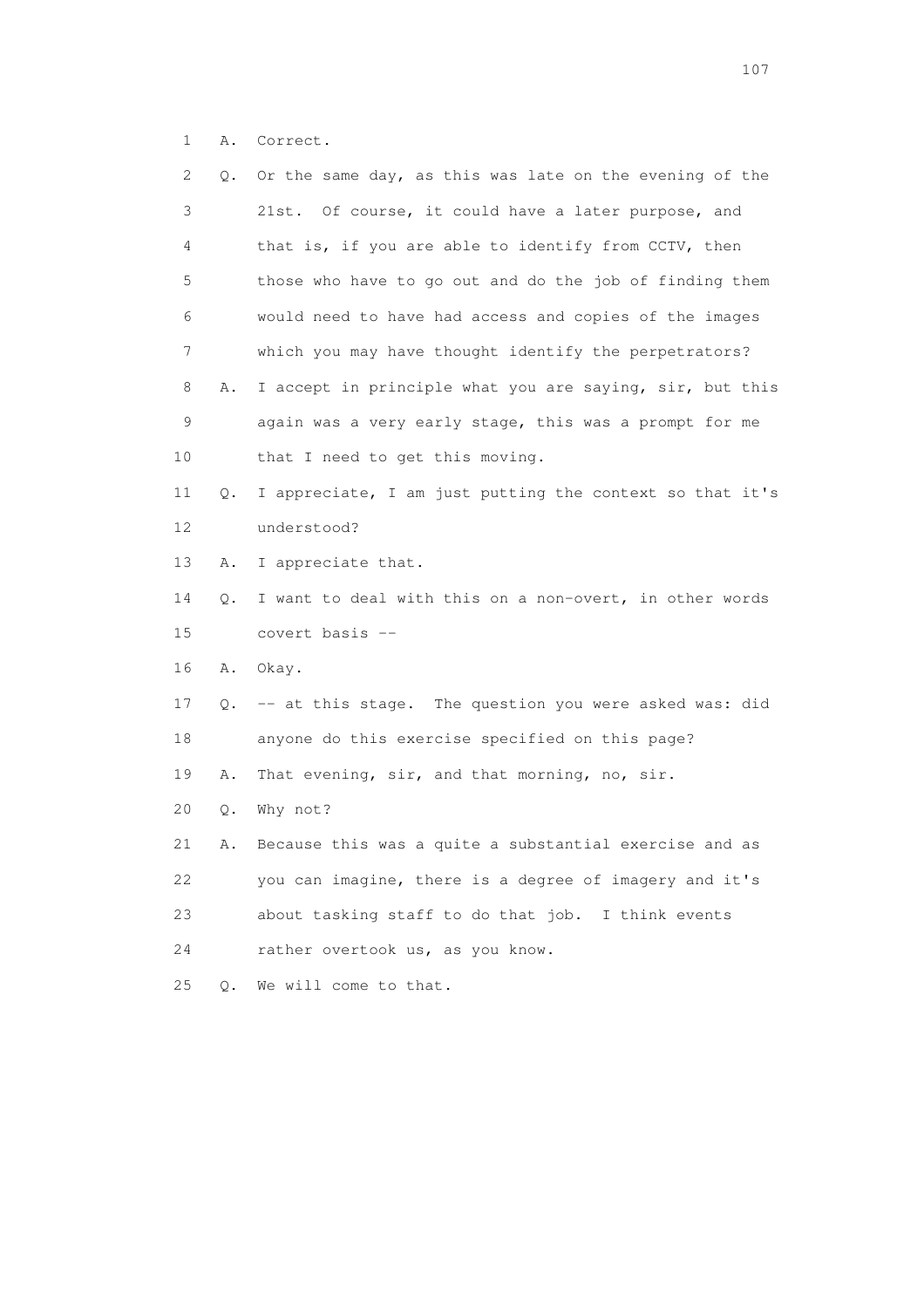1 A. Correct.

| 2  | Q. | Or the same day, as this was late on the evening of the   |
|----|----|-----------------------------------------------------------|
| 3  |    | 21st. Of course, it could have a later purpose, and       |
| 4  |    | that is, if you are able to identify from CCTV, then      |
| 5  |    | those who have to go out and do the job of finding them   |
| 6  |    | would need to have had access and copies of the images    |
| 7  |    | which you may have thought identify the perpetrators?     |
| 8  | Α. | I accept in principle what you are saying, sir, but this  |
| 9  |    | again was a very early stage, this was a prompt for me    |
| 10 |    | that I need to get this moving.                           |
| 11 | Q. | I appreciate, I am just putting the context so that it's  |
| 12 |    | understood?                                               |
| 13 | Α. | I appreciate that.                                        |
| 14 | Q. | I want to deal with this on a non-overt, in other words   |
| 15 |    | covert basis --                                           |
| 16 | Α. | Okay.                                                     |
| 17 |    | Q. -- at this stage. The question you were asked was: did |
| 18 |    | anyone do this exercise specified on this page?           |
| 19 | Α. | That evening, sir, and that morning, no, sir.             |
| 20 | Q. | Why not?                                                  |
| 21 | Α. | Because this was a quite a substantial exercise and as    |
| 22 |    | you can imagine, there is a degree of imagery and it's    |
| 23 |    | about tasking staff to do that job. I think events        |
| 24 |    | rather overtook us, as you know.                          |
| 25 | О. | We will come to that.                                     |
|    |    |                                                           |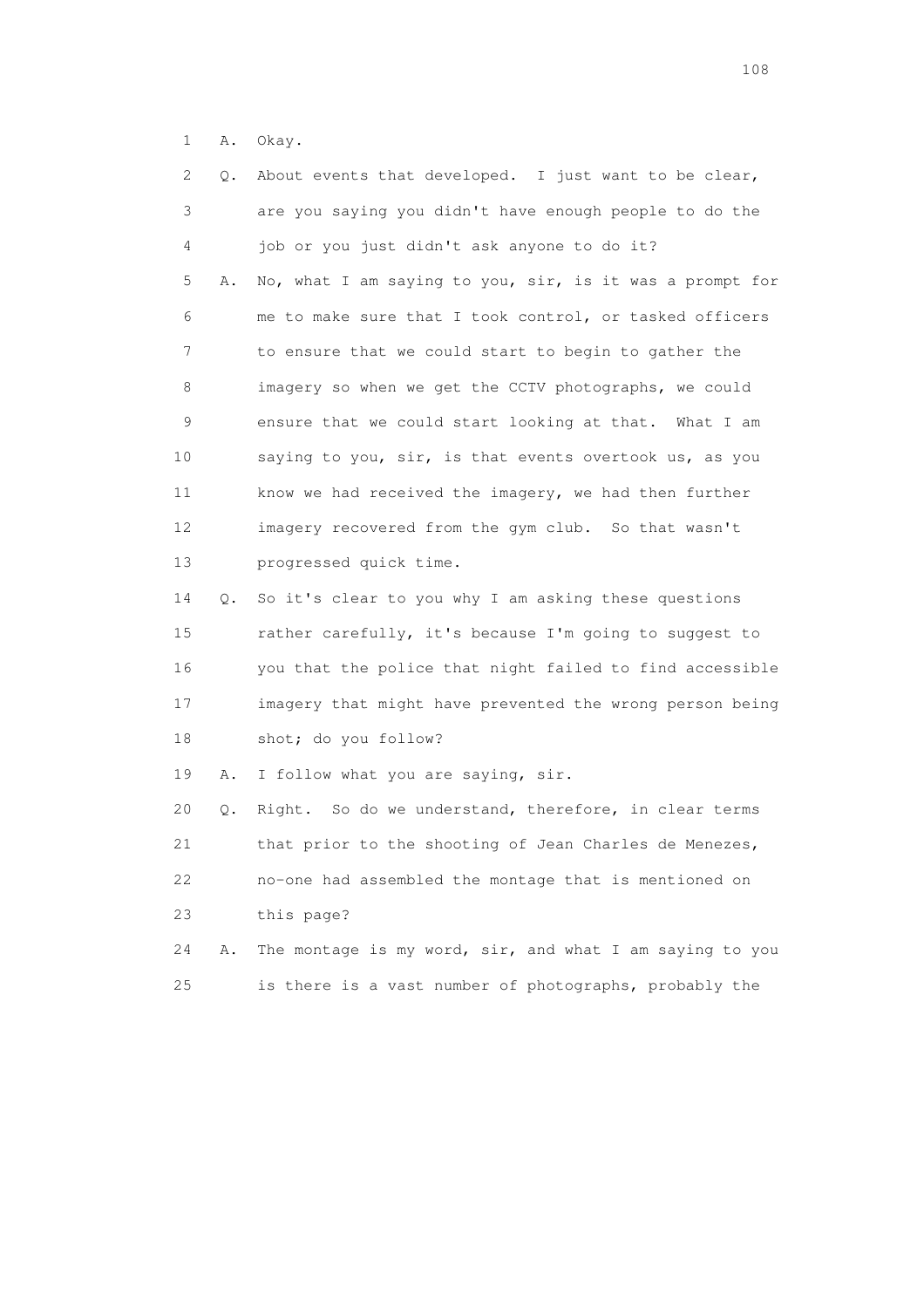1 A. Okay.

| 2  | Q. | About events that developed. I just want to be clear,    |
|----|----|----------------------------------------------------------|
| 3  |    | are you saying you didn't have enough people to do the   |
| 4  |    | job or you just didn't ask anyone to do it?              |
| 5  | Α. | No, what I am saying to you, sir, is it was a prompt for |
| 6  |    | me to make sure that I took control, or tasked officers  |
| 7  |    | to ensure that we could start to begin to gather the     |
| 8  |    | imagery so when we get the CCTV photographs, we could    |
| 9  |    | ensure that we could start looking at that. What I am    |
| 10 |    | saying to you, sir, is that events overtook us, as you   |
| 11 |    | know we had received the imagery, we had then further    |
| 12 |    | imagery recovered from the gym club. So that wasn't      |
| 13 |    | progressed quick time.                                   |
| 14 | Q. | So it's clear to you why I am asking these questions     |
| 15 |    | rather carefully, it's because I'm going to suggest to   |
| 16 |    | you that the police that night failed to find accessible |
| 17 |    | imagery that might have prevented the wrong person being |
| 18 |    | shot; do you follow?                                     |
| 19 | Α. | I follow what you are saying, sir.                       |
| 20 | Q. | Right. So do we understand, therefore, in clear terms    |
| 21 |    | that prior to the shooting of Jean Charles de Menezes,   |
| 22 |    | no-one had assembled the montage that is mentioned on    |
| 23 |    | this page?                                               |
| 24 | Α. | The montage is my word, sir, and what I am saying to you |
| 25 |    | is there is a vast number of photographs, probably the   |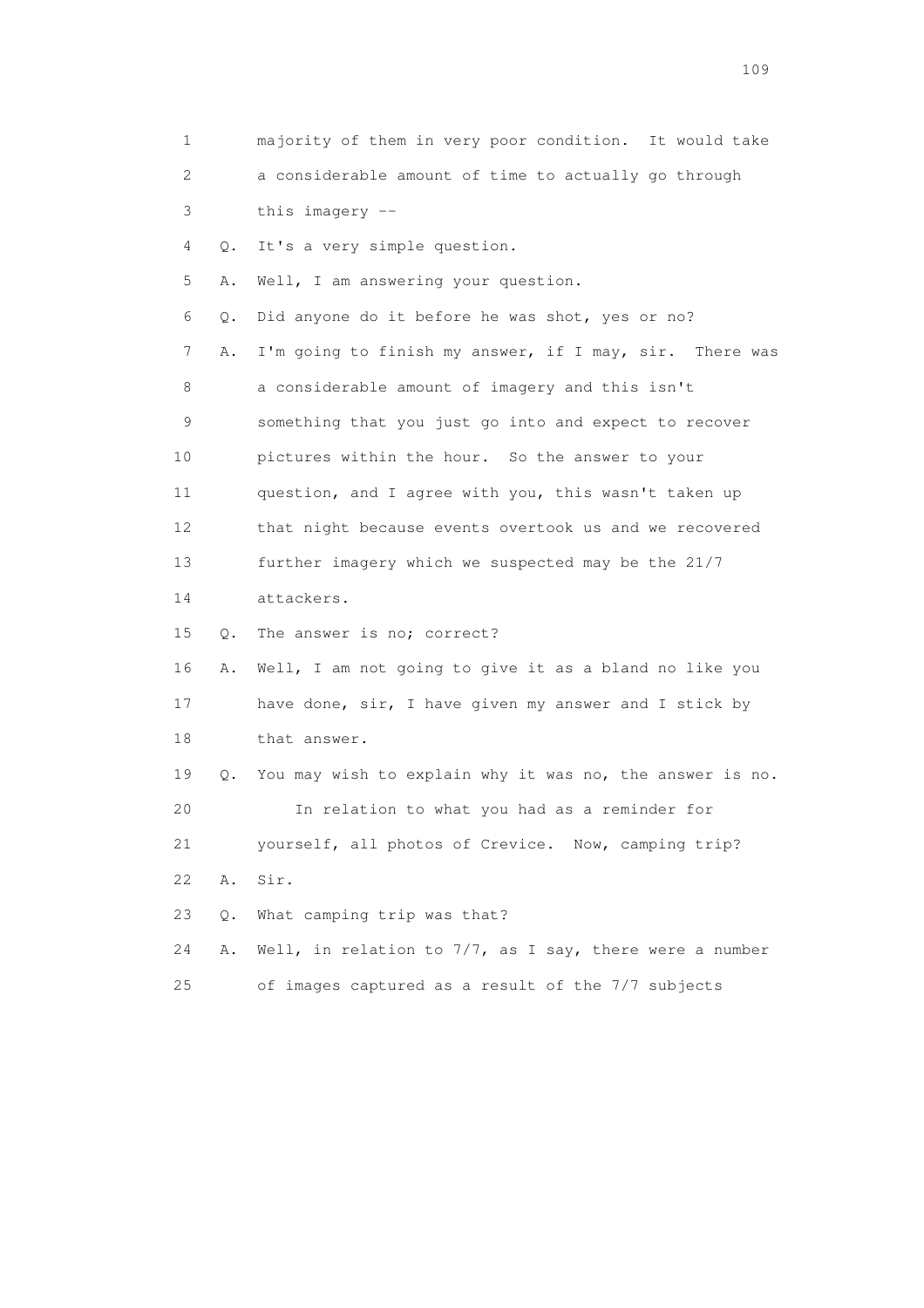1 majority of them in very poor condition. It would take 2 a considerable amount of time to actually go through 3 this imagery -- 4 Q. It's a very simple question. 5 A. Well, I am answering your question. 6 Q. Did anyone do it before he was shot, yes or no? 7 A. I'm going to finish my answer, if I may, sir. There was 8 a considerable amount of imagery and this isn't 9 something that you just go into and expect to recover 10 pictures within the hour. So the answer to your 11 question, and I agree with you, this wasn't taken up 12 that night because events overtook us and we recovered 13 further imagery which we suspected may be the 21/7 14 attackers. 15 Q. The answer is no; correct? 16 A. Well, I am not going to give it as a bland no like you 17 have done, sir, I have given my answer and I stick by 18 that answer. 19 Q. You may wish to explain why it was no, the answer is no. 20 In relation to what you had as a reminder for 21 yourself, all photos of Crevice. Now, camping trip? 22 A. Sir. 23 Q. What camping trip was that? 24 A. Well, in relation to 7/7, as I say, there were a number 25 of images captured as a result of the 7/7 subjects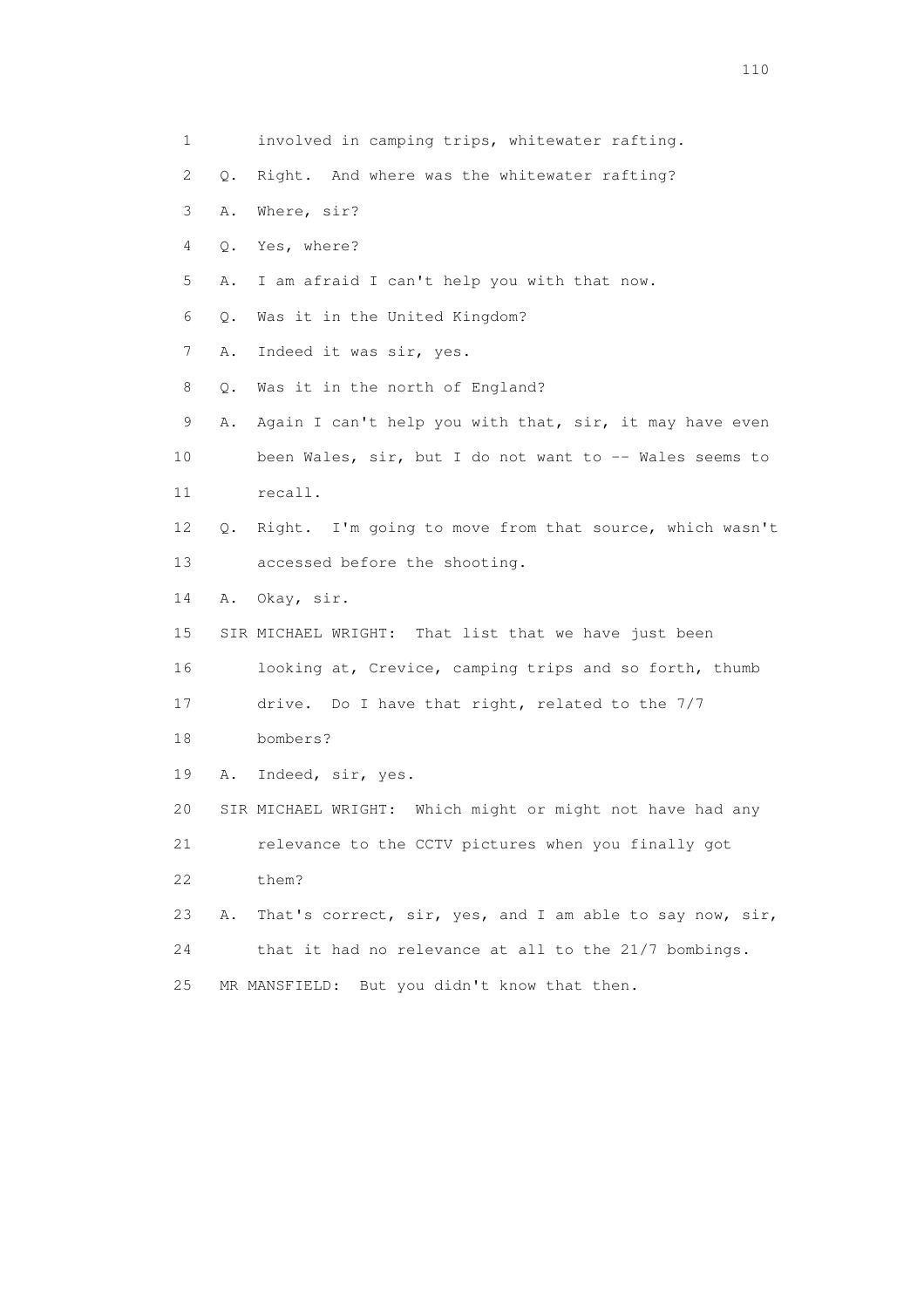2 Q. Right. And where was the whitewater rafting? 3 A. Where, sir? 4 Q. Yes, where? 5 A. I am afraid I can't help you with that now. 6 Q. Was it in the United Kingdom? 7 A. Indeed it was sir, yes. 8 Q. Was it in the north of England? 9 A. Again I can't help you with that, sir, it may have even 10 been Wales, sir, but I do not want to -- Wales seems to 11 recall. 12 Q. Right. I'm going to move from that source, which wasn't 13 accessed before the shooting. 14 A. Okay, sir. 15 SIR MICHAEL WRIGHT: That list that we have just been 16 looking at, Crevice, camping trips and so forth, thumb 17 drive. Do I have that right, related to the 7/7 18 bombers? 19 A. Indeed, sir, yes. 20 SIR MICHAEL WRIGHT: Which might or might not have had any 21 relevance to the CCTV pictures when you finally got 22 them? 23 A. That's correct, sir, yes, and I am able to say now, sir, 24 that it had no relevance at all to the 21/7 bombings. 25 MR MANSFIELD: But you didn't know that then.

1 involved in camping trips, whitewater rafting.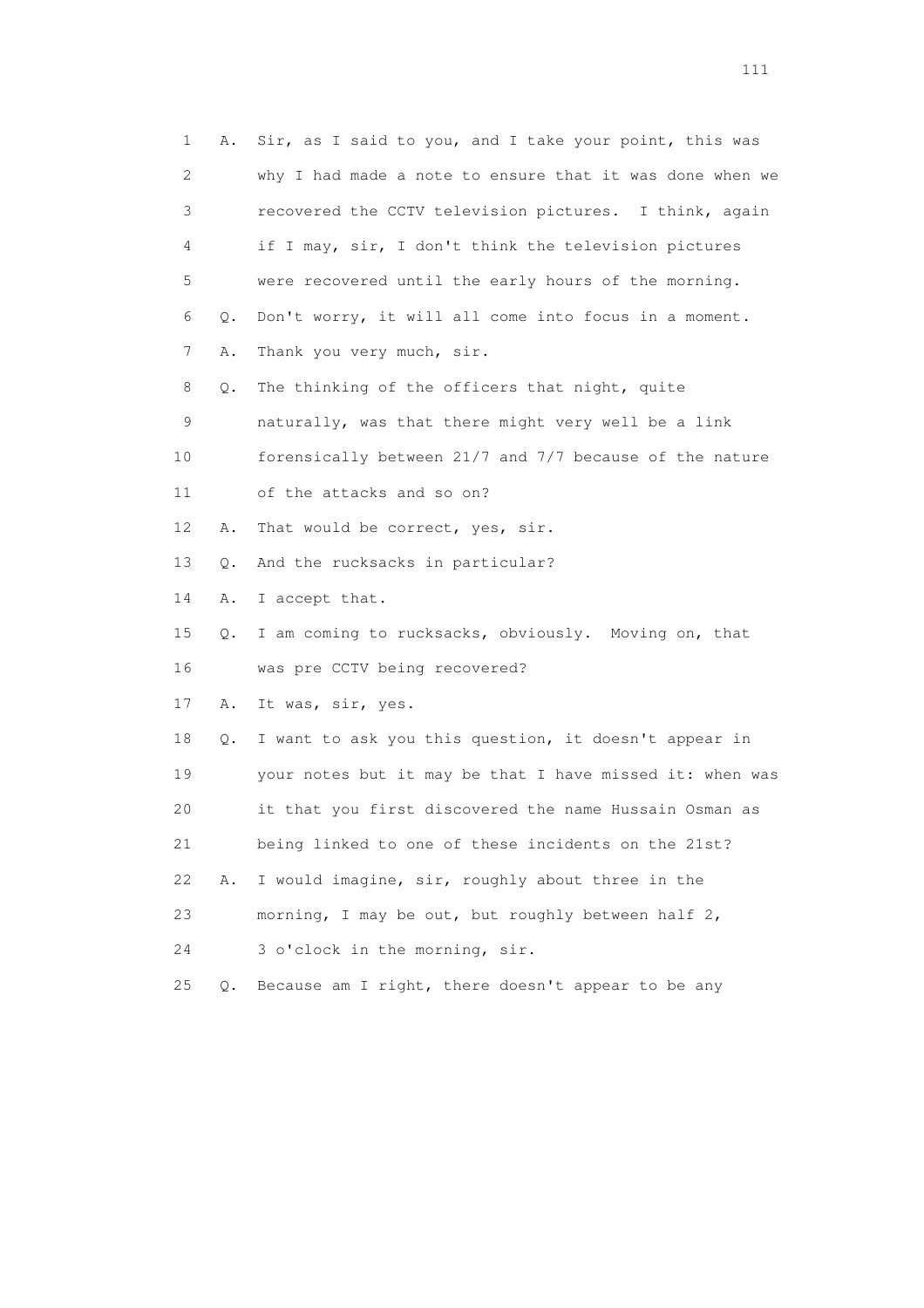| 1  | Α. | Sir, as I said to you, and I take your point, this was   |
|----|----|----------------------------------------------------------|
| 2  |    | why I had made a note to ensure that it was done when we |
| 3  |    | recovered the CCTV television pictures. I think, again   |
| 4  |    | if I may, sir, I don't think the television pictures     |
| 5  |    | were recovered until the early hours of the morning.     |
| 6  | Q. | Don't worry, it will all come into focus in a moment.    |
| 7  | Α. | Thank you very much, sir.                                |
| 8  | Q. | The thinking of the officers that night, quite           |
| 9  |    | naturally, was that there might very well be a link      |
| 10 |    | forensically between 21/7 and 7/7 because of the nature  |
| 11 |    | of the attacks and so on?                                |
| 12 | Α. | That would be correct, yes, sir.                         |
| 13 | Q. | And the rucksacks in particular?                         |
| 14 | Α. | I accept that.                                           |
| 15 | Q. | I am coming to rucksacks, obviously. Moving on, that     |
| 16 |    | was pre CCTV being recovered?                            |
| 17 | Α. | It was, sir, yes.                                        |
| 18 | Q. | I want to ask you this question, it doesn't appear in    |
| 19 |    | your notes but it may be that I have missed it: when was |
| 20 |    | it that you first discovered the name Hussain Osman as   |
| 21 |    | being linked to one of these incidents on the 21st?      |
| 22 | Α. | I would imagine, sir, roughly about three in the         |
| 23 |    | morning, I may be out, but roughly between half 2,       |
| 24 |    | 3 o'clock in the morning, sir.                           |
| 25 | Q. | Because am I right, there doesn't appear to be any       |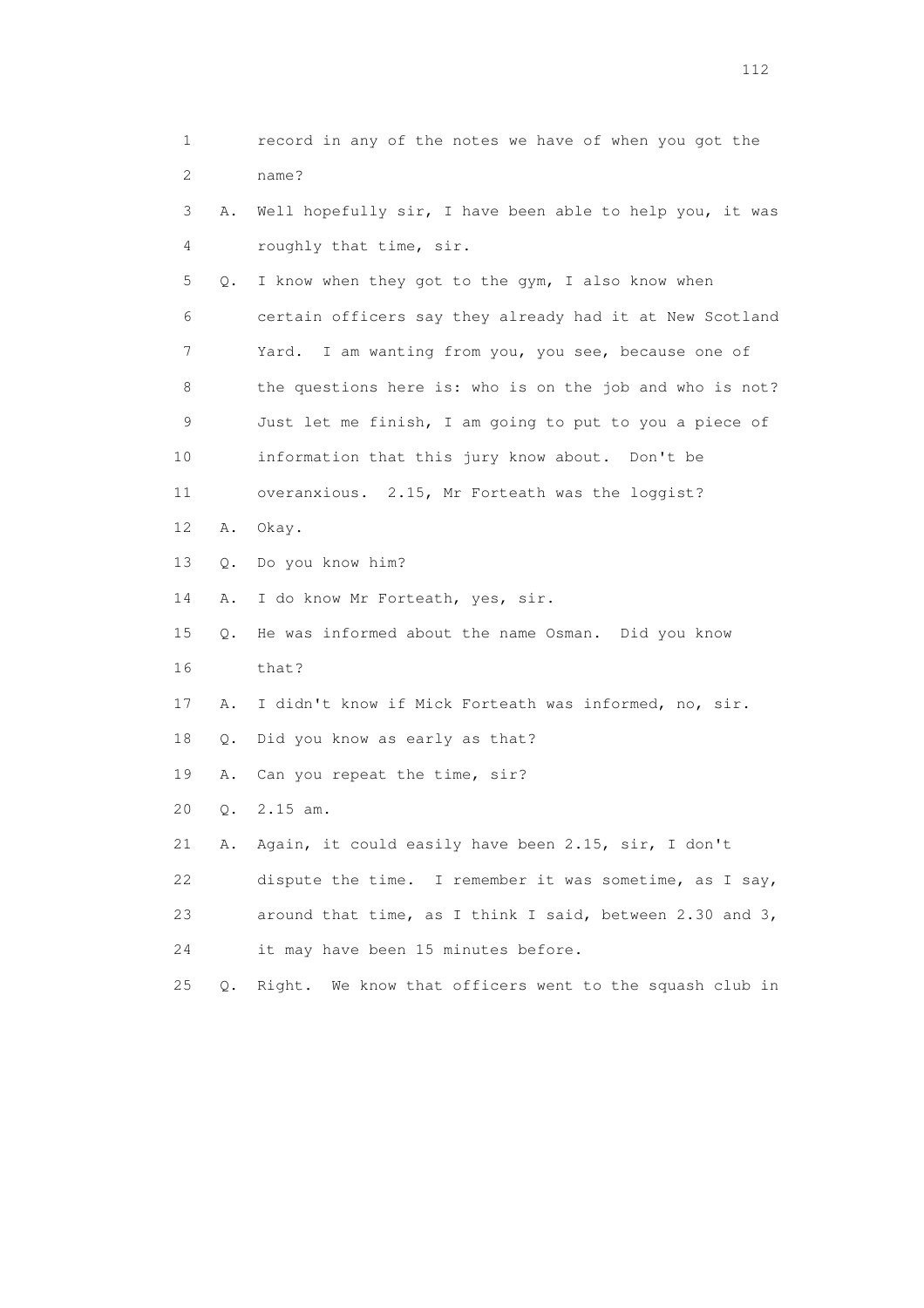1 record in any of the notes we have of when you got the 2 name? 3 A. Well hopefully sir, I have been able to help you, it was 4 roughly that time, sir. 5 Q. I know when they got to the gym, I also know when 6 certain officers say they already had it at New Scotland 7 Yard. I am wanting from you, you see, because one of 8 the questions here is: who is on the job and who is not? 9 Just let me finish, I am going to put to you a piece of 10 information that this jury know about. Don't be 11 overanxious. 2.15, Mr Forteath was the loggist? 12 A. Okay. 13 Q. Do you know him? 14 A. I do know Mr Forteath, yes, sir. 15 Q. He was informed about the name Osman. Did you know 16 that? 17 A. I didn't know if Mick Forteath was informed, no, sir. 18 Q. Did you know as early as that? 19 A. Can you repeat the time, sir? 20 Q. 2.15 am. 21 A. Again, it could easily have been 2.15, sir, I don't 22 dispute the time. I remember it was sometime, as I say, 23 around that time, as I think I said, between 2.30 and 3, 24 it may have been 15 minutes before. 25 Q. Right. We know that officers went to the squash club in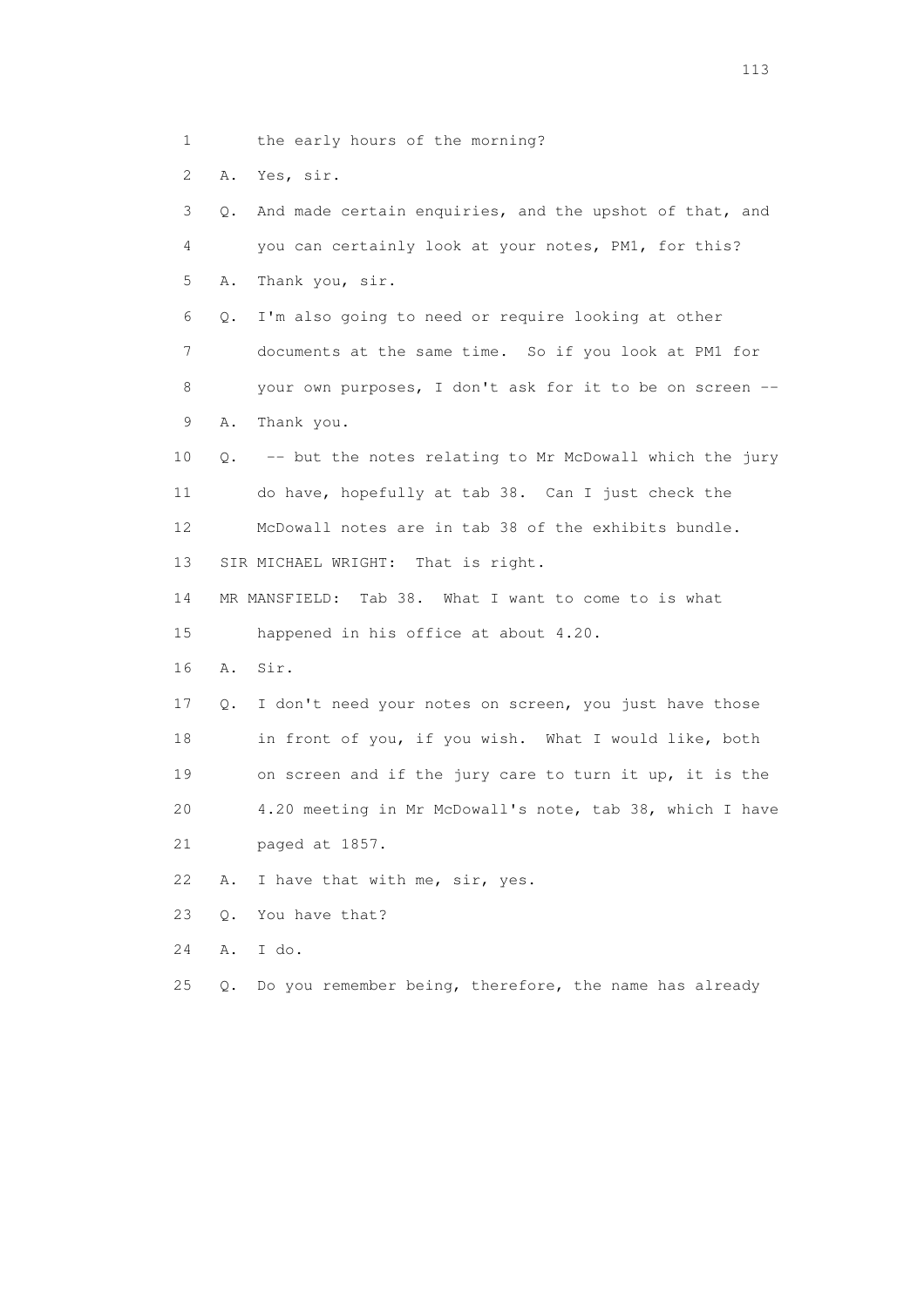1 the early hours of the morning?

2 A. Yes, sir.

 3 Q. And made certain enquiries, and the upshot of that, and 4 you can certainly look at your notes, PM1, for this? 5 A. Thank you, sir. 6 Q. I'm also going to need or require looking at other 7 documents at the same time. So if you look at PM1 for 8 your own purposes, I don't ask for it to be on screen -- 9 A. Thank you. 10 Q. -- but the notes relating to Mr McDowall which the jury 11 do have, hopefully at tab 38. Can I just check the 12 McDowall notes are in tab 38 of the exhibits bundle. 13 SIR MICHAEL WRIGHT: That is right. 14 MR MANSFIELD: Tab 38. What I want to come to is what 15 happened in his office at about 4.20. 16 A. Sir. 17 Q. I don't need your notes on screen, you just have those 18 in front of you, if you wish. What I would like, both 19 on screen and if the jury care to turn it up, it is the 20 4.20 meeting in Mr McDowall's note, tab 38, which I have 21 paged at 1857. 22 A. I have that with me, sir, yes. 23 Q. You have that? 24 A. I do.

25 Q. Do you remember being, therefore, the name has already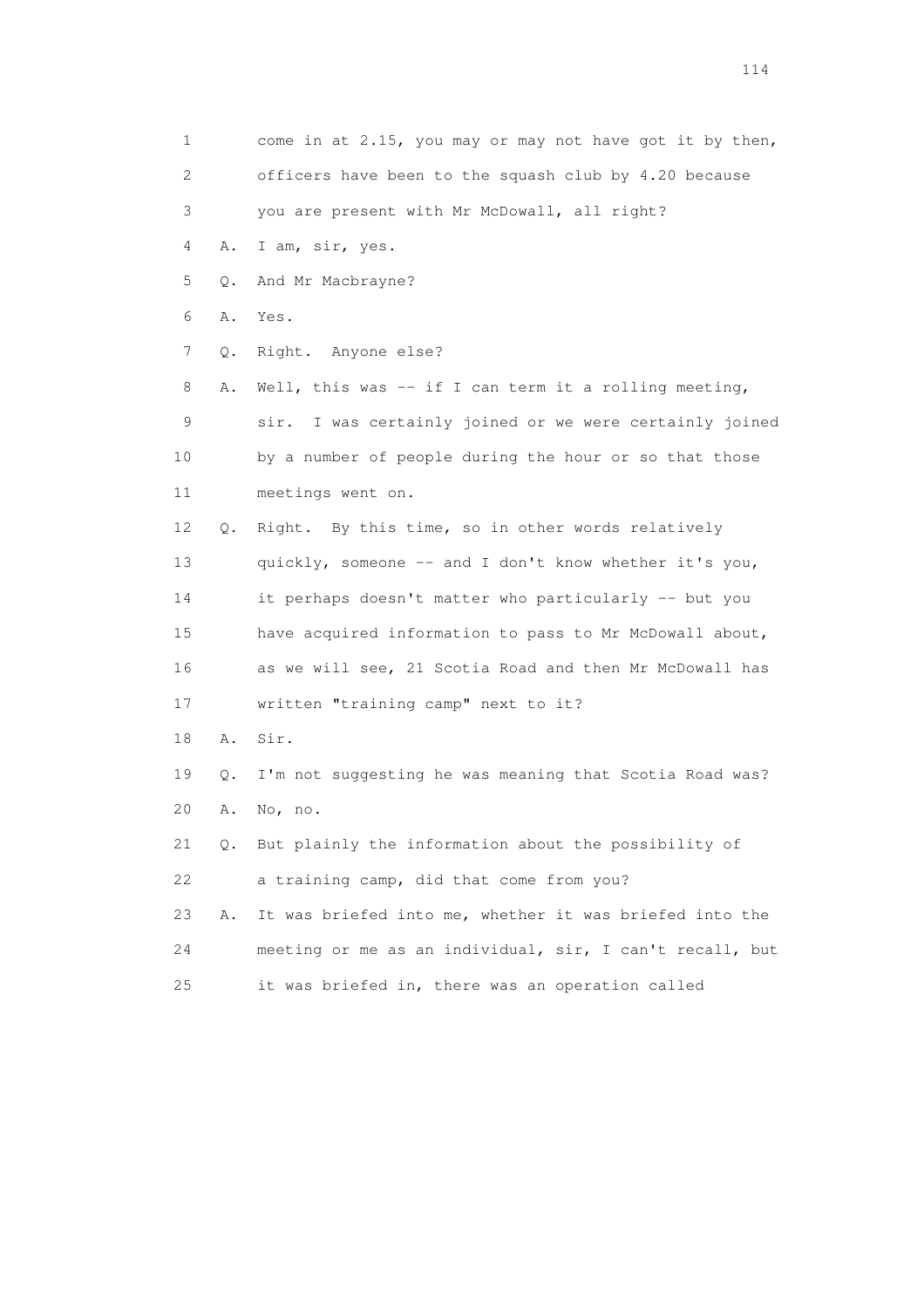| 1                         |    | come in at 2.15, you may or may not have got it by then,   |
|---------------------------|----|------------------------------------------------------------|
| $\mathbf{2}^{\mathsf{I}}$ |    | officers have been to the squash club by 4.20 because      |
| 3                         |    | you are present with Mr McDowall, all right?               |
| 4                         | Α. | I am, sir, yes.                                            |
| 5                         | Q. | And Mr Macbrayne?                                          |
| 6                         | Α. | Yes.                                                       |
| 7                         | Q. | Right. Anyone else?                                        |
| 8                         | Α. | Well, this was $-$ if I can term it a rolling meeting,     |
| 9                         |    | I was certainly joined or we were certainly joined<br>sir. |
| 10                        |    | by a number of people during the hour or so that those     |
| 11                        |    | meetings went on.                                          |
| 12                        | Q. | Right. By this time, so in other words relatively          |
| 13                        |    | quickly, someone -- and I don't know whether it's you,     |
| 14                        |    | it perhaps doesn't matter who particularly -- but you      |
| 15                        |    | have acquired information to pass to Mr McDowall about,    |
| 16                        |    | as we will see, 21 Scotia Road and then Mr McDowall has    |
| 17                        |    | written "training camp" next to it?                        |
| 18                        | Α. | Sir.                                                       |
| 19                        | Q. | I'm not suggesting he was meaning that Scotia Road was?    |
| 20                        | Α. | No, no.                                                    |
| 21                        | О. | But plainly the information about the possibility of       |
| 22                        |    | a training camp, did that come from you?                   |
| 23                        | Α. | It was briefed into me, whether it was briefed into the    |
| 24                        |    | meeting or me as an individual, sir, I can't recall, but   |
| 25                        |    | it was briefed in, there was an operation called           |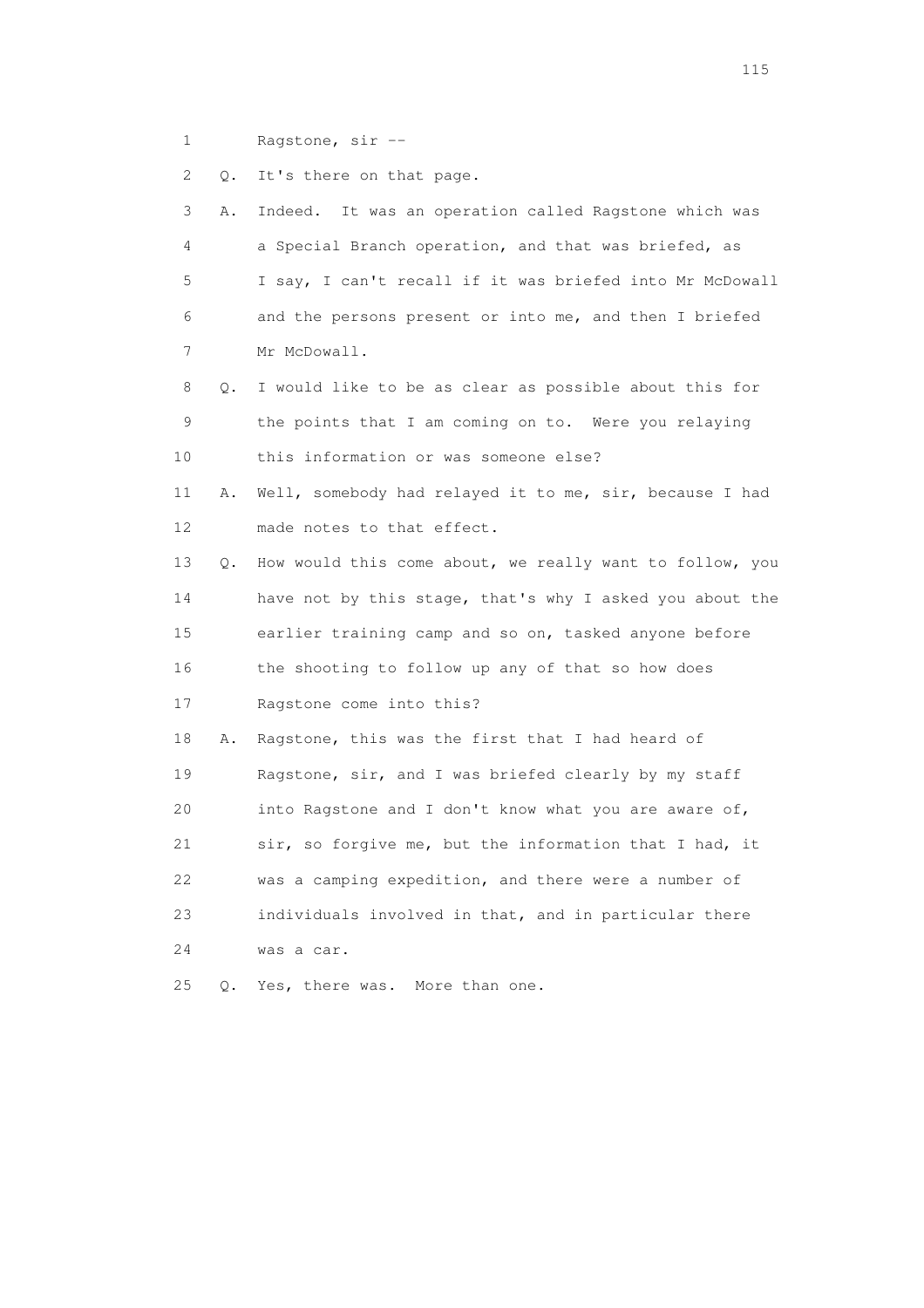1 Ragstone, sir --

2 Q. It's there on that page.

| 3  | Α. | Indeed. It was an operation called Ragstone which was    |
|----|----|----------------------------------------------------------|
| 4  |    | a Special Branch operation, and that was briefed, as     |
| 5  |    | I say, I can't recall if it was briefed into Mr McDowall |
| 6  |    | and the persons present or into me, and then I briefed   |
| 7  |    | Mr McDowall.                                             |
| 8  | Q. | I would like to be as clear as possible about this for   |
| 9  |    | the points that I am coming on to. Were you relaying     |
| 10 |    | this information or was someone else?                    |
| 11 | Α. | Well, somebody had relayed it to me, sir, because I had  |
| 12 |    | made notes to that effect.                               |
| 13 | Q. | How would this come about, we really want to follow, you |
| 14 |    | have not by this stage, that's why I asked you about the |
| 15 |    | earlier training camp and so on, tasked anyone before    |
| 16 |    | the shooting to follow up any of that so how does        |
| 17 |    | Ragstone come into this?                                 |
| 18 | Α. | Ragstone, this was the first that I had heard of         |
| 19 |    | Ragstone, sir, and I was briefed clearly by my staff     |
| 20 |    | into Ragstone and I don't know what you are aware of,    |
| 21 |    | sir, so forgive me, but the information that I had, it   |
| 22 |    | was a camping expedition, and there were a number of     |
| 23 |    | individuals involved in that, and in particular there    |
| 24 |    | was a car.                                               |
| 25 | О. | Yes, there was.<br>More than one.                        |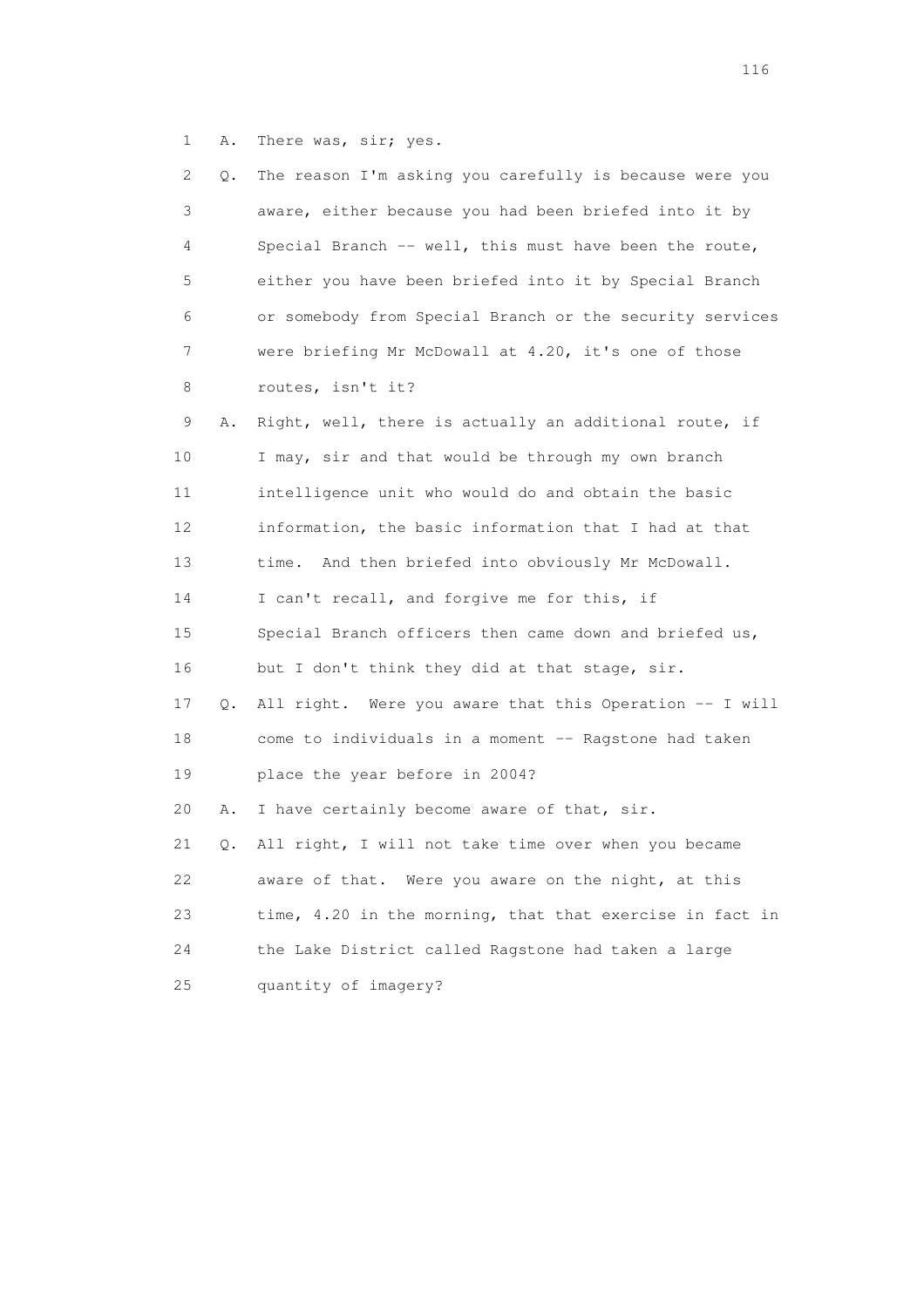1 A. There was, sir; yes.

|    | 2<br>Q. | The reason I'm asking you carefully is because were you  |
|----|---------|----------------------------------------------------------|
|    | 3       | aware, either because you had been briefed into it by    |
|    | 4       | Special Branch -- well, this must have been the route,   |
| 5  |         | either you have been briefed into it by Special Branch   |
| 6  |         | or somebody from Special Branch or the security services |
|    | 7       | were briefing Mr McDowall at 4.20, it's one of those     |
|    | 8       | routes, isn't it?                                        |
| 9  | Α.      | Right, well, there is actually an additional route, if   |
| 10 |         | I may, sir and that would be through my own branch       |
| 11 |         | intelligence unit who would do and obtain the basic      |
| 12 |         | information, the basic information that I had at that    |
| 13 |         | time. And then briefed into obviously Mr McDowall.       |
| 14 |         | I can't recall, and forgive me for this, if              |
| 15 |         | Special Branch officers then came down and briefed us,   |
| 16 |         | but I don't think they did at that stage, sir.           |
| 17 | Q.      | All right. Were you aware that this Operation -- I will  |
| 18 |         | come to individuals in a moment -- Ragstone had taken    |
| 19 |         | place the year before in 2004?                           |
| 20 | Α.      | I have certainly become aware of that, sir.              |
| 21 | Q.      | All right, I will not take time over when you became     |
| 22 |         | aware of that. Were you aware on the night, at this      |
| 23 |         | time, 4.20 in the morning, that that exercise in fact in |
| 24 |         | the Lake District called Ragstone had taken a large      |
| 25 |         | quantity of imagery?                                     |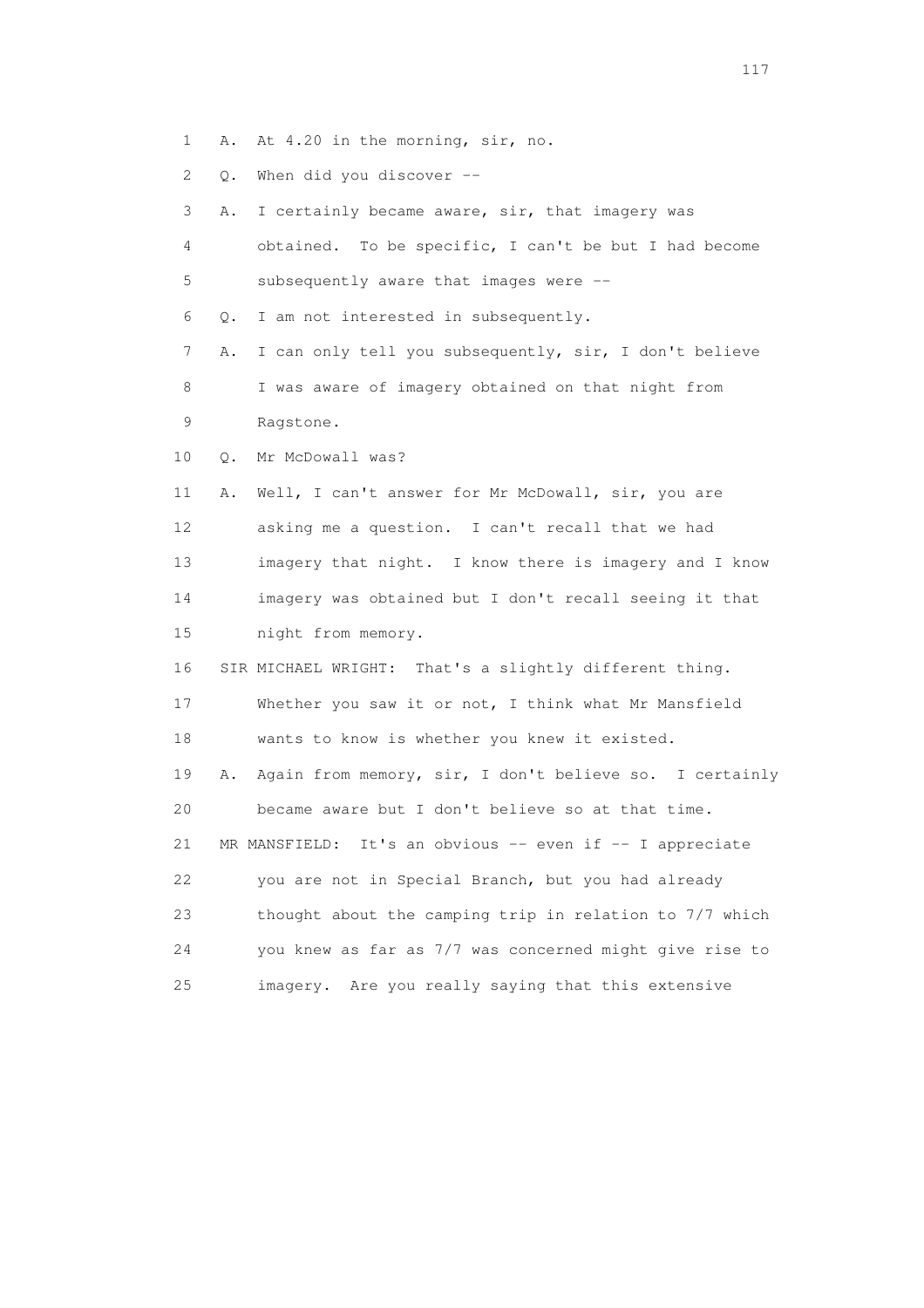1 A. At 4.20 in the morning, sir, no.

2 Q. When did you discover --

 3 A. I certainly became aware, sir, that imagery was 4 obtained. To be specific, I can't be but I had become 5 subsequently aware that images were -- 6 Q. I am not interested in subsequently. 7 A. I can only tell you subsequently, sir, I don't believe 8 I was aware of imagery obtained on that night from 9 Ragstone. 10 Q. Mr McDowall was? 11 A. Well, I can't answer for Mr McDowall, sir, you are 12 asking me a question. I can't recall that we had 13 imagery that night. I know there is imagery and I know 14 imagery was obtained but I don't recall seeing it that 15 night from memory. 16 SIR MICHAEL WRIGHT: That's a slightly different thing. 17 Whether you saw it or not, I think what Mr Mansfield 18 wants to know is whether you knew it existed. 19 A. Again from memory, sir, I don't believe so. I certainly 20 became aware but I don't believe so at that time. 21 MR MANSFIELD: It's an obvious -- even if -- I appreciate 22 you are not in Special Branch, but you had already 23 thought about the camping trip in relation to 7/7 which 24 you knew as far as 7/7 was concerned might give rise to 25 imagery. Are you really saying that this extensive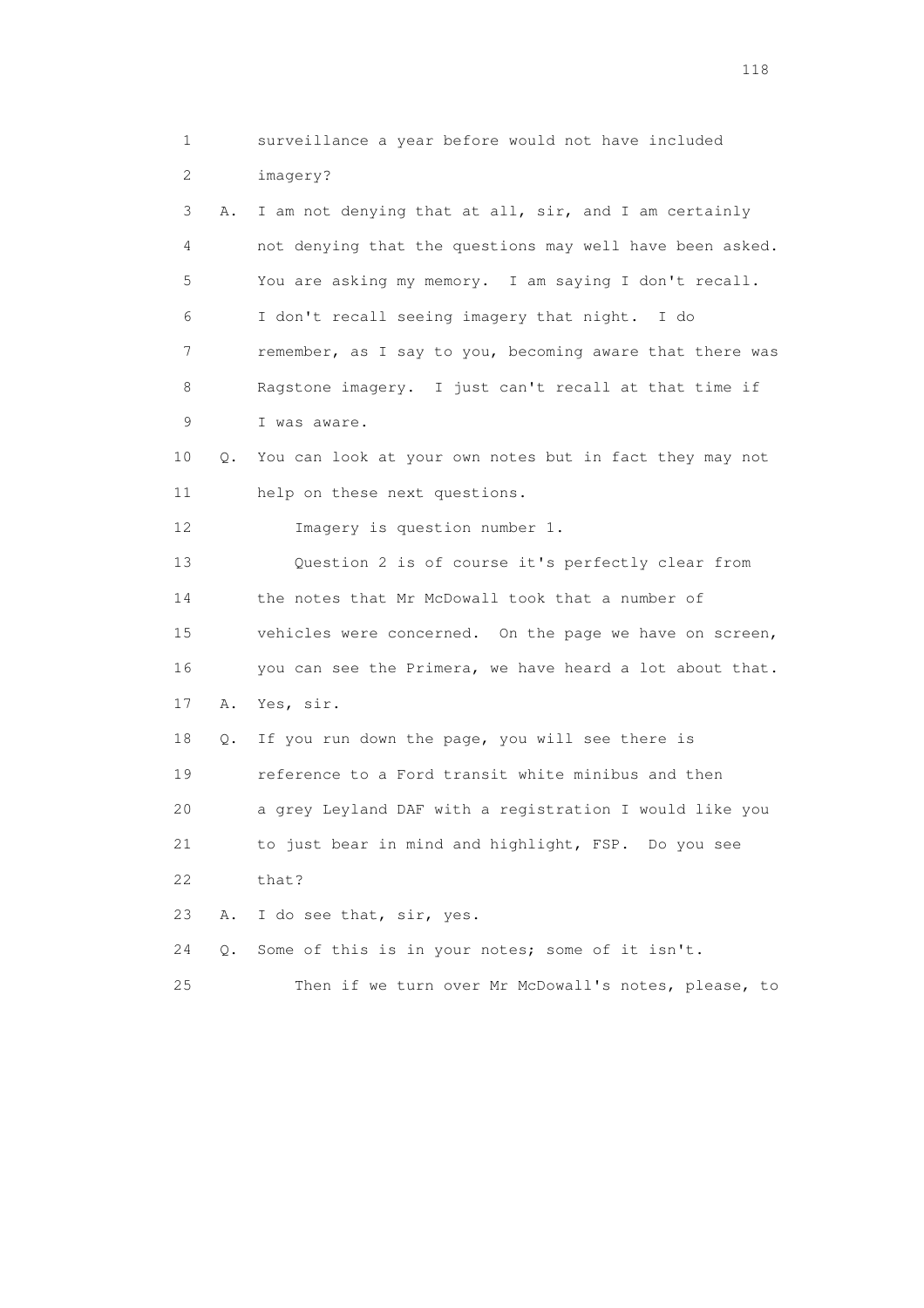1 surveillance a year before would not have included 2 imagery? 3 A. I am not denying that at all, sir, and I am certainly 4 not denying that the questions may well have been asked. 5 You are asking my memory. I am saying I don't recall. 6 I don't recall seeing imagery that night. I do 7 remember, as I say to you, becoming aware that there was 8 Ragstone imagery. I just can't recall at that time if 9 I was aware. 10 Q. You can look at your own notes but in fact they may not 11 help on these next questions. 12 Imagery is question number 1. 13 Question 2 is of course it's perfectly clear from 14 the notes that Mr McDowall took that a number of 15 vehicles were concerned. On the page we have on screen, 16 you can see the Primera, we have heard a lot about that. 17 A. Yes, sir. 18 Q. If you run down the page, you will see there is 19 reference to a Ford transit white minibus and then 20 a grey Leyland DAF with a registration I would like you 21 to just bear in mind and highlight, FSP. Do you see 22 that? 23 A. I do see that, sir, yes. 24 Q. Some of this is in your notes; some of it isn't. 25 Then if we turn over Mr McDowall's notes, please, to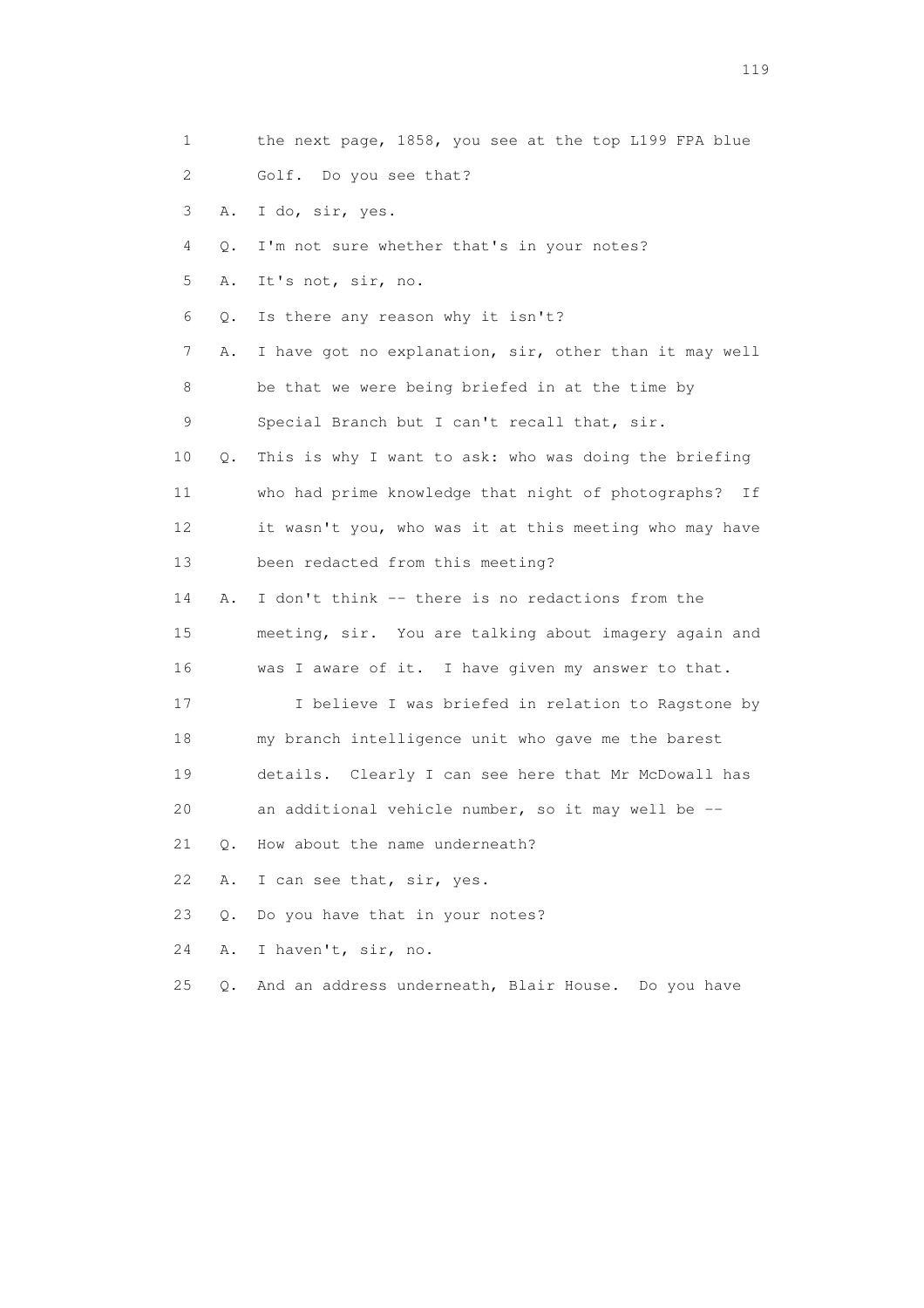| 1  |           | the next page, 1858, you see at the top L199 FPA blue    |
|----|-----------|----------------------------------------------------------|
| 2  |           | Golf. Do you see that?                                   |
| 3  | Α.        | I do, sir, yes.                                          |
| 4  | Q.        | I'm not sure whether that's in your notes?               |
| 5  | Α.        | It's not, sir, no.                                       |
| 6  | Q.        | Is there any reason why it isn't?                        |
| 7  | Α.        | I have got no explanation, sir, other than it may well   |
| 8  |           | be that we were being briefed in at the time by          |
| 9  |           | Special Branch but I can't recall that, sir.             |
| 10 | Q.        | This is why I want to ask: who was doing the briefing    |
| 11 |           | who had prime knowledge that night of photographs?<br>Ιf |
| 12 |           | it wasn't you, who was it at this meeting who may have   |
| 13 |           | been redacted from this meeting?                         |
| 14 | Α.        | I don't think -- there is no redactions from the         |
| 15 |           | meeting, sir. You are talking about imagery again and    |
| 16 |           | was I aware of it. I have given my answer to that.       |
| 17 |           | I believe I was briefed in relation to Ragstone by       |
| 18 |           | my branch intelligence unit who gave me the barest       |
| 19 |           | details. Clearly I can see here that Mr McDowall has     |
| 20 |           | an additional vehicle number, so it may well be --       |
| 21 | $\circ$ . | How about the name underneath?                           |
| 22 | Α.        | I can see that, sir, yes.                                |
| 23 | О.        | Do you have that in your notes?                          |
| 24 | Α.        | I haven't, sir, no.                                      |
| 25 | $\circ$ . | And an address underneath, Blair House. Do you have      |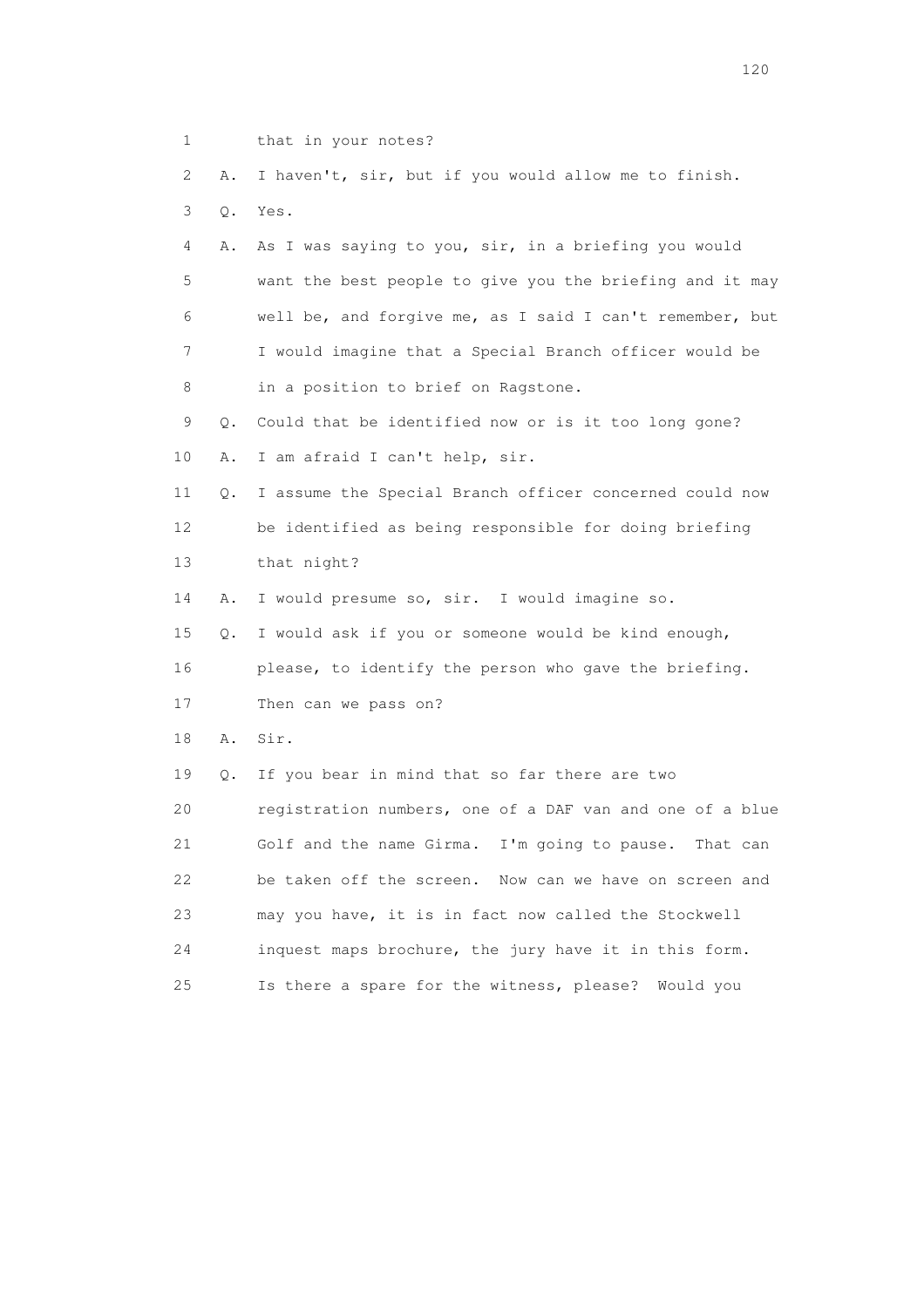| 1  |       | that in your notes?                                      |
|----|-------|----------------------------------------------------------|
| 2  | Α.    | I haven't, sir, but if you would allow me to finish.     |
| 3  | $Q$ . | Yes.                                                     |
| 4  | Α.    | As I was saying to you, sir, in a briefing you would     |
| 5  |       | want the best people to give you the briefing and it may |
| 6  |       | well be, and forgive me, as I said I can't remember, but |
| 7  |       | I would imagine that a Special Branch officer would be   |
| 8  |       | in a position to brief on Ragstone.                      |
| 9  | Q.    | Could that be identified now or is it too long gone?     |
| 10 | Α.    | I am afraid I can't help, sir.                           |
| 11 | Q.    | I assume the Special Branch officer concerned could now  |
| 12 |       | be identified as being responsible for doing briefing    |
| 13 |       | that night?                                              |
| 14 | Α.    | I would presume so, sir. I would imagine so.             |
| 15 | Q.    | I would ask if you or someone would be kind enough,      |
| 16 |       | please, to identify the person who gave the briefing.    |
| 17 |       | Then can we pass on?                                     |
| 18 | Α.    | Sir.                                                     |
| 19 | Q.    | If you bear in mind that so far there are two            |
| 20 |       | registration numbers, one of a DAF van and one of a blue |
| 21 |       | Golf and the name Girma. I'm going to pause. That can    |
| 22 |       | be taken off the screen. Now can we have on screen and   |
| 23 |       | may you have, it is in fact now called the Stockwell     |
| 24 |       | inquest maps brochure, the jury have it in this form.    |
| 25 |       | Is there a spare for the witness, please?<br>Would you   |
|    |       |                                                          |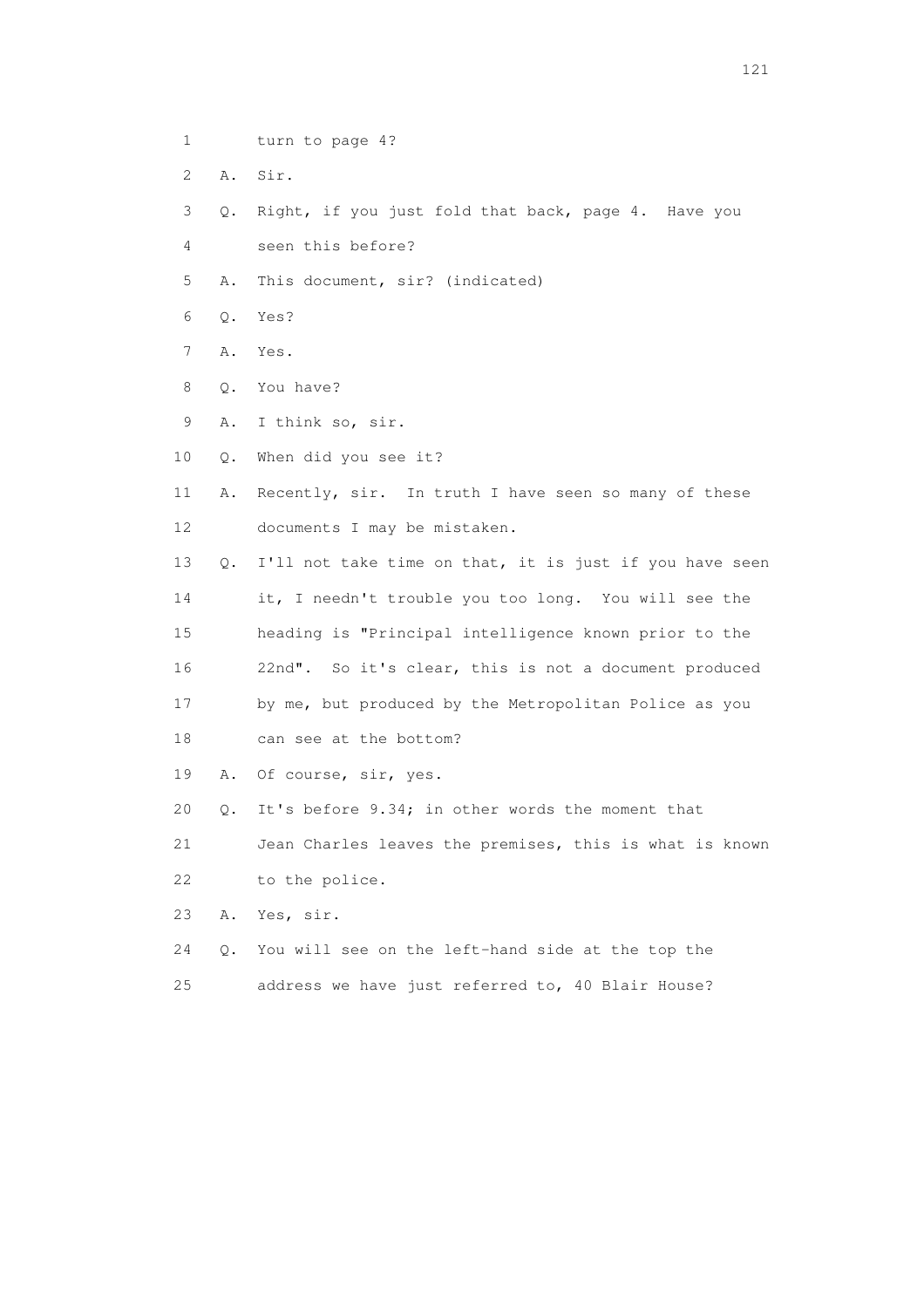- 1 turn to page 4?
- 2 A. Sir.
- 3 Q. Right, if you just fold that back, page 4. Have you
- 4 seen this before?
- 5 A. This document, sir? (indicated)
- 6 Q. Yes?
- 7 A. Yes.
- 8 Q. You have?
- 9 A. I think so, sir.
- 10 Q. When did you see it?
- 11 A. Recently, sir. In truth I have seen so many of these 12 documents I may be mistaken.
- 13 Q. I'll not take time on that, it is just if you have seen 14 it, I needn't trouble you too long. You will see the 15 heading is "Principal intelligence known prior to the 16 22nd". So it's clear, this is not a document produced 17 by me, but produced by the Metropolitan Police as you 18 can see at the bottom?
- 19 A. Of course, sir, yes.
- 20 Q. It's before 9.34; in other words the moment that

 21 Jean Charles leaves the premises, this is what is known 22 to the police.

- 23 A. Yes, sir.
- 24 Q. You will see on the left-hand side at the top the 25 address we have just referred to, 40 Blair House?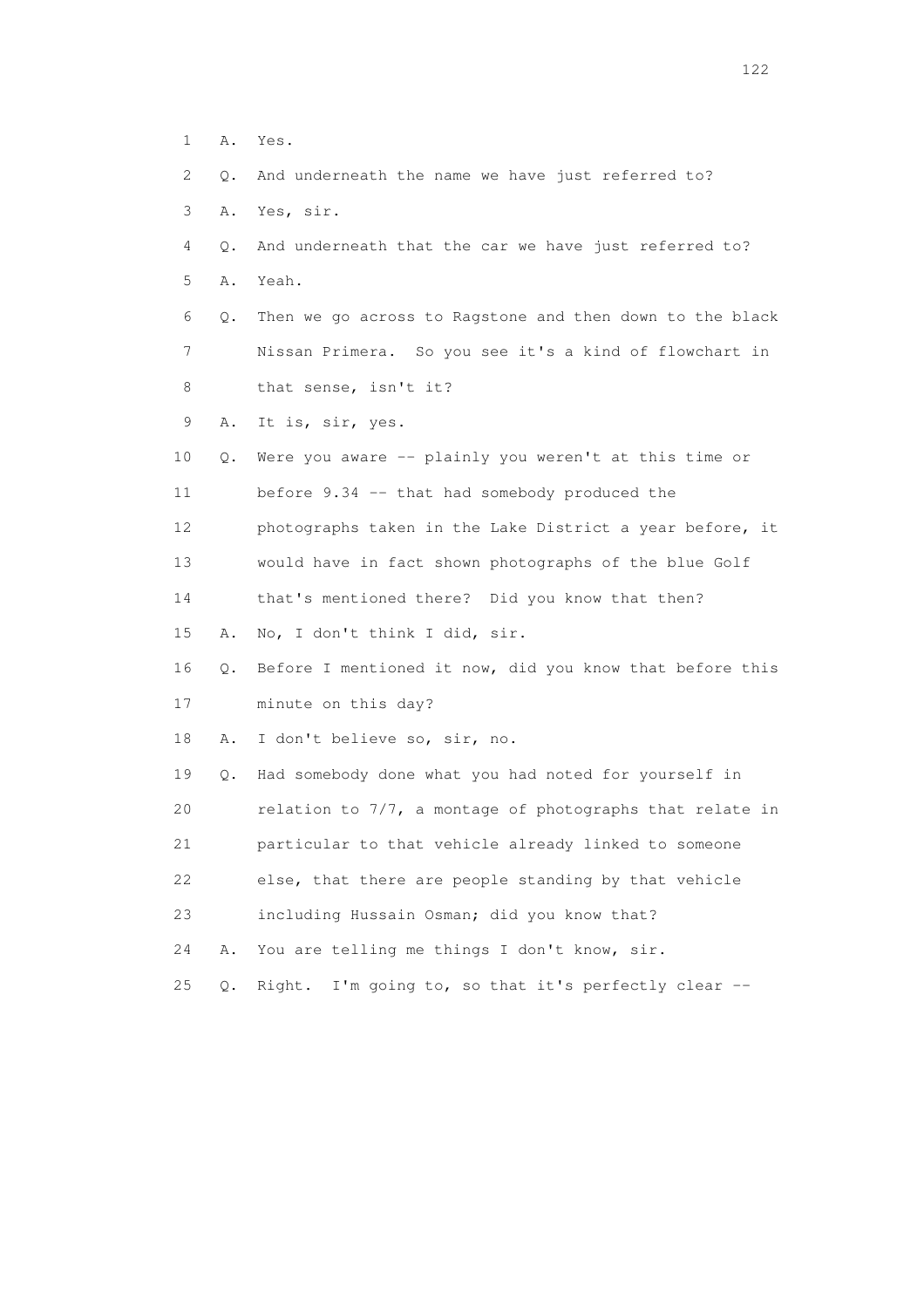1 A. Yes. 2 Q. And underneath the name we have just referred to? 3 A. Yes, sir. 4 Q. And underneath that the car we have just referred to? 5 A. Yeah. 6 Q. Then we go across to Ragstone and then down to the black 7 Nissan Primera. So you see it's a kind of flowchart in 8 that sense, isn't it? 9 A. It is, sir, yes. 10 Q. Were you aware -- plainly you weren't at this time or 11 before 9.34 -- that had somebody produced the 12 photographs taken in the Lake District a year before, it 13 would have in fact shown photographs of the blue Golf 14 that's mentioned there? Did you know that then? 15 A. No, I don't think I did, sir. 16 Q. Before I mentioned it now, did you know that before this 17 minute on this day? 18 A. I don't believe so, sir, no. 19 Q. Had somebody done what you had noted for yourself in 20 relation to 7/7, a montage of photographs that relate in 21 particular to that vehicle already linked to someone 22 else, that there are people standing by that vehicle 23 including Hussain Osman; did you know that? 24 A. You are telling me things I don't know, sir. 25 Q. Right. I'm going to, so that it's perfectly clear --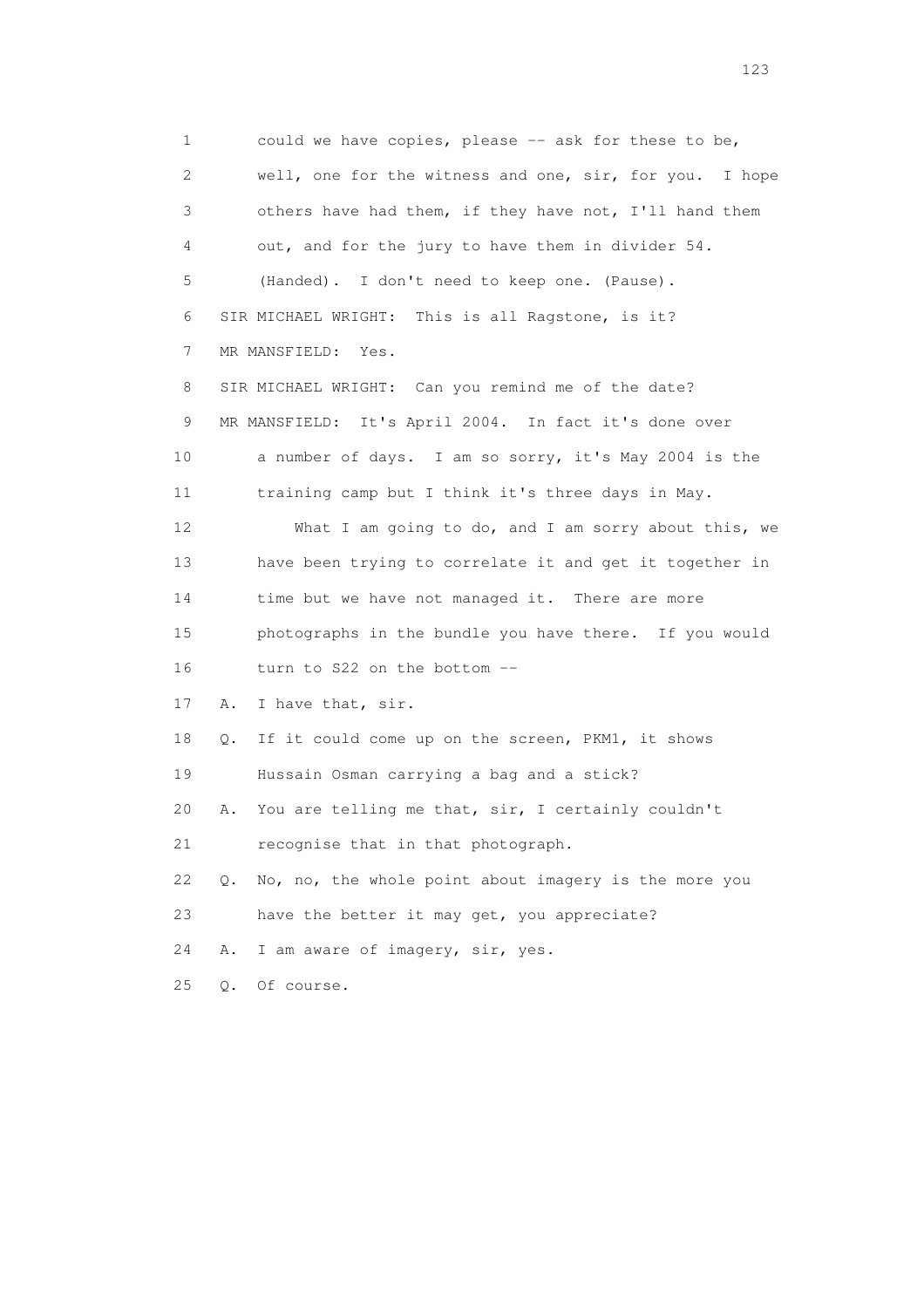1 could we have copies, please -- ask for these to be, 2 well, one for the witness and one, sir, for you. I hope 3 others have had them, if they have not, I'll hand them 4 out, and for the jury to have them in divider 54. 5 (Handed). I don't need to keep one. (Pause). 6 SIR MICHAEL WRIGHT: This is all Ragstone, is it? 7 MR MANSFIELD: Yes. 8 SIR MICHAEL WRIGHT: Can you remind me of the date? 9 MR MANSFIELD: It's April 2004. In fact it's done over 10 a number of days. I am so sorry, it's May 2004 is the 11 training camp but I think it's three days in May. 12 What I am going to do, and I am sorry about this, we 13 have been trying to correlate it and get it together in 14 time but we have not managed it. There are more 15 photographs in the bundle you have there. If you would 16 turn to S22 on the bottom -- 17 A. I have that, sir. 18 Q. If it could come up on the screen, PKM1, it shows 19 Hussain Osman carrying a bag and a stick? 20 A. You are telling me that, sir, I certainly couldn't 21 recognise that in that photograph. 22 Q. No, no, the whole point about imagery is the more you 23 have the better it may get, you appreciate? 24 A. I am aware of imagery, sir, yes.

25 Q. Of course.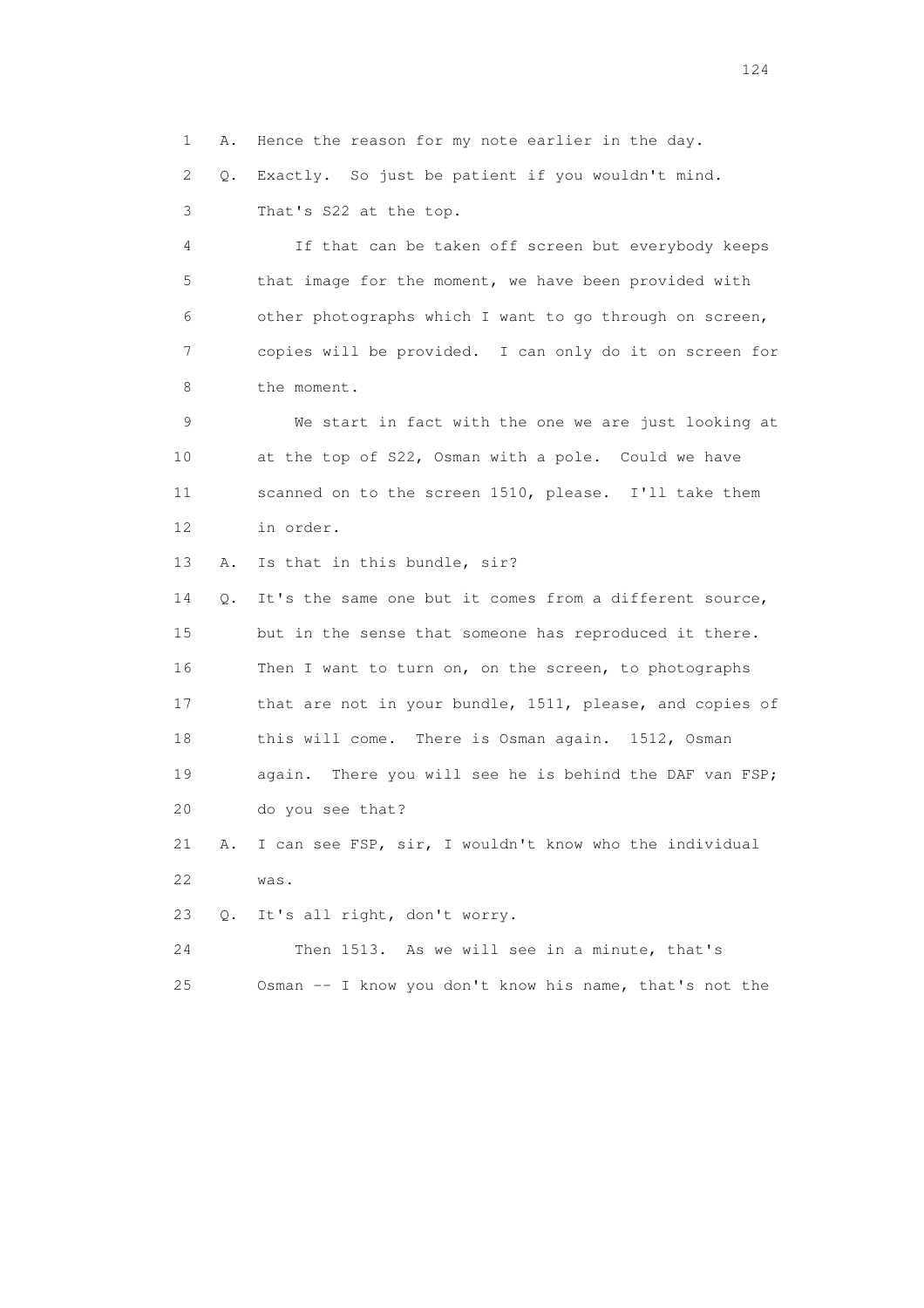1 A. Hence the reason for my note earlier in the day.

 2 Q. Exactly. So just be patient if you wouldn't mind. 3 That's S22 at the top.

 4 If that can be taken off screen but everybody keeps 5 that image for the moment, we have been provided with 6 other photographs which I want to go through on screen, 7 copies will be provided. I can only do it on screen for 8 the moment.

 9 We start in fact with the one we are just looking at 10 at the top of S22, Osman with a pole. Could we have 11 scanned on to the screen 1510, please. I'll take them 12 in order.

13 A. Is that in this bundle, sir?

 14 Q. It's the same one but it comes from a different source, 15 but in the sense that someone has reproduced it there. 16 Then I want to turn on, on the screen, to photographs 17 that are not in your bundle, 1511, please, and copies of 18 this will come. There is Osman again. 1512, Osman 19 again. There you will see he is behind the DAF van FSP; 20 do you see that?

 21 A. I can see FSP, sir, I wouldn't know who the individual 22 was.

23 Q. It's all right, don't worry.

 24 Then 1513. As we will see in a minute, that's 25 Osman -- I know you don't know his name, that's not the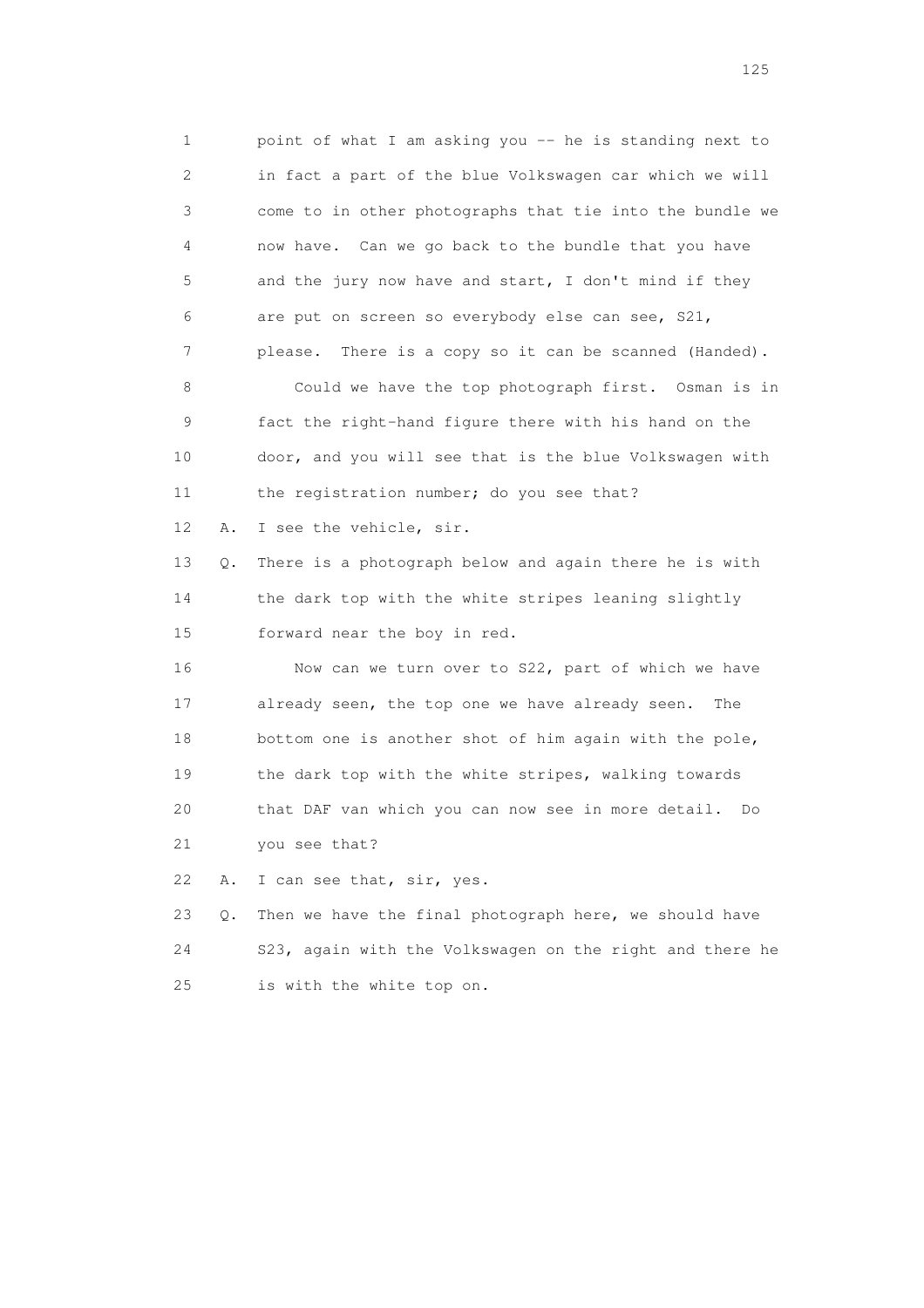1 point of what I am asking you -- he is standing next to 2 in fact a part of the blue Volkswagen car which we will 3 come to in other photographs that tie into the bundle we 4 now have. Can we go back to the bundle that you have 5 and the jury now have and start, I don't mind if they 6 are put on screen so everybody else can see, S21, 7 please. There is a copy so it can be scanned (Handed). 8 Could we have the top photograph first. Osman is in 9 fact the right-hand figure there with his hand on the 10 door, and you will see that is the blue Volkswagen with 11 the registration number; do you see that? 12 A. I see the vehicle, sir. 13 Q. There is a photograph below and again there he is with 14 the dark top with the white stripes leaning slightly 15 forward near the boy in red. 16 Now can we turn over to S22, part of which we have 17 already seen, the top one we have already seen. The 18 bottom one is another shot of him again with the pole, 19 the dark top with the white stripes, walking towards 20 that DAF van which you can now see in more detail. Do 21 you see that? 22 A. I can see that, sir, yes. 23 Q. Then we have the final photograph here, we should have

 24 S23, again with the Volkswagen on the right and there he 25 is with the white top on.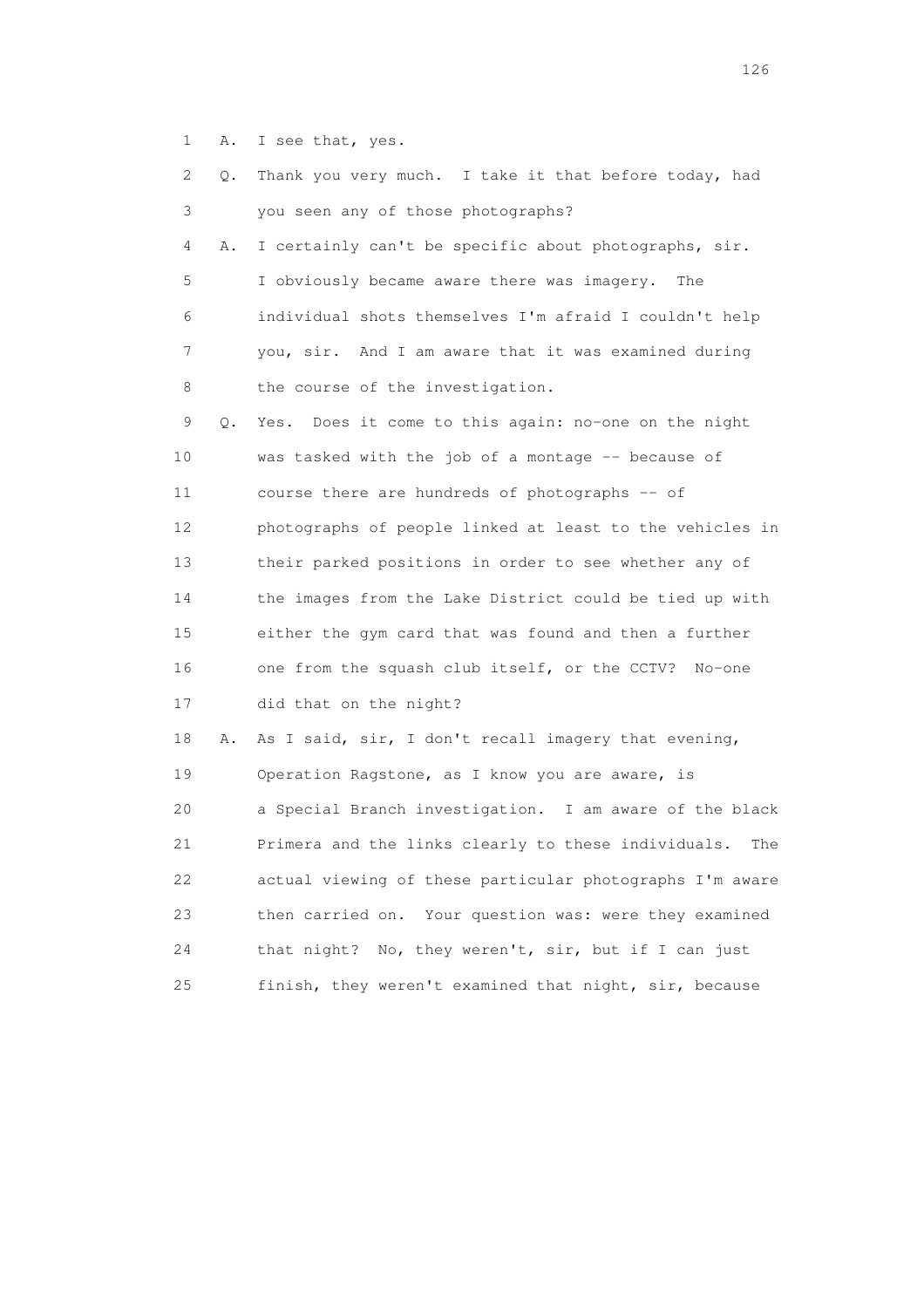1 A. I see that, yes.

| 2  | Q. | Thank you very much. I take it that before today, had      |
|----|----|------------------------------------------------------------|
| 3  |    | you seen any of those photographs?                         |
| 4  | Α. | I certainly can't be specific about photographs, sir.      |
| 5  |    | I obviously became aware there was imagery.<br>The         |
| 6  |    | individual shots themselves I'm afraid I couldn't help     |
| 7  |    | you, sir. And I am aware that it was examined during       |
| 8  |    | the course of the investigation.                           |
| 9  | Q. | Yes. Does it come to this again: no-one on the night       |
| 10 |    | was tasked with the job of a montage -- because of         |
| 11 |    | course there are hundreds of photographs -- of             |
| 12 |    | photographs of people linked at least to the vehicles in   |
| 13 |    | their parked positions in order to see whether any of      |
| 14 |    | the images from the Lake District could be tied up with    |
| 15 |    | either the gym card that was found and then a further      |
| 16 |    | one from the squash club itself, or the CCTV? No-one       |
| 17 |    | did that on the night?                                     |
| 18 | Α. | As I said, sir, I don't recall imagery that evening,       |
| 19 |    | Operation Ragstone, as I know you are aware, is            |
| 20 |    | a Special Branch investigation. I am aware of the black    |
| 21 |    | Primera and the links clearly to these individuals.<br>The |
| 22 |    | actual viewing of these particular photographs I'm aware   |
| 23 |    | Your question was: were they examined<br>then carried on.  |
| 24 |    | that night? No, they weren't, sir, but if I can just       |
| 25 |    | finish, they weren't examined that night, sir, because     |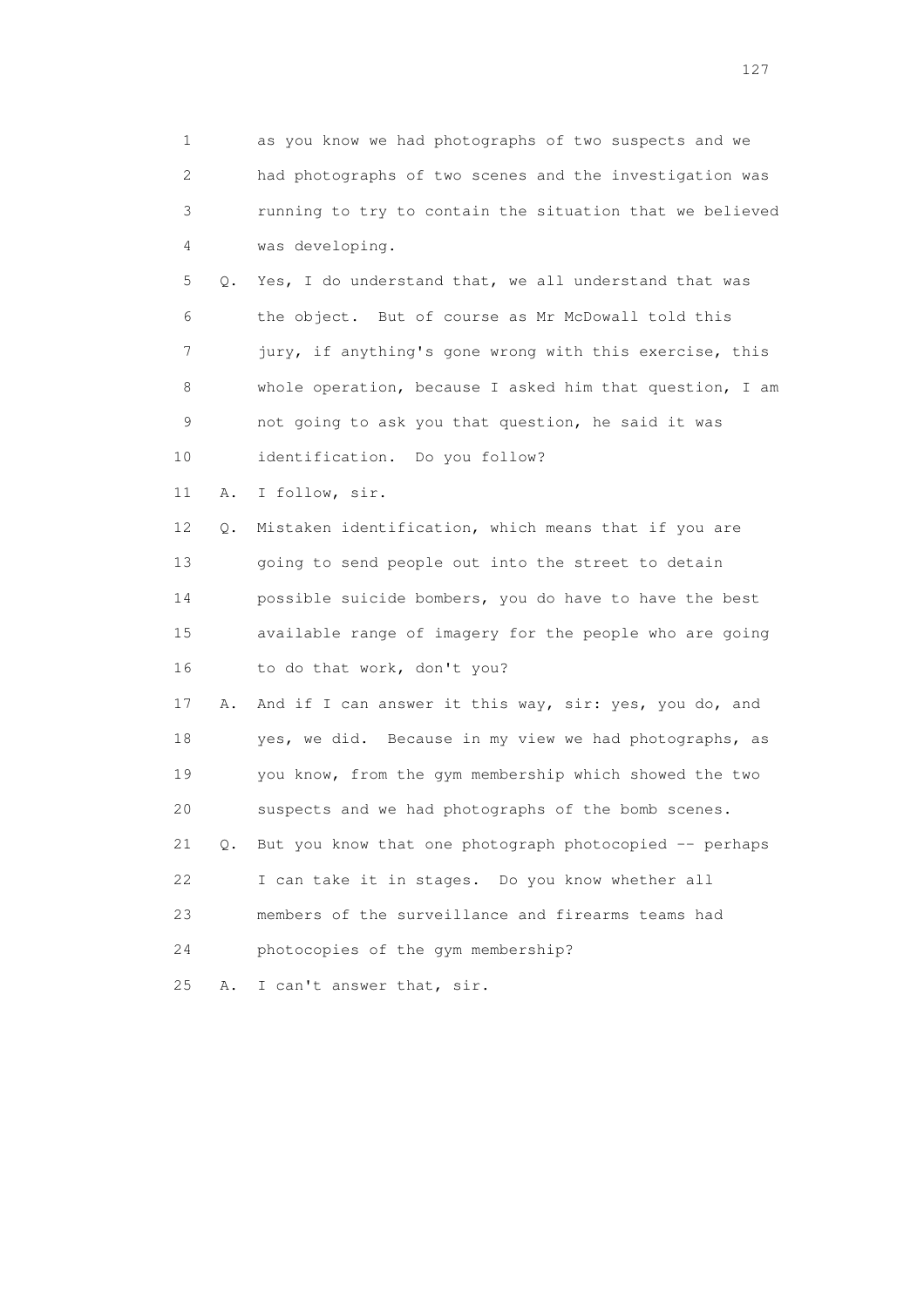1 as you know we had photographs of two suspects and we 2 had photographs of two scenes and the investigation was 3 running to try to contain the situation that we believed 4 was developing.

 5 Q. Yes, I do understand that, we all understand that was 6 the object. But of course as Mr McDowall told this 7 jury, if anything's gone wrong with this exercise, this 8 whole operation, because I asked him that question, I am 9 not going to ask you that question, he said it was 10 identification. Do you follow?

11 A. I follow, sir.

 12 Q. Mistaken identification, which means that if you are 13 going to send people out into the street to detain 14 possible suicide bombers, you do have to have the best 15 available range of imagery for the people who are going 16 to do that work, don't you?

 17 A. And if I can answer it this way, sir: yes, you do, and 18 yes, we did. Because in my view we had photographs, as 19 you know, from the gym membership which showed the two 20 suspects and we had photographs of the bomb scenes. 21 Q. But you know that one photograph photocopied -- perhaps

22 I can take it in stages. Do you know whether all

23 members of the surveillance and firearms teams had

24 photocopies of the gym membership?

25 A. I can't answer that, sir.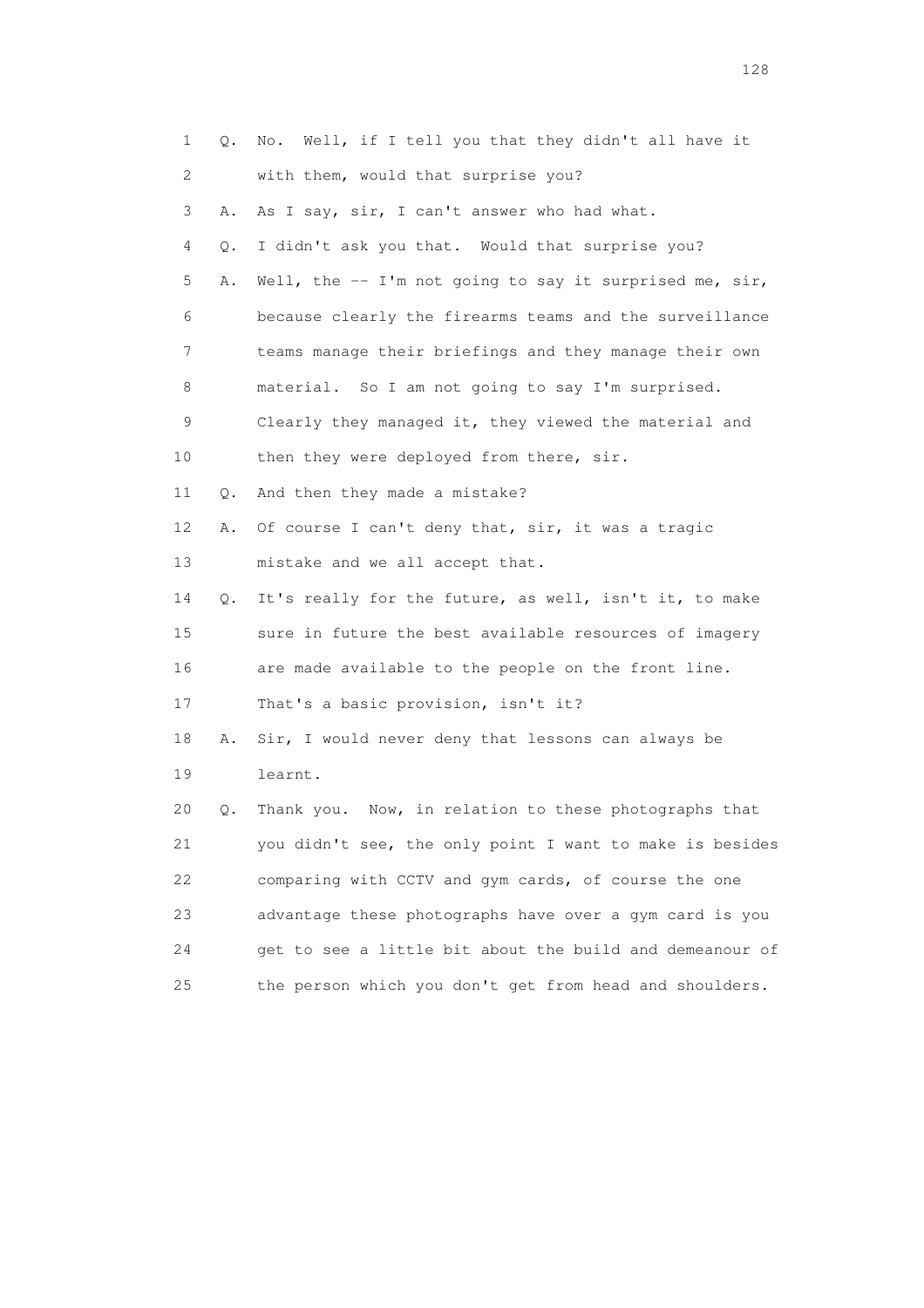| 1  | Q. | No. Well, if I tell you that they didn't all have it     |
|----|----|----------------------------------------------------------|
| 2  |    | with them, would that surprise you?                      |
| 3  | Α. | As I say, sir, I can't answer who had what.              |
| 4  | Q. | I didn't ask you that. Would that surprise you?          |
| 5  | Α. | Well, the $-$ I'm not going to say it surprised me, sir, |
| 6  |    | because clearly the firearms teams and the surveillance  |
| 7  |    | teams manage their briefings and they manage their own   |
| 8  |    | material. So I am not going to say I'm surprised.        |
| 9  |    | Clearly they managed it, they viewed the material and    |
| 10 |    | then they were deployed from there, sir.                 |
| 11 | Q. | And then they made a mistake?                            |
| 12 | Α. | Of course I can't deny that, sir, it was a tragic        |
| 13 |    | mistake and we all accept that.                          |
| 14 | Q. | It's really for the future, as well, isn't it, to make   |
| 15 |    | sure in future the best available resources of imagery   |
| 16 |    | are made available to the people on the front line.      |
| 17 |    | That's a basic provision, isn't it?                      |
| 18 | Α. | Sir, I would never deny that lessons can always be       |
| 19 |    | learnt.                                                  |
| 20 | Q. | Thank you. Now, in relation to these photographs that    |
| 21 |    | you didn't see, the only point I want to make is besides |
| 22 |    | comparing with CCTV and gym cards, of course the one     |
| 23 |    | advantage these photographs have over a gym card is you  |
| 24 |    | get to see a little bit about the build and demeanour of |
| 25 |    | the person which you don't get from head and shoulders.  |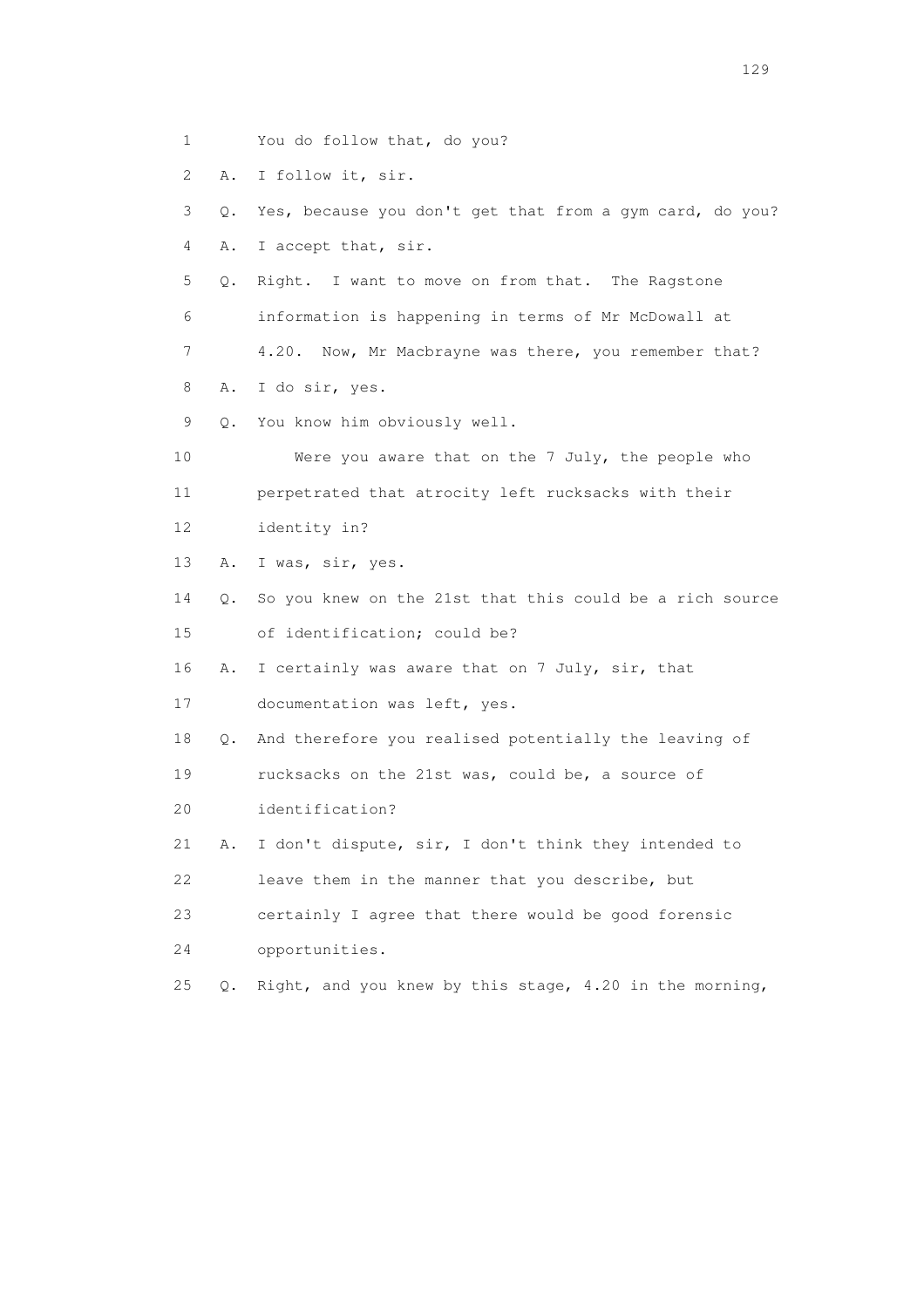- 1 You do follow that, do you?
- 2 A. I follow it, sir.

 3 Q. Yes, because you don't get that from a gym card, do you? 4 A. I accept that, sir.

- 5 Q. Right. I want to move on from that. The Ragstone 6 information is happening in terms of Mr McDowall at 7 4.20. Now, Mr Macbrayne was there, you remember that?
- 8 A. I do sir, yes.
- 9 Q. You know him obviously well.

 10 Were you aware that on the 7 July, the people who 11 perpetrated that atrocity left rucksacks with their

- 12 identity in?
- 13 A. I was, sir, yes.
- 14 Q. So you knew on the 21st that this could be a rich source 15 of identification; could be?
- 16 A. I certainly was aware that on 7 July, sir, that
- 17 documentation was left, yes.
- 18 Q. And therefore you realised potentially the leaving of
- 19 rucksacks on the 21st was, could be, a source of
- 20 identification?
- 21 A. I don't dispute, sir, I don't think they intended to 22 leave them in the manner that you describe, but
- 23 certainly I agree that there would be good forensic
- 24 opportunities.
- 25 Q. Right, and you knew by this stage, 4.20 in the morning,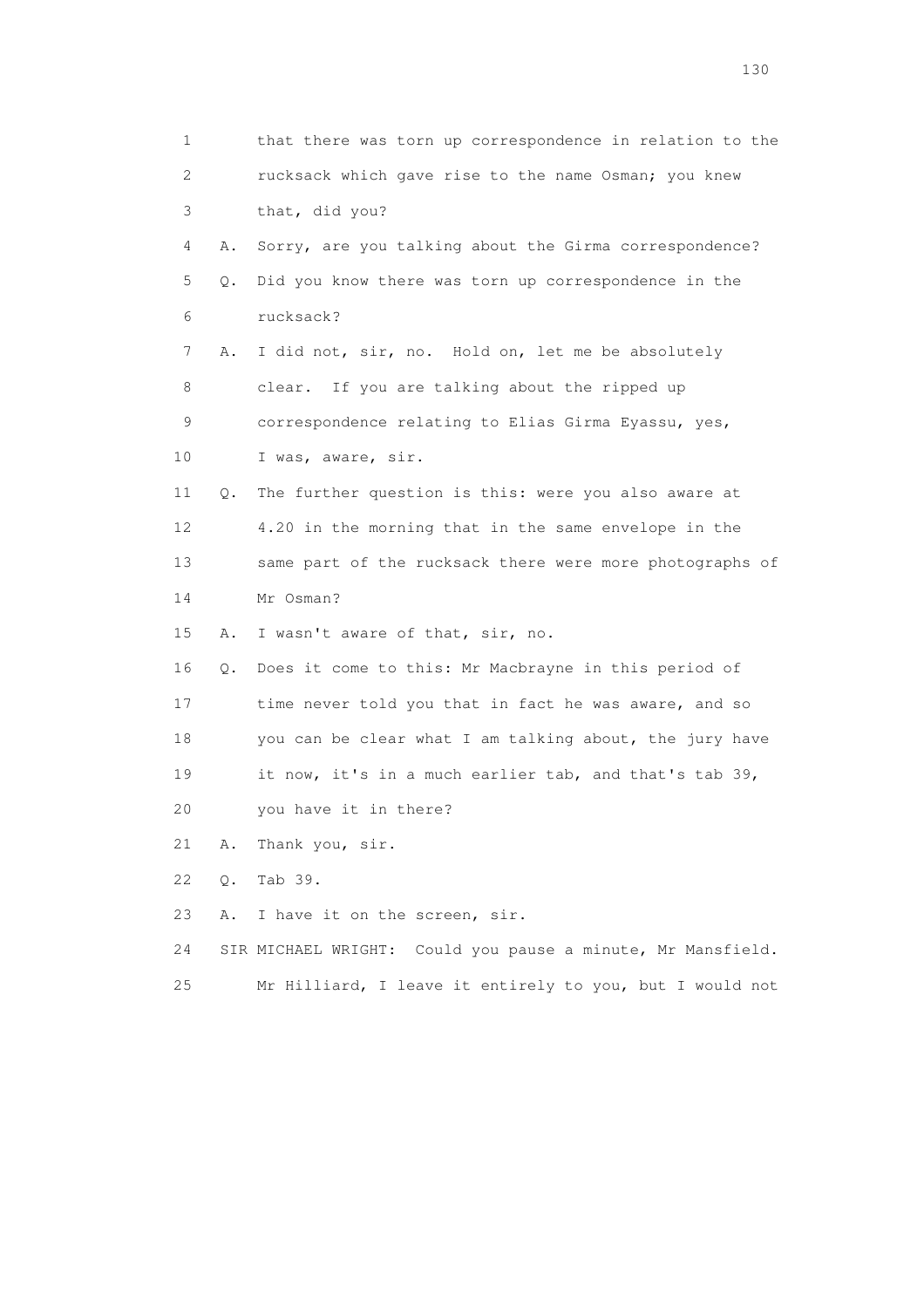1 that there was torn up correspondence in relation to the 2 rucksack which gave rise to the name Osman; you knew 3 that, did you? 4 A. Sorry, are you talking about the Girma correspondence? 5 Q. Did you know there was torn up correspondence in the 6 rucksack? 7 A. I did not, sir, no. Hold on, let me be absolutely 8 clear. If you are talking about the ripped up 9 correspondence relating to Elias Girma Eyassu, yes, 10 I was, aware, sir. 11 Q. The further question is this: were you also aware at 12 4.20 in the morning that in the same envelope in the 13 same part of the rucksack there were more photographs of 14 Mr Osman? 15 A. I wasn't aware of that, sir, no. 16 Q. Does it come to this: Mr Macbrayne in this period of 17 time never told you that in fact he was aware, and so 18 you can be clear what I am talking about, the jury have 19 it now, it's in a much earlier tab, and that's tab 39, 20 you have it in there? 21 A. Thank you, sir. 22 Q. Tab 39. 23 A. I have it on the screen, sir. 24 SIR MICHAEL WRIGHT: Could you pause a minute, Mr Mansfield. 25 Mr Hilliard, I leave it entirely to you, but I would not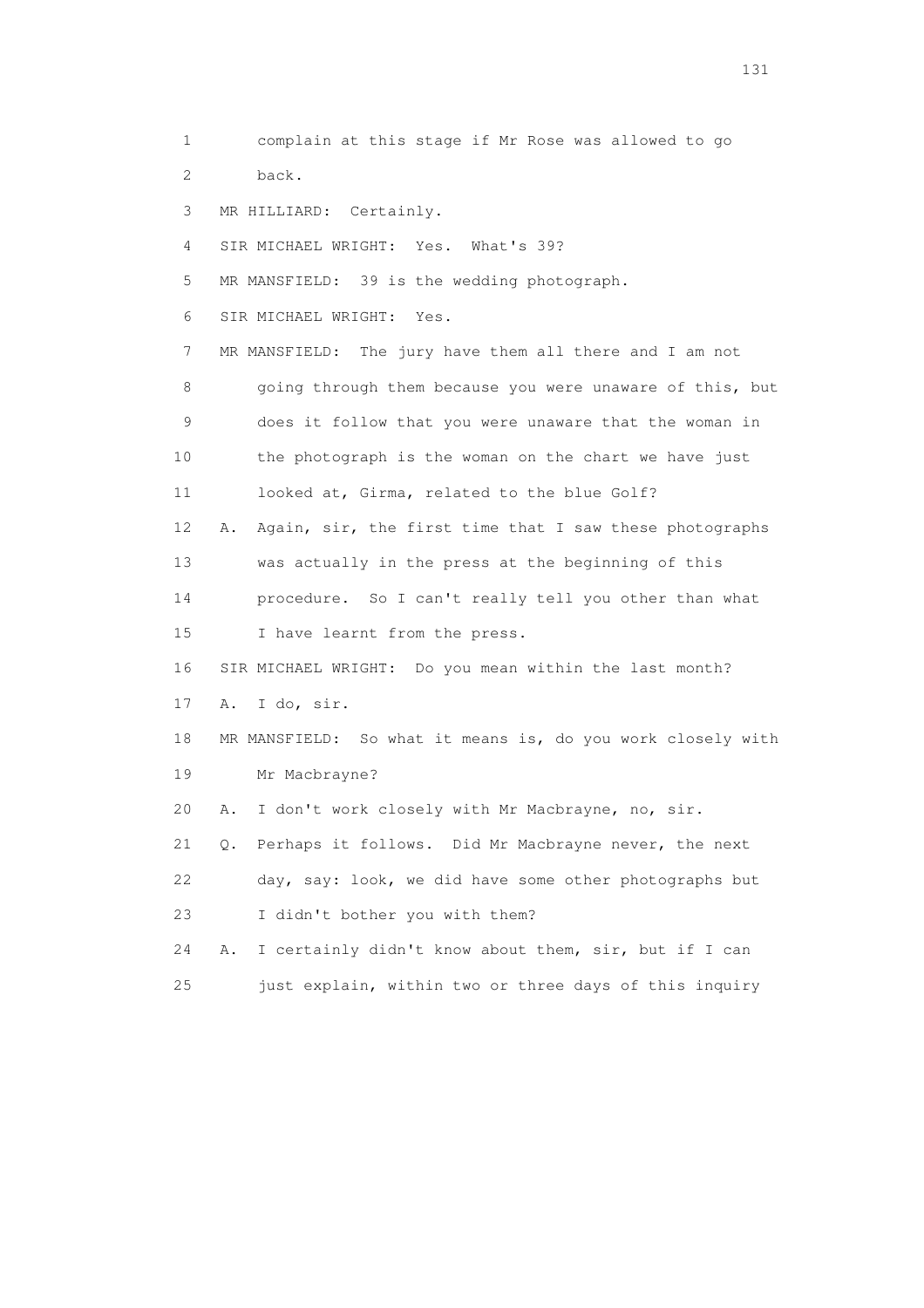1 complain at this stage if Mr Rose was allowed to go 2 back. 3 MR HILLIARD: Certainly.

4 SIR MICHAEL WRIGHT: Yes. What's 39?

5 MR MANSFIELD: 39 is the wedding photograph.

6 SIR MICHAEL WRIGHT: Yes.

 7 MR MANSFIELD: The jury have them all there and I am not 8 going through them because you were unaware of this, but 9 does it follow that you were unaware that the woman in 10 the photograph is the woman on the chart we have just 11 looked at, Girma, related to the blue Golf? 12 A. Again, sir, the first time that I saw these photographs 13 was actually in the press at the beginning of this

 14 procedure. So I can't really tell you other than what 15 I have learnt from the press.

16 SIR MICHAEL WRIGHT: Do you mean within the last month?

17 A. I do, sir.

 18 MR MANSFIELD: So what it means is, do you work closely with 19 Mr Macbrayne?

20 A. I don't work closely with Mr Macbrayne, no, sir.

 21 Q. Perhaps it follows. Did Mr Macbrayne never, the next 22 day, say: look, we did have some other photographs but 23 I didn't bother you with them?

 24 A. I certainly didn't know about them, sir, but if I can 25 just explain, within two or three days of this inquiry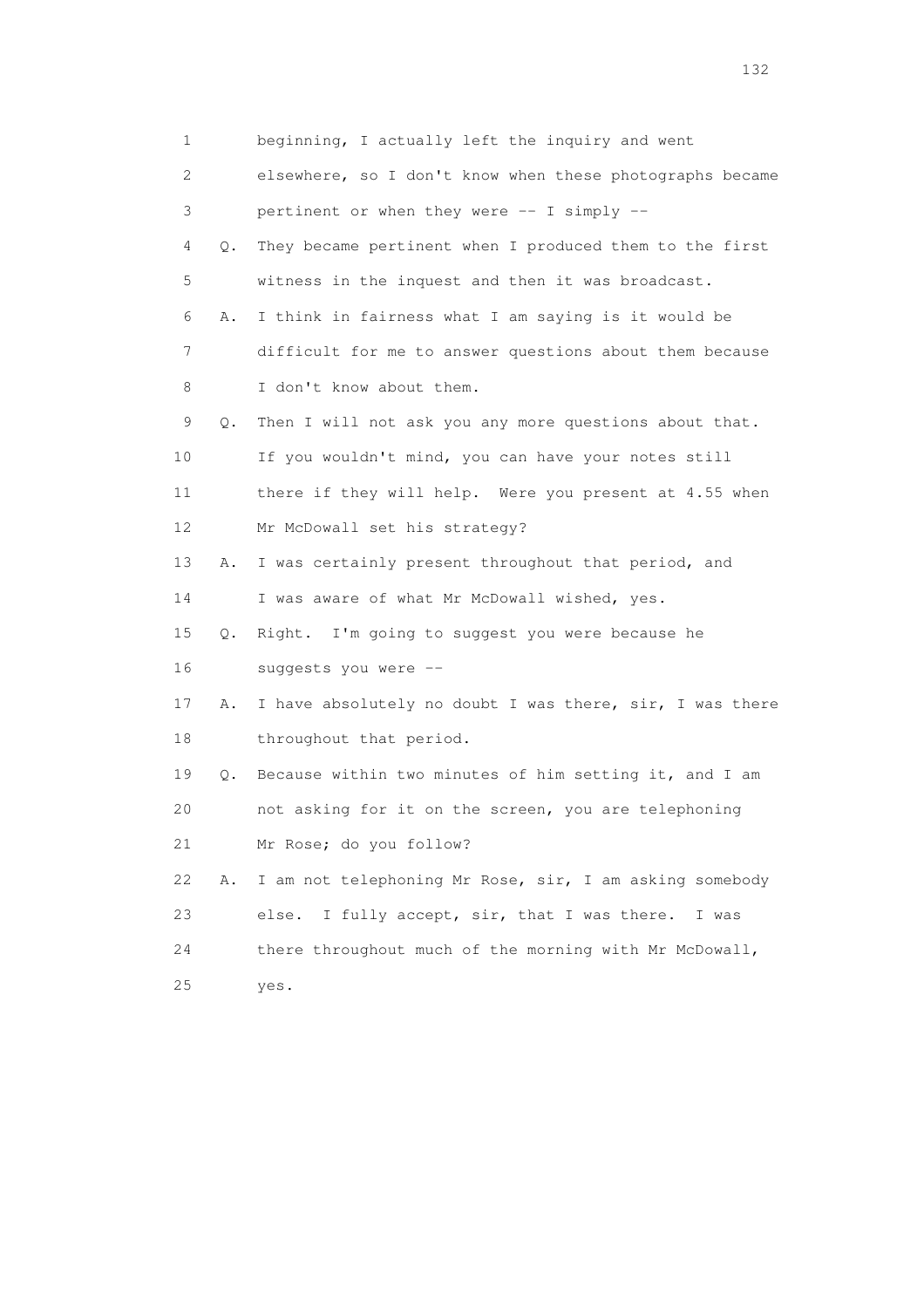| 1                         |           | beginning, I actually left the inquiry and went          |
|---------------------------|-----------|----------------------------------------------------------|
| $\mathbf{2}^{\mathsf{I}}$ |           | elsewhere, so I don't know when these photographs became |
| 3                         |           | pertinent or when they were -- I simply --               |
| 4                         | $\circ$ . | They became pertinent when I produced them to the first  |
| 5                         |           | witness in the inquest and then it was broadcast.        |
| 6                         | Α.        | I think in fairness what I am saying is it would be      |
| 7                         |           | difficult for me to answer questions about them because  |
| 8                         |           | I don't know about them.                                 |
| 9                         | Q.        | Then I will not ask you any more questions about that.   |
| 10                        |           | If you wouldn't mind, you can have your notes still      |
| 11                        |           | there if they will help. Were you present at 4.55 when   |
| 12                        |           | Mr McDowall set his strategy?                            |
| 13                        | Α.        | I was certainly present throughout that period, and      |
| 14                        |           | I was aware of what Mr McDowall wished, yes.             |
| 15                        | $\circ$ . | Right. I'm going to suggest you were because he          |
| 16                        |           | suggests you were --                                     |
| 17                        | Α.        | I have absolutely no doubt I was there, sir, I was there |
| 18                        |           | throughout that period.                                  |
| 19                        | Q.        | Because within two minutes of him setting it, and I am   |
| 20                        |           | not asking for it on the screen, you are telephoning     |
| 21                        |           | Mr Rose; do you follow?                                  |
| 22                        | Α.        | I am not telephoning Mr Rose, sir, I am asking somebody  |
| 23                        |           | I fully accept, sir, that I was there.<br>else.<br>I was |
| 24                        |           | there throughout much of the morning with Mr McDowall,   |
| 25                        |           | yes.                                                     |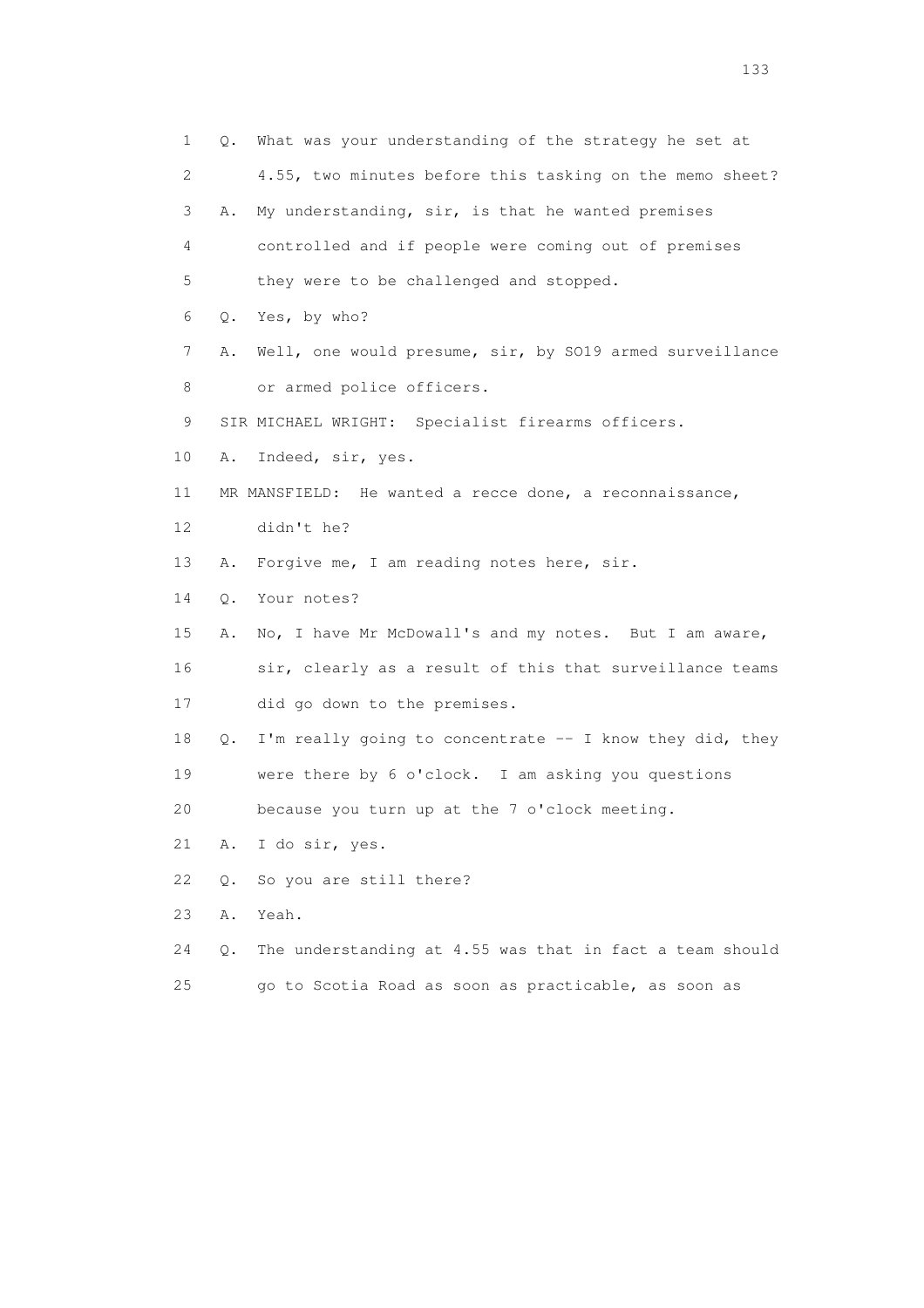1 Q. What was your understanding of the strategy he set at 2 4.55, two minutes before this tasking on the memo sheet? 3 A. My understanding, sir, is that he wanted premises 4 controlled and if people were coming out of premises 5 they were to be challenged and stopped. 6 Q. Yes, by who? 7 A. Well, one would presume, sir, by SO19 armed surveillance 8 or armed police officers. 9 SIR MICHAEL WRIGHT: Specialist firearms officers. 10 A. Indeed, sir, yes. 11 MR MANSFIELD: He wanted a recce done, a reconnaissance, 12 didn't he? 13 A. Forgive me, I am reading notes here, sir. 14 Q. Your notes? 15 A. No, I have Mr McDowall's and my notes. But I am aware, 16 sir, clearly as a result of this that surveillance teams 17 did go down to the premises. 18 Q. I'm really going to concentrate -- I know they did, they 19 were there by 6 o'clock. I am asking you questions 20 because you turn up at the 7 o'clock meeting. 21 A. I do sir, yes. 22 Q. So you are still there? 23 A. Yeah. 24 Q. The understanding at 4.55 was that in fact a team should 25 go to Scotia Road as soon as practicable, as soon as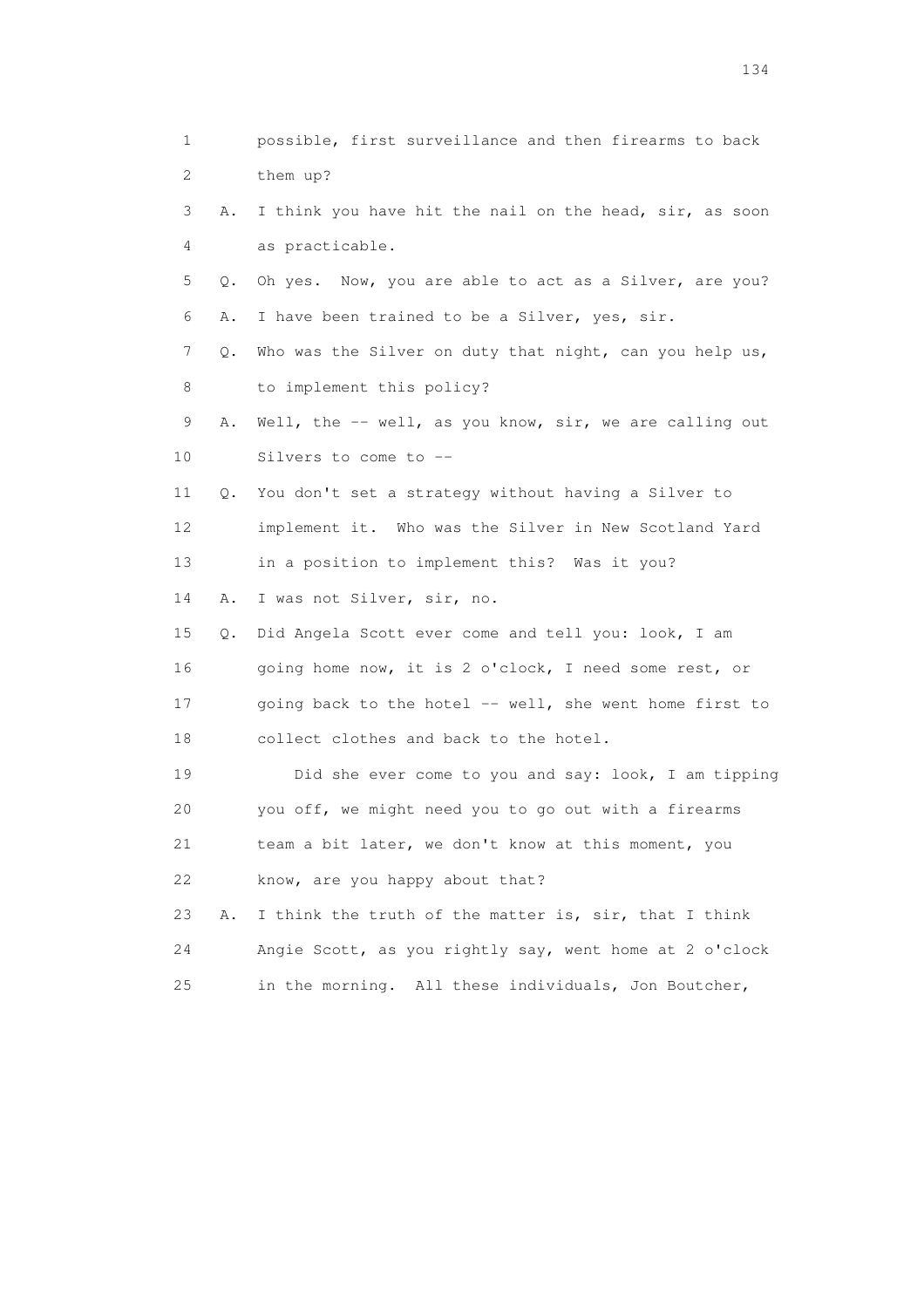1 possible, first surveillance and then firearms to back 2 them up? 3 A. I think you have hit the nail on the head, sir, as soon 4 as practicable. 5 Q. Oh yes. Now, you are able to act as a Silver, are you? 6 A. I have been trained to be a Silver, yes, sir. 7 Q. Who was the Silver on duty that night, can you help us, 8 to implement this policy? 9 A. Well, the -- well, as you know, sir, we are calling out 10 Silvers to come to -- 11 Q. You don't set a strategy without having a Silver to 12 implement it. Who was the Silver in New Scotland Yard 13 in a position to implement this? Was it you? 14 A. I was not Silver, sir, no. 15 Q. Did Angela Scott ever come and tell you: look, I am 16 going home now, it is 2 o'clock, I need some rest, or 17 going back to the hotel -- well, she went home first to 18 collect clothes and back to the hotel. 19 Did she ever come to you and say: look, I am tipping 20 you off, we might need you to go out with a firearms 21 team a bit later, we don't know at this moment, you 22 know, are you happy about that? 23 A. I think the truth of the matter is, sir, that I think 24 Angie Scott, as you rightly say, went home at 2 o'clock 25 in the morning. All these individuals, Jon Boutcher,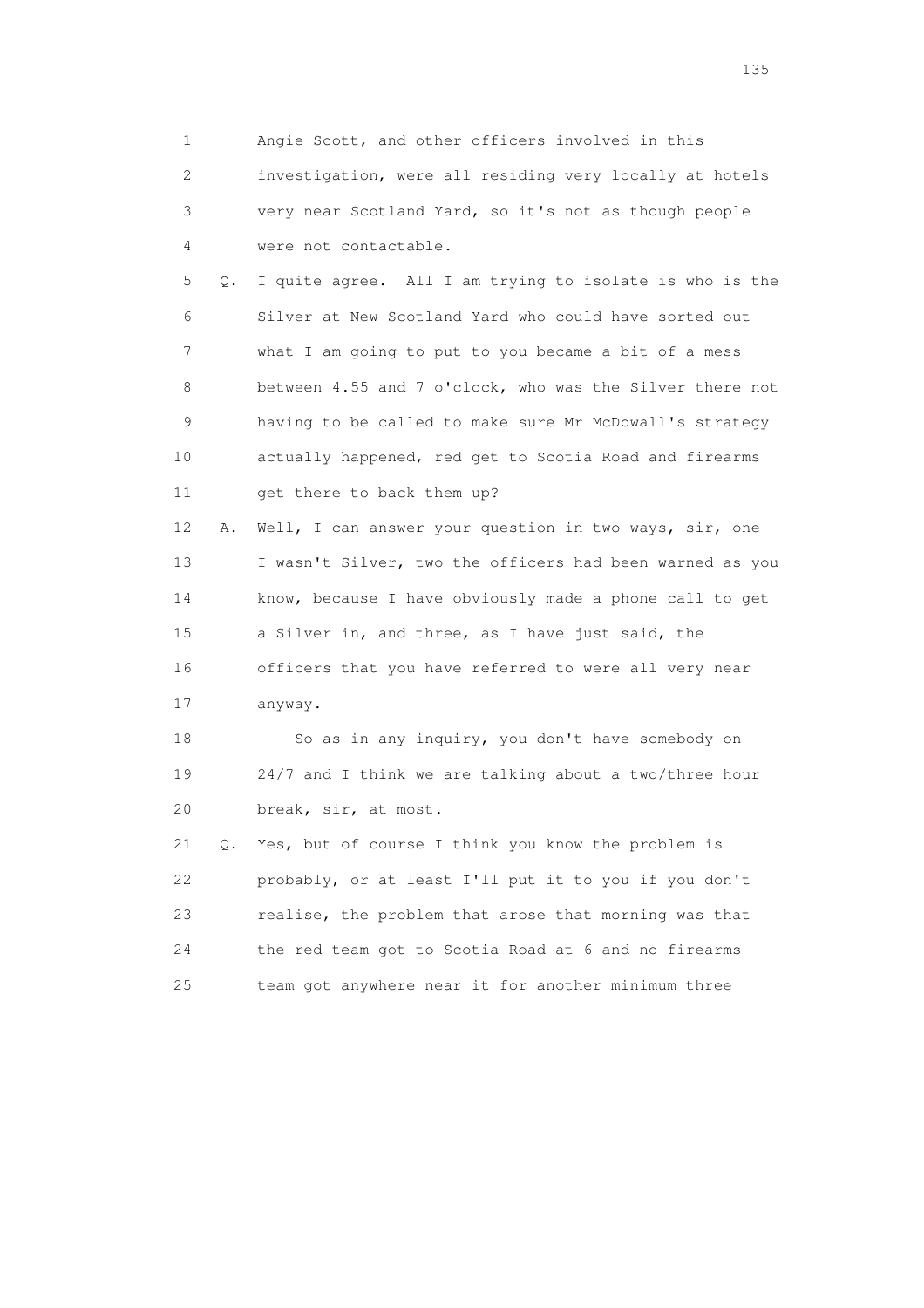1 Angie Scott, and other officers involved in this 2 investigation, were all residing very locally at hotels 3 very near Scotland Yard, so it's not as though people 4 were not contactable. 5 Q. I quite agree. All I am trying to isolate is who is the 6 Silver at New Scotland Yard who could have sorted out 7 what I am going to put to you became a bit of a mess 8 between 4.55 and 7 o'clock, who was the Silver there not 9 having to be called to make sure Mr McDowall's strategy 10 actually happened, red get to Scotia Road and firearms 11 get there to back them up? 12 A. Well, I can answer your question in two ways, sir, one 13 I wasn't Silver, two the officers had been warned as you 14 know, because I have obviously made a phone call to get 15 a Silver in, and three, as I have just said, the 16 officers that you have referred to were all very near 17 anyway. 18 So as in any inquiry, you don't have somebody on 19 24/7 and I think we are talking about a two/three hour 20 break, sir, at most.

 21 Q. Yes, but of course I think you know the problem is 22 probably, or at least I'll put it to you if you don't 23 realise, the problem that arose that morning was that 24 the red team got to Scotia Road at 6 and no firearms 25 team got anywhere near it for another minimum three

n 135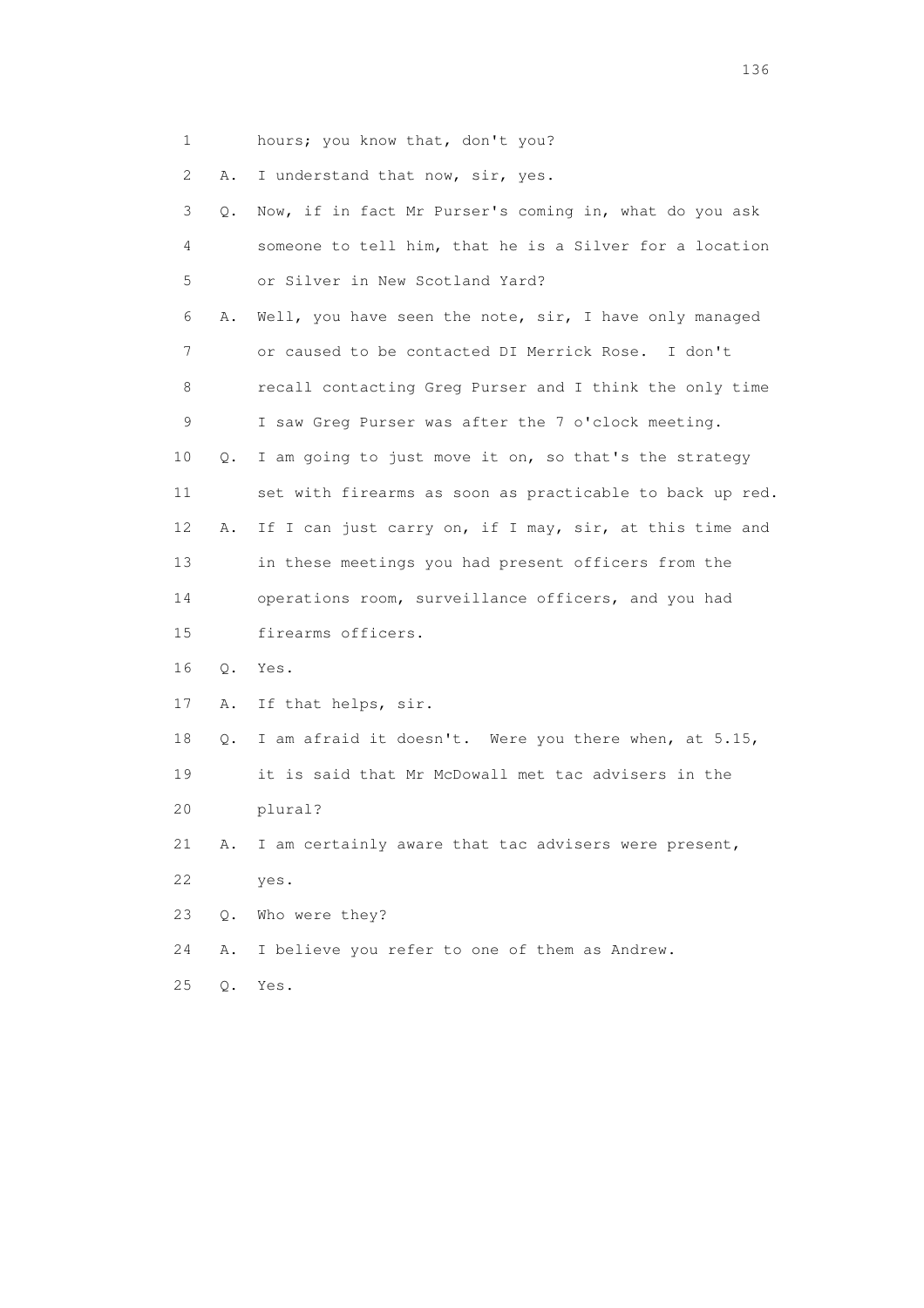1 hours; you know that, don't you?

2 A. I understand that now, sir, yes.

| 3  | О.        | Now, if in fact Mr Purser's coming in, what do you ask   |
|----|-----------|----------------------------------------------------------|
| 4  |           | someone to tell him, that he is a Silver for a location  |
| 5  |           | or Silver in New Scotland Yard?                          |
| 6  | Α.        | Well, you have seen the note, sir, I have only managed   |
| 7  |           | or caused to be contacted DI Merrick Rose. I don't       |
| 8  |           | recall contacting Greg Purser and I think the only time  |
| 9  |           | I saw Greg Purser was after the 7 o'clock meeting.       |
| 10 | Q.        | I am going to just move it on, so that's the strategy    |
| 11 |           | set with firearms as soon as practicable to back up red. |
| 12 | Α.        | If I can just carry on, if I may, sir, at this time and  |
| 13 |           | in these meetings you had present officers from the      |
| 14 |           | operations room, surveillance officers, and you had      |
| 15 |           | firearms officers.                                       |
| 16 | Q.        | Yes.                                                     |
| 17 | Α.        | If that helps, sir.                                      |
| 18 | $\circ$ . | I am afraid it doesn't. Were you there when, at 5.15,    |
| 19 |           | it is said that Mr McDowall met tac advisers in the      |
| 20 |           | plural?                                                  |
| 21 | Α.        | I am certainly aware that tac advisers were present,     |
| 22 |           | yes.                                                     |
| 23 | 0.        | Who were they?                                           |
| 24 | Α.        | I believe you refer to one of them as Andrew.            |
| 25 | $\circ$ . | Yes.                                                     |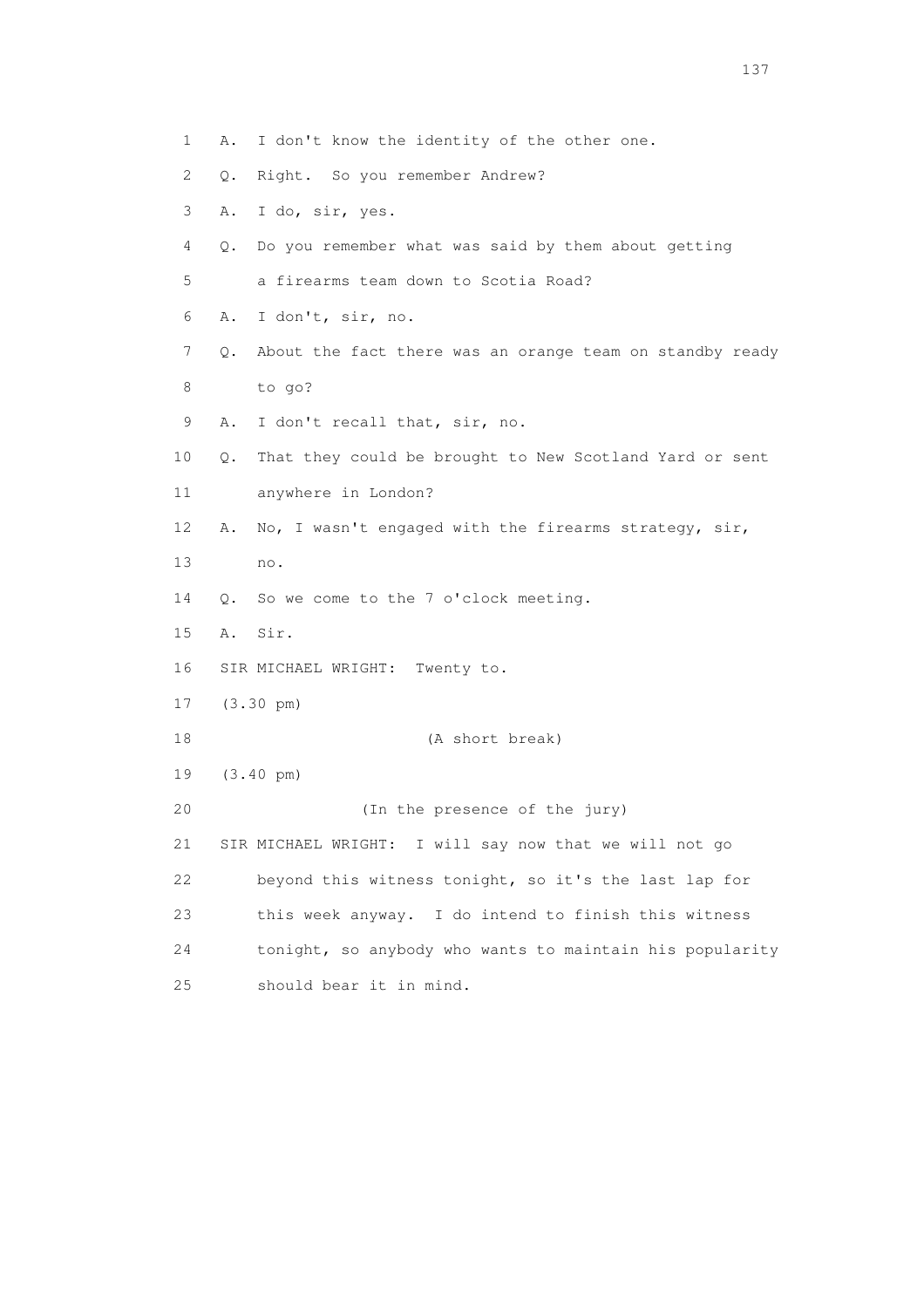2 Q. Right. So you remember Andrew? 3 A. I do, sir, yes. 4 Q. Do you remember what was said by them about getting 5 a firearms team down to Scotia Road? 6 A. I don't, sir, no. 7 Q. About the fact there was an orange team on standby ready 8 to go? 9 A. I don't recall that, sir, no. 10 Q. That they could be brought to New Scotland Yard or sent 11 anywhere in London? 12 A. No, I wasn't engaged with the firearms strategy, sir, 13 no. 14 Q. So we come to the 7 o'clock meeting. 15 A. Sir. 16 SIR MICHAEL WRIGHT: Twenty to. 17 (3.30 pm) 18 (A short break) 19 (3.40 pm) 20 (In the presence of the jury) 21 SIR MICHAEL WRIGHT: I will say now that we will not go 22 beyond this witness tonight, so it's the last lap for 23 this week anyway. I do intend to finish this witness 24 tonight, so anybody who wants to maintain his popularity 25 should bear it in mind.

137

1 A. I don't know the identity of the other one.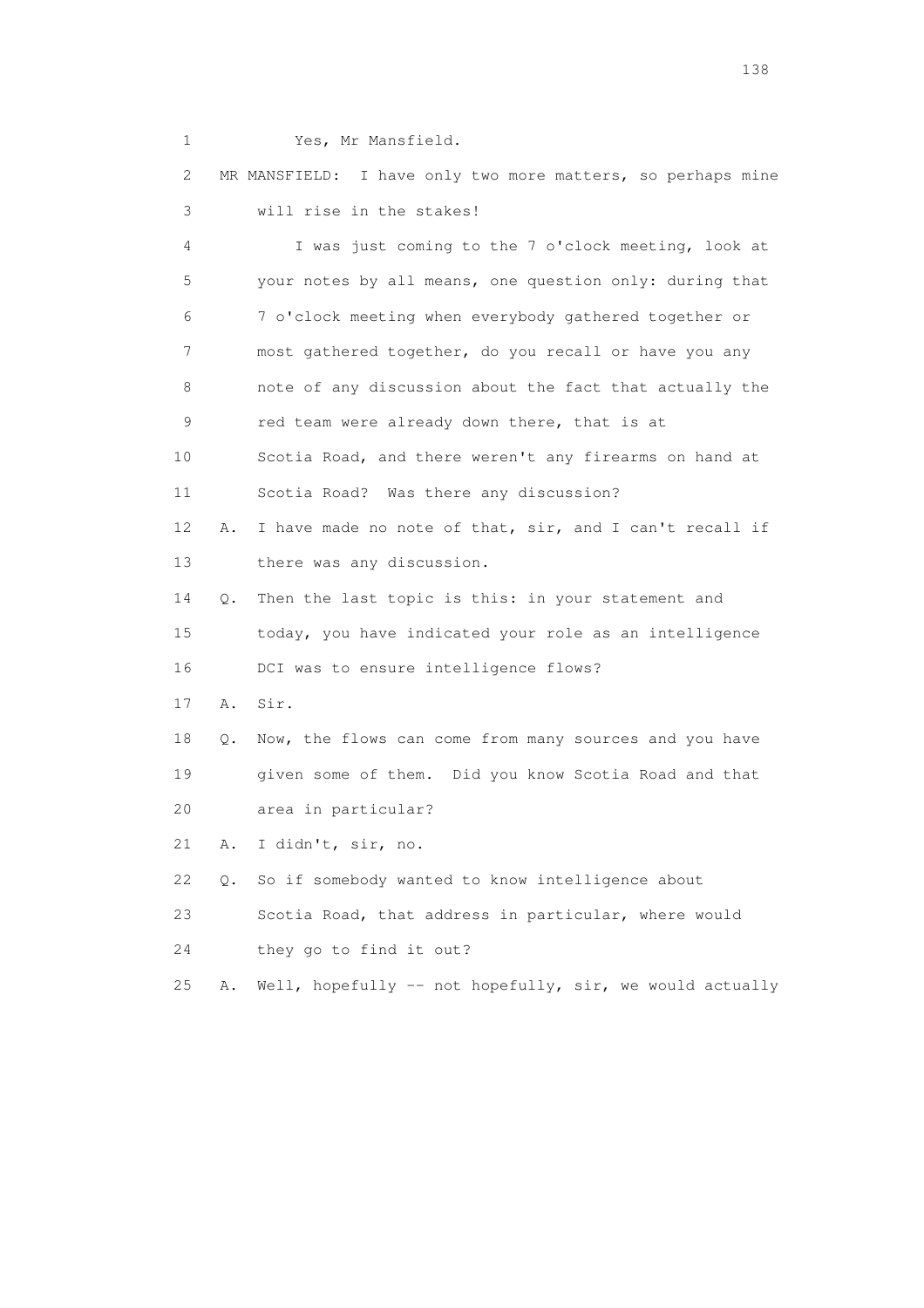1 Yes, Mr Mansfield.

 2 MR MANSFIELD: I have only two more matters, so perhaps mine 3 will rise in the stakes!

 4 I was just coming to the 7 o'clock meeting, look at 5 your notes by all means, one question only: during that 6 7 o'clock meeting when everybody gathered together or 7 most gathered together, do you recall or have you any 8 note of any discussion about the fact that actually the 9 red team were already down there, that is at 10 Scotia Road, and there weren't any firearms on hand at 11 Scotia Road? Was there any discussion? 12 A. I have made no note of that, sir, and I can't recall if 13 there was any discussion. 14 Q. Then the last topic is this: in your statement and 15 today, you have indicated your role as an intelligence 16 DCI was to ensure intelligence flows? 17 A. Sir. 18 Q. Now, the flows can come from many sources and you have 19 given some of them. Did you know Scotia Road and that 20 area in particular? 21 A. I didn't, sir, no. 22 Q. So if somebody wanted to know intelligence about 23 Scotia Road, that address in particular, where would 24 they go to find it out? 25 A. Well, hopefully -- not hopefully, sir, we would actually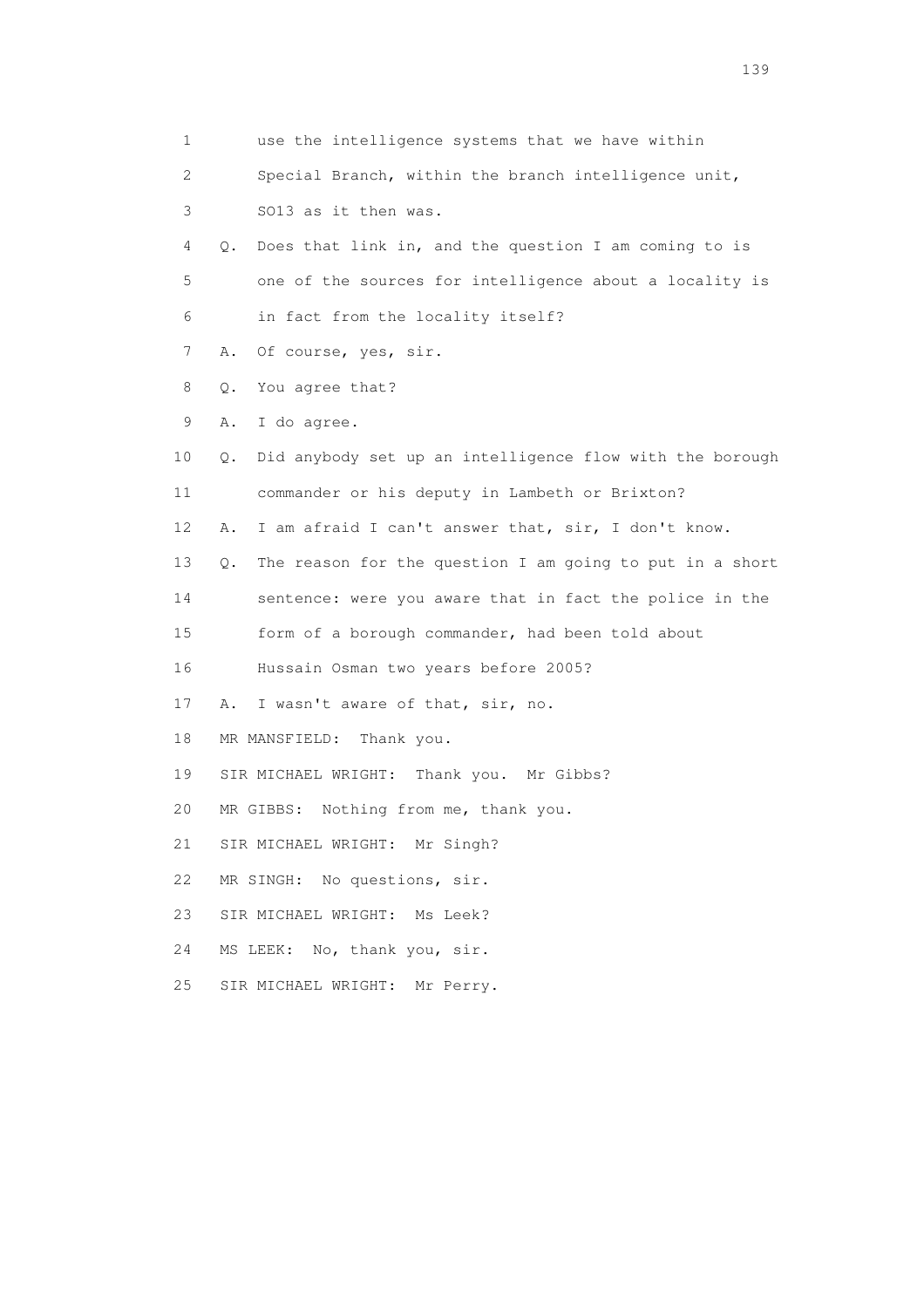| 1  | use the intelligence systems that we have within               |
|----|----------------------------------------------------------------|
| 2  | Special Branch, within the branch intelligence unit,           |
| 3  | SO13 as it then was.                                           |
| 4  | Does that link in, and the question I am coming to is<br>Q.    |
| 5  | one of the sources for intelligence about a locality is        |
| 6  | in fact from the locality itself?                              |
| 7  | Of course, yes, sir.<br>Α.                                     |
| 8  | You agree that?<br>Q.                                          |
| 9  | I do agree.<br>Α.                                              |
| 10 | Did anybody set up an intelligence flow with the borough<br>Q. |
| 11 | commander or his deputy in Lambeth or Brixton?                 |
| 12 | I am afraid I can't answer that, sir, I don't know.<br>Α.      |
| 13 | The reason for the question I am going to put in a short<br>Q. |
| 14 | sentence: were you aware that in fact the police in the        |
| 15 | form of a borough commander, had been told about               |
| 16 | Hussain Osman two years before 2005?                           |
| 17 | Α.<br>I wasn't aware of that, sir, no.                         |
| 18 | MR MANSFIELD:<br>Thank you.                                    |
| 19 | SIR MICHAEL WRIGHT: Thank you. Mr Gibbs?                       |
| 20 | MR GIBBS: Nothing from me, thank you.                          |
| 21 | SIR MICHAEL WRIGHT: Mr Singh?                                  |
| 22 | MR SINGH: No questions, sir.                                   |
| 23 | SIR MICHAEL WRIGHT: Ms Leek?                                   |
| 24 | MS LEEK: No, thank you, sir.                                   |
| 25 | SIR MICHAEL WRIGHT:<br>Mr Perry.                               |
|    |                                                                |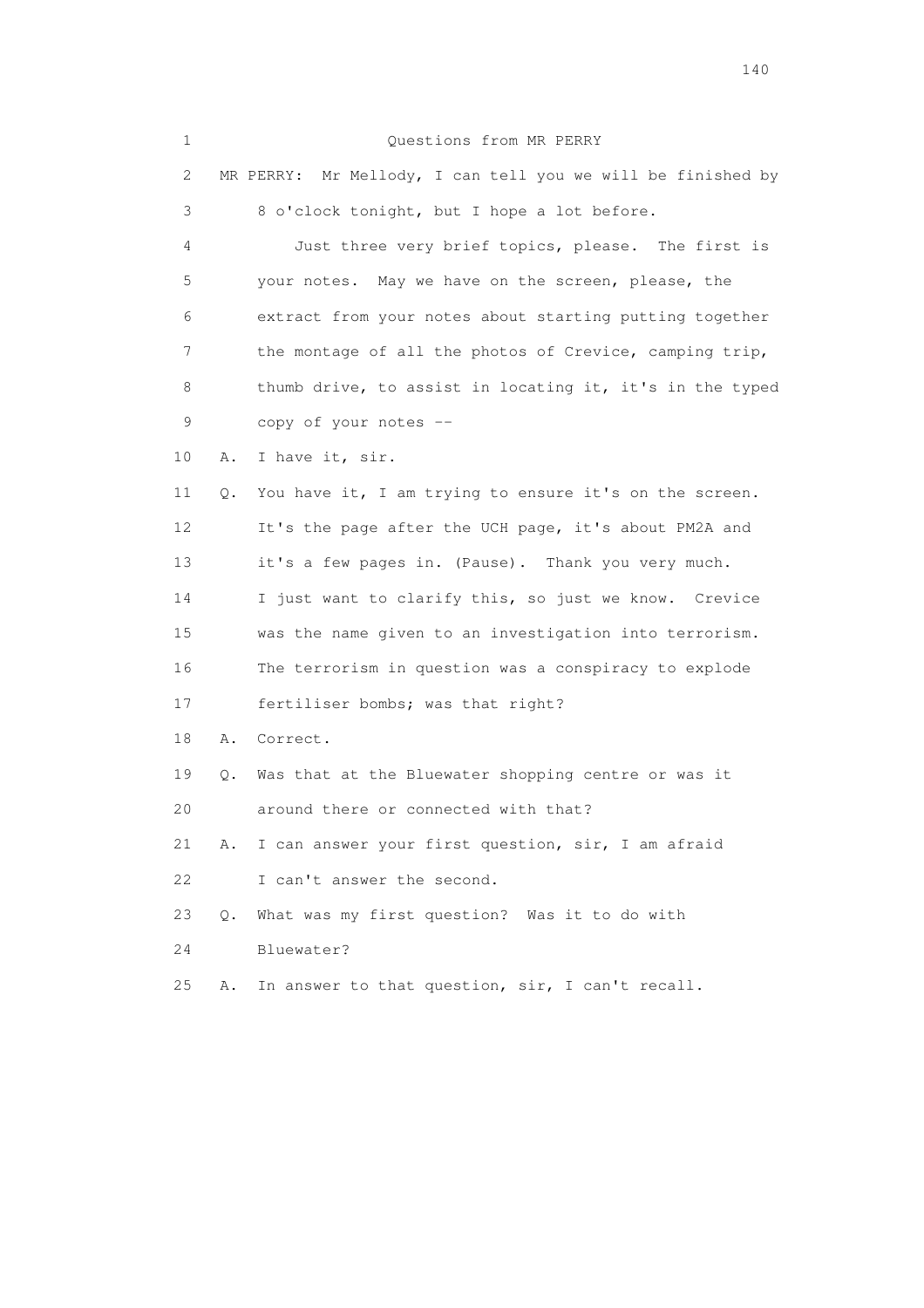1 Questions from MR PERRY 2 MR PERRY: Mr Mellody, I can tell you we will be finished by 3 8 o'clock tonight, but I hope a lot before. 4 Just three very brief topics, please. The first is 5 your notes. May we have on the screen, please, the 6 extract from your notes about starting putting together 7 the montage of all the photos of Crevice, camping trip, 8 thumb drive, to assist in locating it, it's in the typed 9 copy of your notes -- 10 A. I have it, sir. 11 Q. You have it, I am trying to ensure it's on the screen. 12 It's the page after the UCH page, it's about PM2A and 13 it's a few pages in. (Pause). Thank you very much. 14 I just want to clarify this, so just we know. Crevice 15 was the name given to an investigation into terrorism. 16 The terrorism in question was a conspiracy to explode 17 fertiliser bombs; was that right? 18 A. Correct. 19 Q. Was that at the Bluewater shopping centre or was it 20 around there or connected with that? 21 A. I can answer your first question, sir, I am afraid 22 I can't answer the second. 23 Q. What was my first question? Was it to do with 24 Bluewater? 25 A. In answer to that question, sir, I can't recall.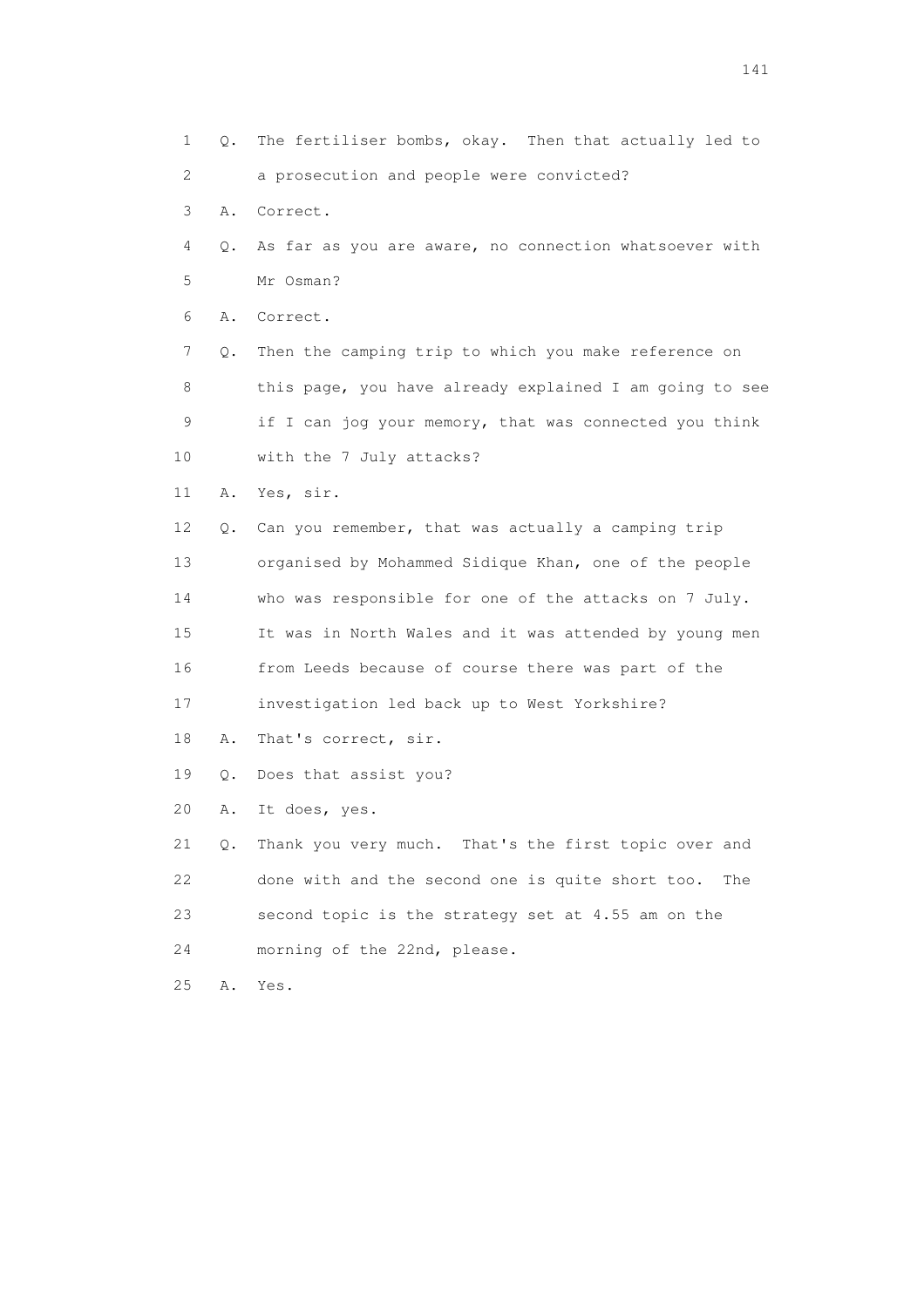1 Q. The fertiliser bombs, okay. Then that actually led to 2 a prosecution and people were convicted? 3 A. Correct. 4 Q. As far as you are aware, no connection whatsoever with 5 Mr Osman? 6 A. Correct. 7 Q. Then the camping trip to which you make reference on 8 this page, you have already explained I am going to see 9 if I can jog your memory, that was connected you think 10 with the 7 July attacks? 11 A. Yes, sir. 12 Q. Can you remember, that was actually a camping trip 13 organised by Mohammed Sidique Khan, one of the people 14 who was responsible for one of the attacks on 7 July. 15 It was in North Wales and it was attended by young men 16 from Leeds because of course there was part of the 17 investigation led back up to West Yorkshire? 18 A. That's correct, sir. 19 Q. Does that assist you? 20 A. It does, yes. 21 Q. Thank you very much. That's the first topic over and 22 done with and the second one is quite short too. The 23 second topic is the strategy set at 4.55 am on the 24 morning of the 22nd, please. 25 A. Yes.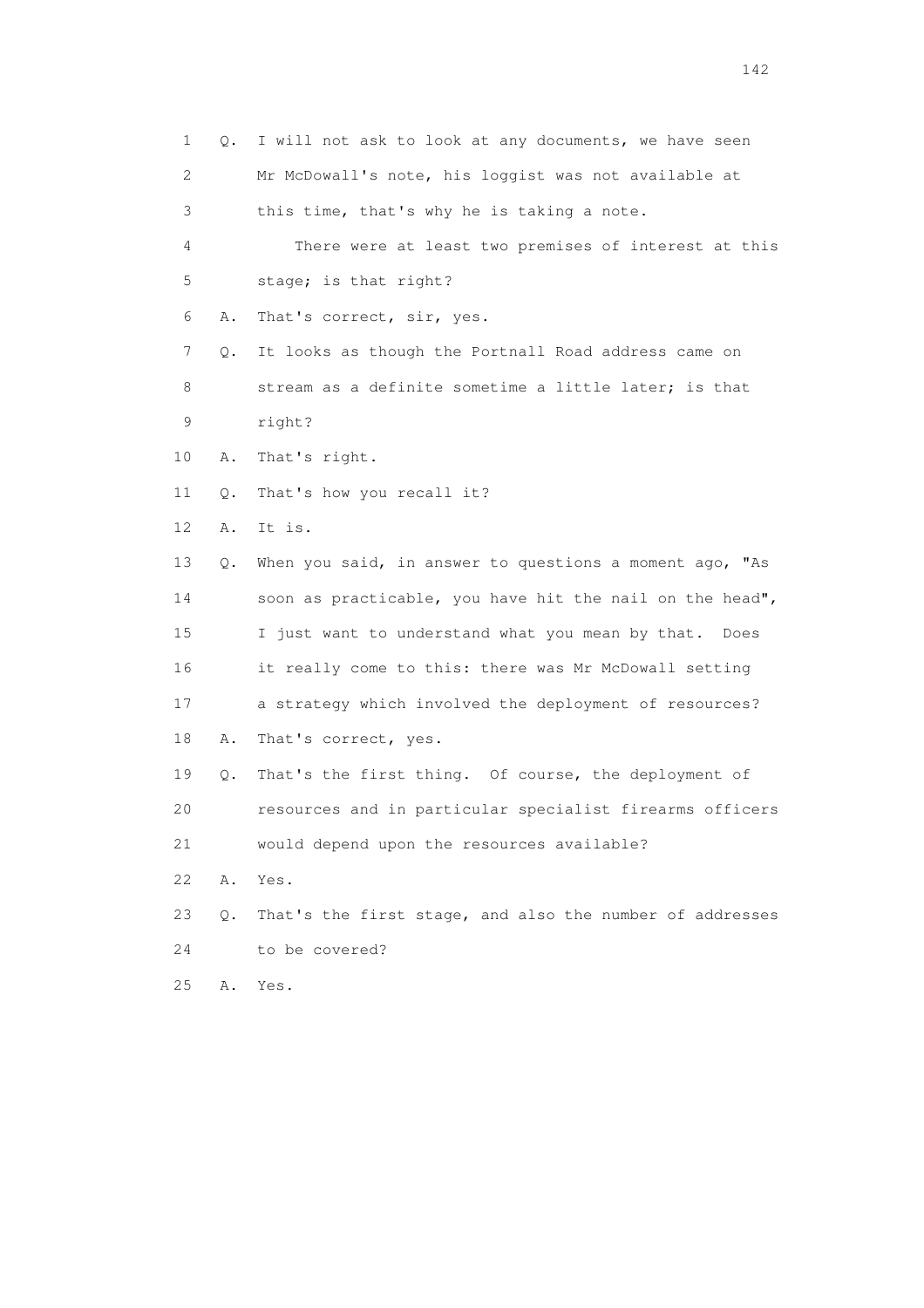1 Q. I will not ask to look at any documents, we have seen 2 Mr McDowall's note, his loggist was not available at 3 this time, that's why he is taking a note. 4 There were at least two premises of interest at this 5 stage; is that right? 6 A. That's correct, sir, yes. 7 Q. It looks as though the Portnall Road address came on 8 stream as a definite sometime a little later; is that 9 right? 10 A. That's right. 11 Q. That's how you recall it? 12 A. It is. 13 Q. When you said, in answer to questions a moment ago, "As 14 soon as practicable, you have hit the nail on the head", 15 I just want to understand what you mean by that. Does 16 it really come to this: there was Mr McDowall setting 17 a strategy which involved the deployment of resources? 18 A. That's correct, yes. 19 Q. That's the first thing. Of course, the deployment of 20 resources and in particular specialist firearms officers 21 would depend upon the resources available? 22 A. Yes. 23 Q. That's the first stage, and also the number of addresses 24 to be covered? 25 A. Yes.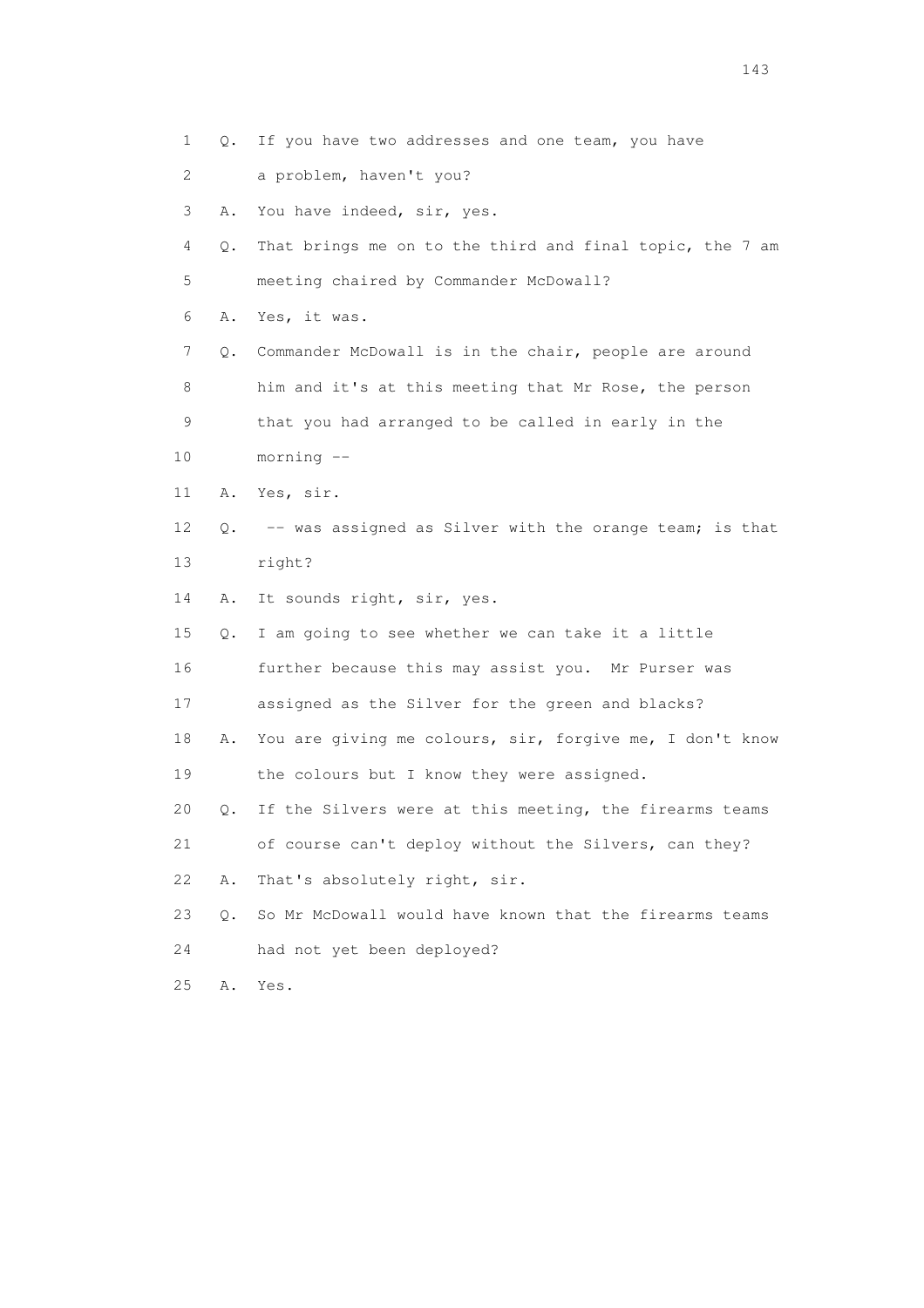| 1                         | Q.        | If you have two addresses and one team, you have         |
|---------------------------|-----------|----------------------------------------------------------|
| $\mathbf{2}^{\mathsf{I}}$ |           | a problem, haven't you?                                  |
| 3                         | Α.        | You have indeed, sir, yes.                               |
| 4                         | Q.        | That brings me on to the third and final topic, the 7 am |
| 5                         |           | meeting chaired by Commander McDowall?                   |
| 6                         | Α.        | Yes, it was.                                             |
| 7                         | Q.        | Commander McDowall is in the chair, people are around    |
| 8                         |           | him and it's at this meeting that Mr Rose, the person    |
| 9                         |           | that you had arranged to be called in early in the       |
| 10                        |           | $morning$ --                                             |
| 11                        | Α.        | Yes, sir.                                                |
| 12                        | Q.        | -- was assigned as Silver with the orange team; is that  |
| 13                        |           | right?                                                   |
| 14                        | Α.        | It sounds right, sir, yes.                               |
| 15                        | Q.        | I am going to see whether we can take it a little        |
| 16                        |           | further because this may assist you. Mr Purser was       |
| 17                        |           | assigned as the Silver for the green and blacks?         |
| 18                        | Α.        | You are giving me colours, sir, forgive me, I don't know |
| 19                        |           | the colours but I know they were assigned.               |
| 20                        | $\circ$ . | If the Silvers were at this meeting, the firearms teams  |
| 21                        |           | of course can't deploy without the Silvers, can they?    |
| 22                        | Α.        | That's absolutely right, sir.                            |
| 23                        | $Q$ .     | So Mr McDowall would have known that the firearms teams  |
| 24                        |           | had not yet been deployed?                               |
| 25                        | Α.        | Yes.                                                     |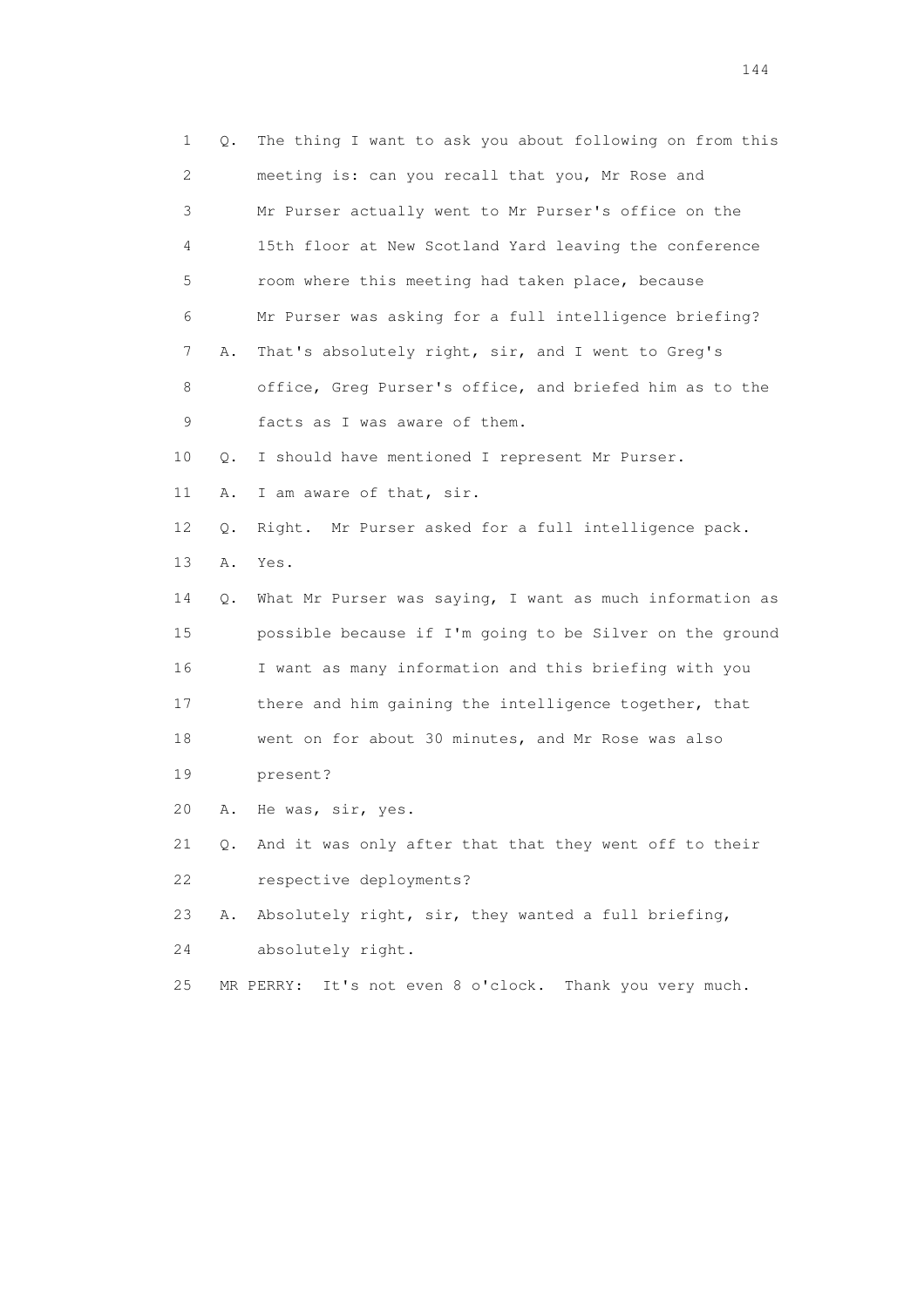| 1  | Q.        | The thing I want to ask you about following on from this   |
|----|-----------|------------------------------------------------------------|
| 2  |           | meeting is: can you recall that you, Mr Rose and           |
| 3  |           | Mr Purser actually went to Mr Purser's office on the       |
| 4  |           | 15th floor at New Scotland Yard leaving the conference     |
| 5  |           | room where this meeting had taken place, because           |
| 6  |           | Mr Purser was asking for a full intelligence briefing?     |
| 7  | Α.        | That's absolutely right, sir, and I went to Greg's         |
| 8  |           | office, Greg Purser's office, and briefed him as to the    |
| 9  |           | facts as I was aware of them.                              |
| 10 | Q.        | I should have mentioned I represent Mr Purser.             |
| 11 | Α.        | I am aware of that, sir.                                   |
| 12 | О.        | Right. Mr Purser asked for a full intelligence pack.       |
| 13 | Α.        | Yes.                                                       |
| 14 | Q.        | What Mr Purser was saying, I want as much information as   |
| 15 |           | possible because if I'm going to be Silver on the ground   |
| 16 |           | I want as many information and this briefing with you      |
| 17 |           | there and him gaining the intelligence together, that      |
| 18 |           | went on for about 30 minutes, and Mr Rose was also         |
| 19 |           | present?                                                   |
| 20 | Α.        | He was, sir, yes.                                          |
| 21 | $\circ$ . | And it was only after that that they went off to their     |
| 22 |           | respective deployments?                                    |
| 23 | Α.        | Absolutely right, sir, they wanted a full briefing,        |
| 24 |           | absolutely right.                                          |
| 25 |           | It's not even 8 o'clock. Thank you very much.<br>MR PERRY: |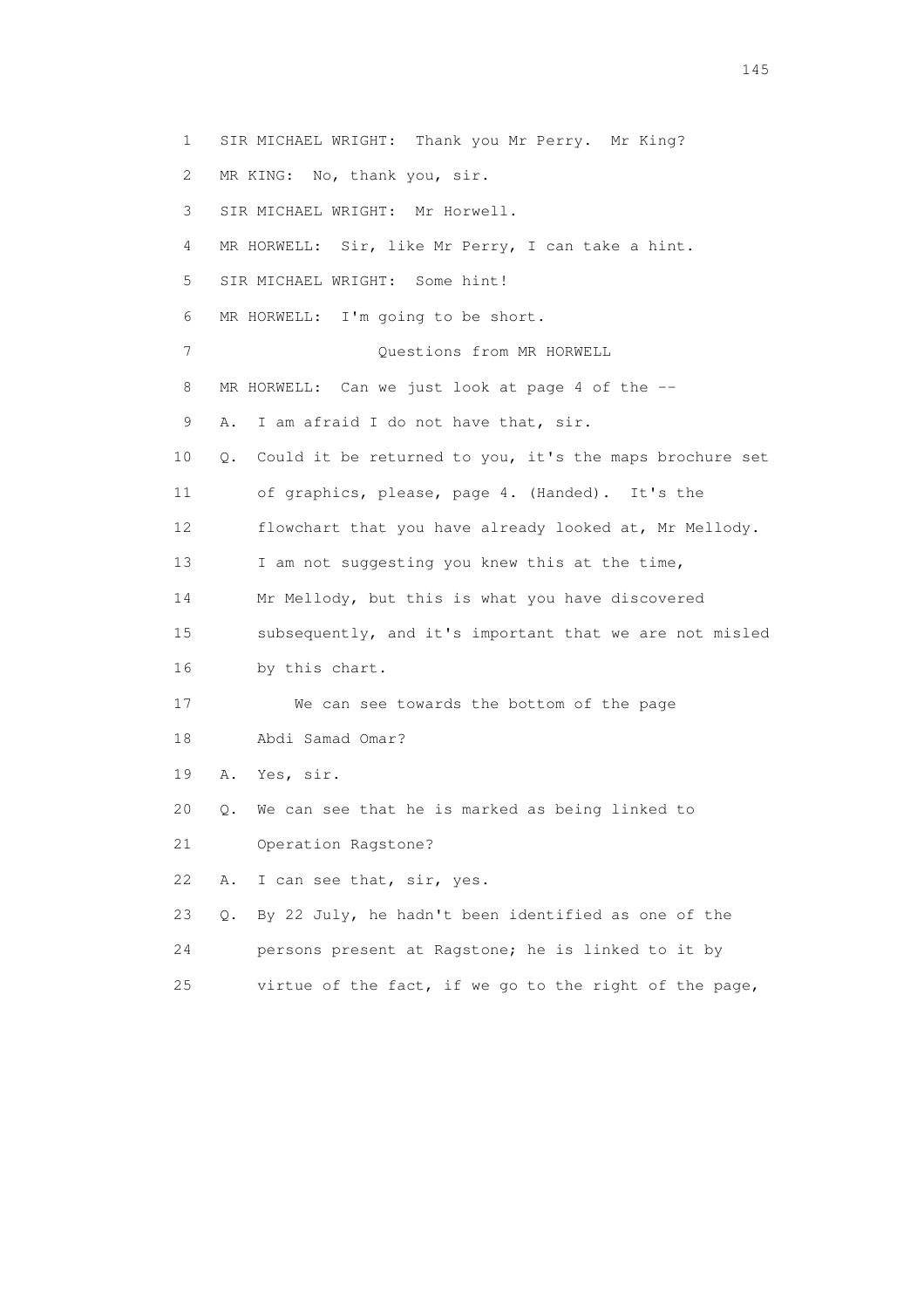1 SIR MICHAEL WRIGHT: Thank you Mr Perry. Mr King? 2 MR KING: No, thank you, sir. 3 SIR MICHAEL WRIGHT: Mr Horwell. 4 MR HORWELL: Sir, like Mr Perry, I can take a hint. 5 SIR MICHAEL WRIGHT: Some hint! 6 MR HORWELL: I'm going to be short. 7 Questions from MR HORWELL 8 MR HORWELL: Can we just look at page 4 of the -- 9 A. I am afraid I do not have that, sir. 10 Q. Could it be returned to you, it's the maps brochure set 11 of graphics, please, page 4. (Handed). It's the 12 flowchart that you have already looked at, Mr Mellody. 13 I am not suggesting you knew this at the time, 14 Mr Mellody, but this is what you have discovered 15 subsequently, and it's important that we are not misled 16 by this chart. 17 We can see towards the bottom of the page 18 Abdi Samad Omar? 19 A. Yes, sir. 20 Q. We can see that he is marked as being linked to 21 Operation Ragstone? 22 A. I can see that, sir, yes. 23 Q. By 22 July, he hadn't been identified as one of the 24 persons present at Ragstone; he is linked to it by

25 virtue of the fact, if we go to the right of the page,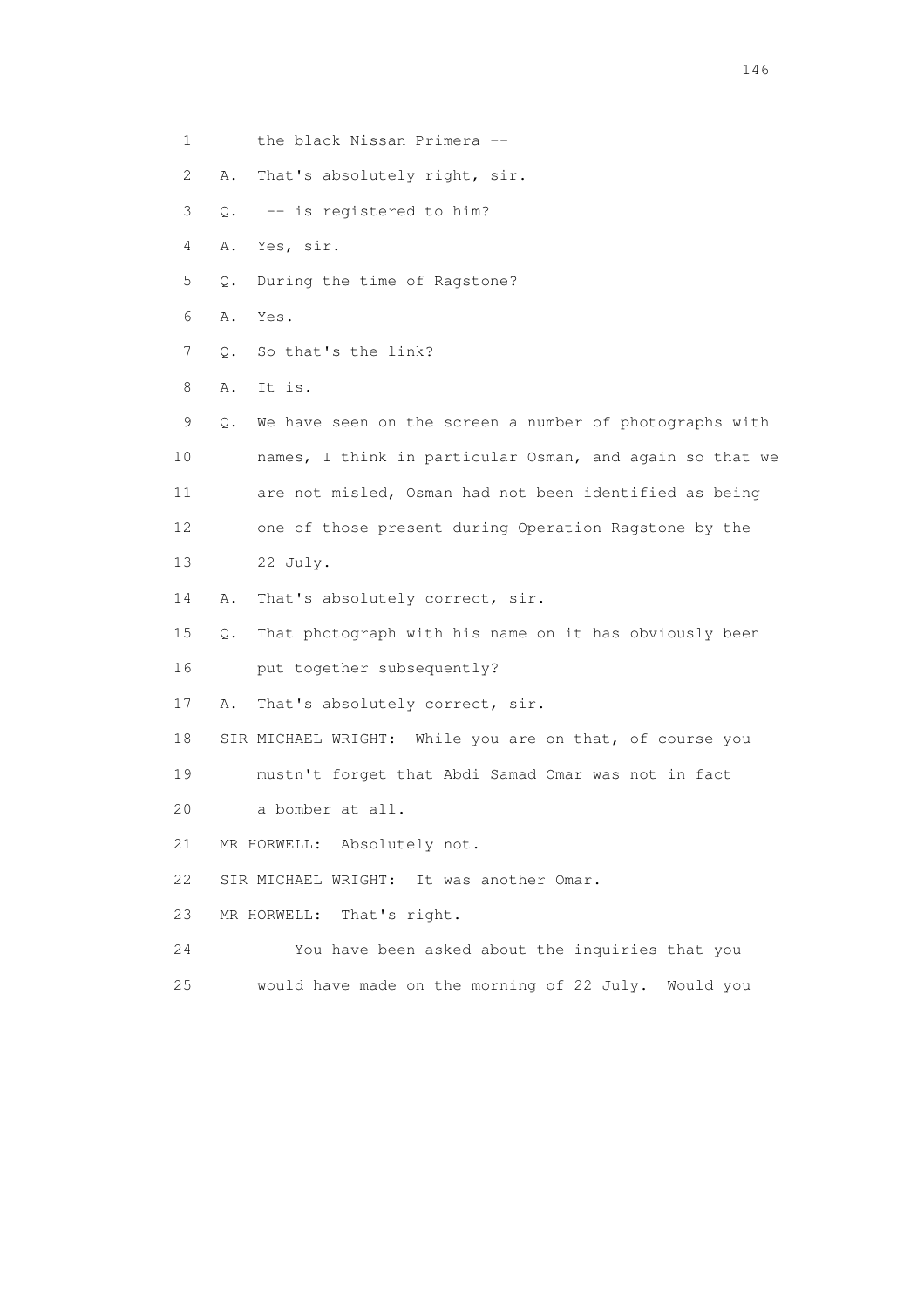| 1  |    | the black Nissan Primera --                              |
|----|----|----------------------------------------------------------|
| 2  | Α. | That's absolutely right, sir.                            |
| 3  | Q. | -- is registered to him?                                 |
| 4  | Α. | Yes, sir.                                                |
| 5  | Q. | During the time of Ragstone?                             |
| 6  | Α. | Yes.                                                     |
| 7  | Q. | So that's the link?                                      |
| 8  | Α. | It is.                                                   |
| 9  | Q. | We have seen on the screen a number of photographs with  |
| 10 |    | names, I think in particular Osman, and again so that we |
| 11 |    | are not misled, Osman had not been identified as being   |
| 12 |    | one of those present during Operation Ragstone by the    |
| 13 |    | 22 July.                                                 |
| 14 | Α. | That's absolutely correct, sir.                          |
| 15 | Q. | That photograph with his name on it has obviously been   |
| 16 |    | put together subsequently?                               |
| 17 | Α. | That's absolutely correct, sir.                          |
| 18 |    | SIR MICHAEL WRIGHT: While you are on that, of course you |
| 19 |    | mustn't forget that Abdi Samad Omar was not in fact      |
| 20 |    | a bomber at all.                                         |
| 21 |    | MR HORWELL: Absolutely not.                              |
| 22 |    | SIR MICHAEL WRIGHT:<br>It was another Omar.              |
| 23 |    | That's right.<br>MR HORWELL:                             |
| 24 |    | You have been asked about the inquiries that you         |
| 25 |    | would have made on the morning of 22 July.<br>Would you  |
|    |    |                                                          |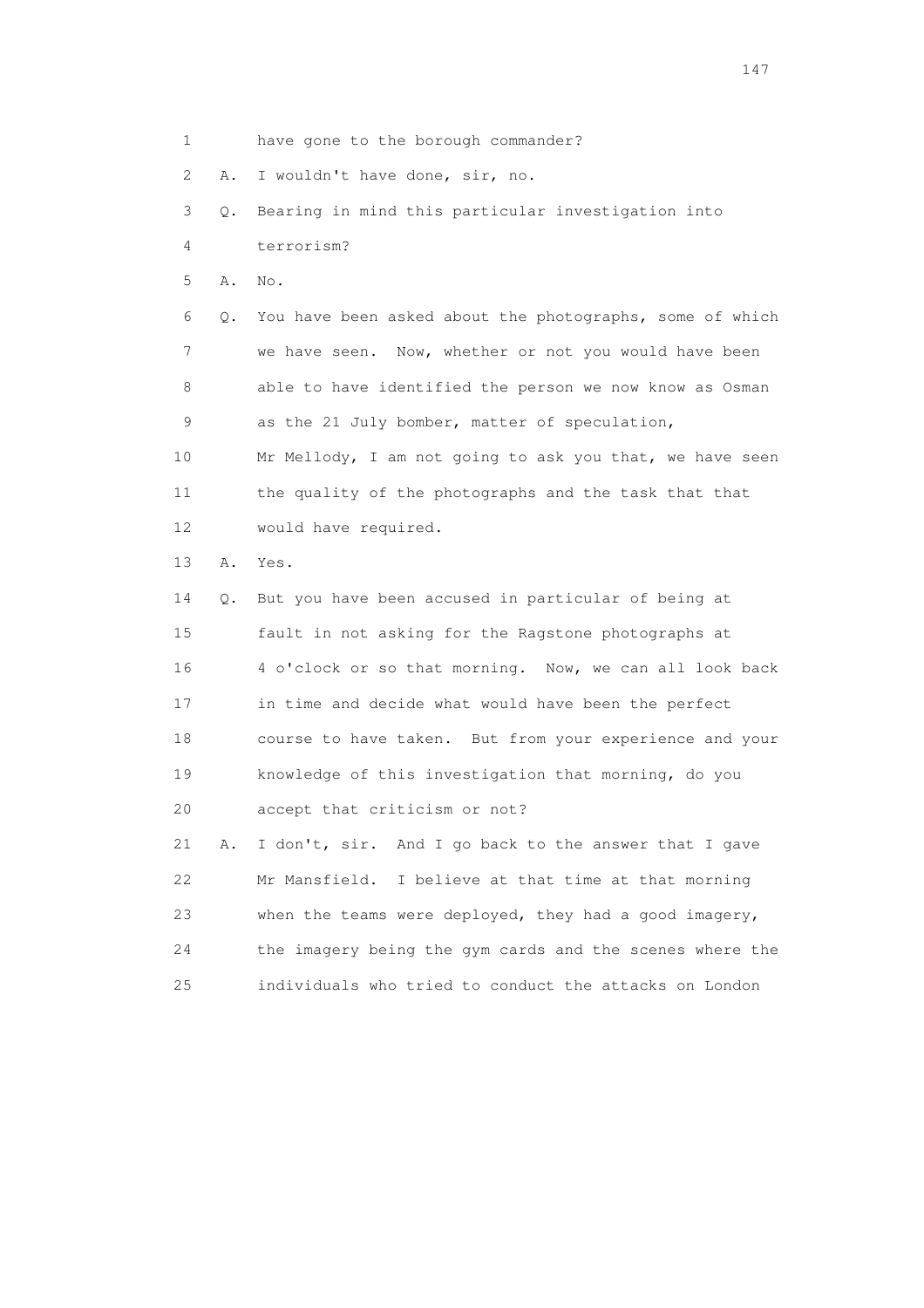1 have gone to the borough commander?

2 A. I wouldn't have done, sir, no.

 3 Q. Bearing in mind this particular investigation into 4 terrorism?

5 A. No.

 6 Q. You have been asked about the photographs, some of which 7 we have seen. Now, whether or not you would have been 8 able to have identified the person we now know as Osman 9 as the 21 July bomber, matter of speculation, 10 Mr Mellody, I am not going to ask you that, we have seen 11 the quality of the photographs and the task that that 12 would have required.

13 A. Yes.

 14 Q. But you have been accused in particular of being at 15 fault in not asking for the Ragstone photographs at 16 4 o'clock or so that morning. Now, we can all look back 17 in time and decide what would have been the perfect 18 course to have taken. But from your experience and your 19 knowledge of this investigation that morning, do you 20 accept that criticism or not?

 21 A. I don't, sir. And I go back to the answer that I gave 22 Mr Mansfield. I believe at that time at that morning 23 when the teams were deployed, they had a good imagery, 24 the imagery being the gym cards and the scenes where the 25 individuals who tried to conduct the attacks on London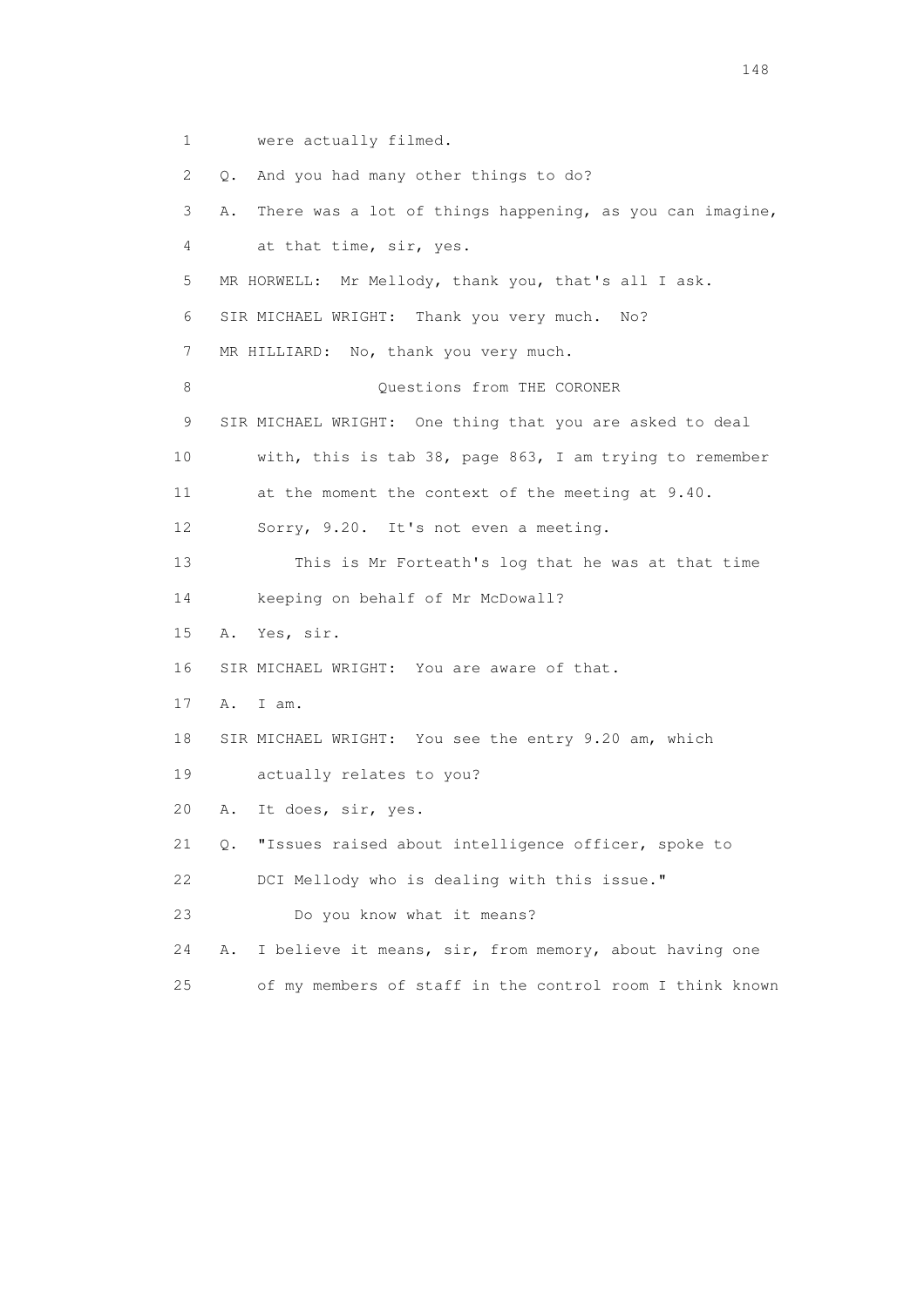1 were actually filmed.

 2 Q. And you had many other things to do? 3 A. There was a lot of things happening, as you can imagine, 4 at that time, sir, yes. 5 MR HORWELL: Mr Mellody, thank you, that's all I ask. 6 SIR MICHAEL WRIGHT: Thank you very much. No? 7 MR HILLIARD: No, thank you very much. 8 Ouestions from THE CORONER 9 SIR MICHAEL WRIGHT: One thing that you are asked to deal 10 with, this is tab 38, page 863, I am trying to remember 11 at the moment the context of the meeting at 9.40. 12 Sorry, 9.20. It's not even a meeting. 13 This is Mr Forteath's log that he was at that time 14 keeping on behalf of Mr McDowall? 15 A. Yes, sir. 16 SIR MICHAEL WRIGHT: You are aware of that. 17 A. I am. 18 SIR MICHAEL WRIGHT: You see the entry 9.20 am, which 19 actually relates to you? 20 A. It does, sir, yes. 21 Q. "Issues raised about intelligence officer, spoke to 22 DCI Mellody who is dealing with this issue." 23 Do you know what it means? 24 A. I believe it means, sir, from memory, about having one 25 of my members of staff in the control room I think known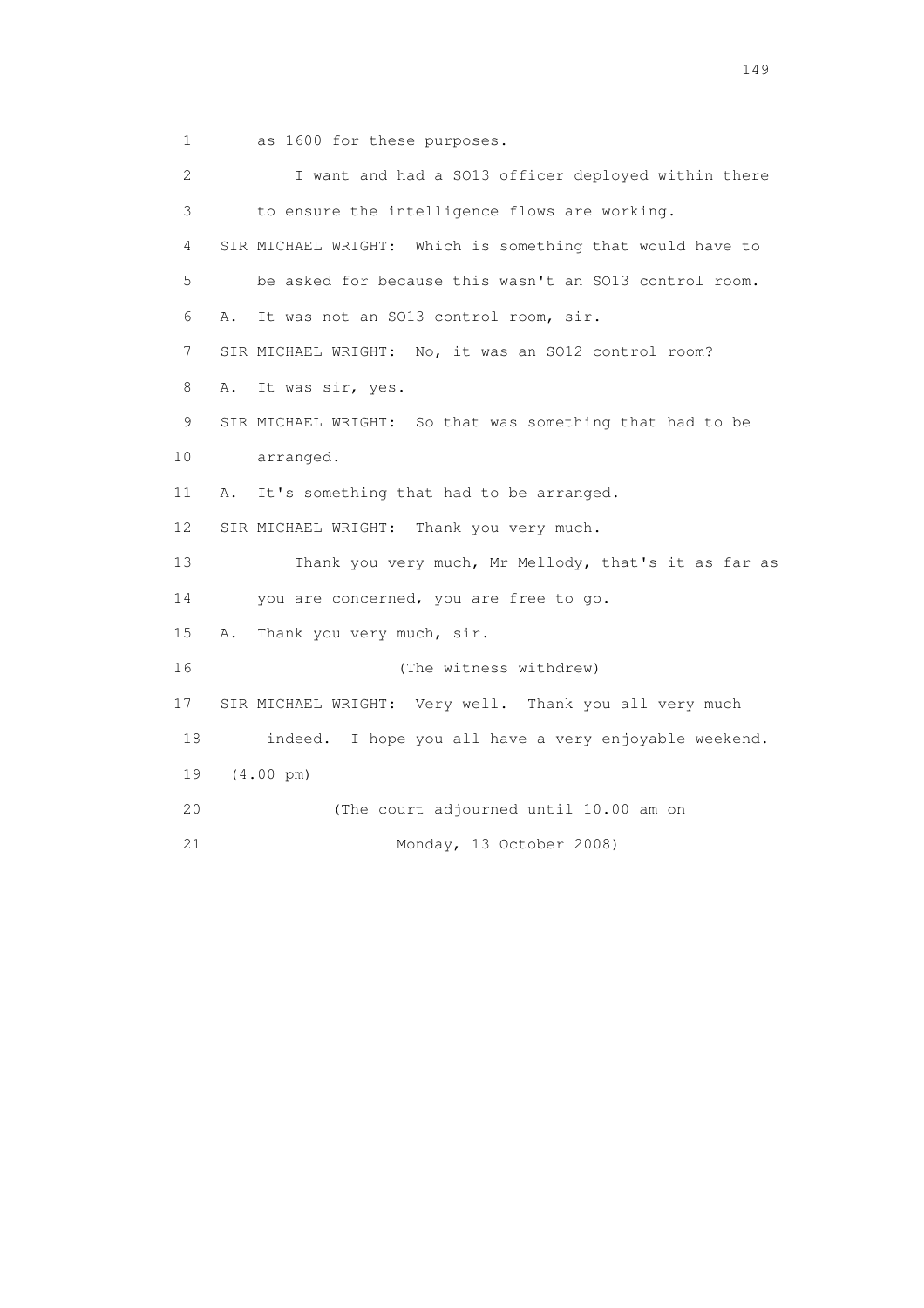1 as 1600 for these purposes.

 2 I want and had a SO13 officer deployed within there 3 to ensure the intelligence flows are working. 4 SIR MICHAEL WRIGHT: Which is something that would have to 5 be asked for because this wasn't an SO13 control room. 6 A. It was not an SO13 control room, sir. 7 SIR MICHAEL WRIGHT: No, it was an SO12 control room? 8 A. It was sir, yes. 9 SIR MICHAEL WRIGHT: So that was something that had to be 10 arranged. 11 A. It's something that had to be arranged. 12 SIR MICHAEL WRIGHT: Thank you very much. 13 Thank you very much, Mr Mellody, that's it as far as 14 you are concerned, you are free to go. 15 A. Thank you very much, sir. 16 (The witness withdrew) 17 SIR MICHAEL WRIGHT: Very well. Thank you all very much 18 indeed. I hope you all have a very enjoyable weekend. 19 (4.00 pm) 20 (The court adjourned until 10.00 am on 21 Monday, 13 October 2008)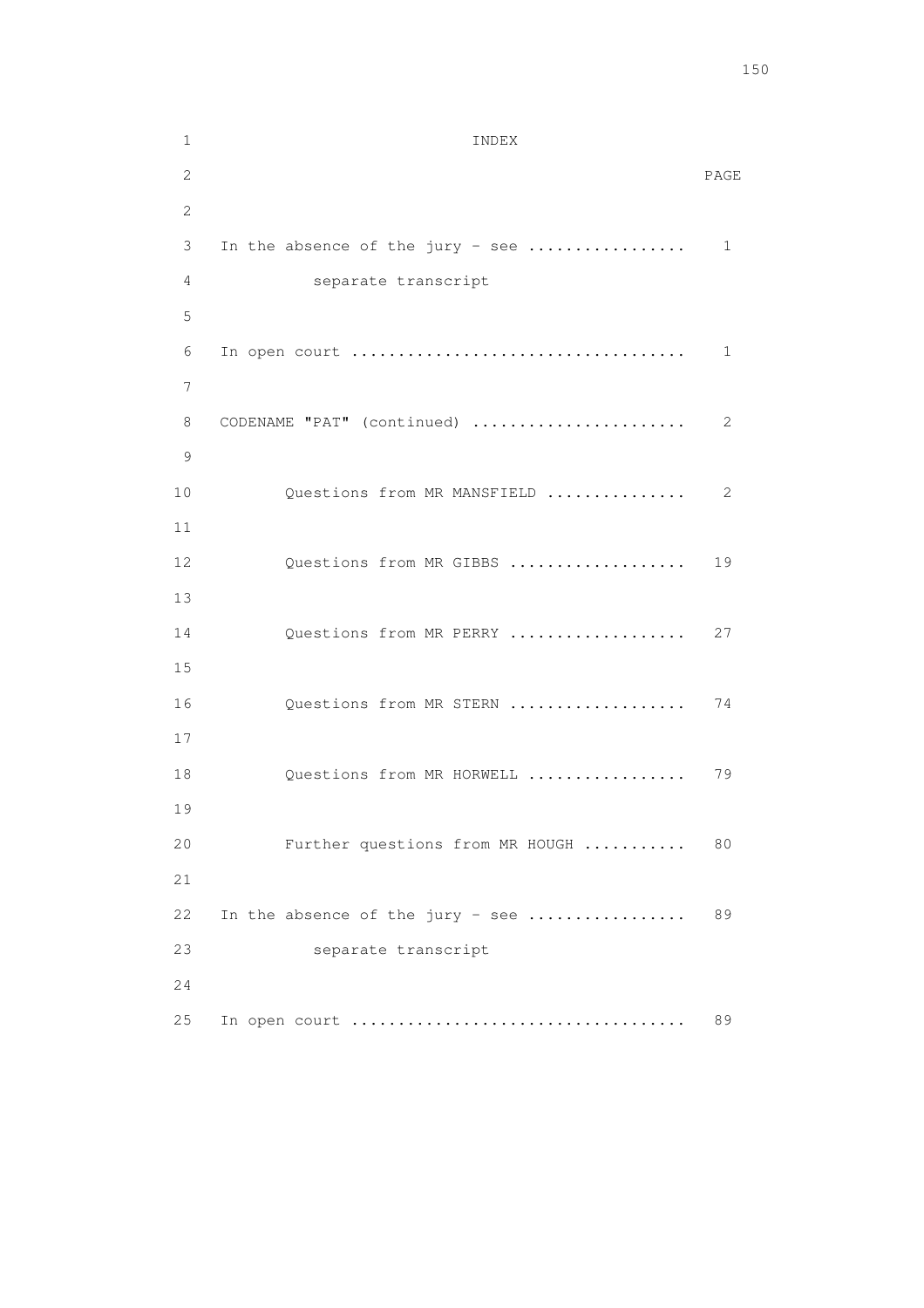1 INDEX 2 PAGE 2 3 In the absence of the jury - see ................. 1 4 separate transcript 5 6 In open court .................................... 1 7 8 CODENAME "PAT" (continued) ....................... 2 9 10 Questions from MR MANSFIELD ................... 2 11 12 Questions from MR GIBBS ..................... 19 13 14 Questions from MR PERRY ..................... 27 15 16 Questions from MR STERN ..................... 74 17 18 Questions from MR HORWELL ................... 79 19 20 Further questions from MR HOUGH ........... 80  $21$ 22 In the absence of the jury - see .................... 89 23 separate transcript 24 25 In open court .................................... 89